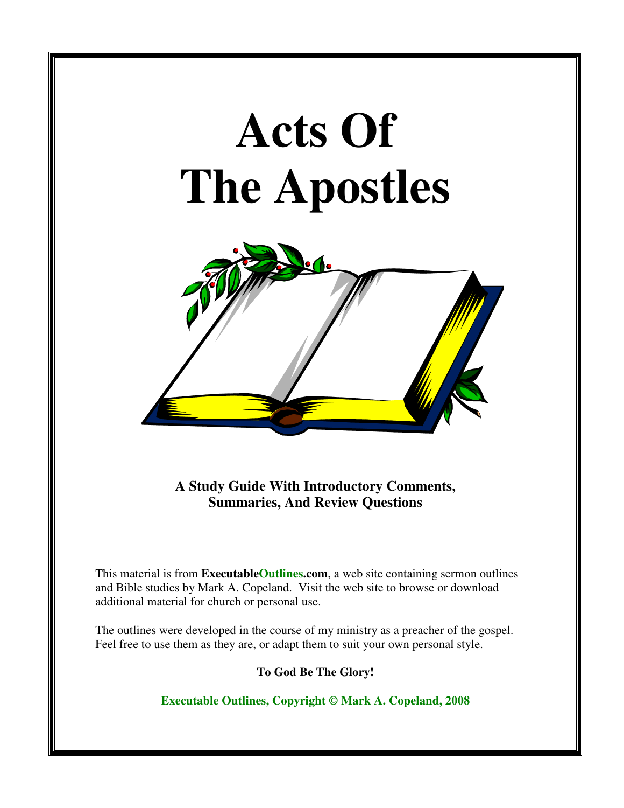# **Acts Of The Apostles**



**A Study Guide With Introductory Comments, Summaries, And Review Questions** 

This material is from **ExecutableOutlines.com**, a web site containing sermon outlines and Bible studies by Mark A. Copeland. Visit the web site to browse or download additional material for church or personal use.

The outlines were developed in the course of my ministry as a preacher of the gospel. Feel free to use them as they are, or adapt them to suit your own personal style.

**To God Be The Glory!** 

**Executable Outlines, Copyright © Mark A. Copeland, 2008**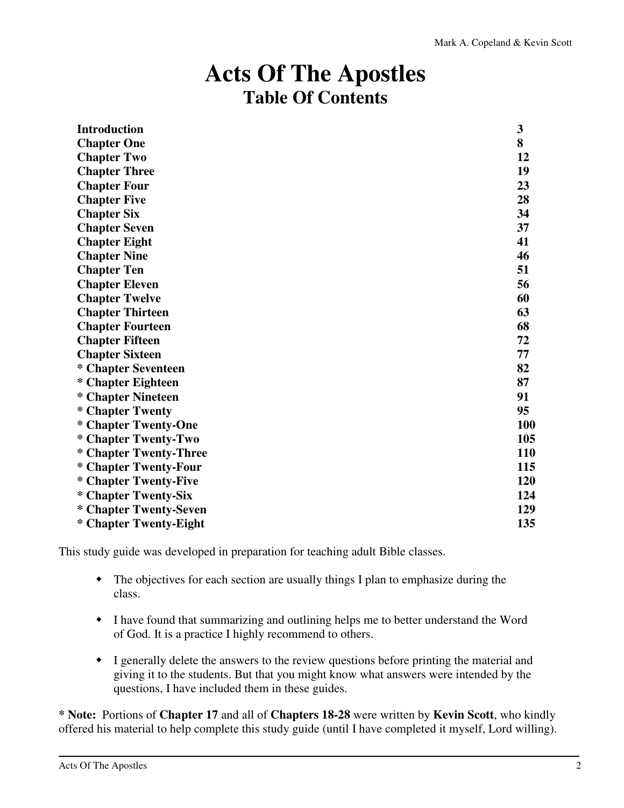## **Acts Of The Apostles Table Of Contents**

| <b>Introduction</b>     | 3   |
|-------------------------|-----|
| <b>Chapter One</b>      | 8   |
| <b>Chapter Two</b>      | 12  |
| <b>Chapter Three</b>    | 19  |
| <b>Chapter Four</b>     | 23  |
| <b>Chapter Five</b>     | 28  |
| <b>Chapter Six</b>      | 34  |
| <b>Chapter Seven</b>    | 37  |
| <b>Chapter Eight</b>    | 41  |
| <b>Chapter Nine</b>     | 46  |
| <b>Chapter Ten</b>      | 51  |
| <b>Chapter Eleven</b>   | 56  |
| <b>Chapter Twelve</b>   | 60  |
| <b>Chapter Thirteen</b> | 63  |
| <b>Chapter Fourteen</b> | 68  |
| <b>Chapter Fifteen</b>  | 72  |
| <b>Chapter Sixteen</b>  | 77  |
| * Chapter Seventeen     | 82  |
| * Chapter Eighteen      | 87  |
| * Chapter Nineteen      | 91  |
| * Chapter Twenty        | 95  |
| * Chapter Twenty-One    | 100 |
| * Chapter Twenty-Two    | 105 |
| * Chapter Twenty-Three  | 110 |
| * Chapter Twenty-Four   | 115 |
| * Chapter Twenty-Five   | 120 |
| * Chapter Twenty-Six    | 124 |
| * Chapter Twenty-Seven  | 129 |
| * Chapter Twenty-Eight  | 135 |

This study guide was developed in preparation for teaching adult Bible classes.

- The objectives for each section are usually things I plan to emphasize during the class.
- I have found that summarizing and outlining helps me to better understand the Word of God. It is a practice I highly recommend to others.
- I generally delete the answers to the review questions before printing the material and giving it to the students. But that you might know what answers were intended by the questions, I have included them in these guides.

**\* Note:** Portions of **Chapter 17** and all of **Chapters 18-28** were written by **Kevin Scott**, who kindly offered his material to help complete this study guide (until I have completed it myself, Lord willing).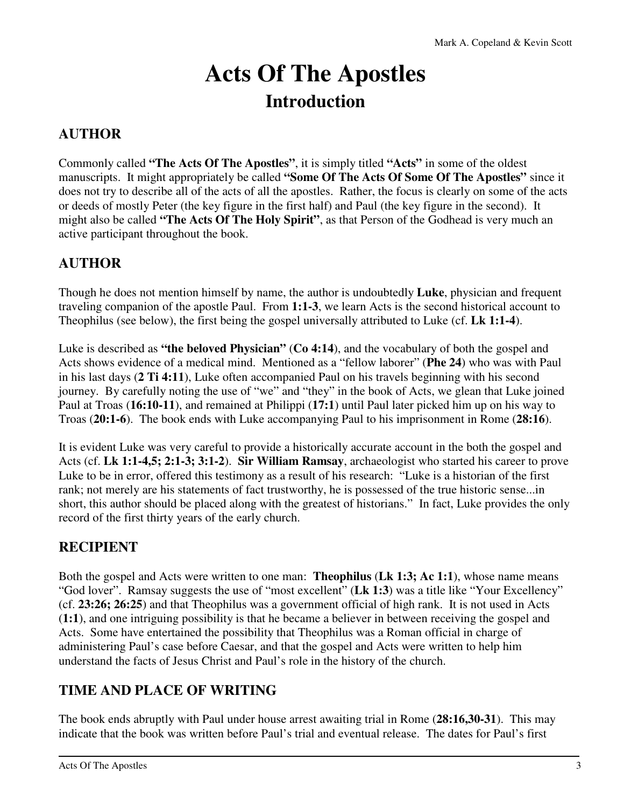# **Acts Of The Apostles Introduction**

### **AUTHOR**

Commonly called **"The Acts Of The Apostles"**, it is simply titled **"Acts"** in some of the oldest manuscripts. It might appropriately be called **"Some Of The Acts Of Some Of The Apostles"** since it does not try to describe all of the acts of all the apostles. Rather, the focus is clearly on some of the acts or deeds of mostly Peter (the key figure in the first half) and Paul (the key figure in the second). It might also be called **"The Acts Of The Holy Spirit"**, as that Person of the Godhead is very much an active participant throughout the book.

### **AUTHOR**

Though he does not mention himself by name, the author is undoubtedly **Luke**, physician and frequent traveling companion of the apostle Paul. From **1:1-3**, we learn Acts is the second historical account to Theophilus (see below), the first being the gospel universally attributed to Luke (cf. **Lk 1:1-4**).

Luke is described as **"the beloved Physician"** (**Co 4:14**), and the vocabulary of both the gospel and Acts shows evidence of a medical mind. Mentioned as a "fellow laborer" (**Phe 24**) who was with Paul in his last days (**2 Ti 4:11**), Luke often accompanied Paul on his travels beginning with his second journey. By carefully noting the use of "we" and "they" in the book of Acts, we glean that Luke joined Paul at Troas (**16:10-11**), and remained at Philippi (**17:1**) until Paul later picked him up on his way to Troas (**20:1-6**). The book ends with Luke accompanying Paul to his imprisonment in Rome (**28:16**).

It is evident Luke was very careful to provide a historically accurate account in the both the gospel and Acts (cf. **Lk 1:1-4,5; 2:1-3; 3:1-2**). **Sir William Ramsay**, archaeologist who started his career to prove Luke to be in error, offered this testimony as a result of his research: "Luke is a historian of the first rank; not merely are his statements of fact trustworthy, he is possessed of the true historic sense...in short, this author should be placed along with the greatest of historians." In fact, Luke provides the only record of the first thirty years of the early church.

### **RECIPIENT**

Both the gospel and Acts were written to one man: **Theophilus** (**Lk 1:3; Ac 1:1**), whose name means "God lover". Ramsay suggests the use of "most excellent" (**Lk 1:3**) was a title like "Your Excellency" (cf. **23:26; 26:25**) and that Theophilus was a government official of high rank. It is not used in Acts (**1:1**), and one intriguing possibility is that he became a believer in between receiving the gospel and Acts. Some have entertained the possibility that Theophilus was a Roman official in charge of administering Paul's case before Caesar, and that the gospel and Acts were written to help him understand the facts of Jesus Christ and Paul's role in the history of the church.

### **TIME AND PLACE OF WRITING**

The book ends abruptly with Paul under house arrest awaiting trial in Rome (**28:16,30-31**). This may indicate that the book was written before Paul's trial and eventual release. The dates for Paul's first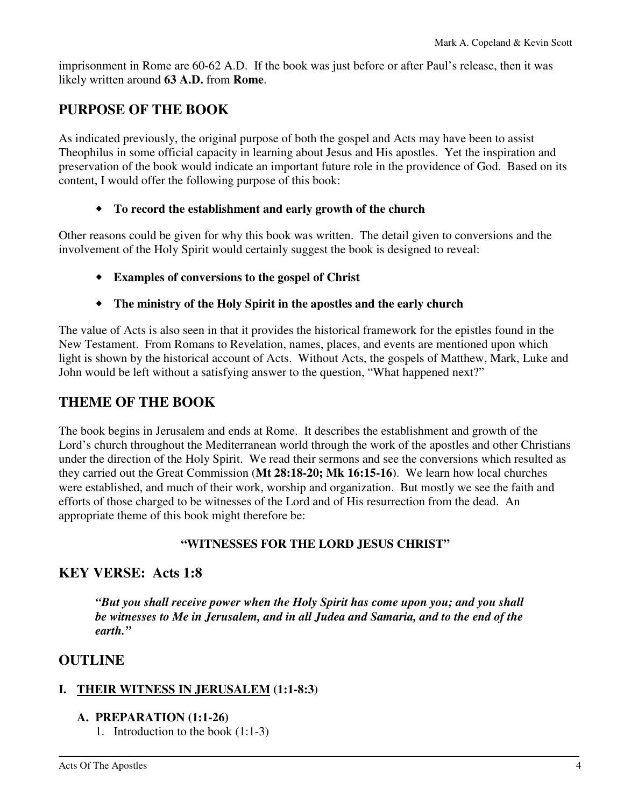imprisonment in Rome are 60-62 A.D. If the book was just before or after Paul's release, then it was likely written around **63 A.D.** from **Rome**.

### **PURPOSE OF THE BOOK**

As indicated previously, the original purpose of both the gospel and Acts may have been to assist Theophilus in some official capacity in learning about Jesus and His apostles. Yet the inspiration and preservation of the book would indicate an important future role in the providence of God. Based on its content, I would offer the following purpose of this book:

### **To record the establishment and early growth of the church**

Other reasons could be given for why this book was written. The detail given to conversions and the involvement of the Holy Spirit would certainly suggest the book is designed to reveal:

- **Examples of conversions to the gospel of Christ**
- **The ministry of the Holy Spirit in the apostles and the early church**

The value of Acts is also seen in that it provides the historical framework for the epistles found in the New Testament. From Romans to Revelation, names, places, and events are mentioned upon which light is shown by the historical account of Acts. Without Acts, the gospels of Matthew, Mark, Luke and John would be left without a satisfying answer to the question, "What happened next?"

### **THEME OF THE BOOK**

The book begins in Jerusalem and ends at Rome. It describes the establishment and growth of the Lord's church throughout the Mediterranean world through the work of the apostles and other Christians under the direction of the Holy Spirit. We read their sermons and see the conversions which resulted as they carried out the Great Commission (**Mt 28:18-20; Mk 16:15-16**). We learn how local churches were established, and much of their work, worship and organization. But mostly we see the faith and efforts of those charged to be witnesses of the Lord and of His resurrection from the dead. An appropriate theme of this book might therefore be:

### **"WITNESSES FOR THE LORD JESUS CHRIST"**

### **KEY VERSE: Acts 1:8**

*"But you shall receive power when the Holy Spirit has come upon you; and you shall be witnesses to Me in Jerusalem, and in all Judea and Samaria, and to the end of the earth."* 

### **OUTLINE**

### **I. THEIR WITNESS IN JERUSALEM (1:1-8:3)**

#### **A. PREPARATION (1:1-26)**

1. Introduction to the book (1:1-3)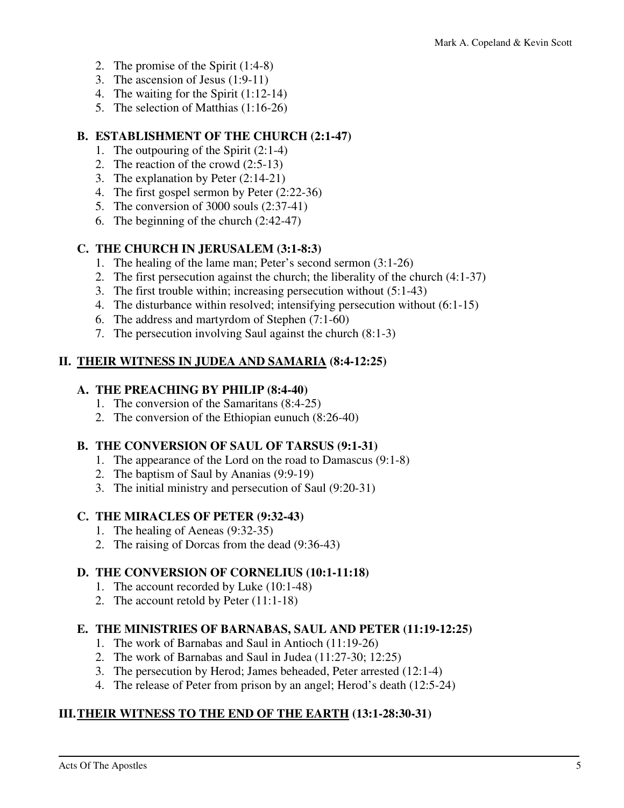- 2. The promise of the Spirit (1:4-8)
- 3. The ascension of Jesus (1:9-11)
- 4. The waiting for the Spirit (1:12-14)
- 5. The selection of Matthias (1:16-26)

### **B. ESTABLISHMENT OF THE CHURCH (2:1-47)**

- 1. The outpouring of the Spirit (2:1-4)
- 2. The reaction of the crowd (2:5-13)
- 3. The explanation by Peter (2:14-21)
- 4. The first gospel sermon by Peter (2:22-36)
- 5. The conversion of 3000 souls (2:37-41)
- 6. The beginning of the church (2:42-47)

### **C. THE CHURCH IN JERUSALEM (3:1-8:3)**

- 1. The healing of the lame man; Peter's second sermon (3:1-26)
- 2. The first persecution against the church; the liberality of the church (4:1-37)
- 3. The first trouble within; increasing persecution without (5:1-43)
- 4. The disturbance within resolved; intensifying persecution without (6:1-15)
- 6. The address and martyrdom of Stephen (7:1-60)
- 7. The persecution involving Saul against the church (8:1-3)

### **II. THEIR WITNESS IN JUDEA AND SAMARIA (8:4-12:25)**

### **A. THE PREACHING BY PHILIP (8:4-40)**

- 1. The conversion of the Samaritans (8:4-25)
- 2. The conversion of the Ethiopian eunuch (8:26-40)

### **B. THE CONVERSION OF SAUL OF TARSUS (9:1-31)**

- 1. The appearance of the Lord on the road to Damascus (9:1-8)
- 2. The baptism of Saul by Ananias (9:9-19)
- 3. The initial ministry and persecution of Saul (9:20-31)

### **C. THE MIRACLES OF PETER (9:32-43)**

- 1. The healing of Aeneas (9:32-35)
- 2. The raising of Dorcas from the dead (9:36-43)

### **D. THE CONVERSION OF CORNELIUS (10:1-11:18)**

- 1. The account recorded by Luke (10:1-48)
- 2. The account retold by Peter (11:1-18)

### **E. THE MINISTRIES OF BARNABAS, SAUL AND PETER (11:19-12:25)**

- 1. The work of Barnabas and Saul in Antioch (11:19-26)
- 2. The work of Barnabas and Saul in Judea (11:27-30; 12:25)
- 3. The persecution by Herod; James beheaded, Peter arrested (12:1-4)
- 4. The release of Peter from prison by an angel; Herod's death (12:5-24)

### **III. THEIR WITNESS TO THE END OF THE EARTH (13:1-28:30-31)**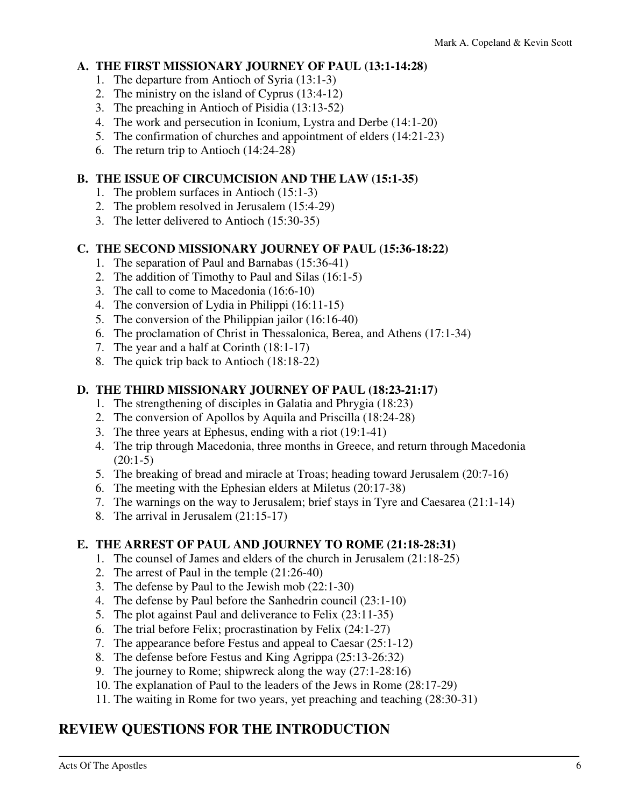### **A. THE FIRST MISSIONARY JOURNEY OF PAUL (13:1-14:28)**

- 1. The departure from Antioch of Syria (13:1-3)
- 2. The ministry on the island of Cyprus (13:4-12)
- 3. The preaching in Antioch of Pisidia (13:13-52)
- 4. The work and persecution in Iconium, Lystra and Derbe (14:1-20)
- 5. The confirmation of churches and appointment of elders (14:21-23)
- 6. The return trip to Antioch (14:24-28)

### **B. THE ISSUE OF CIRCUMCISION AND THE LAW (15:1-35)**

- 1. The problem surfaces in Antioch (15:1-3)
- 2. The problem resolved in Jerusalem (15:4-29)
- 3. The letter delivered to Antioch (15:30-35)

### **C. THE SECOND MISSIONARY JOURNEY OF PAUL (15:36-18:22)**

- 1. The separation of Paul and Barnabas (15:36-41)
- 2. The addition of Timothy to Paul and Silas (16:1-5)
- 3. The call to come to Macedonia (16:6-10)
- 4. The conversion of Lydia in Philippi (16:11-15)
- 5. The conversion of the Philippian jailor (16:16-40)
- 6. The proclamation of Christ in Thessalonica, Berea, and Athens (17:1-34)
- 7. The year and a half at Corinth (18:1-17)
- 8. The quick trip back to Antioch (18:18-22)

### **D. THE THIRD MISSIONARY JOURNEY OF PAUL (18:23-21:17)**

- 1. The strengthening of disciples in Galatia and Phrygia (18:23)
- 2. The conversion of Apollos by Aquila and Priscilla (18:24-28)
- 3. The three years at Ephesus, ending with a riot (19:1-41)
- 4. The trip through Macedonia, three months in Greece, and return through Macedonia  $(20:1-5)$
- 5. The breaking of bread and miracle at Troas; heading toward Jerusalem (20:7-16)
- 6. The meeting with the Ephesian elders at Miletus (20:17-38)
- 7. The warnings on the way to Jerusalem; brief stays in Tyre and Caesarea (21:1-14)
- 8. The arrival in Jerusalem (21:15-17)

### **E. THE ARREST OF PAUL AND JOURNEY TO ROME (21:18-28:31)**

- 1. The counsel of James and elders of the church in Jerusalem (21:18-25)
- 2. The arrest of Paul in the temple (21:26-40)
- 3. The defense by Paul to the Jewish mob (22:1-30)
- 4. The defense by Paul before the Sanhedrin council (23:1-10)
- 5. The plot against Paul and deliverance to Felix (23:11-35)
- 6. The trial before Felix; procrastination by Felix (24:1-27)
- 7. The appearance before Festus and appeal to Caesar (25:1-12)
- 8. The defense before Festus and King Agrippa (25:13-26:32)
- 9. The journey to Rome; shipwreck along the way (27:1-28:16)
- 10. The explanation of Paul to the leaders of the Jews in Rome (28:17-29)
- 11. The waiting in Rome for two years, yet preaching and teaching (28:30-31)

### **REVIEW QUESTIONS FOR THE INTRODUCTION**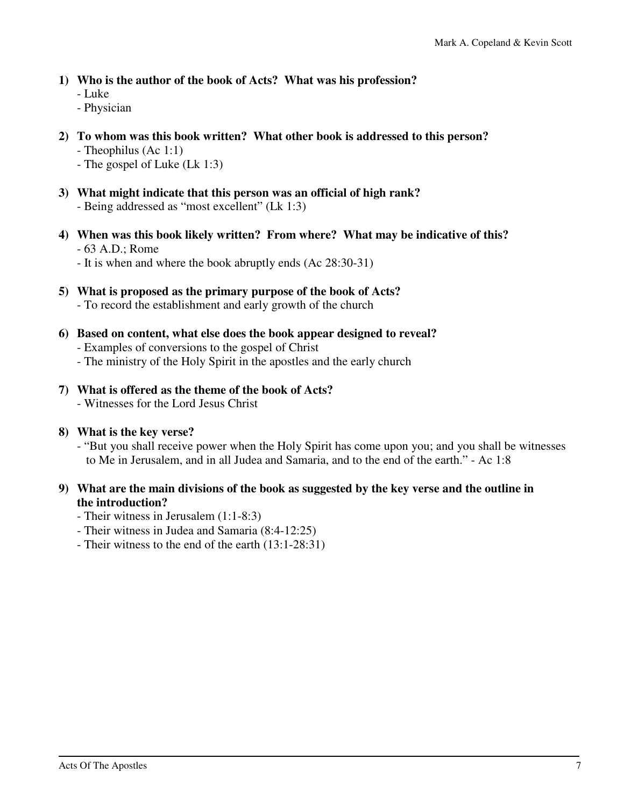- **1) Who is the author of the book of Acts? What was his profession?** 
	- Luke
	- Physician
- **2) To whom was this book written? What other book is addressed to this person?** 
	- Theophilus (Ac 1:1)
	- The gospel of Luke (Lk 1:3)
- **3) What might indicate that this person was an official of high rank?**  - Being addressed as "most excellent" (Lk 1:3)
- **4) When was this book likely written? From where? What may be indicative of this?**  - 63 A.D.; Rome
	- It is when and where the book abruptly ends (Ac 28:30-31)
- **5) What is proposed as the primary purpose of the book of Acts?**  - To record the establishment and early growth of the church
- **6) Based on content, what else does the book appear designed to reveal?**  - Examples of conversions to the gospel of Christ
	- The ministry of the Holy Spirit in the apostles and the early church
- **7) What is offered as the theme of the book of Acts?** 
	- Witnesses for the Lord Jesus Christ
- **8) What is the key verse?** 
	- "But you shall receive power when the Holy Spirit has come upon you; and you shall be witnesses to Me in Jerusalem, and in all Judea and Samaria, and to the end of the earth." - Ac 1:8
- **9) What are the main divisions of the book as suggested by the key verse and the outline in the introduction?** 
	- Their witness in Jerusalem (1:1-8:3)
	- Their witness in Judea and Samaria (8:4-12:25)
	- Their witness to the end of the earth (13:1-28:31)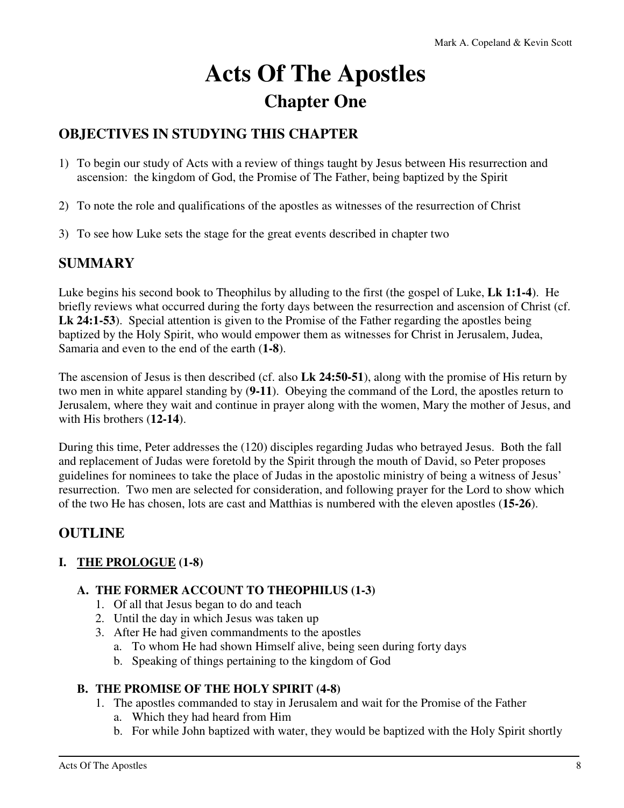# **Acts Of The Apostles Chapter One**

### **OBJECTIVES IN STUDYING THIS CHAPTER**

- 1) To begin our study of Acts with a review of things taught by Jesus between His resurrection and ascension: the kingdom of God, the Promise of The Father, being baptized by the Spirit
- 2) To note the role and qualifications of the apostles as witnesses of the resurrection of Christ
- 3) To see how Luke sets the stage for the great events described in chapter two

### **SUMMARY**

Luke begins his second book to Theophilus by alluding to the first (the gospel of Luke, **Lk 1:1-4**). He briefly reviews what occurred during the forty days between the resurrection and ascension of Christ (cf. **Lk 24:1-53**). Special attention is given to the Promise of the Father regarding the apostles being baptized by the Holy Spirit, who would empower them as witnesses for Christ in Jerusalem, Judea, Samaria and even to the end of the earth (**1-8**).

The ascension of Jesus is then described (cf. also **Lk 24:50-51**), along with the promise of His return by two men in white apparel standing by (**9-11**). Obeying the command of the Lord, the apostles return to Jerusalem, where they wait and continue in prayer along with the women, Mary the mother of Jesus, and with His brothers (**12-14**).

During this time, Peter addresses the (120) disciples regarding Judas who betrayed Jesus. Both the fall and replacement of Judas were foretold by the Spirit through the mouth of David, so Peter proposes guidelines for nominees to take the place of Judas in the apostolic ministry of being a witness of Jesus' resurrection. Two men are selected for consideration, and following prayer for the Lord to show which of the two He has chosen, lots are cast and Matthias is numbered with the eleven apostles (**15-26**).

### **OUTLINE**

### **I. THE PROLOGUE (1-8)**

### **A. THE FORMER ACCOUNT TO THEOPHILUS (1-3)**

- 1. Of all that Jesus began to do and teach
- 2. Until the day in which Jesus was taken up
- 3. After He had given commandments to the apostles
	- a. To whom He had shown Himself alive, being seen during forty days
	- b. Speaking of things pertaining to the kingdom of God

### **B. THE PROMISE OF THE HOLY SPIRIT (4-8)**

- 1. The apostles commanded to stay in Jerusalem and wait for the Promise of the Father
	- a. Which they had heard from Him
	- b. For while John baptized with water, they would be baptized with the Holy Spirit shortly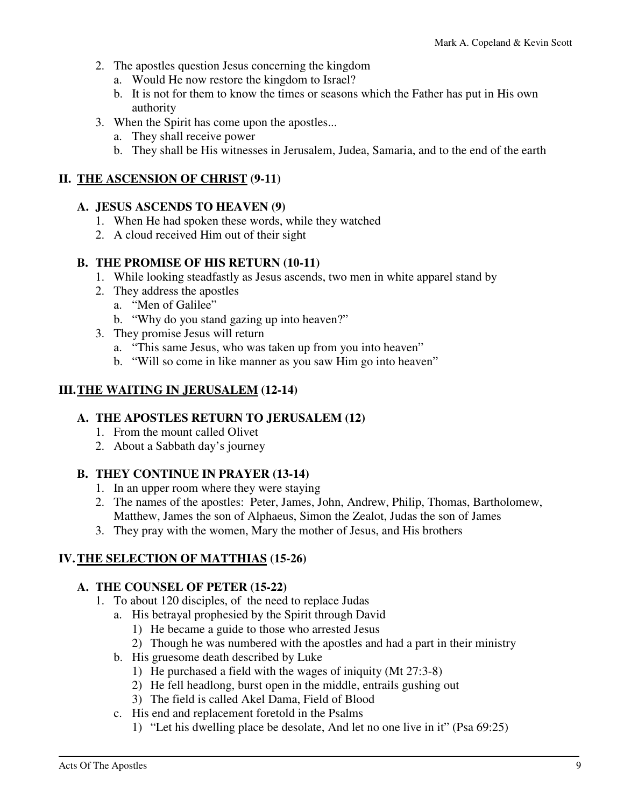- 2. The apostles question Jesus concerning the kingdom
	- a. Would He now restore the kingdom to Israel?
	- b. It is not for them to know the times or seasons which the Father has put in His own authority
- 3. When the Spirit has come upon the apostles...
	- a. They shall receive power
	- b. They shall be His witnesses in Jerusalem, Judea, Samaria, and to the end of the earth

### **II. THE ASCENSION OF CHRIST (9-11)**

### **A. JESUS ASCENDS TO HEAVEN (9)**

- 1. When He had spoken these words, while they watched
- 2. A cloud received Him out of their sight

### **B. THE PROMISE OF HIS RETURN (10-11)**

- 1. While looking steadfastly as Jesus ascends, two men in white apparel stand by
- 2. They address the apostles
	- a. "Men of Galilee"
	- b. "Why do you stand gazing up into heaven?"
- 3. They promise Jesus will return
	- a. "This same Jesus, who was taken up from you into heaven"
	- b. "Will so come in like manner as you saw Him go into heaven"

### **III. THE WAITING IN JERUSALEM (12-14)**

### **A. THE APOSTLES RETURN TO JERUSALEM (12)**

- 1. From the mount called Olivet
- 2. About a Sabbath day's journey

### **B. THEY CONTINUE IN PRAYER (13-14)**

- 1. In an upper room where they were staying
- 2. The names of the apostles: Peter, James, John, Andrew, Philip, Thomas, Bartholomew, Matthew, James the son of Alphaeus, Simon the Zealot, Judas the son of James
- 3. They pray with the women, Mary the mother of Jesus, and His brothers

### **IV. THE SELECTION OF MATTHIAS (15-26)**

### **A. THE COUNSEL OF PETER (15-22)**

- 1. To about 120 disciples, of the need to replace Judas
	- a. His betrayal prophesied by the Spirit through David
		- 1) He became a guide to those who arrested Jesus
		- 2) Though he was numbered with the apostles and had a part in their ministry
	- b. His gruesome death described by Luke
		- 1) He purchased a field with the wages of iniquity (Mt 27:3-8)
		- 2) He fell headlong, burst open in the middle, entrails gushing out
		- 3) The field is called Akel Dama, Field of Blood
	- c. His end and replacement foretold in the Psalms
		- 1) "Let his dwelling place be desolate, And let no one live in it" (Psa 69:25)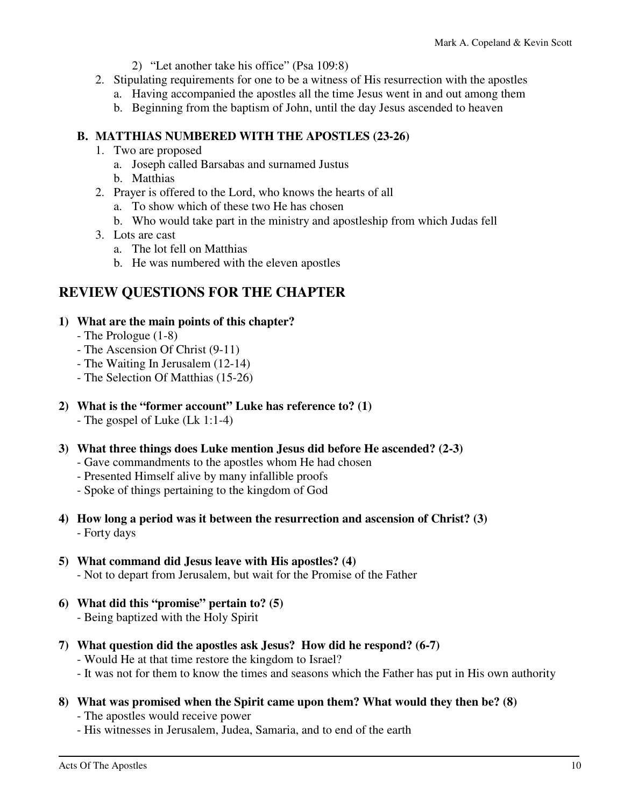- 2) "Let another take his office" (Psa 109:8)
- 2. Stipulating requirements for one to be a witness of His resurrection with the apostles
	- a. Having accompanied the apostles all the time Jesus went in and out among them
	- b. Beginning from the baptism of John, until the day Jesus ascended to heaven

### **B. MATTHIAS NUMBERED WITH THE APOSTLES (23-26)**

- 1. Two are proposed
	- a. Joseph called Barsabas and surnamed Justus
	- b. Matthias
- 2. Prayer is offered to the Lord, who knows the hearts of all
	- a. To show which of these two He has chosen
	- b. Who would take part in the ministry and apostleship from which Judas fell
- 3. Lots are cast
	- a. The lot fell on Matthias
	- b. He was numbered with the eleven apostles

### **REVIEW QUESTIONS FOR THE CHAPTER**

### **1) What are the main points of this chapter?**

- The Prologue (1-8)
- The Ascension Of Christ (9-11)
- The Waiting In Jerusalem (12-14)
- The Selection Of Matthias (15-26)
- **2) What is the "former account" Luke has reference to? (1)** 
	- The gospel of Luke (Lk 1:1-4)
- **3) What three things does Luke mention Jesus did before He ascended? (2-3)** 
	- Gave commandments to the apostles whom He had chosen
	- Presented Himself alive by many infallible proofs
	- Spoke of things pertaining to the kingdom of God
- **4) How long a period was it between the resurrection and ascension of Christ? (3)**  - Forty days
- **5) What command did Jesus leave with His apostles? (4)**  - Not to depart from Jerusalem, but wait for the Promise of the Father
- **6) What did this "promise" pertain to? (5)** 
	- Being baptized with the Holy Spirit
- **7) What question did the apostles ask Jesus? How did he respond? (6-7)** 
	- Would He at that time restore the kingdom to Israel?
	- It was not for them to know the times and seasons which the Father has put in His own authority
- **8) What was promised when the Spirit came upon them? What would they then be? (8)** 
	- The apostles would receive power
	- His witnesses in Jerusalem, Judea, Samaria, and to end of the earth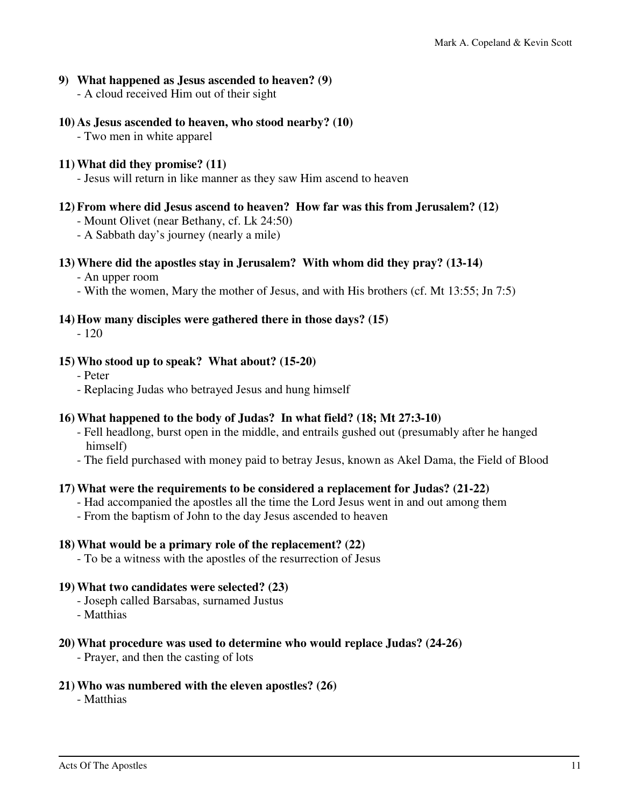### **9) What happened as Jesus ascended to heaven? (9)**

- A cloud received Him out of their sight

### **10) As Jesus ascended to heaven, who stood nearby? (10)**

- Two men in white apparel

### **11) What did they promise? (11)**

- Jesus will return in like manner as they saw Him ascend to heaven

### **12) From where did Jesus ascend to heaven? How far was this from Jerusalem? (12)**

- Mount Olivet (near Bethany, cf. Lk 24:50)

- A Sabbath day's journey (nearly a mile)

### **13) Where did the apostles stay in Jerusalem? With whom did they pray? (13-14)**

- An upper room

- With the women, Mary the mother of Jesus, and with His brothers (cf. Mt 13:55; Jn 7:5)

### **14) How many disciples were gathered there in those days? (15)**

- 120

#### **15) Who stood up to speak? What about? (15-20)**

- Peter
- Replacing Judas who betrayed Jesus and hung himself

### **16) What happened to the body of Judas? In what field? (18; Mt 27:3-10)**

- Fell headlong, burst open in the middle, and entrails gushed out (presumably after he hanged himself)
- The field purchased with money paid to betray Jesus, known as Akel Dama, the Field of Blood

#### **17) What were the requirements to be considered a replacement for Judas? (21-22)**

- Had accompanied the apostles all the time the Lord Jesus went in and out among them
- From the baptism of John to the day Jesus ascended to heaven

#### **18) What would be a primary role of the replacement? (22)**

- To be a witness with the apostles of the resurrection of Jesus

#### **19) What two candidates were selected? (23)**

- Joseph called Barsabas, surnamed Justus
- Matthias

### **20) What procedure was used to determine who would replace Judas? (24-26)**

- Prayer, and then the casting of lots

#### **21) Who was numbered with the eleven apostles? (26)**

- Matthias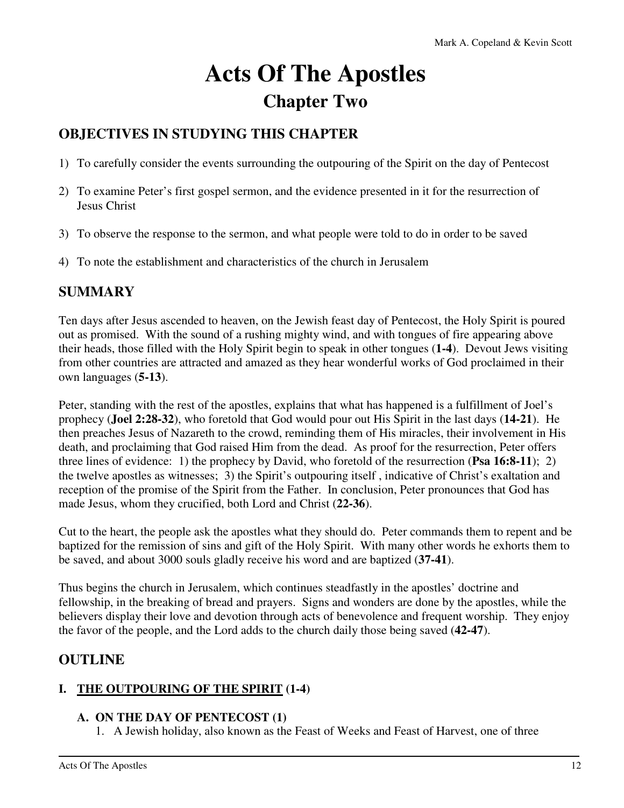# **Acts Of The Apostles Chapter Two**

### **OBJECTIVES IN STUDYING THIS CHAPTER**

- 1) To carefully consider the events surrounding the outpouring of the Spirit on the day of Pentecost
- 2) To examine Peter's first gospel sermon, and the evidence presented in it for the resurrection of Jesus Christ
- 3) To observe the response to the sermon, and what people were told to do in order to be saved
- 4) To note the establishment and characteristics of the church in Jerusalem

### **SUMMARY**

Ten days after Jesus ascended to heaven, on the Jewish feast day of Pentecost, the Holy Spirit is poured out as promised. With the sound of a rushing mighty wind, and with tongues of fire appearing above their heads, those filled with the Holy Spirit begin to speak in other tongues (**1-4**). Devout Jews visiting from other countries are attracted and amazed as they hear wonderful works of God proclaimed in their own languages (**5-13**).

Peter, standing with the rest of the apostles, explains that what has happened is a fulfillment of Joel's prophecy (**Joel 2:28-32**), who foretold that God would pour out His Spirit in the last days (**14-21**). He then preaches Jesus of Nazareth to the crowd, reminding them of His miracles, their involvement in His death, and proclaiming that God raised Him from the dead. As proof for the resurrection, Peter offers three lines of evidence: 1) the prophecy by David, who foretold of the resurrection (**Psa 16:8-11**); 2) the twelve apostles as witnesses; 3) the Spirit's outpouring itself , indicative of Christ's exaltation and reception of the promise of the Spirit from the Father. In conclusion, Peter pronounces that God has made Jesus, whom they crucified, both Lord and Christ (**22-36**).

Cut to the heart, the people ask the apostles what they should do. Peter commands them to repent and be baptized for the remission of sins and gift of the Holy Spirit. With many other words he exhorts them to be saved, and about 3000 souls gladly receive his word and are baptized (**37-41**).

Thus begins the church in Jerusalem, which continues steadfastly in the apostles' doctrine and fellowship, in the breaking of bread and prayers. Signs and wonders are done by the apostles, while the believers display their love and devotion through acts of benevolence and frequent worship. They enjoy the favor of the people, and the Lord adds to the church daily those being saved (**42-47**).

### **OUTLINE**

### **I. THE OUTPOURING OF THE SPIRIT (1-4)**

### **A. ON THE DAY OF PENTECOST (1)**

1. A Jewish holiday, also known as the Feast of Weeks and Feast of Harvest, one of three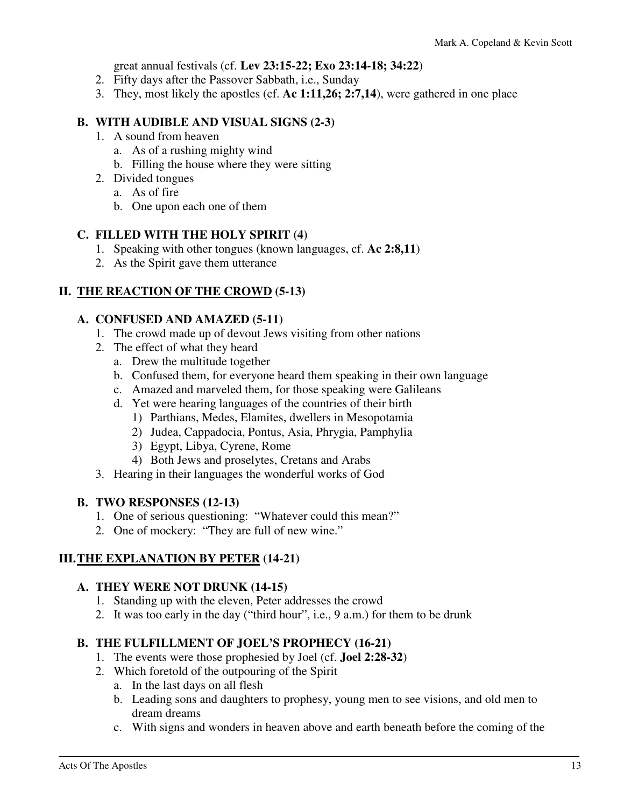great annual festivals (cf. **Lev 23:15-22; Exo 23:14-18; 34:22**)

- 2. Fifty days after the Passover Sabbath, i.e., Sunday
- 3. They, most likely the apostles (cf. **Ac 1:11,26; 2:7,14**), were gathered in one place

### **B. WITH AUDIBLE AND VISUAL SIGNS (2-3)**

- 1. A sound from heaven
	- a. As of a rushing mighty wind
	- b. Filling the house where they were sitting
- 2. Divided tongues
	- a. As of fire
	- b. One upon each one of them

### **C. FILLED WITH THE HOLY SPIRIT (4)**

- 1. Speaking with other tongues (known languages, cf. **Ac 2:8,11**)
- 2. As the Spirit gave them utterance

### **II. THE REACTION OF THE CROWD (5-13)**

### **A. CONFUSED AND AMAZED (5-11)**

- 1. The crowd made up of devout Jews visiting from other nations
- 2. The effect of what they heard
	- a. Drew the multitude together
	- b. Confused them, for everyone heard them speaking in their own language
	- c. Amazed and marveled them, for those speaking were Galileans
	- d. Yet were hearing languages of the countries of their birth
		- 1) Parthians, Medes, Elamites, dwellers in Mesopotamia
		- 2) Judea, Cappadocia, Pontus, Asia, Phrygia, Pamphylia
		- 3) Egypt, Libya, Cyrene, Rome
		- 4) Both Jews and proselytes, Cretans and Arabs
- 3. Hearing in their languages the wonderful works of God

### **B. TWO RESPONSES (12-13)**

- 1. One of serious questioning: "Whatever could this mean?"
- 2. One of mockery: "They are full of new wine."

### **III. THE EXPLANATION BY PETER (14-21)**

### **A. THEY WERE NOT DRUNK (14-15)**

- 1. Standing up with the eleven, Peter addresses the crowd
- 2. It was too early in the day ("third hour", i.e., 9 a.m.) for them to be drunk

### **B. THE FULFILLMENT OF JOEL'S PROPHECY (16-21)**

- 1. The events were those prophesied by Joel (cf. **Joel 2:28-32**)
- 2. Which foretold of the outpouring of the Spirit
	- a. In the last days on all flesh
	- b. Leading sons and daughters to prophesy, young men to see visions, and old men to dream dreams
	- c. With signs and wonders in heaven above and earth beneath before the coming of the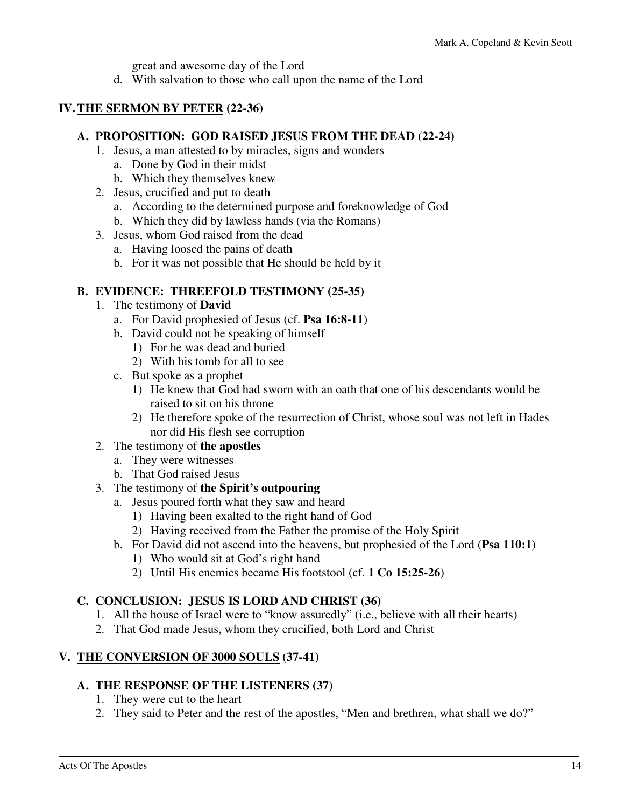great and awesome day of the Lord

d. With salvation to those who call upon the name of the Lord

### **IV. THE SERMON BY PETER (22-36)**

### **A. PROPOSITION: GOD RAISED JESUS FROM THE DEAD (22-24)**

- 1. Jesus, a man attested to by miracles, signs and wonders
	- a. Done by God in their midst
	- b. Which they themselves knew
- 2. Jesus, crucified and put to death
	- a. According to the determined purpose and foreknowledge of God
	- b. Which they did by lawless hands (via the Romans)
- 3. Jesus, whom God raised from the dead
	- a. Having loosed the pains of death
	- b. For it was not possible that He should be held by it

### **B. EVIDENCE: THREEFOLD TESTIMONY (25-35)**

- 1. The testimony of **David**
	- a. For David prophesied of Jesus (cf. **Psa 16:8-11**)
	- b. David could not be speaking of himself
		- 1) For he was dead and buried
		- 2) With his tomb for all to see
	- c. But spoke as a prophet
		- 1) He knew that God had sworn with an oath that one of his descendants would be raised to sit on his throne
		- 2) He therefore spoke of the resurrection of Christ, whose soul was not left in Hades nor did His flesh see corruption

### 2. The testimony of **the apostles**

- a. They were witnesses
- b. That God raised Jesus

### 3. The testimony of **the Spirit's outpouring**

- a. Jesus poured forth what they saw and heard
	- 1) Having been exalted to the right hand of God
	- 2) Having received from the Father the promise of the Holy Spirit
- b. For David did not ascend into the heavens, but prophesied of the Lord (**Psa 110:1**)
	- 1) Who would sit at God's right hand
	- 2) Until His enemies became His footstool (cf. **1 Co 15:25-26**)

### **C. CONCLUSION: JESUS IS LORD AND CHRIST (36)**

- 1. All the house of Israel were to "know assuredly" (i.e., believe with all their hearts)
- 2. That God made Jesus, whom they crucified, both Lord and Christ

### **V. THE CONVERSION OF 3000 SOULS (37-41)**

### **A. THE RESPONSE OF THE LISTENERS (37)**

- 1. They were cut to the heart
- 2. They said to Peter and the rest of the apostles, "Men and brethren, what shall we do?"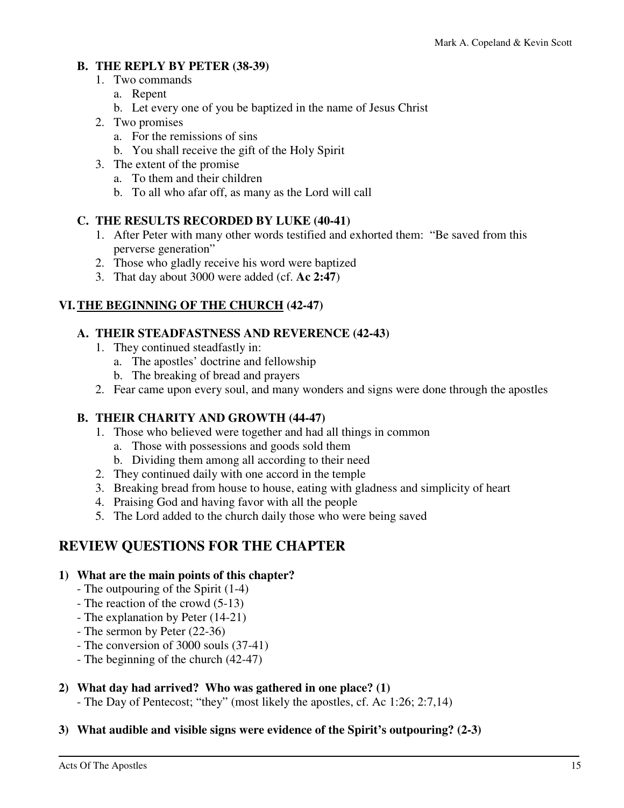### **B. THE REPLY BY PETER (38-39)**

- 1. Two commands
	- a. Repent
	- b. Let every one of you be baptized in the name of Jesus Christ
- 2. Two promises
	- a. For the remissions of sins
	- b. You shall receive the gift of the Holy Spirit
- 3. The extent of the promise
	- a. To them and their children
	- b. To all who afar off, as many as the Lord will call

### **C. THE RESULTS RECORDED BY LUKE (40-41)**

- 1. After Peter with many other words testified and exhorted them: "Be saved from this perverse generation"
- 2. Those who gladly receive his word were baptized
- 3. That day about 3000 were added (cf. **Ac 2:47**)

### **VI. THE BEGINNING OF THE CHURCH (42-47)**

### **A. THEIR STEADFASTNESS AND REVERENCE (42-43)**

- 1. They continued steadfastly in:
	- a. The apostles' doctrine and fellowship
	- b. The breaking of bread and prayers
- 2. Fear came upon every soul, and many wonders and signs were done through the apostles

### **B. THEIR CHARITY AND GROWTH (44-47)**

- 1. Those who believed were together and had all things in common
	- a. Those with possessions and goods sold them
	- b. Dividing them among all according to their need
- 2. They continued daily with one accord in the temple
- 3. Breaking bread from house to house, eating with gladness and simplicity of heart
- 4. Praising God and having favor with all the people
- 5. The Lord added to the church daily those who were being saved

### **REVIEW QUESTIONS FOR THE CHAPTER**

### **1) What are the main points of this chapter?**

- The outpouring of the Spirit (1-4)
- The reaction of the crowd (5-13)
- The explanation by Peter (14-21)
- The sermon by Peter (22-36)
- The conversion of 3000 souls (37-41)
- The beginning of the church (42-47)

### **2) What day had arrived? Who was gathered in one place? (1)**

- The Day of Pentecost; "they" (most likely the apostles, cf. Ac 1:26; 2:7,14)

### **3) What audible and visible signs were evidence of the Spirit's outpouring? (2-3)**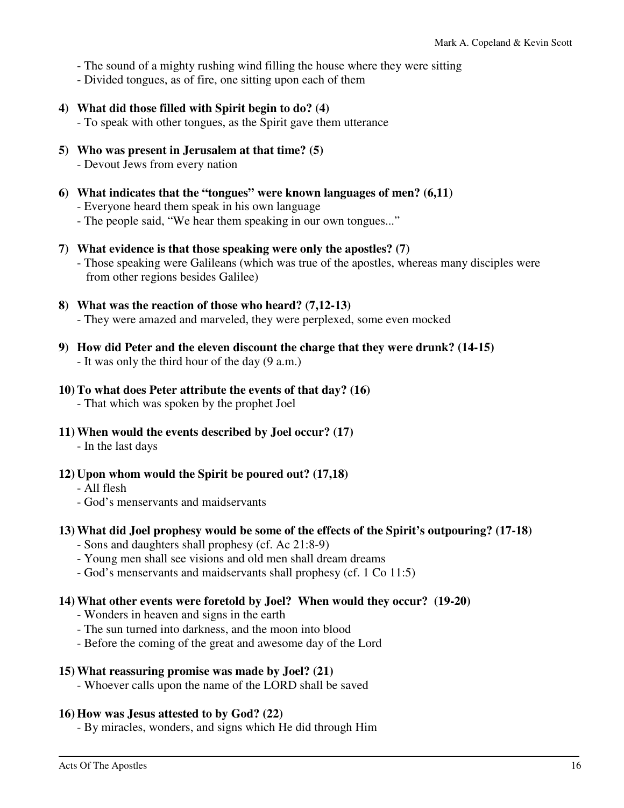- The sound of a mighty rushing wind filling the house where they were sitting
- Divided tongues, as of fire, one sitting upon each of them
- **4) What did those filled with Spirit begin to do? (4)**  - To speak with other tongues, as the Spirit gave them utterance
- **5) Who was present in Jerusalem at that time? (5)**  - Devout Jews from every nation
- **6) What indicates that the "tongues" were known languages of men? (6,11)**  - Everyone heard them speak in his own language
	- The people said, "We hear them speaking in our own tongues..."
- **7) What evidence is that those speaking were only the apostles? (7)** 
	- Those speaking were Galileans (which was true of the apostles, whereas many disciples were from other regions besides Galilee)
- **8) What was the reaction of those who heard? (7,12-13)**  - They were amazed and marveled, they were perplexed, some even mocked
- **9) How did Peter and the eleven discount the charge that they were drunk? (14-15)**  - It was only the third hour of the day (9 a.m.)
- **10) To what does Peter attribute the events of that day? (16)** 
	- That which was spoken by the prophet Joel
- **11) When would the events described by Joel occur? (17)** 
	- In the last days
- **12) Upon whom would the Spirit be poured out? (17,18)** 
	- All flesh
	- God's menservants and maidservants
- **13) What did Joel prophesy would be some of the effects of the Spirit's outpouring? (17-18)** 
	- Sons and daughters shall prophesy (cf. Ac 21:8-9)
	- Young men shall see visions and old men shall dream dreams
	- God's menservants and maidservants shall prophesy (cf. 1 Co 11:5)

#### **14) What other events were foretold by Joel? When would they occur? (19-20)**

- Wonders in heaven and signs in the earth
- The sun turned into darkness, and the moon into blood
- Before the coming of the great and awesome day of the Lord

#### **15) What reassuring promise was made by Joel? (21)**

- Whoever calls upon the name of the LORD shall be saved

#### **16) How was Jesus attested to by God? (22)**

- By miracles, wonders, and signs which He did through Him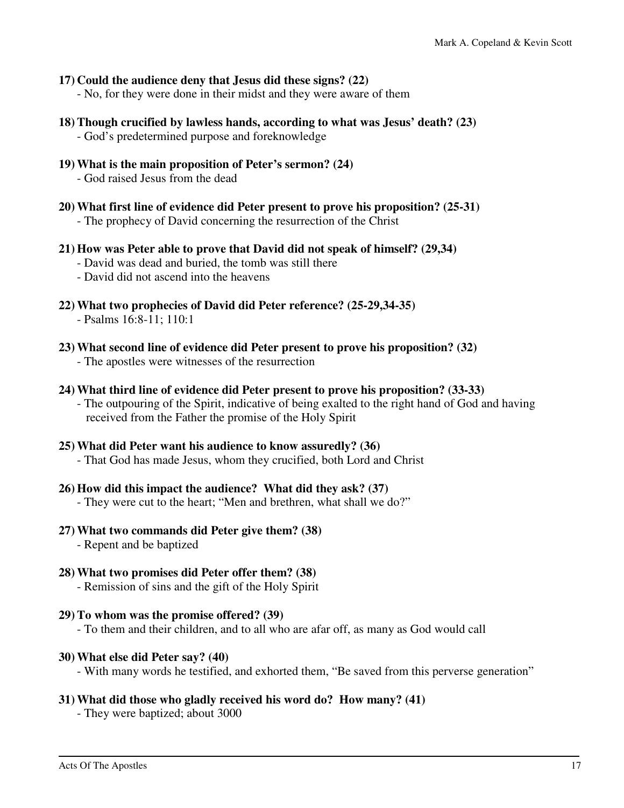#### **17) Could the audience deny that Jesus did these signs? (22)**

- No, for they were done in their midst and they were aware of them

- **18) Though crucified by lawless hands, according to what was Jesus' death? (23)** 
	- God's predetermined purpose and foreknowledge
- **19) What is the main proposition of Peter's sermon? (24)** 
	- God raised Jesus from the dead
- **20) What first line of evidence did Peter present to prove his proposition? (25-31)** 
	- The prophecy of David concerning the resurrection of the Christ
- **21) How was Peter able to prove that David did not speak of himself? (29,34)** 
	- David was dead and buried, the tomb was still there
	- David did not ascend into the heavens
- **22) What two prophecies of David did Peter reference? (25-29,34-35)**  - Psalms 16:8-11; 110:1
- **23) What second line of evidence did Peter present to prove his proposition? (32)** 
	- The apostles were witnesses of the resurrection
- **24) What third line of evidence did Peter present to prove his proposition? (33-33)** 
	- The outpouring of the Spirit, indicative of being exalted to the right hand of God and having received from the Father the promise of the Holy Spirit

#### **25) What did Peter want his audience to know assuredly? (36)**

- That God has made Jesus, whom they crucified, both Lord and Christ

#### **26) How did this impact the audience? What did they ask? (37)**

- They were cut to the heart; "Men and brethren, what shall we do?"

#### **27) What two commands did Peter give them? (38)**

- Repent and be baptized

#### **28) What two promises did Peter offer them? (38)**

- Remission of sins and the gift of the Holy Spirit

#### **29) To whom was the promise offered? (39)**

- To them and their children, and to all who are afar off, as many as God would call

#### **30) What else did Peter say? (40)**

- With many words he testified, and exhorted them, "Be saved from this perverse generation"

### **31) What did those who gladly received his word do? How many? (41)**

- They were baptized; about 3000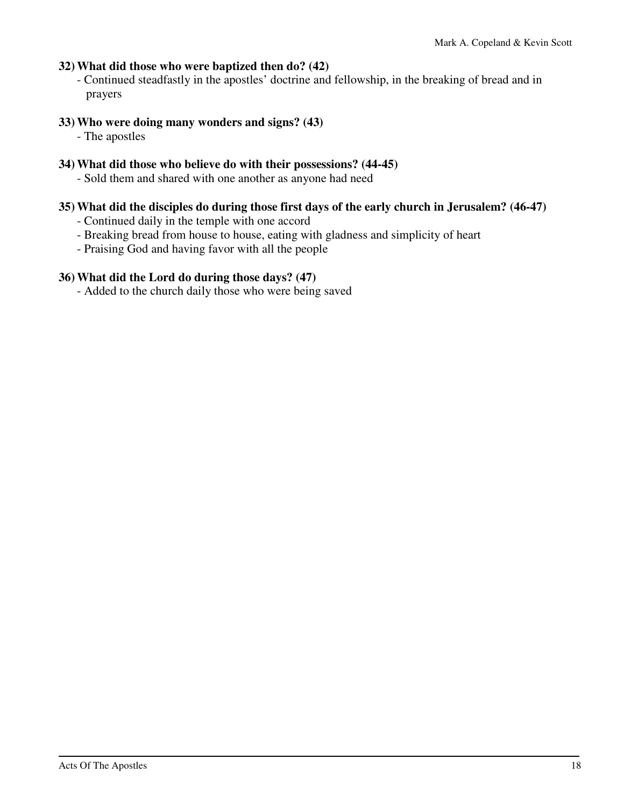### **32) What did those who were baptized then do? (42)**

 - Continued steadfastly in the apostles' doctrine and fellowship, in the breaking of bread and in prayers

### **33) Who were doing many wonders and signs? (43)**

- The apostles

### **34) What did those who believe do with their possessions? (44-45)**

- Sold them and shared with one another as anyone had need

### **35) What did the disciples do during those first days of the early church in Jerusalem? (46-47)**

- Continued daily in the temple with one accord
- Breaking bread from house to house, eating with gladness and simplicity of heart
- Praising God and having favor with all the people

### **36) What did the Lord do during those days? (47)**

- Added to the church daily those who were being saved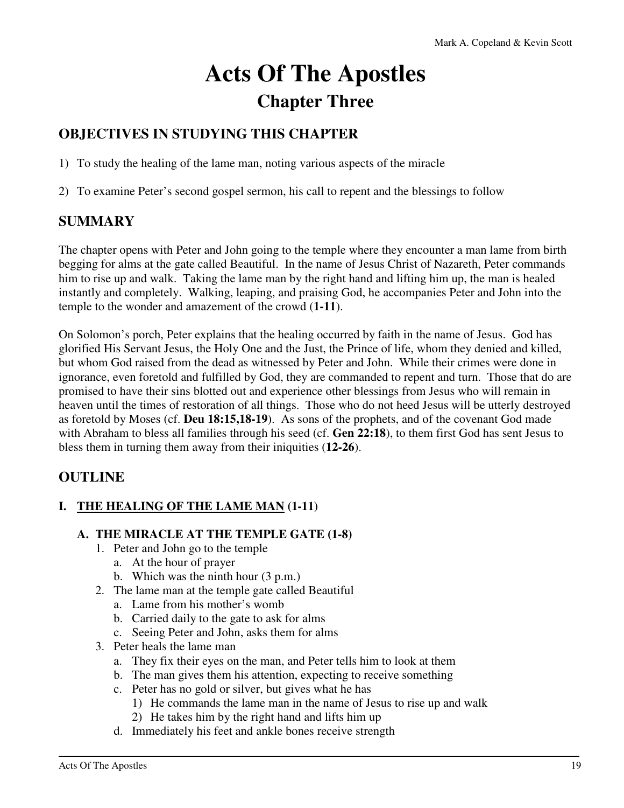# **Acts Of The Apostles Chapter Three**

### **OBJECTIVES IN STUDYING THIS CHAPTER**

1) To study the healing of the lame man, noting various aspects of the miracle

2) To examine Peter's second gospel sermon, his call to repent and the blessings to follow

### **SUMMARY**

The chapter opens with Peter and John going to the temple where they encounter a man lame from birth begging for alms at the gate called Beautiful. In the name of Jesus Christ of Nazareth, Peter commands him to rise up and walk. Taking the lame man by the right hand and lifting him up, the man is healed instantly and completely. Walking, leaping, and praising God, he accompanies Peter and John into the temple to the wonder and amazement of the crowd (**1-11**).

On Solomon's porch, Peter explains that the healing occurred by faith in the name of Jesus. God has glorified His Servant Jesus, the Holy One and the Just, the Prince of life, whom they denied and killed, but whom God raised from the dead as witnessed by Peter and John. While their crimes were done in ignorance, even foretold and fulfilled by God, they are commanded to repent and turn. Those that do are promised to have their sins blotted out and experience other blessings from Jesus who will remain in heaven until the times of restoration of all things. Those who do not heed Jesus will be utterly destroyed as foretold by Moses (cf. **Deu 18:15,18-19**). As sons of the prophets, and of the covenant God made with Abraham to bless all families through his seed (cf. **Gen 22:18**), to them first God has sent Jesus to bless them in turning them away from their iniquities (**12-26**).

### **OUTLINE**

### **I. THE HEALING OF THE LAME MAN (1-11)**

### **A. THE MIRACLE AT THE TEMPLE GATE (1-8)**

- 1. Peter and John go to the temple
	- a. At the hour of prayer
	- b. Which was the ninth hour (3 p.m.)
- 2. The lame man at the temple gate called Beautiful
	- a. Lame from his mother's womb
	- b. Carried daily to the gate to ask for alms
	- c. Seeing Peter and John, asks them for alms
- 3. Peter heals the lame man
	- a. They fix their eyes on the man, and Peter tells him to look at them
	- b. The man gives them his attention, expecting to receive something
	- c. Peter has no gold or silver, but gives what he has
		- 1) He commands the lame man in the name of Jesus to rise up and walk
		- 2) He takes him by the right hand and lifts him up
	- d. Immediately his feet and ankle bones receive strength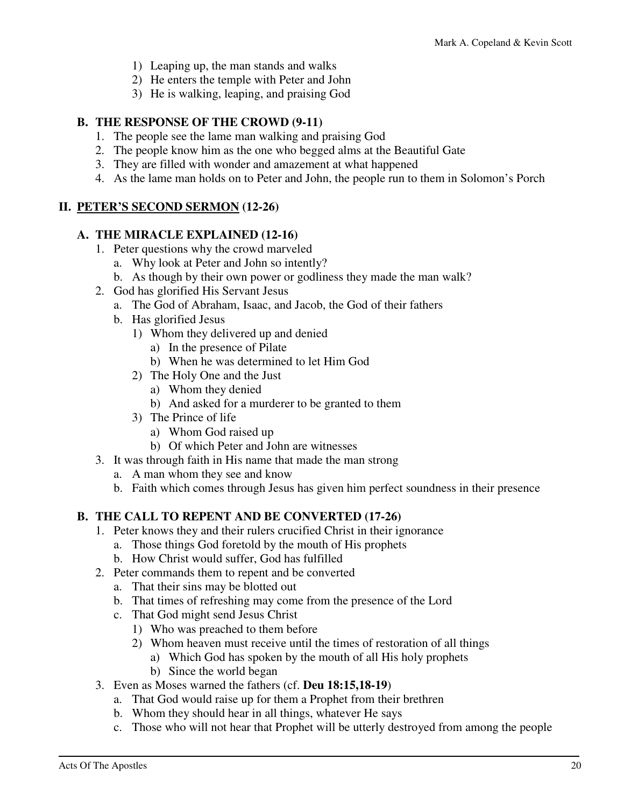- 1) Leaping up, the man stands and walks
- 2) He enters the temple with Peter and John
- 3) He is walking, leaping, and praising God

### **B. THE RESPONSE OF THE CROWD (9-11)**

- 1. The people see the lame man walking and praising God
- 2. The people know him as the one who begged alms at the Beautiful Gate
- 3. They are filled with wonder and amazement at what happened
- 4. As the lame man holds on to Peter and John, the people run to them in Solomon's Porch

### **II. PETER'S SECOND SERMON (12-26)**

### **A. THE MIRACLE EXPLAINED (12-16)**

- 1. Peter questions why the crowd marveled
	- a. Why look at Peter and John so intently?
	- b. As though by their own power or godliness they made the man walk?
- 2. God has glorified His Servant Jesus
	- a. The God of Abraham, Isaac, and Jacob, the God of their fathers
	- b. Has glorified Jesus
		- 1) Whom they delivered up and denied
			- a) In the presence of Pilate
			- b) When he was determined to let Him God
		- 2) The Holy One and the Just
			- a) Whom they denied
			- b) And asked for a murderer to be granted to them
		- 3) The Prince of life
			- a) Whom God raised up
			- b) Of which Peter and John are witnesses
- 3. It was through faith in His name that made the man strong
	- a. A man whom they see and know
	- b. Faith which comes through Jesus has given him perfect soundness in their presence

### **B. THE CALL TO REPENT AND BE CONVERTED (17-26)**

- 1. Peter knows they and their rulers crucified Christ in their ignorance
	- a. Those things God foretold by the mouth of His prophets
	- b. How Christ would suffer, God has fulfilled
- 2. Peter commands them to repent and be converted
	- a. That their sins may be blotted out
	- b. That times of refreshing may come from the presence of the Lord
	- c. That God might send Jesus Christ
		- 1) Who was preached to them before
		- 2) Whom heaven must receive until the times of restoration of all things
			- a) Which God has spoken by the mouth of all His holy prophets
			- b) Since the world began
- 3. Even as Moses warned the fathers (cf. **Deu 18:15,18-19**)
	- a. That God would raise up for them a Prophet from their brethren
	- b. Whom they should hear in all things, whatever He says
	- c. Those who will not hear that Prophet will be utterly destroyed from among the people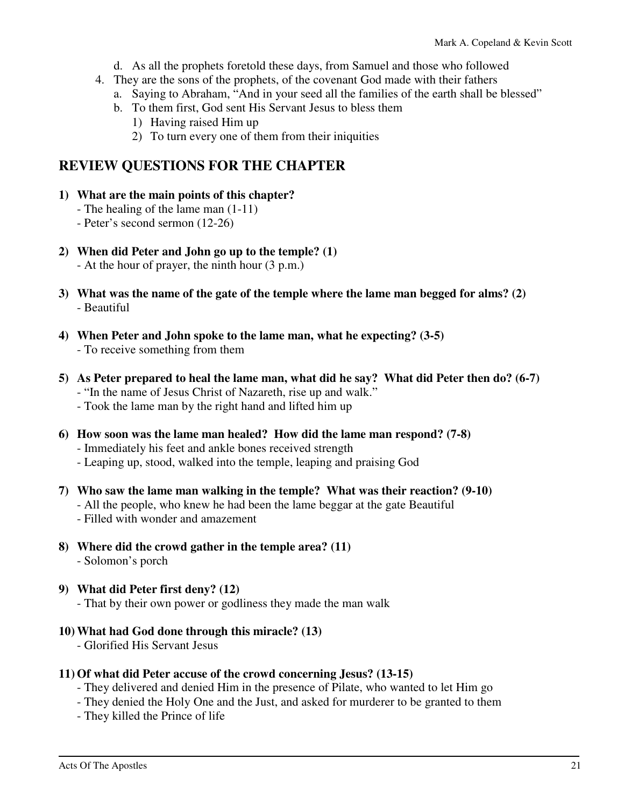- d. As all the prophets foretold these days, from Samuel and those who followed
- 4. They are the sons of the prophets, of the covenant God made with their fathers
	- a. Saying to Abraham, "And in your seed all the families of the earth shall be blessed"
	- b. To them first, God sent His Servant Jesus to bless them
		- 1) Having raised Him up
		- 2) To turn every one of them from their iniquities

### **REVIEW QUESTIONS FOR THE CHAPTER**

- **1) What are the main points of this chapter?** 
	- The healing of the lame man (1-11)
	- Peter's second sermon (12-26)
- **2) When did Peter and John go up to the temple? (1)** 
	- At the hour of prayer, the ninth hour (3 p.m.)
- **3) What was the name of the gate of the temple where the lame man begged for alms? (2)**  - Beautiful
- **4) When Peter and John spoke to the lame man, what he expecting? (3-5)**  - To receive something from them
- **5) As Peter prepared to heal the lame man, what did he say? What did Peter then do? (6-7)** 
	- "In the name of Jesus Christ of Nazareth, rise up and walk."
	- Took the lame man by the right hand and lifted him up
- **6) How soon was the lame man healed? How did the lame man respond? (7-8)** 
	- Immediately his feet and ankle bones received strength
	- Leaping up, stood, walked into the temple, leaping and praising God
- **7) Who saw the lame man walking in the temple? What was their reaction? (9-10)**
	- All the people, who knew he had been the lame beggar at the gate Beautiful
	- Filled with wonder and amazement
- **8) Where did the crowd gather in the temple area? (11)**  - Solomon's porch
- **9) What did Peter first deny? (12)** 
	- That by their own power or godliness they made the man walk
- **10) What had God done through this miracle? (13)** 
	- Glorified His Servant Jesus

### **11) Of what did Peter accuse of the crowd concerning Jesus? (13-15)**

- They delivered and denied Him in the presence of Pilate, who wanted to let Him go
- They denied the Holy One and the Just, and asked for murderer to be granted to them
- They killed the Prince of life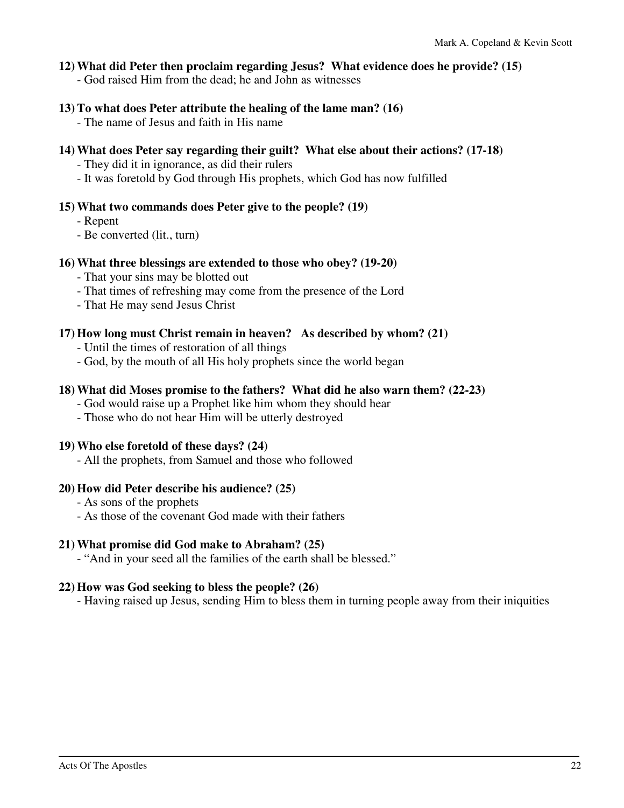#### **12) What did Peter then proclaim regarding Jesus? What evidence does he provide? (15)**

- God raised Him from the dead; he and John as witnesses

#### **13) To what does Peter attribute the healing of the lame man? (16)**

- The name of Jesus and faith in His name

**14) What does Peter say regarding their guilt? What else about their actions? (17-18)** 

- They did it in ignorance, as did their rulers

- It was foretold by God through His prophets, which God has now fulfilled

### **15) What two commands does Peter give to the people? (19)**

- Repent
- Be converted (lit., turn)

### **16) What three blessings are extended to those who obey? (19-20)**

- That your sins may be blotted out
- That times of refreshing may come from the presence of the Lord
- That He may send Jesus Christ

### **17) How long must Christ remain in heaven? As described by whom? (21)**

- Until the times of restoration of all things
- God, by the mouth of all His holy prophets since the world began

### **18) What did Moses promise to the fathers? What did he also warn them? (22-23)**

- God would raise up a Prophet like him whom they should hear
- Those who do not hear Him will be utterly destroyed

### **19) Who else foretold of these days? (24)**

- All the prophets, from Samuel and those who followed

### **20) How did Peter describe his audience? (25)**

- As sons of the prophets
- As those of the covenant God made with their fathers

### **21) What promise did God make to Abraham? (25)**

- "And in your seed all the families of the earth shall be blessed."

### **22) How was God seeking to bless the people? (26)**

- Having raised up Jesus, sending Him to bless them in turning people away from their iniquities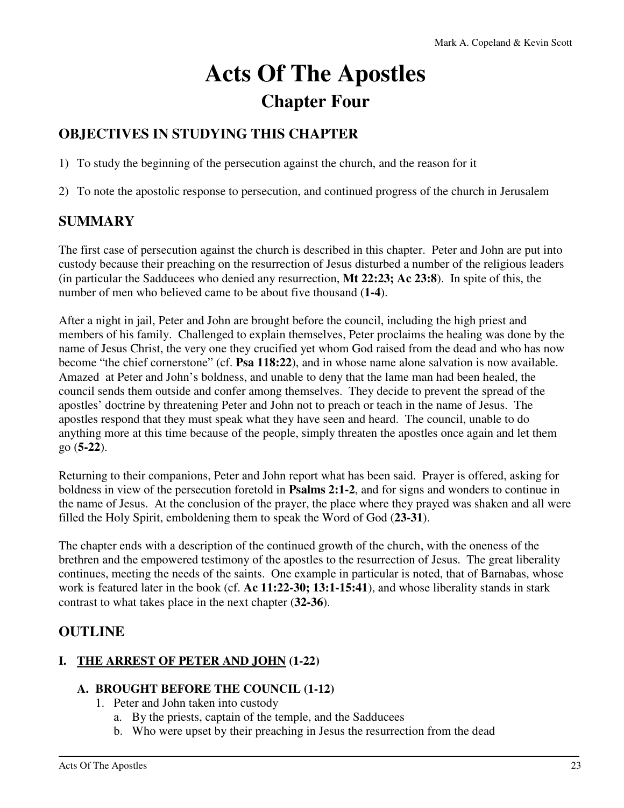# **Acts Of The Apostles Chapter Four**

### **OBJECTIVES IN STUDYING THIS CHAPTER**

1) To study the beginning of the persecution against the church, and the reason for it

2) To note the apostolic response to persecution, and continued progress of the church in Jerusalem

### **SUMMARY**

The first case of persecution against the church is described in this chapter. Peter and John are put into custody because their preaching on the resurrection of Jesus disturbed a number of the religious leaders (in particular the Sadducees who denied any resurrection, **Mt 22:23; Ac 23:8**). In spite of this, the number of men who believed came to be about five thousand (**1-4**).

After a night in jail, Peter and John are brought before the council, including the high priest and members of his family. Challenged to explain themselves, Peter proclaims the healing was done by the name of Jesus Christ, the very one they crucified yet whom God raised from the dead and who has now become "the chief cornerstone" (cf. **Psa 118:22**), and in whose name alone salvation is now available. Amazed at Peter and John's boldness, and unable to deny that the lame man had been healed, the council sends them outside and confer among themselves. They decide to prevent the spread of the apostles' doctrine by threatening Peter and John not to preach or teach in the name of Jesus. The apostles respond that they must speak what they have seen and heard. The council, unable to do anything more at this time because of the people, simply threaten the apostles once again and let them go (**5-22**).

Returning to their companions, Peter and John report what has been said. Prayer is offered, asking for boldness in view of the persecution foretold in **Psalms 2:1-2**, and for signs and wonders to continue in the name of Jesus. At the conclusion of the prayer, the place where they prayed was shaken and all were filled the Holy Spirit, emboldening them to speak the Word of God (**23-31**).

The chapter ends with a description of the continued growth of the church, with the oneness of the brethren and the empowered testimony of the apostles to the resurrection of Jesus. The great liberality continues, meeting the needs of the saints. One example in particular is noted, that of Barnabas, whose work is featured later in the book (cf. **Ac 11:22-30; 13:1-15:41**), and whose liberality stands in stark contrast to what takes place in the next chapter (**32-36**).

### **OUTLINE**

### **I. THE ARREST OF PETER AND JOHN (1-22)**

### **A. BROUGHT BEFORE THE COUNCIL (1-12)**

- 1. Peter and John taken into custody
	- a. By the priests, captain of the temple, and the Sadducees
	- b. Who were upset by their preaching in Jesus the resurrection from the dead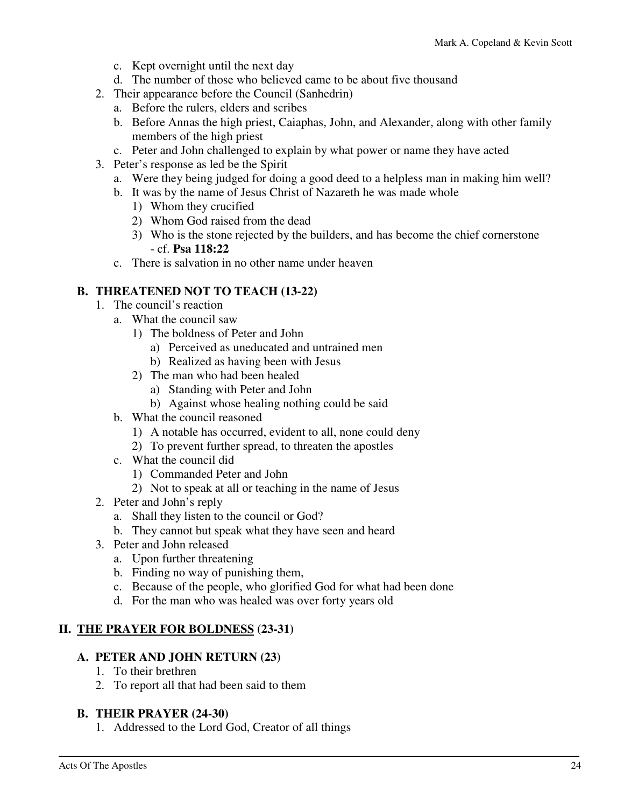- c. Kept overnight until the next day
- d. The number of those who believed came to be about five thousand
- 2. Their appearance before the Council (Sanhedrin)
	- a. Before the rulers, elders and scribes
	- b. Before Annas the high priest, Caiaphas, John, and Alexander, along with other family members of the high priest
	- c. Peter and John challenged to explain by what power or name they have acted
- 3. Peter's response as led be the Spirit
	- a. Were they being judged for doing a good deed to a helpless man in making him well?
	- b. It was by the name of Jesus Christ of Nazareth he was made whole
		- 1) Whom they crucified
		- 2) Whom God raised from the dead
		- 3) Who is the stone rejected by the builders, and has become the chief cornerstone - cf. **Psa 118:22**
	- c. There is salvation in no other name under heaven

### **B. THREATENED NOT TO TEACH (13-22)**

- 1. The council's reaction
	- a. What the council saw
		- 1) The boldness of Peter and John
			- a) Perceived as uneducated and untrained men
			- b) Realized as having been with Jesus
		- 2) The man who had been healed
			- a) Standing with Peter and John
			- b) Against whose healing nothing could be said
	- b. What the council reasoned
		- 1) A notable has occurred, evident to all, none could deny
		- 2) To prevent further spread, to threaten the apostles
	- c. What the council did
		- 1) Commanded Peter and John
		- 2) Not to speak at all or teaching in the name of Jesus
- 2. Peter and John's reply
	- a. Shall they listen to the council or God?
	- b. They cannot but speak what they have seen and heard
- 3. Peter and John released
	- a. Upon further threatening
	- b. Finding no way of punishing them,
	- c. Because of the people, who glorified God for what had been done
	- d. For the man who was healed was over forty years old

### **II. THE PRAYER FOR BOLDNESS (23-31)**

#### **A. PETER AND JOHN RETURN (23)**

- 1. To their brethren
- 2. To report all that had been said to them

#### **B. THEIR PRAYER (24-30)**

1. Addressed to the Lord God, Creator of all things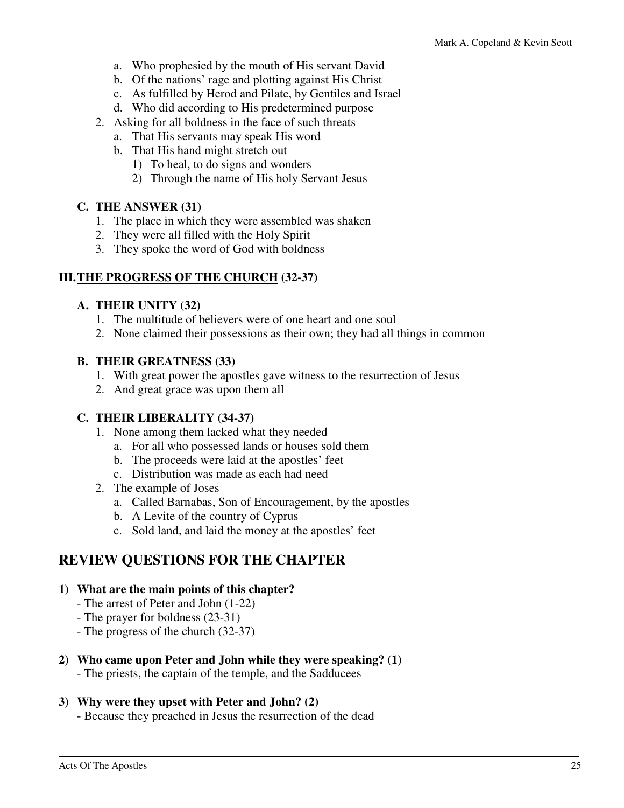- a. Who prophesied by the mouth of His servant David
- b. Of the nations' rage and plotting against His Christ
- c. As fulfilled by Herod and Pilate, by Gentiles and Israel
- d. Who did according to His predetermined purpose
- 2. Asking for all boldness in the face of such threats
	- a. That His servants may speak His word
	- b. That His hand might stretch out
		- 1) To heal, to do signs and wonders
		- 2) Through the name of His holy Servant Jesus

### **C. THE ANSWER (31)**

- 1. The place in which they were assembled was shaken
- 2. They were all filled with the Holy Spirit
- 3. They spoke the word of God with boldness

### **III. THE PROGRESS OF THE CHURCH (32-37)**

### **A. THEIR UNITY (32)**

- 1. The multitude of believers were of one heart and one soul
- 2. None claimed their possessions as their own; they had all things in common

### **B. THEIR GREATNESS (33)**

- 1. With great power the apostles gave witness to the resurrection of Jesus
- 2. And great grace was upon them all

### **C. THEIR LIBERALITY (34-37)**

- 1. None among them lacked what they needed
	- a. For all who possessed lands or houses sold them
	- b. The proceeds were laid at the apostles' feet
	- c. Distribution was made as each had need
- 2. The example of Joses
	- a. Called Barnabas, Son of Encouragement, by the apostles
	- b. A Levite of the country of Cyprus
	- c. Sold land, and laid the money at the apostles' feet

### **REVIEW QUESTIONS FOR THE CHAPTER**

#### **1) What are the main points of this chapter?**

- The arrest of Peter and John (1-22)
- The prayer for boldness (23-31)
- The progress of the church (32-37)

### **2) Who came upon Peter and John while they were speaking? (1)**

- The priests, the captain of the temple, and the Sadducees

### **3) Why were they upset with Peter and John? (2)**

- Because they preached in Jesus the resurrection of the dead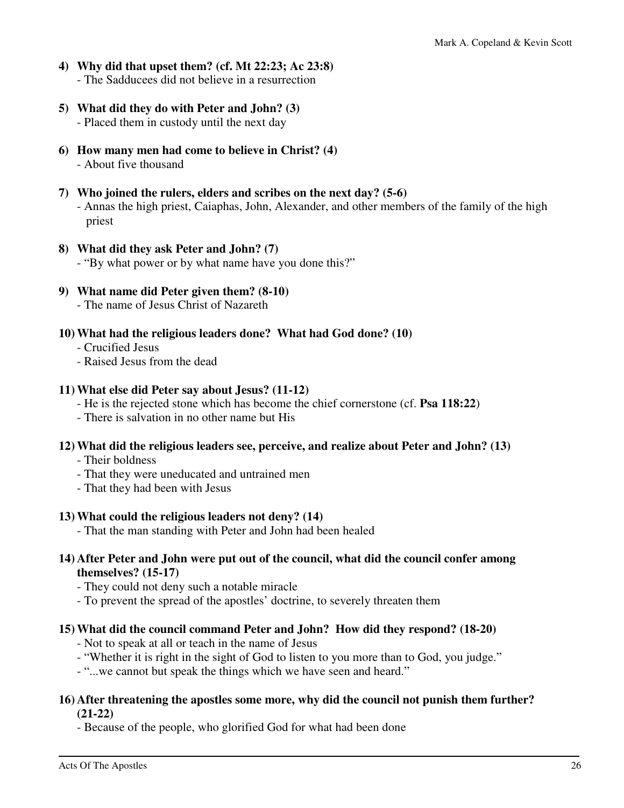- **4) Why did that upset them? (cf. Mt 22:23; Ac 23:8)**  - The Sadducees did not believe in a resurrection
- **5) What did they do with Peter and John? (3)**  - Placed them in custody until the next day
- **6) How many men had come to believe in Christ? (4)**  - About five thousand
- **7) Who joined the rulers, elders and scribes on the next day? (5-6)**  - Annas the high priest, Caiaphas, John, Alexander, and other members of the family of the high priest
- **8) What did they ask Peter and John? (7)** 
	- "By what power or by what name have you done this?"
- **9) What name did Peter given them? (8-10)** 
	- The name of Jesus Christ of Nazareth
- **10) What had the religious leaders done? What had God done? (10)** 
	- Crucified Jesus
	- Raised Jesus from the dead

#### **11) What else did Peter say about Jesus? (11-12)**

- He is the rejected stone which has become the chief cornerstone (cf. **Psa 118:22**)
- There is salvation in no other name but His

### **12) What did the religious leaders see, perceive, and realize about Peter and John? (13)**

- Their boldness
- That they were uneducated and untrained men
- That they had been with Jesus

### **13) What could the religious leaders not deny? (14)**

- That the man standing with Peter and John had been healed

### **14) After Peter and John were put out of the council, what did the council confer among themselves? (15-17)**

- They could not deny such a notable miracle
- To prevent the spread of the apostles' doctrine, to severely threaten them

### **15) What did the council command Peter and John? How did they respond? (18-20)**

- Not to speak at all or teach in the name of Jesus
- "Whether it is right in the sight of God to listen to you more than to God, you judge."
- "...we cannot but speak the things which we have seen and heard."

#### **16) After threatening the apostles some more, why did the council not punish them further? (21-22)**

- Because of the people, who glorified God for what had been done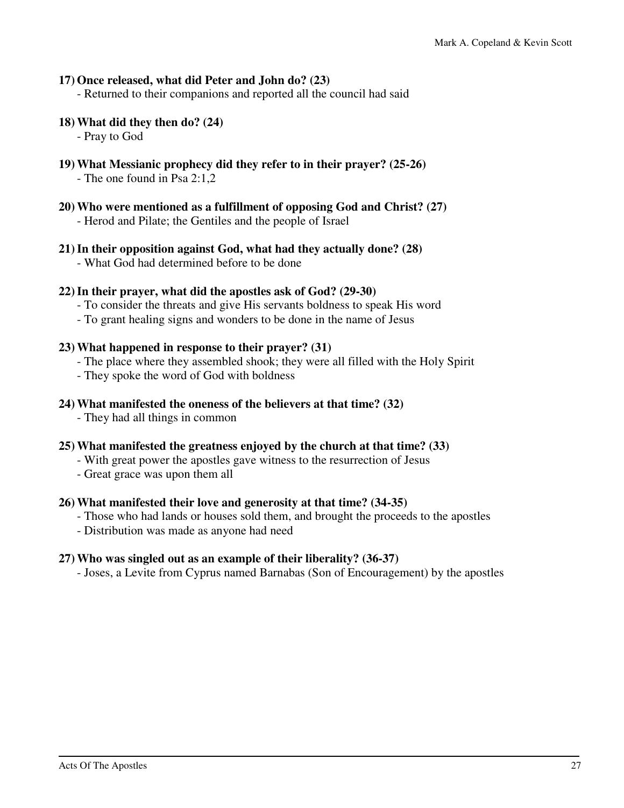### **17) Once released, what did Peter and John do? (23)**

- Returned to their companions and reported all the council had said

#### **18) What did they then do? (24)**

- Pray to God

### **19) What Messianic prophecy did they refer to in their prayer? (25-26)**

- The one found in Psa 2:1,2

**20) Who were mentioned as a fulfillment of opposing God and Christ? (27)** 

- Herod and Pilate; the Gentiles and the people of Israel

### **21) In their opposition against God, what had they actually done? (28)**

- What God had determined before to be done

### **22) In their prayer, what did the apostles ask of God? (29-30)**

- To consider the threats and give His servants boldness to speak His word
- To grant healing signs and wonders to be done in the name of Jesus

### **23) What happened in response to their prayer? (31)**

- The place where they assembled shook; they were all filled with the Holy Spirit
- They spoke the word of God with boldness

### **24) What manifested the oneness of the believers at that time? (32)**

- They had all things in common

### **25) What manifested the greatness enjoyed by the church at that time? (33)**

- With great power the apostles gave witness to the resurrection of Jesus
- Great grace was upon them all

### **26) What manifested their love and generosity at that time? (34-35)**

- Those who had lands or houses sold them, and brought the proceeds to the apostles
- Distribution was made as anyone had need

### **27) Who was singled out as an example of their liberality? (36-37)**

- Joses, a Levite from Cyprus named Barnabas (Son of Encouragement) by the apostles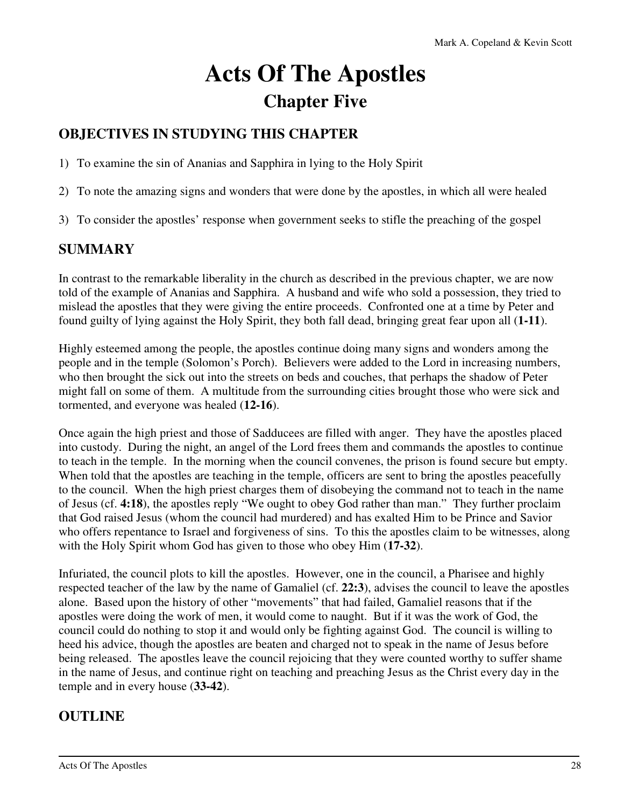# **Acts Of The Apostles Chapter Five**

### **OBJECTIVES IN STUDYING THIS CHAPTER**

1) To examine the sin of Ananias and Sapphira in lying to the Holy Spirit

- 2) To note the amazing signs and wonders that were done by the apostles, in which all were healed
- 3) To consider the apostles' response when government seeks to stifle the preaching of the gospel

### **SUMMARY**

In contrast to the remarkable liberality in the church as described in the previous chapter, we are now told of the example of Ananias and Sapphira. A husband and wife who sold a possession, they tried to mislead the apostles that they were giving the entire proceeds. Confronted one at a time by Peter and found guilty of lying against the Holy Spirit, they both fall dead, bringing great fear upon all (**1-11**).

Highly esteemed among the people, the apostles continue doing many signs and wonders among the people and in the temple (Solomon's Porch). Believers were added to the Lord in increasing numbers, who then brought the sick out into the streets on beds and couches, that perhaps the shadow of Peter might fall on some of them. A multitude from the surrounding cities brought those who were sick and tormented, and everyone was healed (**12-16**).

Once again the high priest and those of Sadducees are filled with anger. They have the apostles placed into custody. During the night, an angel of the Lord frees them and commands the apostles to continue to teach in the temple. In the morning when the council convenes, the prison is found secure but empty. When told that the apostles are teaching in the temple, officers are sent to bring the apostles peacefully to the council. When the high priest charges them of disobeying the command not to teach in the name of Jesus (cf. **4:18**), the apostles reply "We ought to obey God rather than man." They further proclaim that God raised Jesus (whom the council had murdered) and has exalted Him to be Prince and Savior who offers repentance to Israel and forgiveness of sins. To this the apostles claim to be witnesses, along with the Holy Spirit whom God has given to those who obey Him (**17-32**).

Infuriated, the council plots to kill the apostles. However, one in the council, a Pharisee and highly respected teacher of the law by the name of Gamaliel (cf. **22:3**), advises the council to leave the apostles alone. Based upon the history of other "movements" that had failed, Gamaliel reasons that if the apostles were doing the work of men, it would come to naught. But if it was the work of God, the council could do nothing to stop it and would only be fighting against God. The council is willing to heed his advice, though the apostles are beaten and charged not to speak in the name of Jesus before being released. The apostles leave the council rejoicing that they were counted worthy to suffer shame in the name of Jesus, and continue right on teaching and preaching Jesus as the Christ every day in the temple and in every house (**33-42**).

### **OUTLINE**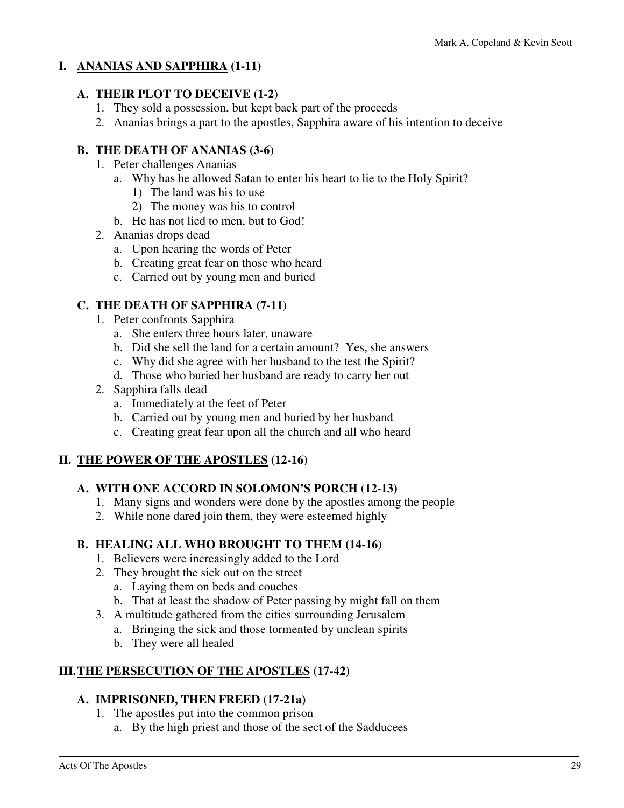### **I. ANANIAS AND SAPPHIRA (1-11)**

### **A. THEIR PLOT TO DECEIVE (1-2)**

- 1. They sold a possession, but kept back part of the proceeds
- 2. Ananias brings a part to the apostles, Sapphira aware of his intention to deceive

### **B. THE DEATH OF ANANIAS (3-6)**

- 1. Peter challenges Ananias
	- a. Why has he allowed Satan to enter his heart to lie to the Holy Spirit?
		- 1) The land was his to use
		- 2) The money was his to control
	- b. He has not lied to men, but to God!
- 2. Ananias drops dead
	- a. Upon hearing the words of Peter
	- b. Creating great fear on those who heard
	- c. Carried out by young men and buried

### **C. THE DEATH OF SAPPHIRA (7-11)**

- 1. Peter confronts Sapphira
	- a. She enters three hours later, unaware
	- b. Did she sell the land for a certain amount? Yes, she answers
	- c. Why did she agree with her husband to the test the Spirit?
	- d. Those who buried her husband are ready to carry her out
- 2. Sapphira falls dead
	- a. Immediately at the feet of Peter
	- b. Carried out by young men and buried by her husband
	- c. Creating great fear upon all the church and all who heard

### **II. THE POWER OF THE APOSTLES (12-16)**

### **A. WITH ONE ACCORD IN SOLOMON'S PORCH (12-13)**

- 1. Many signs and wonders were done by the apostles among the people
- 2. While none dared join them, they were esteemed highly

### **B. HEALING ALL WHO BROUGHT TO THEM (14-16)**

- 1. Believers were increasingly added to the Lord
- 2. They brought the sick out on the street
	- a. Laying them on beds and couches
	- b. That at least the shadow of Peter passing by might fall on them
- 3. A multitude gathered from the cities surrounding Jerusalem
	- a. Bringing the sick and those tormented by unclean spirits
	- b. They were all healed

### **III. THE PERSECUTION OF THE APOSTLES (17-42)**

### **A. IMPRISONED, THEN FREED (17-21a)**

- 1. The apostles put into the common prison
	- a. By the high priest and those of the sect of the Sadducees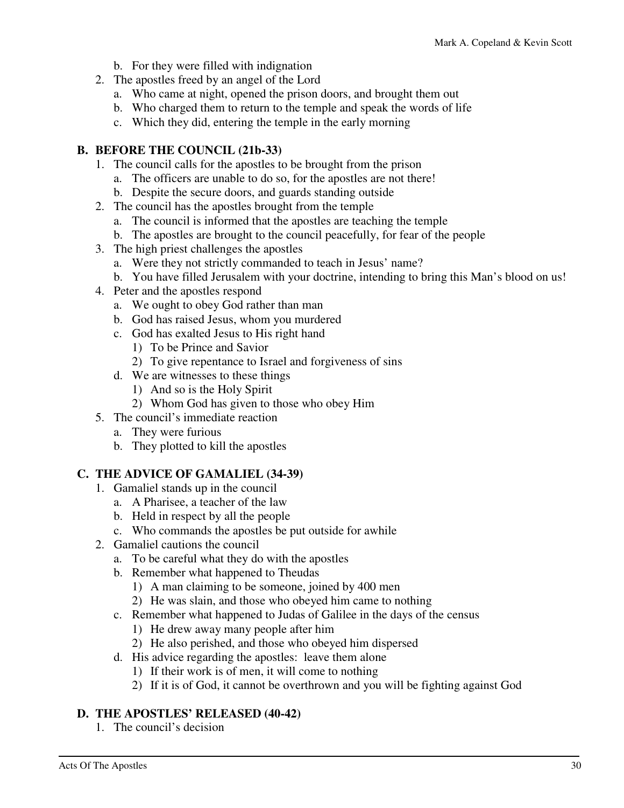- b. For they were filled with indignation
- 2. The apostles freed by an angel of the Lord
	- a. Who came at night, opened the prison doors, and brought them out
	- b. Who charged them to return to the temple and speak the words of life
	- c. Which they did, entering the temple in the early morning

### **B. BEFORE THE COUNCIL (21b-33)**

- 1. The council calls for the apostles to be brought from the prison
	- a. The officers are unable to do so, for the apostles are not there!
	- b. Despite the secure doors, and guards standing outside
- 2. The council has the apostles brought from the temple
	- a. The council is informed that the apostles are teaching the temple
	- b. The apostles are brought to the council peacefully, for fear of the people
- 3. The high priest challenges the apostles
	- a. Were they not strictly commanded to teach in Jesus' name?
	- b. You have filled Jerusalem with your doctrine, intending to bring this Man's blood on us!
- 4. Peter and the apostles respond
	- a. We ought to obey God rather than man
	- b. God has raised Jesus, whom you murdered
	- c. God has exalted Jesus to His right hand
		- 1) To be Prince and Savior
		- 2) To give repentance to Israel and forgiveness of sins
	- d. We are witnesses to these things
		- 1) And so is the Holy Spirit
		- 2) Whom God has given to those who obey Him
- 5. The council's immediate reaction
	- a. They were furious
	- b. They plotted to kill the apostles

### **C. THE ADVICE OF GAMALIEL (34-39)**

- 1. Gamaliel stands up in the council
	- a. A Pharisee, a teacher of the law
	- b. Held in respect by all the people
	- c. Who commands the apostles be put outside for awhile
- 2. Gamaliel cautions the council
	- a. To be careful what they do with the apostles
	- b. Remember what happened to Theudas
		- 1) A man claiming to be someone, joined by 400 men
		- 2) He was slain, and those who obeyed him came to nothing
	- c. Remember what happened to Judas of Galilee in the days of the census
		- 1) He drew away many people after him
		- 2) He also perished, and those who obeyed him dispersed
	- d. His advice regarding the apostles: leave them alone
		- 1) If their work is of men, it will come to nothing
		- 2) If it is of God, it cannot be overthrown and you will be fighting against God

### **D. THE APOSTLES' RELEASED (40-42)**

1. The council's decision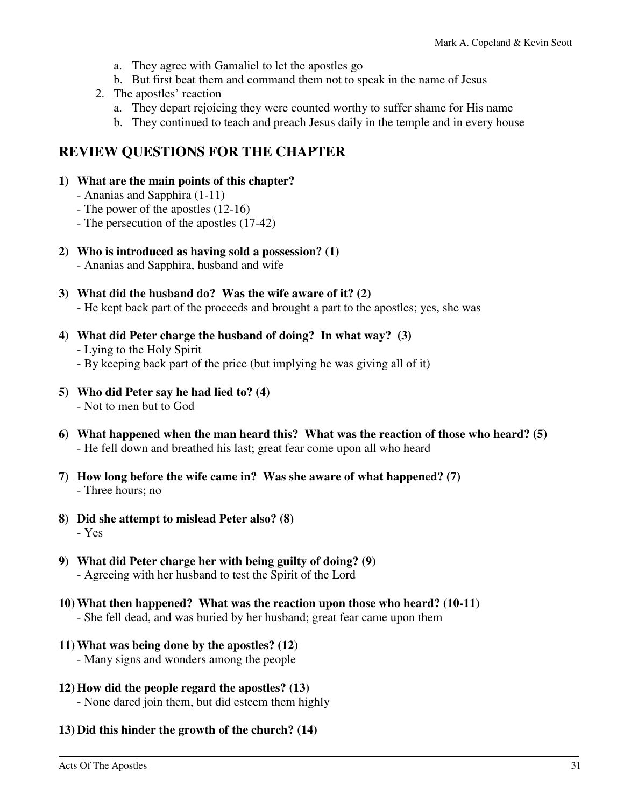- a. They agree with Gamaliel to let the apostles go
- b. But first beat them and command them not to speak in the name of Jesus
- 2. The apostles' reaction
	- a. They depart rejoicing they were counted worthy to suffer shame for His name
	- b. They continued to teach and preach Jesus daily in the temple and in every house

### **REVIEW QUESTIONS FOR THE CHAPTER**

### **1) What are the main points of this chapter?**

- Ananias and Sapphira (1-11)
- The power of the apostles (12-16)
- The persecution of the apostles (17-42)

### **2) Who is introduced as having sold a possession? (1)**

- Ananias and Sapphira, husband and wife
- **3) What did the husband do? Was the wife aware of it? (2)**  - He kept back part of the proceeds and brought a part to the apostles; yes, she was
- **4) What did Peter charge the husband of doing? In what way? (3)** 
	- Lying to the Holy Spirit
	- By keeping back part of the price (but implying he was giving all of it)
- **5) Who did Peter say he had lied to? (4)**  - Not to men but to God
- **6) What happened when the man heard this? What was the reaction of those who heard? (5)**  - He fell down and breathed his last; great fear come upon all who heard
- **7) How long before the wife came in? Was she aware of what happened? (7)**  - Three hours; no
- **8) Did she attempt to mislead Peter also? (8)**  - Yes
- **9) What did Peter charge her with being guilty of doing? (9)**  - Agreeing with her husband to test the Spirit of the Lord
- **10) What then happened? What was the reaction upon those who heard? (10-11)** 
	- She fell dead, and was buried by her husband; great fear came upon them
- **11) What was being done by the apostles? (12)** 
	- Many signs and wonders among the people
- **12) How did the people regard the apostles? (13)**  - None dared join them, but did esteem them highly
- **13) Did this hinder the growth of the church? (14)**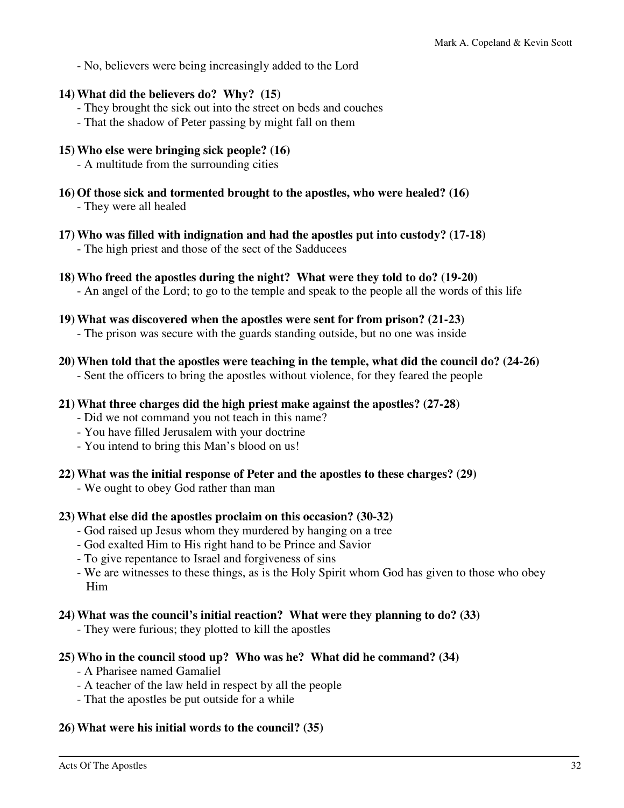- No, believers were being increasingly added to the Lord

### **14) What did the believers do? Why? (15)**

- They brought the sick out into the street on beds and couches
- That the shadow of Peter passing by might fall on them

### **15) Who else were bringing sick people? (16)**

- A multitude from the surrounding cities
- **16) Of those sick and tormented brought to the apostles, who were healed? (16)** - They were all healed
- **17) Who was filled with indignation and had the apostles put into custody? (17-18)**  - The high priest and those of the sect of the Sadducees
- **18) Who freed the apostles during the night? What were they told to do? (19-20)**  - An angel of the Lord; to go to the temple and speak to the people all the words of this life
- **19) What was discovered when the apostles were sent for from prison? (21-23)** 
	- The prison was secure with the guards standing outside, but no one was inside
- **20) When told that the apostles were teaching in the temple, what did the council do? (24-26)**

- Sent the officers to bring the apostles without violence, for they feared the people

- **21) What three charges did the high priest make against the apostles? (27-28)** 
	- Did we not command you not teach in this name?
	- You have filled Jerusalem with your doctrine
	- You intend to bring this Man's blood on us!
- **22) What was the initial response of Peter and the apostles to these charges? (29)** 
	- We ought to obey God rather than man

### **23) What else did the apostles proclaim on this occasion? (30-32)**

- God raised up Jesus whom they murdered by hanging on a tree
- God exalted Him to His right hand to be Prince and Savior
- To give repentance to Israel and forgiveness of sins
- We are witnesses to these things, as is the Holy Spirit whom God has given to those who obey Him

### **24) What was the council's initial reaction? What were they planning to do? (33)**

- They were furious; they plotted to kill the apostles

#### **25) Who in the council stood up? Who was he? What did he command? (34)**

- A Pharisee named Gamaliel
- A teacher of the law held in respect by all the people
- That the apostles be put outside for a while

### **26) What were his initial words to the council? (35)**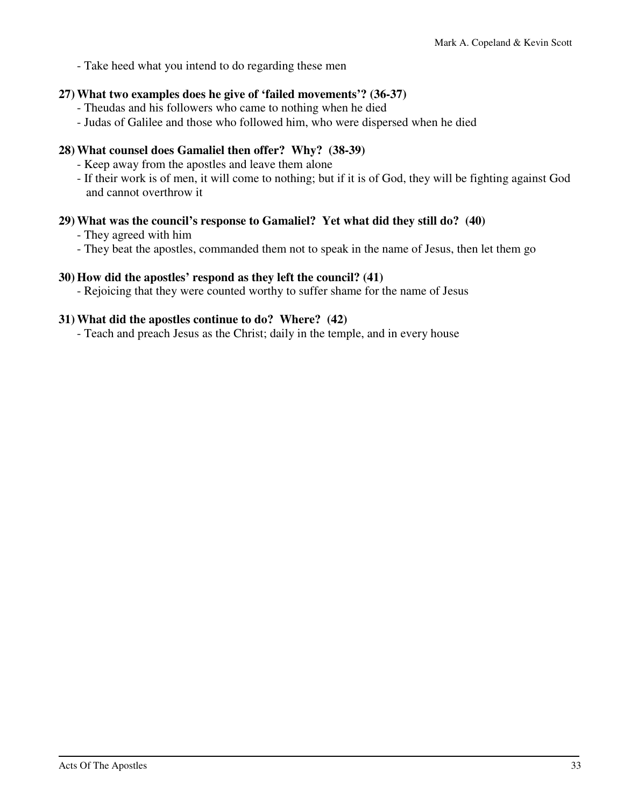- Take heed what you intend to do regarding these men

### **27) What two examples does he give of 'failed movements'? (36-37)**

- Theudas and his followers who came to nothing when he died
- Judas of Galilee and those who followed him, who were dispersed when he died

### **28) What counsel does Gamaliel then offer? Why? (38-39)**

- Keep away from the apostles and leave them alone
- If their work is of men, it will come to nothing; but if it is of God, they will be fighting against God and cannot overthrow it

### **29) What was the council's response to Gamaliel? Yet what did they still do? (40)**

- They agreed with him
- They beat the apostles, commanded them not to speak in the name of Jesus, then let them go

### **30) How did the apostles' respond as they left the council? (41)**

- Rejoicing that they were counted worthy to suffer shame for the name of Jesus

### **31) What did the apostles continue to do? Where? (42)**

- Teach and preach Jesus as the Christ; daily in the temple, and in every house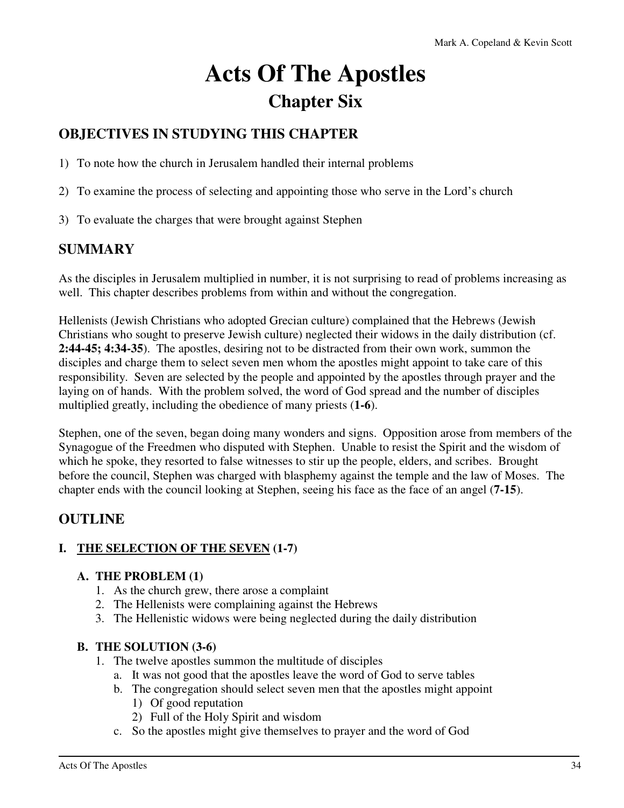# **Acts Of The Apostles Chapter Six**

### **OBJECTIVES IN STUDYING THIS CHAPTER**

- 1) To note how the church in Jerusalem handled their internal problems
- 2) To examine the process of selecting and appointing those who serve in the Lord's church
- 3) To evaluate the charges that were brought against Stephen

### **SUMMARY**

As the disciples in Jerusalem multiplied in number, it is not surprising to read of problems increasing as well. This chapter describes problems from within and without the congregation.

Hellenists (Jewish Christians who adopted Grecian culture) complained that the Hebrews (Jewish Christians who sought to preserve Jewish culture) neglected their widows in the daily distribution (cf. **2:44-45; 4:34-35**). The apostles, desiring not to be distracted from their own work, summon the disciples and charge them to select seven men whom the apostles might appoint to take care of this responsibility. Seven are selected by the people and appointed by the apostles through prayer and the laying on of hands. With the problem solved, the word of God spread and the number of disciples multiplied greatly, including the obedience of many priests (**1-6**).

Stephen, one of the seven, began doing many wonders and signs. Opposition arose from members of the Synagogue of the Freedmen who disputed with Stephen. Unable to resist the Spirit and the wisdom of which he spoke, they resorted to false witnesses to stir up the people, elders, and scribes. Brought before the council, Stephen was charged with blasphemy against the temple and the law of Moses. The chapter ends with the council looking at Stephen, seeing his face as the face of an angel (**7-15**).

### **OUTLINE**

### **I. THE SELECTION OF THE SEVEN (1-7)**

### **A. THE PROBLEM (1)**

- 1. As the church grew, there arose a complaint
- 2. The Hellenists were complaining against the Hebrews
- 3. The Hellenistic widows were being neglected during the daily distribution

#### **B. THE SOLUTION (3-6)**

- 1. The twelve apostles summon the multitude of disciples
	- a. It was not good that the apostles leave the word of God to serve tables
	- b. The congregation should select seven men that the apostles might appoint 1) Of good reputation
		- 2) Full of the Holy Spirit and wisdom
	- c. So the apostles might give themselves to prayer and the word of God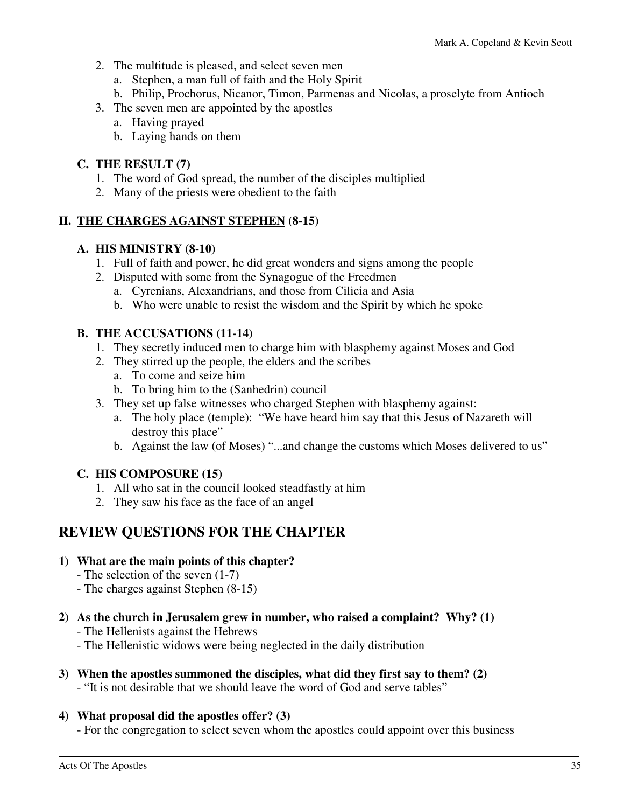- 2. The multitude is pleased, and select seven men
	- a. Stephen, a man full of faith and the Holy Spirit
	- b. Philip, Prochorus, Nicanor, Timon, Parmenas and Nicolas, a proselyte from Antioch
- 3. The seven men are appointed by the apostles
	- a. Having prayed
	- b. Laying hands on them

### **C. THE RESULT (7)**

- 1. The word of God spread, the number of the disciples multiplied
- 2. Many of the priests were obedient to the faith

### **II. THE CHARGES AGAINST STEPHEN (8-15)**

### **A. HIS MINISTRY (8-10)**

- 1. Full of faith and power, he did great wonders and signs among the people
- 2. Disputed with some from the Synagogue of the Freedmen
	- a. Cyrenians, Alexandrians, and those from Cilicia and Asia
	- b. Who were unable to resist the wisdom and the Spirit by which he spoke

### **B. THE ACCUSATIONS (11-14)**

- 1. They secretly induced men to charge him with blasphemy against Moses and God
- 2. They stirred up the people, the elders and the scribes
	- a. To come and seize him
	- b. To bring him to the (Sanhedrin) council
- 3. They set up false witnesses who charged Stephen with blasphemy against:
	- a. The holy place (temple): "We have heard him say that this Jesus of Nazareth will destroy this place"
	- b. Against the law (of Moses) "...and change the customs which Moses delivered to us"

### **C. HIS COMPOSURE (15)**

- 1. All who sat in the council looked steadfastly at him
- 2. They saw his face as the face of an angel

### **REVIEW QUESTIONS FOR THE CHAPTER**

### **1) What are the main points of this chapter?**

- The selection of the seven (1-7)
- The charges against Stephen (8-15)
- **2) As the church in Jerusalem grew in number, who raised a complaint? Why? (1)** 
	- The Hellenists against the Hebrews
	- The Hellenistic widows were being neglected in the daily distribution
- **3) When the apostles summoned the disciples, what did they first say to them? (2)** 
	- "It is not desirable that we should leave the word of God and serve tables"

### **4) What proposal did the apostles offer? (3)**

- For the congregation to select seven whom the apostles could appoint over this business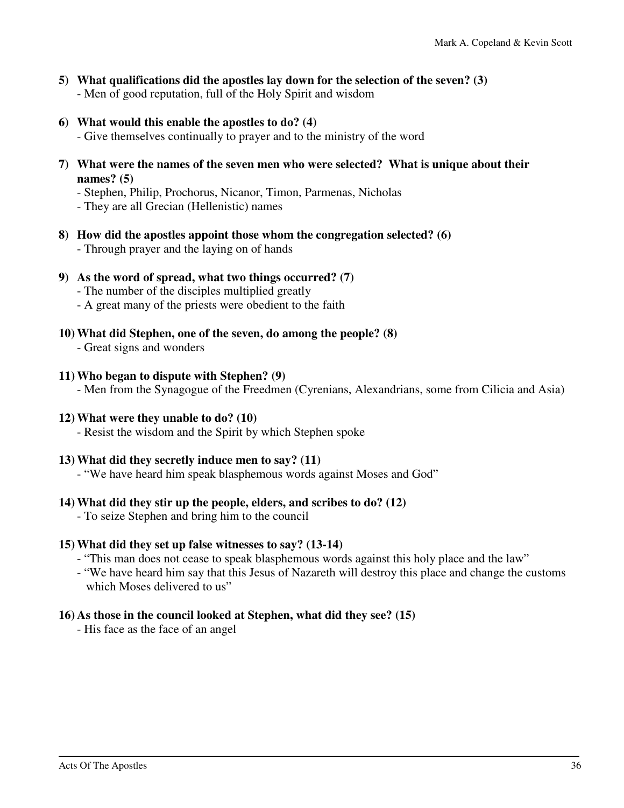- **5) What qualifications did the apostles lay down for the selection of the seven? (3)**  - Men of good reputation, full of the Holy Spirit and wisdom
- **6) What would this enable the apostles to do? (4)** 
	- Give themselves continually to prayer and to the ministry of the word
- **7) What were the names of the seven men who were selected? What is unique about their names? (5)** 
	- Stephen, Philip, Prochorus, Nicanor, Timon, Parmenas, Nicholas
	- They are all Grecian (Hellenistic) names
- **8) How did the apostles appoint those whom the congregation selected? (6)** 
	- Through prayer and the laying on of hands
- **9) As the word of spread, what two things occurred? (7)** 
	- The number of the disciples multiplied greatly
	- A great many of the priests were obedient to the faith
- **10) What did Stephen, one of the seven, do among the people? (8)** 
	- Great signs and wonders

### **11) Who began to dispute with Stephen? (9)**

- Men from the Synagogue of the Freedmen (Cyrenians, Alexandrians, some from Cilicia and Asia)

### **12) What were they unable to do? (10)**

- Resist the wisdom and the Spirit by which Stephen spoke

#### **13) What did they secretly induce men to say? (11)**

- "We have heard him speak blasphemous words against Moses and God"

### **14) What did they stir up the people, elders, and scribes to do? (12)**

- To seize Stephen and bring him to the council

### **15) What did they set up false witnesses to say? (13-14)**

- "This man does not cease to speak blasphemous words against this holy place and the law"
- "We have heard him say that this Jesus of Nazareth will destroy this place and change the customs which Moses delivered to us"

### **16) As those in the council looked at Stephen, what did they see? (15)**

- His face as the face of an angel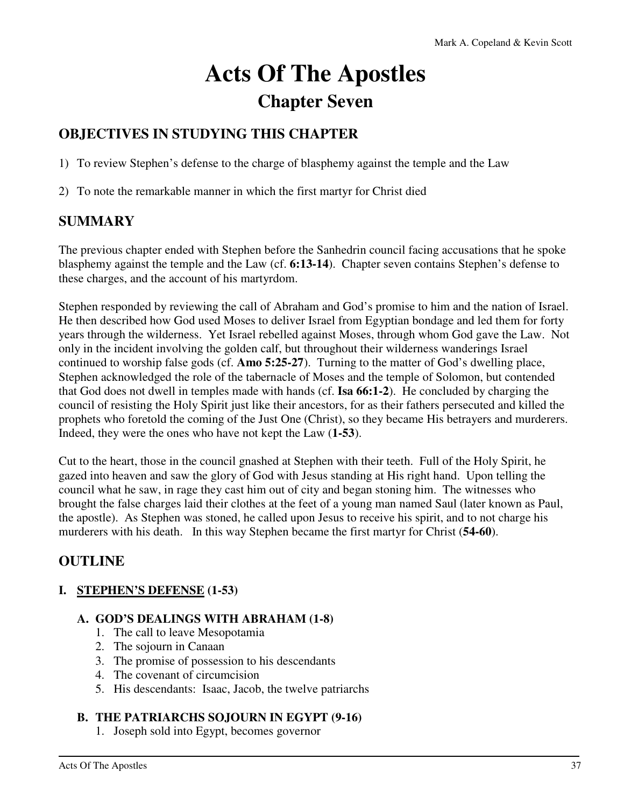# **Acts Of The Apostles Chapter Seven**

## **OBJECTIVES IN STUDYING THIS CHAPTER**

1) To review Stephen's defense to the charge of blasphemy against the temple and the Law

2) To note the remarkable manner in which the first martyr for Christ died

### **SUMMARY**

The previous chapter ended with Stephen before the Sanhedrin council facing accusations that he spoke blasphemy against the temple and the Law (cf. **6:13-14**). Chapter seven contains Stephen's defense to these charges, and the account of his martyrdom.

Stephen responded by reviewing the call of Abraham and God's promise to him and the nation of Israel. He then described how God used Moses to deliver Israel from Egyptian bondage and led them for forty years through the wilderness. Yet Israel rebelled against Moses, through whom God gave the Law. Not only in the incident involving the golden calf, but throughout their wilderness wanderings Israel continued to worship false gods (cf. **Amo 5:25-27**). Turning to the matter of God's dwelling place, Stephen acknowledged the role of the tabernacle of Moses and the temple of Solomon, but contended that God does not dwell in temples made with hands (cf. **Isa 66:1-2**). He concluded by charging the council of resisting the Holy Spirit just like their ancestors, for as their fathers persecuted and killed the prophets who foretold the coming of the Just One (Christ), so they became His betrayers and murderers. Indeed, they were the ones who have not kept the Law (**1-53**).

Cut to the heart, those in the council gnashed at Stephen with their teeth. Full of the Holy Spirit, he gazed into heaven and saw the glory of God with Jesus standing at His right hand. Upon telling the council what he saw, in rage they cast him out of city and began stoning him. The witnesses who brought the false charges laid their clothes at the feet of a young man named Saul (later known as Paul, the apostle). As Stephen was stoned, he called upon Jesus to receive his spirit, and to not charge his murderers with his death. In this way Stephen became the first martyr for Christ (**54-60**).

### **OUTLINE**

### **I. STEPHEN'S DEFENSE (1-53)**

### **A. GOD'S DEALINGS WITH ABRAHAM (1-8)**

- 1. The call to leave Mesopotamia
- 2. The sojourn in Canaan
- 3. The promise of possession to his descendants
- 4. The covenant of circumcision
- 5. His descendants: Isaac, Jacob, the twelve patriarchs

### **B. THE PATRIARCHS SOJOURN IN EGYPT (9-16)**

1. Joseph sold into Egypt, becomes governor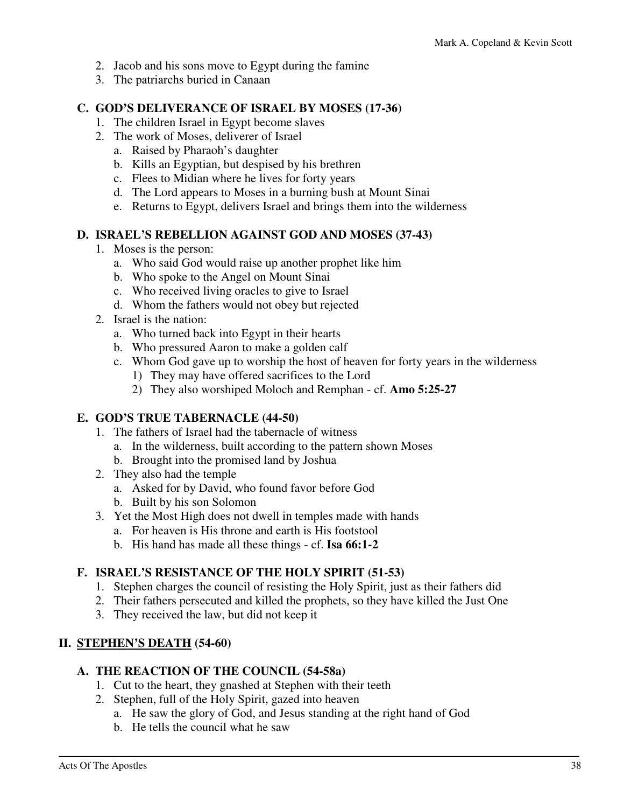- 2. Jacob and his sons move to Egypt during the famine
- 3. The patriarchs buried in Canaan

### **C. GOD'S DELIVERANCE OF ISRAEL BY MOSES (17-36)**

- 1. The children Israel in Egypt become slaves
- 2. The work of Moses, deliverer of Israel
	- a. Raised by Pharaoh's daughter
	- b. Kills an Egyptian, but despised by his brethren
	- c. Flees to Midian where he lives for forty years
	- d. The Lord appears to Moses in a burning bush at Mount Sinai
	- e. Returns to Egypt, delivers Israel and brings them into the wilderness

### **D. ISRAEL'S REBELLION AGAINST GOD AND MOSES (37-43)**

- 1. Moses is the person:
	- a. Who said God would raise up another prophet like him
	- b. Who spoke to the Angel on Mount Sinai
	- c. Who received living oracles to give to Israel
	- d. Whom the fathers would not obey but rejected
- 2. Israel is the nation:
	- a. Who turned back into Egypt in their hearts
	- b. Who pressured Aaron to make a golden calf
	- c. Whom God gave up to worship the host of heaven for forty years in the wilderness
		- 1) They may have offered sacrifices to the Lord
		- 2) They also worshiped Moloch and Remphan cf. **Amo 5:25-27**

### **E. GOD'S TRUE TABERNACLE (44-50)**

- 1. The fathers of Israel had the tabernacle of witness
	- a. In the wilderness, built according to the pattern shown Moses
	- b. Brought into the promised land by Joshua
- 2. They also had the temple
	- a. Asked for by David, who found favor before God
	- b. Built by his son Solomon
- 3. Yet the Most High does not dwell in temples made with hands
	- a. For heaven is His throne and earth is His footstool
	- b. His hand has made all these things cf. **Isa 66:1-2**

### **F. ISRAEL'S RESISTANCE OF THE HOLY SPIRIT (51-53)**

- 1. Stephen charges the council of resisting the Holy Spirit, just as their fathers did
- 2. Their fathers persecuted and killed the prophets, so they have killed the Just One
- 3. They received the law, but did not keep it

### **II. STEPHEN'S DEATH (54-60)**

### **A. THE REACTION OF THE COUNCIL (54-58a)**

- 1. Cut to the heart, they gnashed at Stephen with their teeth
- 2. Stephen, full of the Holy Spirit, gazed into heaven
	- a. He saw the glory of God, and Jesus standing at the right hand of God
	- b. He tells the council what he saw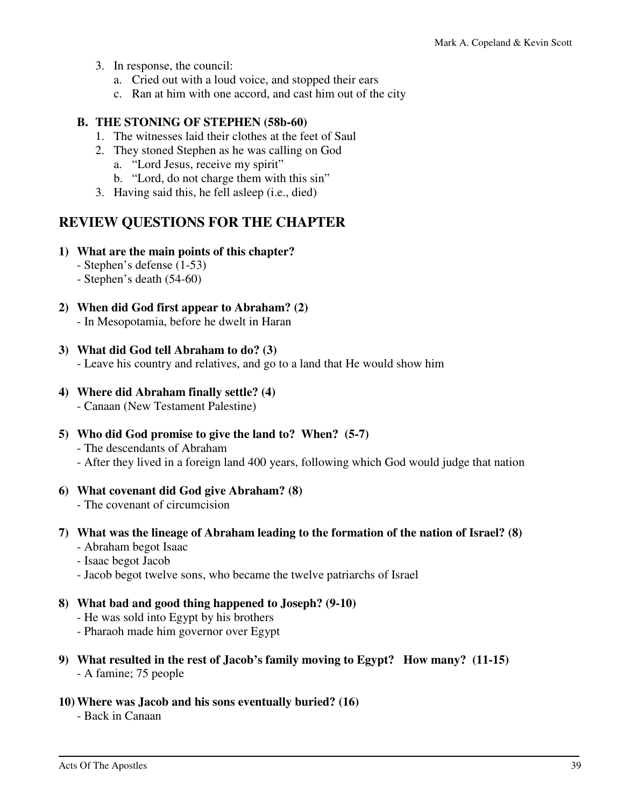- 3. In response, the council:
	- a. Cried out with a loud voice, and stopped their ears
	- c. Ran at him with one accord, and cast him out of the city

### **B. THE STONING OF STEPHEN (58b-60)**

- 1. The witnesses laid their clothes at the feet of Saul
- 2. They stoned Stephen as he was calling on God
	- a. "Lord Jesus, receive my spirit"
	- b. "Lord, do not charge them with this sin"
- 3. Having said this, he fell asleep (i.e., died)

### **REVIEW QUESTIONS FOR THE CHAPTER**

### **1) What are the main points of this chapter?**

- Stephen's defense (1-53)
- Stephen's death (54-60)
- **2) When did God first appear to Abraham? (2)** 
	- In Mesopotamia, before he dwelt in Haran

### **3) What did God tell Abraham to do? (3)**

- Leave his country and relatives, and go to a land that He would show him

- **4) Where did Abraham finally settle? (4)** 
	- Canaan (New Testament Palestine)
- **5) Who did God promise to give the land to? When? (5-7)** 
	- The descendants of Abraham
	- After they lived in a foreign land 400 years, following which God would judge that nation

#### **6) What covenant did God give Abraham? (8)**

- The covenant of circumcision

### **7) What was the lineage of Abraham leading to the formation of the nation of Israel? (8)**

- Abraham begot Isaac
- Isaac begot Jacob
- Jacob begot twelve sons, who became the twelve patriarchs of Israel

### **8) What bad and good thing happened to Joseph? (9-10)**

- He was sold into Egypt by his brothers
- Pharaoh made him governor over Egypt
- **9) What resulted in the rest of Jacob's family moving to Egypt? How many? (11-15)**  - A famine; 75 people

### **10) Where was Jacob and his sons eventually buried? (16)**

- Back in Canaan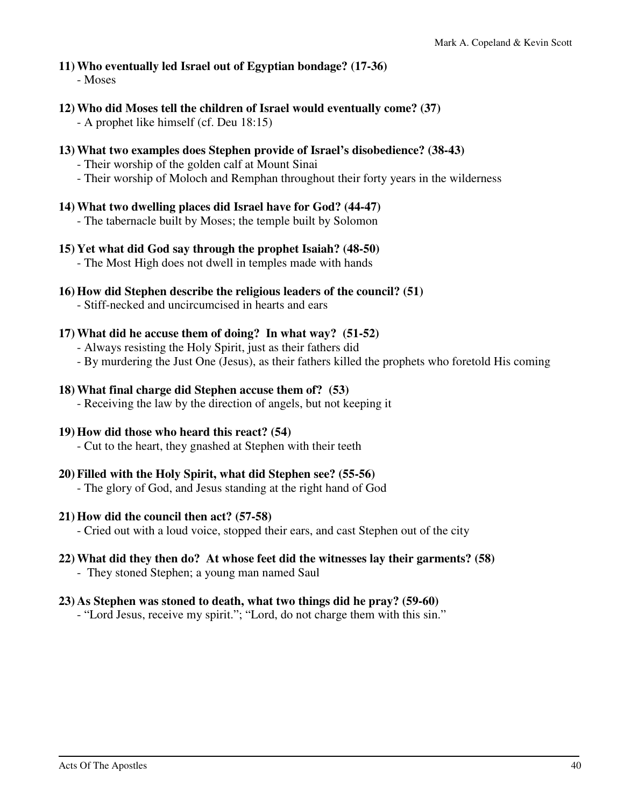# **11) Who eventually led Israel out of Egyptian bondage? (17-36)**

- Moses

**12) Who did Moses tell the children of Israel would eventually come? (37)** 

- A prophet like himself (cf. Deu 18:15)

- **13) What two examples does Stephen provide of Israel's disobedience? (38-43)** 
	- Their worship of the golden calf at Mount Sinai
	- Their worship of Moloch and Remphan throughout their forty years in the wilderness

### **14) What two dwelling places did Israel have for God? (44-47)**

- The tabernacle built by Moses; the temple built by Solomon
- **15) Yet what did God say through the prophet Isaiah? (48-50)** 
	- The Most High does not dwell in temples made with hands
- **16) How did Stephen describe the religious leaders of the council? (51)**
	- Stiff-necked and uncircumcised in hearts and ears

### **17) What did he accuse them of doing? In what way? (51-52)**

- Always resisting the Holy Spirit, just as their fathers did
- By murdering the Just One (Jesus), as their fathers killed the prophets who foretold His coming

### **18) What final charge did Stephen accuse them of? (53)**

- Receiving the law by the direction of angels, but not keeping it

### **19) How did those who heard this react? (54)**

- Cut to the heart, they gnashed at Stephen with their teeth

### **20) Filled with the Holy Spirit, what did Stephen see? (55-56)**

- The glory of God, and Jesus standing at the right hand of God

### **21) How did the council then act? (57-58)**

- Cried out with a loud voice, stopped their ears, and cast Stephen out of the city

### **22) What did they then do? At whose feet did the witnesses lay their garments? (58)**

- They stoned Stephen; a young man named Saul

### **23) As Stephen was stoned to death, what two things did he pray? (59-60)**

- "Lord Jesus, receive my spirit."; "Lord, do not charge them with this sin."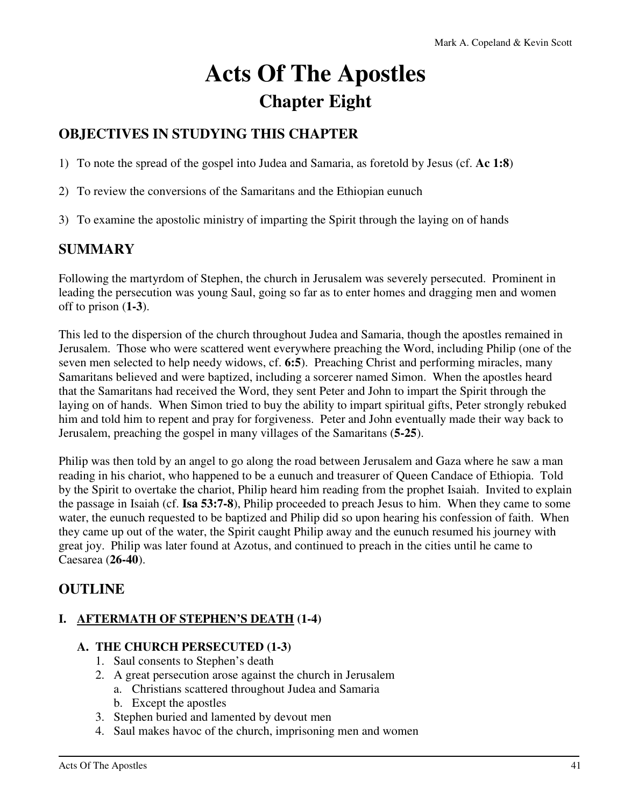# **Acts Of The Apostles Chapter Eight**

# **OBJECTIVES IN STUDYING THIS CHAPTER**

1) To note the spread of the gospel into Judea and Samaria, as foretold by Jesus (cf. **Ac 1:8**)

- 2) To review the conversions of the Samaritans and the Ethiopian eunuch
- 3) To examine the apostolic ministry of imparting the Spirit through the laying on of hands

### **SUMMARY**

Following the martyrdom of Stephen, the church in Jerusalem was severely persecuted. Prominent in leading the persecution was young Saul, going so far as to enter homes and dragging men and women off to prison (**1-3**).

This led to the dispersion of the church throughout Judea and Samaria, though the apostles remained in Jerusalem. Those who were scattered went everywhere preaching the Word, including Philip (one of the seven men selected to help needy widows, cf. **6:5**). Preaching Christ and performing miracles, many Samaritans believed and were baptized, including a sorcerer named Simon. When the apostles heard that the Samaritans had received the Word, they sent Peter and John to impart the Spirit through the laying on of hands. When Simon tried to buy the ability to impart spiritual gifts, Peter strongly rebuked him and told him to repent and pray for forgiveness. Peter and John eventually made their way back to Jerusalem, preaching the gospel in many villages of the Samaritans (**5-25**).

Philip was then told by an angel to go along the road between Jerusalem and Gaza where he saw a man reading in his chariot, who happened to be a eunuch and treasurer of Queen Candace of Ethiopia. Told by the Spirit to overtake the chariot, Philip heard him reading from the prophet Isaiah. Invited to explain the passage in Isaiah (cf. **Isa 53:7-8**), Philip proceeded to preach Jesus to him. When they came to some water, the eunuch requested to be baptized and Philip did so upon hearing his confession of faith. When they came up out of the water, the Spirit caught Philip away and the eunuch resumed his journey with great joy. Philip was later found at Azotus, and continued to preach in the cities until he came to Caesarea (**26-40**).

### **OUTLINE**

### **I. AFTERMATH OF STEPHEN'S DEATH (1-4)**

### **A. THE CHURCH PERSECUTED (1-3)**

- 1. Saul consents to Stephen's death
- 2. A great persecution arose against the church in Jerusalem
	- a. Christians scattered throughout Judea and Samaria
	- b. Except the apostles
- 3. Stephen buried and lamented by devout men
- 4. Saul makes havoc of the church, imprisoning men and women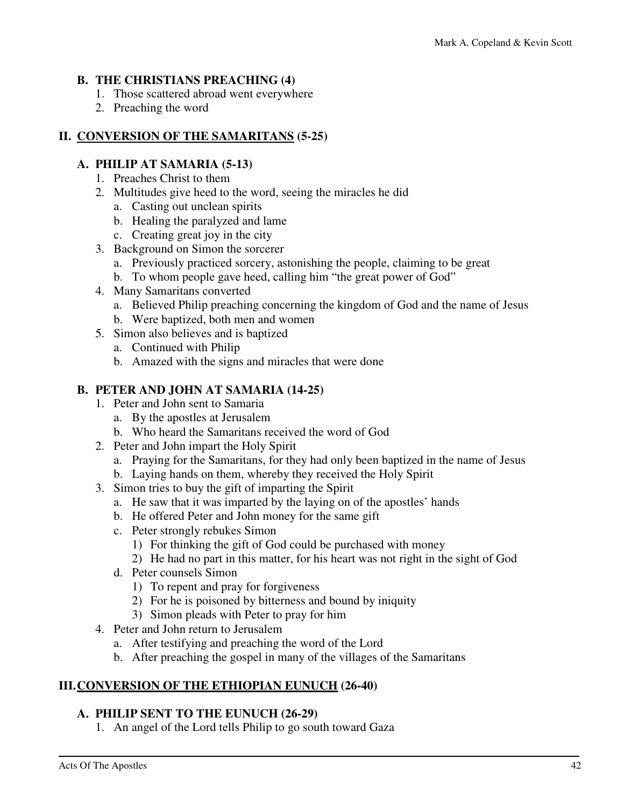### **B. THE CHRISTIANS PREACHING (4)**

- 1. Those scattered abroad went everywhere
- 2. Preaching the word

### **II. CONVERSION OF THE SAMARITANS (5-25)**

### **A. PHILIP AT SAMARIA (5-13)**

- 1. Preaches Christ to them
- 2. Multitudes give heed to the word, seeing the miracles he did
	- a. Casting out unclean spirits
	- b. Healing the paralyzed and lame
	- c. Creating great joy in the city
- 3. Background on Simon the sorcerer
	- a. Previously practiced sorcery, astonishing the people, claiming to be great
	- b. To whom people gave heed, calling him "the great power of God"
- 4. Many Samaritans converted
	- a. Believed Philip preaching concerning the kingdom of God and the name of Jesus
	- b. Were baptized, both men and women
- 5. Simon also believes and is baptized
	- a. Continued with Philip
	- b. Amazed with the signs and miracles that were done

### **B. PETER AND JOHN AT SAMARIA (14-25)**

- 1. Peter and John sent to Samaria
	- a. By the apostles at Jerusalem
	- b. Who heard the Samaritans received the word of God
- 2. Peter and John impart the Holy Spirit
	- a. Praying for the Samaritans, for they had only been baptized in the name of Jesus
	- b. Laying hands on them, whereby they received the Holy Spirit
- 3. Simon tries to buy the gift of imparting the Spirit
	- a. He saw that it was imparted by the laying on of the apostles' hands
	- b. He offered Peter and John money for the same gift
	- c. Peter strongly rebukes Simon
		- 1) For thinking the gift of God could be purchased with money
		- 2) He had no part in this matter, for his heart was not right in the sight of God
	- d. Peter counsels Simon
		- 1) To repent and pray for forgiveness
		- 2) For he is poisoned by bitterness and bound by iniquity
		- 3) Simon pleads with Peter to pray for him
- 4. Peter and John return to Jerusalem
	- a. After testifying and preaching the word of the Lord
	- b. After preaching the gospel in many of the villages of the Samaritans

### **III. CONVERSION OF THE ETHIOPIAN EUNUCH (26-40)**

### **A. PHILIP SENT TO THE EUNUCH (26-29)**

1. An angel of the Lord tells Philip to go south toward Gaza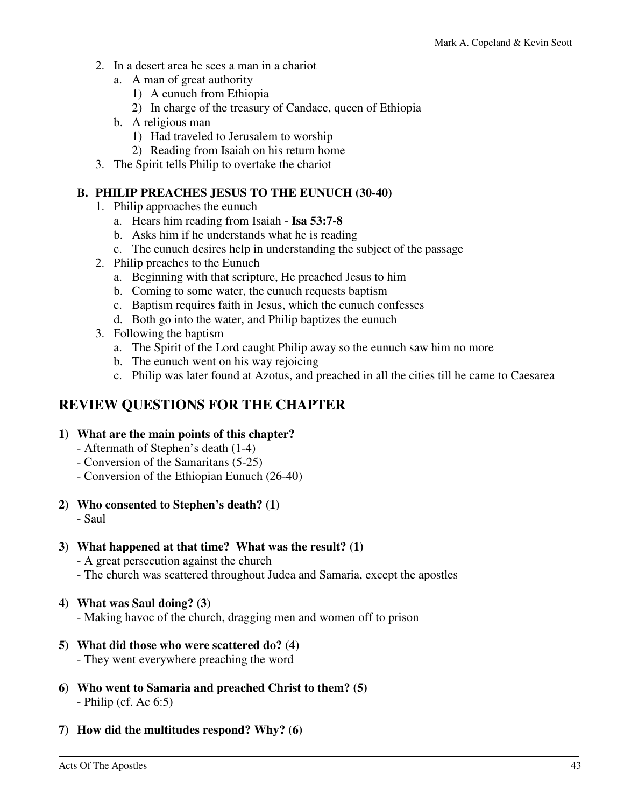- 2. In a desert area he sees a man in a chariot
	- a. A man of great authority
		- 1) A eunuch from Ethiopia
		- 2) In charge of the treasury of Candace, queen of Ethiopia
	- b. A religious man
		- 1) Had traveled to Jerusalem to worship
	- 2) Reading from Isaiah on his return home
- 3. The Spirit tells Philip to overtake the chariot

### **B. PHILIP PREACHES JESUS TO THE EUNUCH (30-40)**

- 1. Philip approaches the eunuch
	- a. Hears him reading from Isaiah **Isa 53:7-8**
	- b. Asks him if he understands what he is reading
	- c. The eunuch desires help in understanding the subject of the passage
- 2. Philip preaches to the Eunuch
	- a. Beginning with that scripture, He preached Jesus to him
	- b. Coming to some water, the eunuch requests baptism
	- c. Baptism requires faith in Jesus, which the eunuch confesses
	- d. Both go into the water, and Philip baptizes the eunuch
- 3. Following the baptism
	- a. The Spirit of the Lord caught Philip away so the eunuch saw him no more
	- b. The eunuch went on his way rejoicing
	- c. Philip was later found at Azotus, and preached in all the cities till he came to Caesarea

# **REVIEW QUESTIONS FOR THE CHAPTER**

### **1) What are the main points of this chapter?**

- Aftermath of Stephen's death (1-4)
- Conversion of the Samaritans (5-25)
- Conversion of the Ethiopian Eunuch (26-40)
- **2) Who consented to Stephen's death? (1)** 
	- Saul

### **3) What happened at that time? What was the result? (1)**

- A great persecution against the church
- The church was scattered throughout Judea and Samaria, except the apostles

### **4) What was Saul doing? (3)**

- Making havoc of the church, dragging men and women off to prison

### **5) What did those who were scattered do? (4)**

- They went everywhere preaching the word
- **6) Who went to Samaria and preached Christ to them? (5)**  - Philip (cf. Ac 6:5)
- **7) How did the multitudes respond? Why? (6)**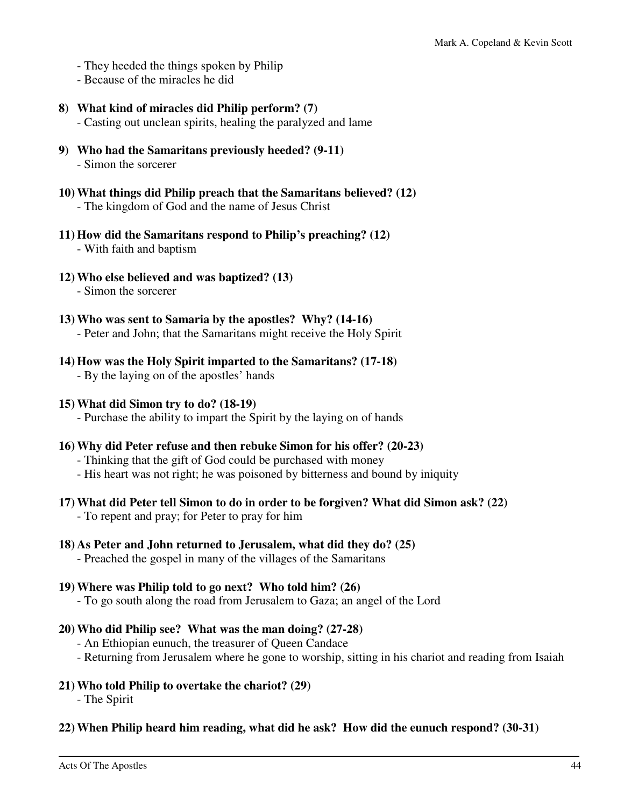- They heeded the things spoken by Philip
- Because of the miracles he did
- **8) What kind of miracles did Philip perform? (7)** 
	- Casting out unclean spirits, healing the paralyzed and lame
- **9) Who had the Samaritans previously heeded? (9-11)**  - Simon the sorcerer
- **10) What things did Philip preach that the Samaritans believed? (12)**  - The kingdom of God and the name of Jesus Christ
- **11) How did the Samaritans respond to Philip's preaching? (12)** 
	- With faith and baptism
- **12) Who else believed and was baptized? (13)** 
	- Simon the sorcerer
- **13) Who was sent to Samaria by the apostles? Why? (14-16)**  - Peter and John; that the Samaritans might receive the Holy Spirit
- **14) How was the Holy Spirit imparted to the Samaritans? (17-18)**  - By the laying on of the apostles' hands
- **15) What did Simon try to do? (18-19)** 
	- Purchase the ability to impart the Spirit by the laying on of hands
- **16) Why did Peter refuse and then rebuke Simon for his offer? (20-23)** 
	- Thinking that the gift of God could be purchased with money
	- His heart was not right; he was poisoned by bitterness and bound by iniquity
- **17) What did Peter tell Simon to do in order to be forgiven? What did Simon ask? (22)** 
	- To repent and pray; for Peter to pray for him
- **18) As Peter and John returned to Jerusalem, what did they do? (25)** 
	- Preached the gospel in many of the villages of the Samaritans
- **19) Where was Philip told to go next? Who told him? (26)** 
	- To go south along the road from Jerusalem to Gaza; an angel of the Lord
- **20) Who did Philip see? What was the man doing? (27-28)** 
	- An Ethiopian eunuch, the treasurer of Queen Candace
	- Returning from Jerusalem where he gone to worship, sitting in his chariot and reading from Isaiah
- **21) Who told Philip to overtake the chariot? (29)** 
	- The Spirit
- **22) When Philip heard him reading, what did he ask? How did the eunuch respond? (30-31)**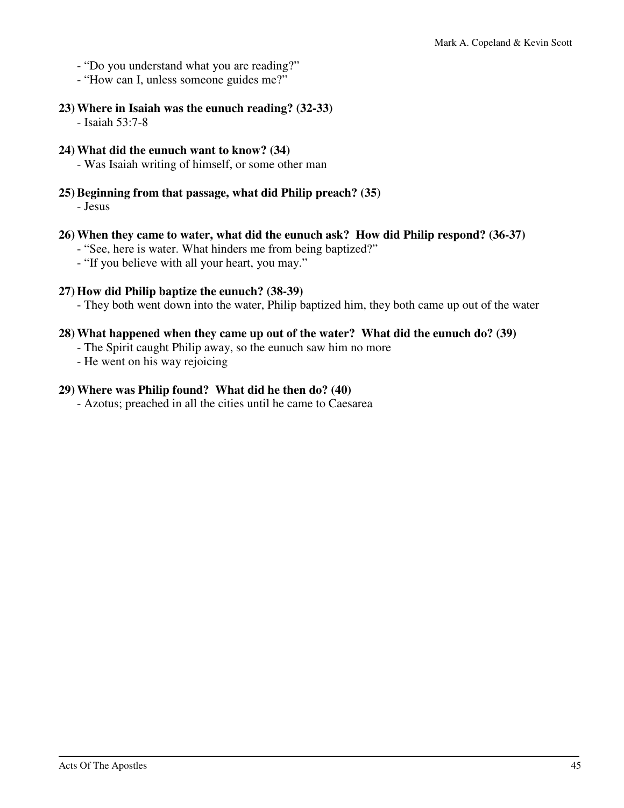- "Do you understand what you are reading?"
- "How can I, unless someone guides me?"
- **23) Where in Isaiah was the eunuch reading? (32-33)** 
	- Isaiah 53:7-8
- **24) What did the eunuch want to know? (34)** 
	- Was Isaiah writing of himself, or some other man
- **25) Beginning from that passage, what did Philip preach? (35)**  - Jesus
- **26) When they came to water, what did the eunuch ask? How did Philip respond? (36-37)** 
	- "See, here is water. What hinders me from being baptized?"
	- "If you believe with all your heart, you may."
- **27) How did Philip baptize the eunuch? (38-39)** 
	- They both went down into the water, Philip baptized him, they both came up out of the water

### **28) What happened when they came up out of the water? What did the eunuch do? (39)**

- The Spirit caught Philip away, so the eunuch saw him no more
- He went on his way rejoicing

### **29) Where was Philip found? What did he then do? (40)**

- Azotus; preached in all the cities until he came to Caesarea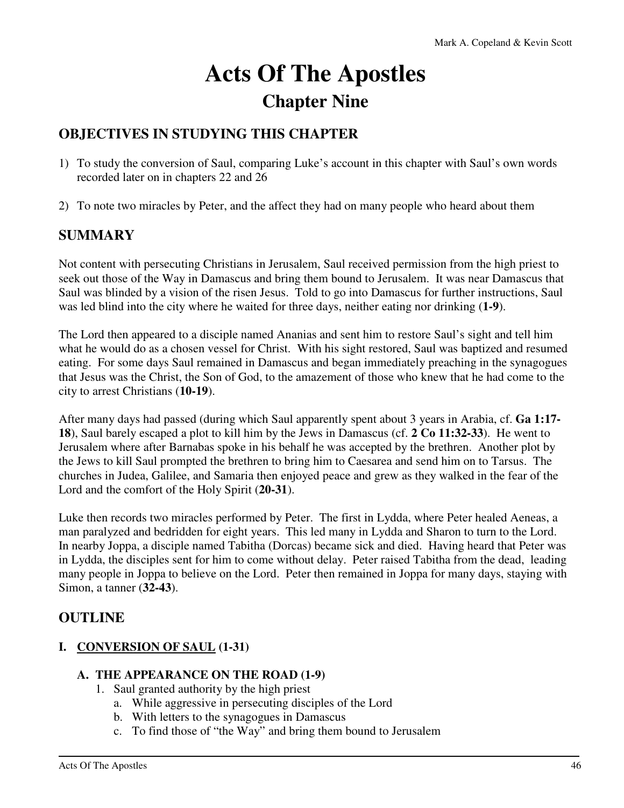# **Acts Of The Apostles Chapter Nine**

# **OBJECTIVES IN STUDYING THIS CHAPTER**

- 1) To study the conversion of Saul, comparing Luke's account in this chapter with Saul's own words recorded later on in chapters 22 and 26
- 2) To note two miracles by Peter, and the affect they had on many people who heard about them

## **SUMMARY**

Not content with persecuting Christians in Jerusalem, Saul received permission from the high priest to seek out those of the Way in Damascus and bring them bound to Jerusalem. It was near Damascus that Saul was blinded by a vision of the risen Jesus. Told to go into Damascus for further instructions, Saul was led blind into the city where he waited for three days, neither eating nor drinking (**1-9**).

The Lord then appeared to a disciple named Ananias and sent him to restore Saul's sight and tell him what he would do as a chosen vessel for Christ. With his sight restored, Saul was baptized and resumed eating. For some days Saul remained in Damascus and began immediately preaching in the synagogues that Jesus was the Christ, the Son of God, to the amazement of those who knew that he had come to the city to arrest Christians (**10-19**).

After many days had passed (during which Saul apparently spent about 3 years in Arabia, cf. **Ga 1:17- 18**), Saul barely escaped a plot to kill him by the Jews in Damascus (cf. **2 Co 11:32-33**). He went to Jerusalem where after Barnabas spoke in his behalf he was accepted by the brethren. Another plot by the Jews to kill Saul prompted the brethren to bring him to Caesarea and send him on to Tarsus. The churches in Judea, Galilee, and Samaria then enjoyed peace and grew as they walked in the fear of the Lord and the comfort of the Holy Spirit (**20-31**).

Luke then records two miracles performed by Peter. The first in Lydda, where Peter healed Aeneas, a man paralyzed and bedridden for eight years. This led many in Lydda and Sharon to turn to the Lord. In nearby Joppa, a disciple named Tabitha (Dorcas) became sick and died. Having heard that Peter was in Lydda, the disciples sent for him to come without delay. Peter raised Tabitha from the dead, leading many people in Joppa to believe on the Lord. Peter then remained in Joppa for many days, staying with Simon, a tanner (**32-43**).

### **OUTLINE**

### **I. CONVERSION OF SAUL (1-31)**

### **A. THE APPEARANCE ON THE ROAD (1-9)**

- 1. Saul granted authority by the high priest
	- a. While aggressive in persecuting disciples of the Lord
	- b. With letters to the synagogues in Damascus
	- c. To find those of "the Way" and bring them bound to Jerusalem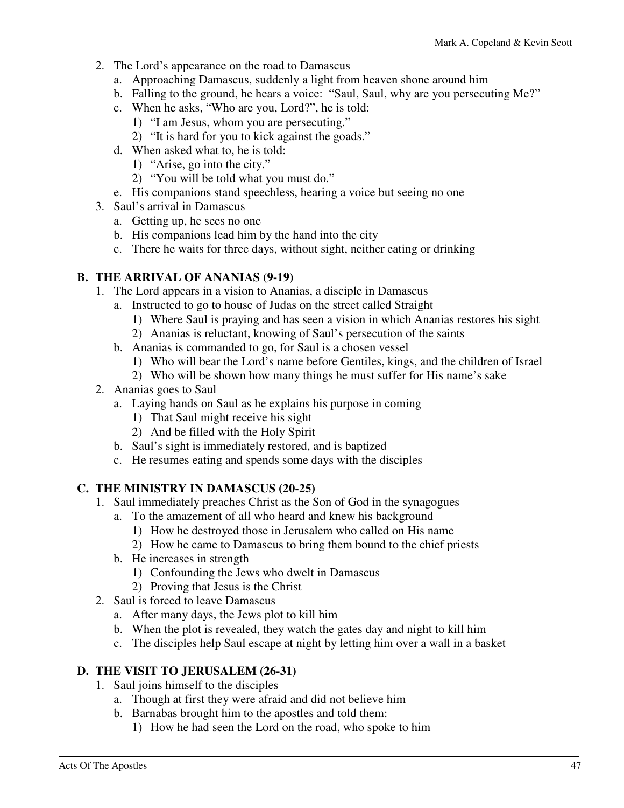- 2. The Lord's appearance on the road to Damascus
	- a. Approaching Damascus, suddenly a light from heaven shone around him
	- b. Falling to the ground, he hears a voice: "Saul, Saul, why are you persecuting Me?"
	- c. When he asks, "Who are you, Lord?", he is told:
		- 1) "I am Jesus, whom you are persecuting."
		- 2) "It is hard for you to kick against the goads."
	- d. When asked what to, he is told:
		- 1) "Arise, go into the city."
		- 2) "You will be told what you must do."
	- e. His companions stand speechless, hearing a voice but seeing no one
- 3. Saul's arrival in Damascus
	- a. Getting up, he sees no one
	- b. His companions lead him by the hand into the city
	- c. There he waits for three days, without sight, neither eating or drinking

### **B. THE ARRIVAL OF ANANIAS (9-19)**

- 1. The Lord appears in a vision to Ananias, a disciple in Damascus
	- a. Instructed to go to house of Judas on the street called Straight
		- 1) Where Saul is praying and has seen a vision in which Ananias restores his sight
		- 2) Ananias is reluctant, knowing of Saul's persecution of the saints
	- b. Ananias is commanded to go, for Saul is a chosen vessel
		- 1) Who will bear the Lord's name before Gentiles, kings, and the children of Israel
		- 2) Who will be shown how many things he must suffer for His name's sake
- 2. Ananias goes to Saul
	- a. Laying hands on Saul as he explains his purpose in coming
		- 1) That Saul might receive his sight
		- 2) And be filled with the Holy Spirit
	- b. Saul's sight is immediately restored, and is baptized
	- c. He resumes eating and spends some days with the disciples

### **C. THE MINISTRY IN DAMASCUS (20-25)**

- 1. Saul immediately preaches Christ as the Son of God in the synagogues
	- a. To the amazement of all who heard and knew his background
		- 1) How he destroyed those in Jerusalem who called on His name
		- 2) How he came to Damascus to bring them bound to the chief priests
	- b. He increases in strength
		- 1) Confounding the Jews who dwelt in Damascus
		- 2) Proving that Jesus is the Christ
- 2. Saul is forced to leave Damascus
	- a. After many days, the Jews plot to kill him
	- b. When the plot is revealed, they watch the gates day and night to kill him
	- c. The disciples help Saul escape at night by letting him over a wall in a basket

### **D. THE VISIT TO JERUSALEM (26-31)**

- 1. Saul joins himself to the disciples
	- a. Though at first they were afraid and did not believe him
	- b. Barnabas brought him to the apostles and told them:
		- 1) How he had seen the Lord on the road, who spoke to him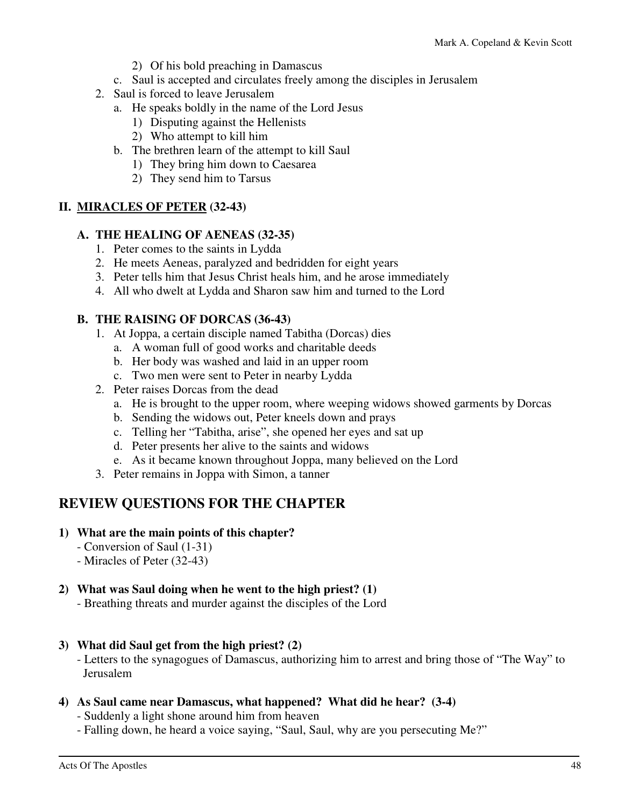- 2) Of his bold preaching in Damascus
- c. Saul is accepted and circulates freely among the disciples in Jerusalem
- 2. Saul is forced to leave Jerusalem
	- a. He speaks boldly in the name of the Lord Jesus
		- 1) Disputing against the Hellenists
		- 2) Who attempt to kill him
	- b. The brethren learn of the attempt to kill Saul
		- 1) They bring him down to Caesarea
		- 2) They send him to Tarsus

### **II. MIRACLES OF PETER (32-43)**

### **A. THE HEALING OF AENEAS (32-35)**

- 1. Peter comes to the saints in Lydda
- 2. He meets Aeneas, paralyzed and bedridden for eight years
- 3. Peter tells him that Jesus Christ heals him, and he arose immediately
- 4. All who dwelt at Lydda and Sharon saw him and turned to the Lord

### **B. THE RAISING OF DORCAS (36-43)**

- 1. At Joppa, a certain disciple named Tabitha (Dorcas) dies
	- a. A woman full of good works and charitable deeds
	- b. Her body was washed and laid in an upper room
	- c. Two men were sent to Peter in nearby Lydda
- 2. Peter raises Dorcas from the dead
	- a. He is brought to the upper room, where weeping widows showed garments by Dorcas
	- b. Sending the widows out, Peter kneels down and prays
	- c. Telling her "Tabitha, arise", she opened her eyes and sat up
	- d. Peter presents her alive to the saints and widows
	- e. As it became known throughout Joppa, many believed on the Lord
- 3. Peter remains in Joppa with Simon, a tanner

# **REVIEW QUESTIONS FOR THE CHAPTER**

### **1) What are the main points of this chapter?**

- Conversion of Saul (1-31)
- Miracles of Peter (32-43)

### **2) What was Saul doing when he went to the high priest? (1)**

- Breathing threats and murder against the disciples of the Lord

### **3) What did Saul get from the high priest? (2)**

 - Letters to the synagogues of Damascus, authorizing him to arrest and bring those of "The Way" to Jerusalem

### **4) As Saul came near Damascus, what happened? What did he hear? (3-4)**

- Suddenly a light shone around him from heaven

- Falling down, he heard a voice saying, "Saul, Saul, why are you persecuting Me?"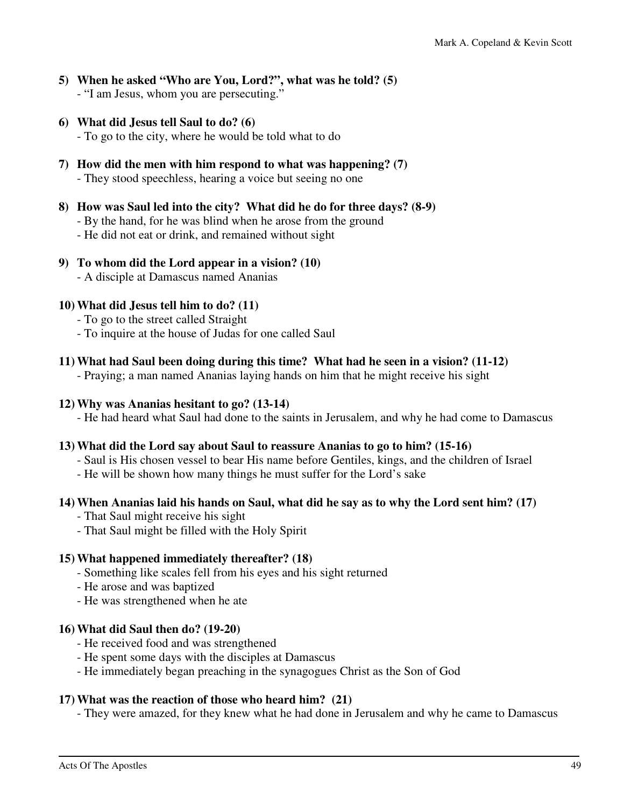- **5) When he asked "Who are You, Lord?", what was he told? (5)**  - "I am Jesus, whom you are persecuting."
- **6) What did Jesus tell Saul to do? (6)**

- To go to the city, where he would be told what to do

**7) How did the men with him respond to what was happening? (7)** 

- They stood speechless, hearing a voice but seeing no one

- **8) How was Saul led into the city? What did he do for three days? (8-9)** 
	- By the hand, for he was blind when he arose from the ground
	- He did not eat or drink, and remained without sight
- **9) To whom did the Lord appear in a vision? (10)** 
	- A disciple at Damascus named Ananias

### **10) What did Jesus tell him to do? (11)**

- To go to the street called Straight
- To inquire at the house of Judas for one called Saul
- **11) What had Saul been doing during this time? What had he seen in a vision? (11-12)**

- Praying; a man named Ananias laying hands on him that he might receive his sight

### **12) Why was Ananias hesitant to go? (13-14)**

- He had heard what Saul had done to the saints in Jerusalem, and why he had come to Damascus

### **13) What did the Lord say about Saul to reassure Ananias to go to him? (15-16)**

- Saul is His chosen vessel to bear His name before Gentiles, kings, and the children of Israel
- He will be shown how many things he must suffer for the Lord's sake

### **14) When Ananias laid his hands on Saul, what did he say as to why the Lord sent him? (17)**

- That Saul might receive his sight
- That Saul might be filled with the Holy Spirit

### **15) What happened immediately thereafter? (18)**

- Something like scales fell from his eyes and his sight returned
- He arose and was baptized
- He was strengthened when he ate

### **16) What did Saul then do? (19-20)**

- He received food and was strengthened
- He spent some days with the disciples at Damascus
- He immediately began preaching in the synagogues Christ as the Son of God

### **17) What was the reaction of those who heard him? (21)**

- They were amazed, for they knew what he had done in Jerusalem and why he came to Damascus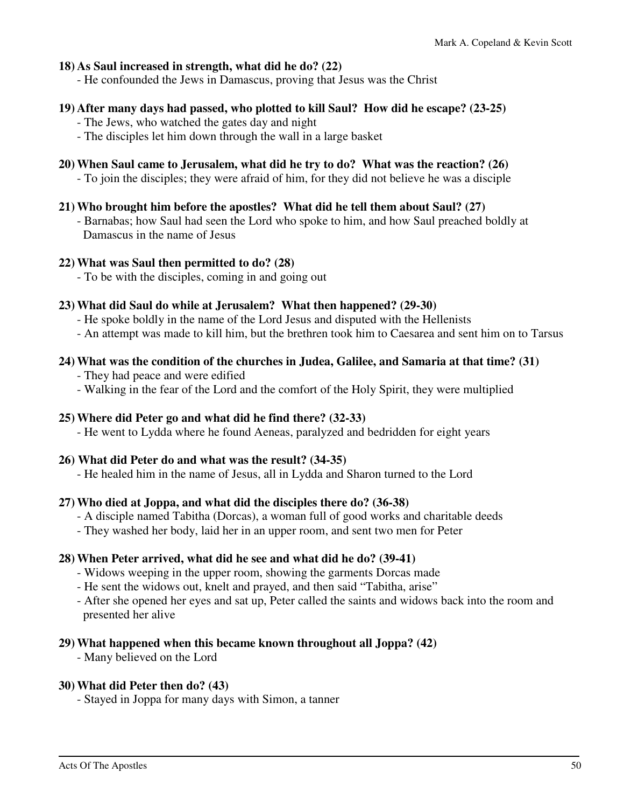### **18) As Saul increased in strength, what did he do? (22)**

- He confounded the Jews in Damascus, proving that Jesus was the Christ

#### **19) After many days had passed, who plotted to kill Saul? How did he escape? (23-25)**

- The Jews, who watched the gates day and night
- The disciples let him down through the wall in a large basket

### **20) When Saul came to Jerusalem, what did he try to do? What was the reaction? (26)**

- To join the disciples; they were afraid of him, for they did not believe he was a disciple

#### **21) Who brought him before the apostles? What did he tell them about Saul? (27)**

 - Barnabas; how Saul had seen the Lord who spoke to him, and how Saul preached boldly at Damascus in the name of Jesus

#### **22) What was Saul then permitted to do? (28)**

- To be with the disciples, coming in and going out

### **23) What did Saul do while at Jerusalem? What then happened? (29-30)**

- He spoke boldly in the name of the Lord Jesus and disputed with the Hellenists
- An attempt was made to kill him, but the brethren took him to Caesarea and sent him on to Tarsus

### **24) What was the condition of the churches in Judea, Galilee, and Samaria at that time? (31)**

- They had peace and were edified
- Walking in the fear of the Lord and the comfort of the Holy Spirit, they were multiplied

### **25) Where did Peter go and what did he find there? (32-33)**

- He went to Lydda where he found Aeneas, paralyzed and bedridden for eight years

### **26) What did Peter do and what was the result? (34-35)**

- He healed him in the name of Jesus, all in Lydda and Sharon turned to the Lord

### **27) Who died at Joppa, and what did the disciples there do? (36-38)**

- A disciple named Tabitha (Dorcas), a woman full of good works and charitable deeds
- They washed her body, laid her in an upper room, and sent two men for Peter

### **28) When Peter arrived, what did he see and what did he do? (39-41)**

- Widows weeping in the upper room, showing the garments Dorcas made
- He sent the widows out, knelt and prayed, and then said "Tabitha, arise"
- After she opened her eyes and sat up, Peter called the saints and widows back into the room and presented her alive

### **29) What happened when this became known throughout all Joppa? (42)**

- Many believed on the Lord

### **30) What did Peter then do? (43)**

- Stayed in Joppa for many days with Simon, a tanner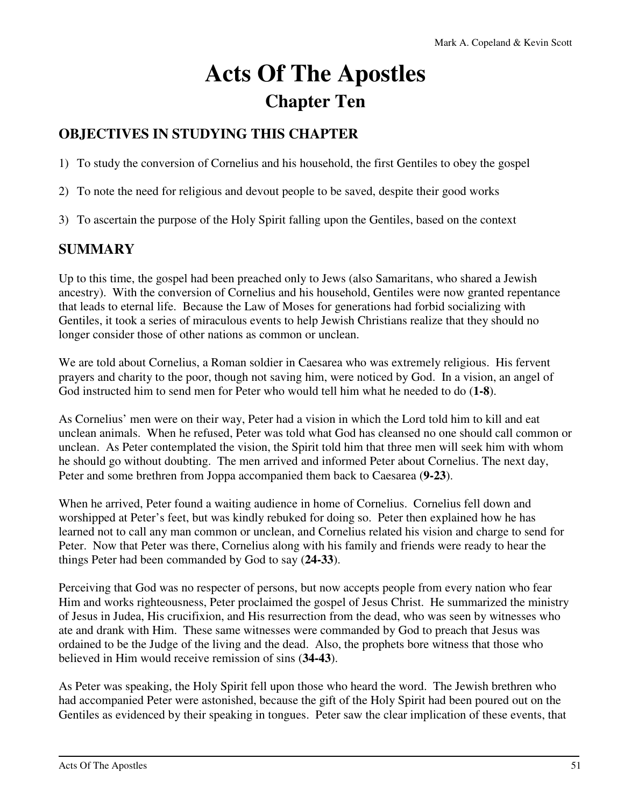# **Acts Of The Apostles Chapter Ten**

# **OBJECTIVES IN STUDYING THIS CHAPTER**

1) To study the conversion of Cornelius and his household, the first Gentiles to obey the gospel

- 2) To note the need for religious and devout people to be saved, despite their good works
- 3) To ascertain the purpose of the Holy Spirit falling upon the Gentiles, based on the context

## **SUMMARY**

Up to this time, the gospel had been preached only to Jews (also Samaritans, who shared a Jewish ancestry). With the conversion of Cornelius and his household, Gentiles were now granted repentance that leads to eternal life. Because the Law of Moses for generations had forbid socializing with Gentiles, it took a series of miraculous events to help Jewish Christians realize that they should no longer consider those of other nations as common or unclean.

We are told about Cornelius, a Roman soldier in Caesarea who was extremely religious. His fervent prayers and charity to the poor, though not saving him, were noticed by God. In a vision, an angel of God instructed him to send men for Peter who would tell him what he needed to do (**1-8**).

As Cornelius' men were on their way, Peter had a vision in which the Lord told him to kill and eat unclean animals. When he refused, Peter was told what God has cleansed no one should call common or unclean. As Peter contemplated the vision, the Spirit told him that three men will seek him with whom he should go without doubting. The men arrived and informed Peter about Cornelius. The next day, Peter and some brethren from Joppa accompanied them back to Caesarea (**9-23**).

When he arrived, Peter found a waiting audience in home of Cornelius. Cornelius fell down and worshipped at Peter's feet, but was kindly rebuked for doing so. Peter then explained how he has learned not to call any man common or unclean, and Cornelius related his vision and charge to send for Peter. Now that Peter was there, Cornelius along with his family and friends were ready to hear the things Peter had been commanded by God to say (**24-33**).

Perceiving that God was no respecter of persons, but now accepts people from every nation who fear Him and works righteousness, Peter proclaimed the gospel of Jesus Christ. He summarized the ministry of Jesus in Judea, His crucifixion, and His resurrection from the dead, who was seen by witnesses who ate and drank with Him. These same witnesses were commanded by God to preach that Jesus was ordained to be the Judge of the living and the dead. Also, the prophets bore witness that those who believed in Him would receive remission of sins (**34-43**).

As Peter was speaking, the Holy Spirit fell upon those who heard the word. The Jewish brethren who had accompanied Peter were astonished, because the gift of the Holy Spirit had been poured out on the Gentiles as evidenced by their speaking in tongues. Peter saw the clear implication of these events, that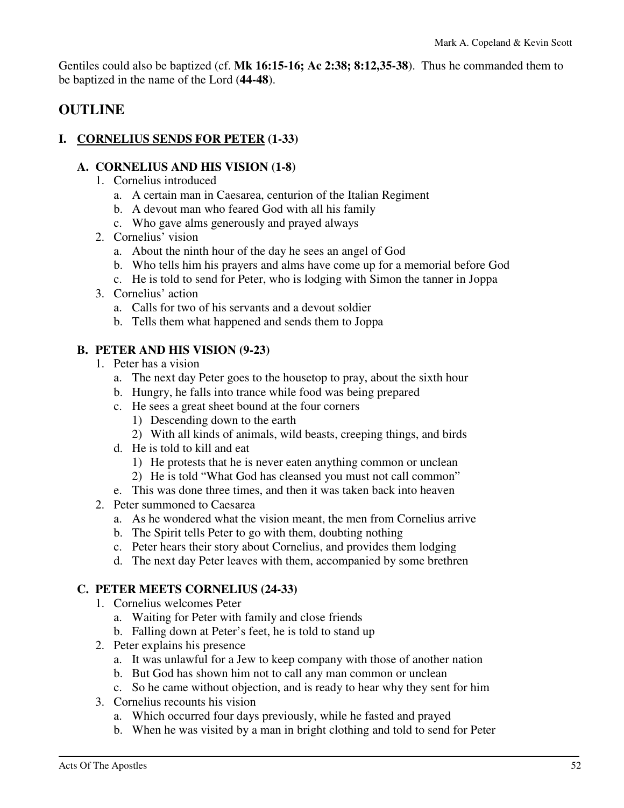Gentiles could also be baptized (cf. **Mk 16:15-16; Ac 2:38; 8:12,35-38**). Thus he commanded them to be baptized in the name of the Lord (**44-48**).

### **OUTLINE**

### **I. CORNELIUS SENDS FOR PETER (1-33)**

### **A. CORNELIUS AND HIS VISION (1-8)**

- 1. Cornelius introduced
	- a. A certain man in Caesarea, centurion of the Italian Regiment
	- b. A devout man who feared God with all his family
	- c. Who gave alms generously and prayed always
- 2. Cornelius' vision
	- a. About the ninth hour of the day he sees an angel of God
	- b. Who tells him his prayers and alms have come up for a memorial before God
	- c. He is told to send for Peter, who is lodging with Simon the tanner in Joppa
- 3. Cornelius' action
	- a. Calls for two of his servants and a devout soldier
	- b. Tells them what happened and sends them to Joppa

### **B. PETER AND HIS VISION (9-23)**

- 1. Peter has a vision
	- a. The next day Peter goes to the housetop to pray, about the sixth hour
	- b. Hungry, he falls into trance while food was being prepared
	- c. He sees a great sheet bound at the four corners
		- 1) Descending down to the earth
		- 2) With all kinds of animals, wild beasts, creeping things, and birds
	- d. He is told to kill and eat
		- 1) He protests that he is never eaten anything common or unclean
		- 2) He is told "What God has cleansed you must not call common"
	- e. This was done three times, and then it was taken back into heaven
- 2. Peter summoned to Caesarea
	- a. As he wondered what the vision meant, the men from Cornelius arrive
	- b. The Spirit tells Peter to go with them, doubting nothing
	- c. Peter hears their story about Cornelius, and provides them lodging
	- d. The next day Peter leaves with them, accompanied by some brethren

### **C. PETER MEETS CORNELIUS (24-33)**

- 1. Cornelius welcomes Peter
	- a. Waiting for Peter with family and close friends
	- b. Falling down at Peter's feet, he is told to stand up
- 2. Peter explains his presence
	- a. It was unlawful for a Jew to keep company with those of another nation
	- b. But God has shown him not to call any man common or unclean
	- c. So he came without objection, and is ready to hear why they sent for him
- 3. Cornelius recounts his vision
	- a. Which occurred four days previously, while he fasted and prayed
	- b. When he was visited by a man in bright clothing and told to send for Peter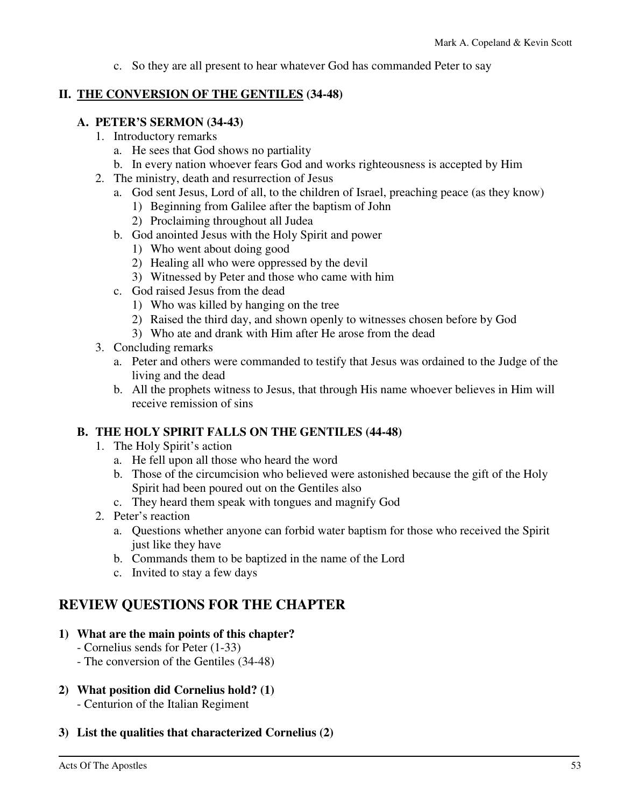c. So they are all present to hear whatever God has commanded Peter to say

### **II. THE CONVERSION OF THE GENTILES (34-48)**

### **A. PETER'S SERMON (34-43)**

- 1. Introductory remarks
	- a. He sees that God shows no partiality
	- b. In every nation whoever fears God and works righteousness is accepted by Him
- 2. The ministry, death and resurrection of Jesus
	- a. God sent Jesus, Lord of all, to the children of Israel, preaching peace (as they know)
		- 1) Beginning from Galilee after the baptism of John
		- 2) Proclaiming throughout all Judea
	- b. God anointed Jesus with the Holy Spirit and power
		- 1) Who went about doing good
		- 2) Healing all who were oppressed by the devil
		- 3) Witnessed by Peter and those who came with him
	- c. God raised Jesus from the dead
		- 1) Who was killed by hanging on the tree
		- 2) Raised the third day, and shown openly to witnesses chosen before by God
		- 3) Who ate and drank with Him after He arose from the dead
- 3. Concluding remarks
	- a. Peter and others were commanded to testify that Jesus was ordained to the Judge of the living and the dead
	- b. All the prophets witness to Jesus, that through His name whoever believes in Him will receive remission of sins

### **B. THE HOLY SPIRIT FALLS ON THE GENTILES (44-48)**

- 1. The Holy Spirit's action
	- a. He fell upon all those who heard the word
	- b. Those of the circumcision who believed were astonished because the gift of the Holy Spirit had been poured out on the Gentiles also
	- c. They heard them speak with tongues and magnify God
- 2. Peter's reaction
	- a. Questions whether anyone can forbid water baptism for those who received the Spirit just like they have
	- b. Commands them to be baptized in the name of the Lord
	- c. Invited to stay a few days

### **REVIEW QUESTIONS FOR THE CHAPTER**

#### **1) What are the main points of this chapter?**

- Cornelius sends for Peter (1-33)
- The conversion of the Gentiles (34-48)
- **2) What position did Cornelius hold? (1)** 
	- Centurion of the Italian Regiment
- **3) List the qualities that characterized Cornelius (2)**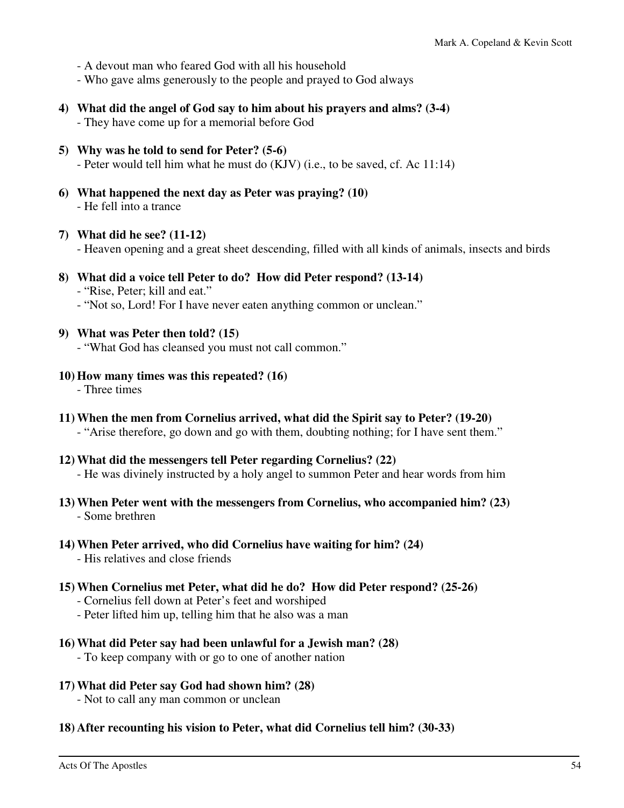- A devout man who feared God with all his household
- Who gave alms generously to the people and prayed to God always
- **4) What did the angel of God say to him about his prayers and alms? (3-4)**  - They have come up for a memorial before God
- **5) Why was he told to send for Peter? (5-6)**  - Peter would tell him what he must do (KJV) (i.e., to be saved, cf. Ac 11:14)
- **6) What happened the next day as Peter was praying? (10)**  - He fell into a trance
- **7) What did he see? (11-12)** 
	- Heaven opening and a great sheet descending, filled with all kinds of animals, insects and birds
- **8) What did a voice tell Peter to do? How did Peter respond? (13-14)**  - "Rise, Peter; kill and eat."
	- "Not so, Lord! For I have never eaten anything common or unclean."
- **9) What was Peter then told? (15)** 
	- "What God has cleansed you must not call common."
- **10) How many times was this repeated? (16)** 
	- Three times
- **11) When the men from Cornelius arrived, what did the Spirit say to Peter? (19-20)**  - "Arise therefore, go down and go with them, doubting nothing; for I have sent them."
- **12) What did the messengers tell Peter regarding Cornelius? (22)**  - He was divinely instructed by a holy angel to summon Peter and hear words from him
- **13) When Peter went with the messengers from Cornelius, who accompanied him? (23)**  - Some brethren
- **14) When Peter arrived, who did Cornelius have waiting for him? (24)** 
	- His relatives and close friends
- **15) When Cornelius met Peter, what did he do? How did Peter respond? (25-26)** 
	- Cornelius fell down at Peter's feet and worshiped
	- Peter lifted him up, telling him that he also was a man
- **16) What did Peter say had been unlawful for a Jewish man? (28)** 
	- To keep company with or go to one of another nation
- **17) What did Peter say God had shown him? (28)**

- Not to call any man common or unclean

**18) After recounting his vision to Peter, what did Cornelius tell him? (30-33)**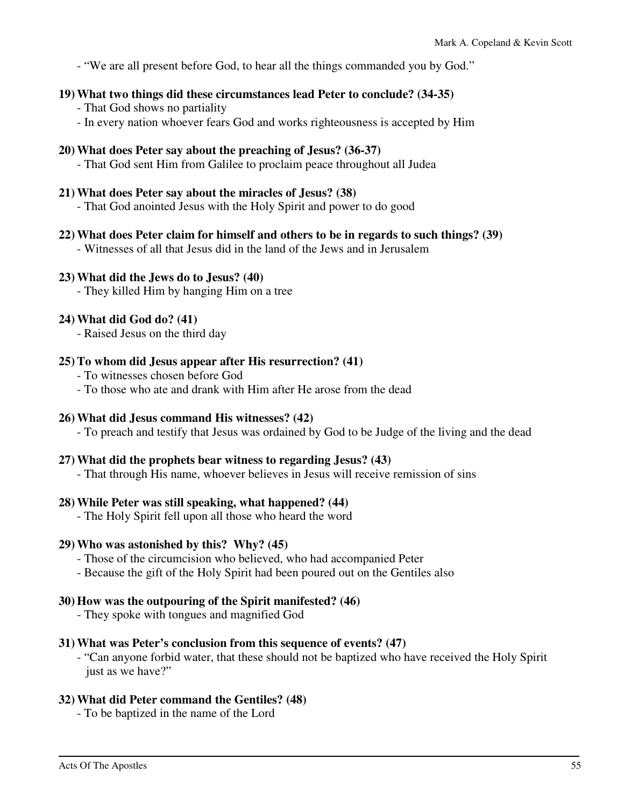- "We are all present before God, to hear all the things commanded you by God."

### **19) What two things did these circumstances lead Peter to conclude? (34-35)**

- That God shows no partiality
- In every nation whoever fears God and works righteousness is accepted by Him

### **20) What does Peter say about the preaching of Jesus? (36-37)**

- That God sent Him from Galilee to proclaim peace throughout all Judea

### **21) What does Peter say about the miracles of Jesus? (38)**

- That God anointed Jesus with the Holy Spirit and power to do good

**22) What does Peter claim for himself and others to be in regards to such things? (39)** 

- Witnesses of all that Jesus did in the land of the Jews and in Jerusalem

### **23) What did the Jews do to Jesus? (40)**

- They killed Him by hanging Him on a tree

### **24) What did God do? (41)**

- Raised Jesus on the third day

### **25) To whom did Jesus appear after His resurrection? (41)**

- To witnesses chosen before God
- To those who ate and drank with Him after He arose from the dead

### **26) What did Jesus command His witnesses? (42)**

- To preach and testify that Jesus was ordained by God to be Judge of the living and the dead

#### **27) What did the prophets bear witness to regarding Jesus? (43)**

- That through His name, whoever believes in Jesus will receive remission of sins

#### **28) While Peter was still speaking, what happened? (44)**

- The Holy Spirit fell upon all those who heard the word

#### **29) Who was astonished by this? Why? (45)**

- Those of the circumcision who believed, who had accompanied Peter
- Because the gift of the Holy Spirit had been poured out on the Gentiles also

### **30) How was the outpouring of the Spirit manifested? (46)**

- They spoke with tongues and magnified God

#### **31) What was Peter's conclusion from this sequence of events? (47)**

 - "Can anyone forbid water, that these should not be baptized who have received the Holy Spirit just as we have?"

### **32) What did Peter command the Gentiles? (48)**

- To be baptized in the name of the Lord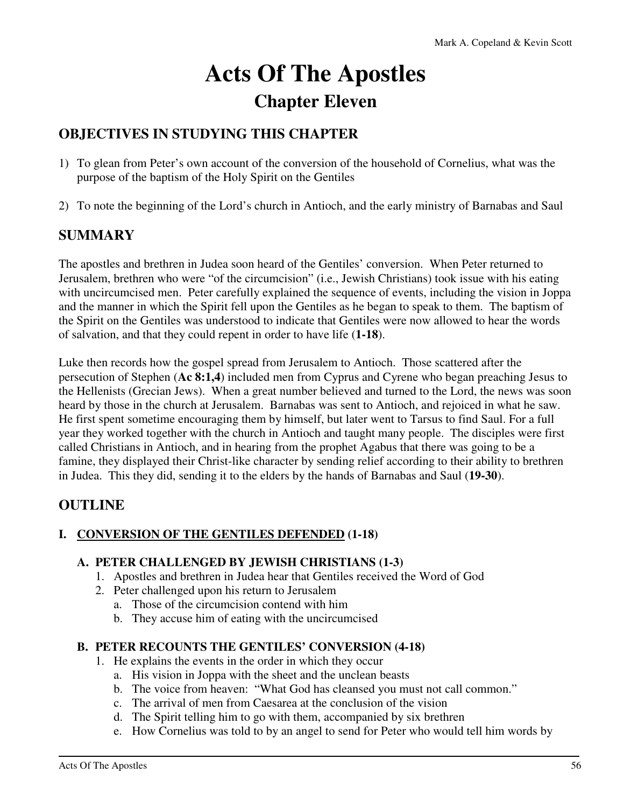# **Acts Of The Apostles Chapter Eleven**

# **OBJECTIVES IN STUDYING THIS CHAPTER**

- 1) To glean from Peter's own account of the conversion of the household of Cornelius, what was the purpose of the baptism of the Holy Spirit on the Gentiles
- 2) To note the beginning of the Lord's church in Antioch, and the early ministry of Barnabas and Saul

## **SUMMARY**

The apostles and brethren in Judea soon heard of the Gentiles' conversion. When Peter returned to Jerusalem, brethren who were "of the circumcision" (i.e., Jewish Christians) took issue with his eating with uncircumcised men. Peter carefully explained the sequence of events, including the vision in Joppa and the manner in which the Spirit fell upon the Gentiles as he began to speak to them. The baptism of the Spirit on the Gentiles was understood to indicate that Gentiles were now allowed to hear the words of salvation, and that they could repent in order to have life (**1-18**).

Luke then records how the gospel spread from Jerusalem to Antioch. Those scattered after the persecution of Stephen (**Ac 8:1,4**) included men from Cyprus and Cyrene who began preaching Jesus to the Hellenists (Grecian Jews). When a great number believed and turned to the Lord, the news was soon heard by those in the church at Jerusalem. Barnabas was sent to Antioch, and rejoiced in what he saw. He first spent sometime encouraging them by himself, but later went to Tarsus to find Saul. For a full year they worked together with the church in Antioch and taught many people. The disciples were first called Christians in Antioch, and in hearing from the prophet Agabus that there was going to be a famine, they displayed their Christ-like character by sending relief according to their ability to brethren in Judea. This they did, sending it to the elders by the hands of Barnabas and Saul (**19-30**).

### **OUTLINE**

### **I. CONVERSION OF THE GENTILES DEFENDED (1-18)**

### **A. PETER CHALLENGED BY JEWISH CHRISTIANS (1-3)**

- 1. Apostles and brethren in Judea hear that Gentiles received the Word of God
- 2. Peter challenged upon his return to Jerusalem
	- a. Those of the circumcision contend with him
	- b. They accuse him of eating with the uncircumcised

### **B. PETER RECOUNTS THE GENTILES' CONVERSION (4-18)**

- 1. He explains the events in the order in which they occur
	- a. His vision in Joppa with the sheet and the unclean beasts
	- b. The voice from heaven: "What God has cleansed you must not call common."
	- c. The arrival of men from Caesarea at the conclusion of the vision
	- d. The Spirit telling him to go with them, accompanied by six brethren
	- e. How Cornelius was told to by an angel to send for Peter who would tell him words by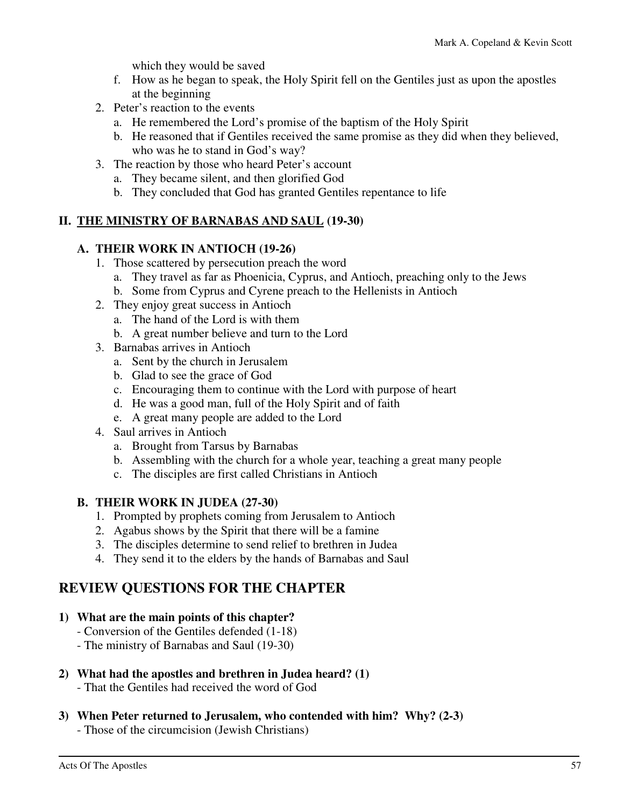which they would be saved

- f. How as he began to speak, the Holy Spirit fell on the Gentiles just as upon the apostles at the beginning
- 2. Peter's reaction to the events
	- a. He remembered the Lord's promise of the baptism of the Holy Spirit
	- b. He reasoned that if Gentiles received the same promise as they did when they believed, who was he to stand in God's way?
- 3. The reaction by those who heard Peter's account
	- a. They became silent, and then glorified God
	- b. They concluded that God has granted Gentiles repentance to life

### **II. THE MINISTRY OF BARNABAS AND SAUL (19-30)**

### **A. THEIR WORK IN ANTIOCH (19-26)**

- 1. Those scattered by persecution preach the word
	- a. They travel as far as Phoenicia, Cyprus, and Antioch, preaching only to the Jews
	- b. Some from Cyprus and Cyrene preach to the Hellenists in Antioch
- 2. They enjoy great success in Antioch
	- a. The hand of the Lord is with them
	- b. A great number believe and turn to the Lord
- 3. Barnabas arrives in Antioch
	- a. Sent by the church in Jerusalem
	- b. Glad to see the grace of God
	- c. Encouraging them to continue with the Lord with purpose of heart
	- d. He was a good man, full of the Holy Spirit and of faith
	- e. A great many people are added to the Lord
- 4. Saul arrives in Antioch
	- a. Brought from Tarsus by Barnabas
	- b. Assembling with the church for a whole year, teaching a great many people
	- c. The disciples are first called Christians in Antioch

### **B. THEIR WORK IN JUDEA (27-30)**

- 1. Prompted by prophets coming from Jerusalem to Antioch
- 2. Agabus shows by the Spirit that there will be a famine
- 3. The disciples determine to send relief to brethren in Judea
- 4. They send it to the elders by the hands of Barnabas and Saul

# **REVIEW QUESTIONS FOR THE CHAPTER**

### **1) What are the main points of this chapter?**

- Conversion of the Gentiles defended (1-18)
- The ministry of Barnabas and Saul (19-30)

### **2) What had the apostles and brethren in Judea heard? (1)**

- That the Gentiles had received the word of God

### **3) When Peter returned to Jerusalem, who contended with him? Why? (2-3)**

- Those of the circumcision (Jewish Christians)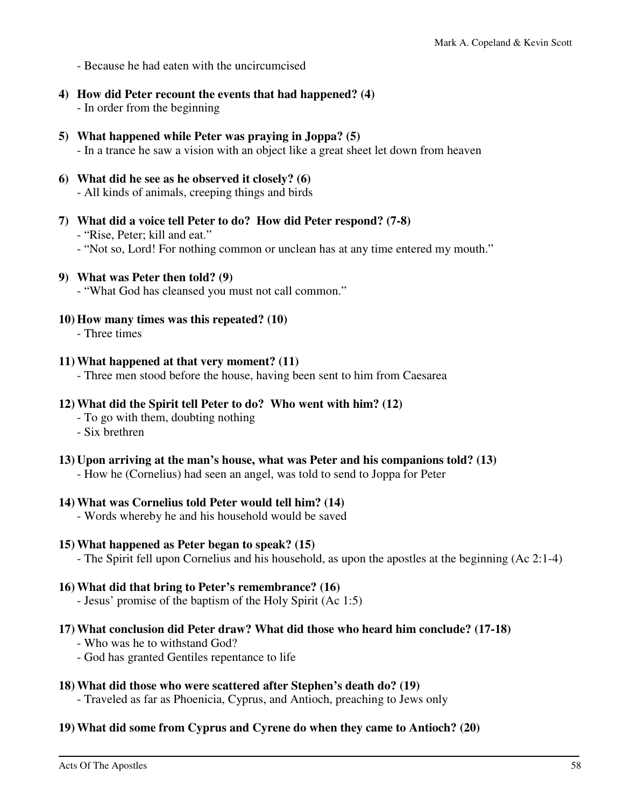- Because he had eaten with the uncircumcised

- **4) How did Peter recount the events that had happened? (4)**  - In order from the beginning
- **5) What happened while Peter was praying in Joppa? (5)**  - In a trance he saw a vision with an object like a great sheet let down from heaven
- **6) What did he see as he observed it closely? (6)**  - All kinds of animals, creeping things and birds
- **7) What did a voice tell Peter to do? How did Peter respond? (7-8)**  - "Rise, Peter; kill and eat."
	- "Not so, Lord! For nothing common or unclean has at any time entered my mouth."
- **9) What was Peter then told? (9)**

- "What God has cleansed you must not call common."

- **10) How many times was this repeated? (10)** 
	- Three times

#### **11) What happened at that very moment? (11)**

- Three men stood before the house, having been sent to him from Caesarea

#### **12) What did the Spirit tell Peter to do? Who went with him? (12)**

- To go with them, doubting nothing
- Six brethren

#### **13) Upon arriving at the man's house, what was Peter and his companions told? (13)**

- How he (Cornelius) had seen an angel, was told to send to Joppa for Peter

#### **14) What was Cornelius told Peter would tell him? (14)**

- Words whereby he and his household would be saved

#### **15) What happened as Peter began to speak? (15)**

- The Spirit fell upon Cornelius and his household, as upon the apostles at the beginning (Ac 2:1-4)

#### **16) What did that bring to Peter's remembrance? (16)**

- Jesus' promise of the baptism of the Holy Spirit (Ac 1:5)

#### **17) What conclusion did Peter draw? What did those who heard him conclude? (17-18)**

- Who was he to withstand God?
- God has granted Gentiles repentance to life

#### **18) What did those who were scattered after Stephen's death do? (19)**

- Traveled as far as Phoenicia, Cyprus, and Antioch, preaching to Jews only

#### **19) What did some from Cyprus and Cyrene do when they came to Antioch? (20)**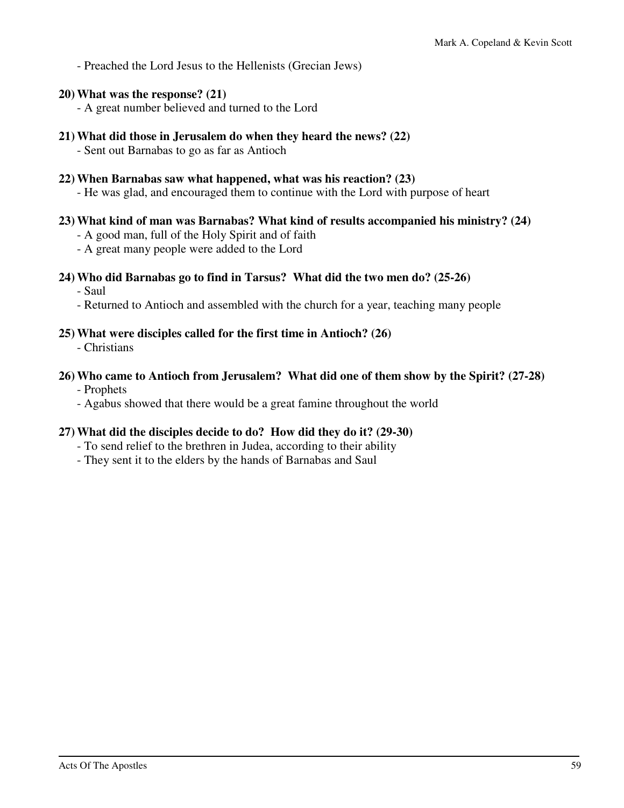- Preached the Lord Jesus to the Hellenists (Grecian Jews)

**20) What was the response? (21)** 

- A great number believed and turned to the Lord

**21) What did those in Jerusalem do when they heard the news? (22)** 

- Sent out Barnabas to go as far as Antioch

- **22) When Barnabas saw what happened, what was his reaction? (23)** 
	- He was glad, and encouraged them to continue with the Lord with purpose of heart

### **23) What kind of man was Barnabas? What kind of results accompanied his ministry? (24)**

- A good man, full of the Holy Spirit and of faith
- A great many people were added to the Lord

### **24) Who did Barnabas go to find in Tarsus? What did the two men do? (25-26)**

- Saul

- Returned to Antioch and assembled with the church for a year, teaching many people

### **25) What were disciples called for the first time in Antioch? (26)**

- Christians

#### **26) Who came to Antioch from Jerusalem? What did one of them show by the Spirit? (27-28)**  - Prophets

- Agabus showed that there would be a great famine throughout the world

### **27) What did the disciples decide to do? How did they do it? (29-30)**

- To send relief to the brethren in Judea, according to their ability
- They sent it to the elders by the hands of Barnabas and Saul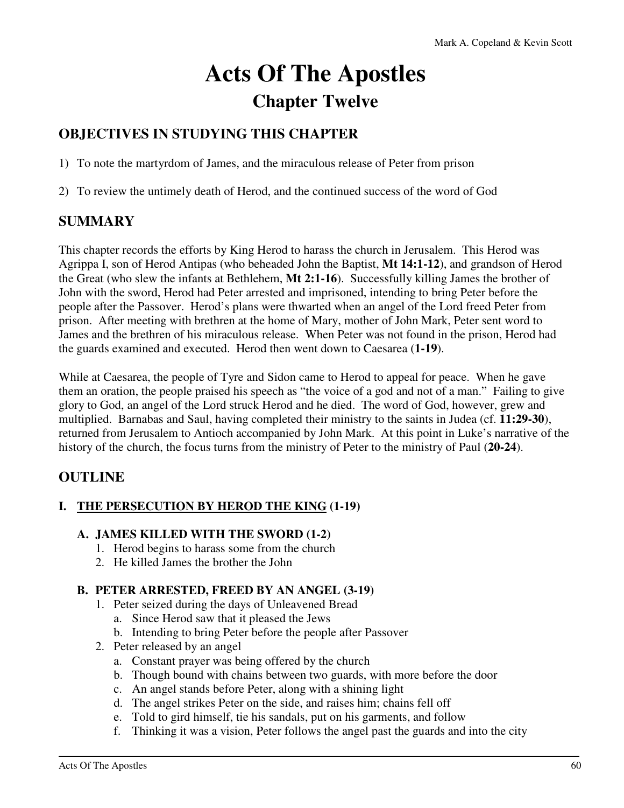# **Acts Of The Apostles Chapter Twelve**

## **OBJECTIVES IN STUDYING THIS CHAPTER**

1) To note the martyrdom of James, and the miraculous release of Peter from prison

2) To review the untimely death of Herod, and the continued success of the word of God

### **SUMMARY**

This chapter records the efforts by King Herod to harass the church in Jerusalem. This Herod was Agrippa I, son of Herod Antipas (who beheaded John the Baptist, **Mt 14:1-12**), and grandson of Herod the Great (who slew the infants at Bethlehem, **Mt 2:1-16**). Successfully killing James the brother of John with the sword, Herod had Peter arrested and imprisoned, intending to bring Peter before the people after the Passover. Herod's plans were thwarted when an angel of the Lord freed Peter from prison. After meeting with brethren at the home of Mary, mother of John Mark, Peter sent word to James and the brethren of his miraculous release. When Peter was not found in the prison, Herod had the guards examined and executed. Herod then went down to Caesarea (**1-19**).

While at Caesarea, the people of Tyre and Sidon came to Herod to appeal for peace. When he gave them an oration, the people praised his speech as "the voice of a god and not of a man." Failing to give glory to God, an angel of the Lord struck Herod and he died. The word of God, however, grew and multiplied. Barnabas and Saul, having completed their ministry to the saints in Judea (cf. **11:29-30**), returned from Jerusalem to Antioch accompanied by John Mark. At this point in Luke's narrative of the history of the church, the focus turns from the ministry of Peter to the ministry of Paul (**20-24**).

### **OUTLINE**

### **I. THE PERSECUTION BY HEROD THE KING (1-19)**

### **A. JAMES KILLED WITH THE SWORD (1-2)**

- 1. Herod begins to harass some from the church
- 2. He killed James the brother the John

### **B. PETER ARRESTED, FREED BY AN ANGEL (3-19)**

- 1. Peter seized during the days of Unleavened Bread
	- a. Since Herod saw that it pleased the Jews
	- b. Intending to bring Peter before the people after Passover
- 2. Peter released by an angel
	- a. Constant prayer was being offered by the church
	- b. Though bound with chains between two guards, with more before the door
	- c. An angel stands before Peter, along with a shining light
	- d. The angel strikes Peter on the side, and raises him; chains fell off
	- e. Told to gird himself, tie his sandals, put on his garments, and follow
	- f. Thinking it was a vision, Peter follows the angel past the guards and into the city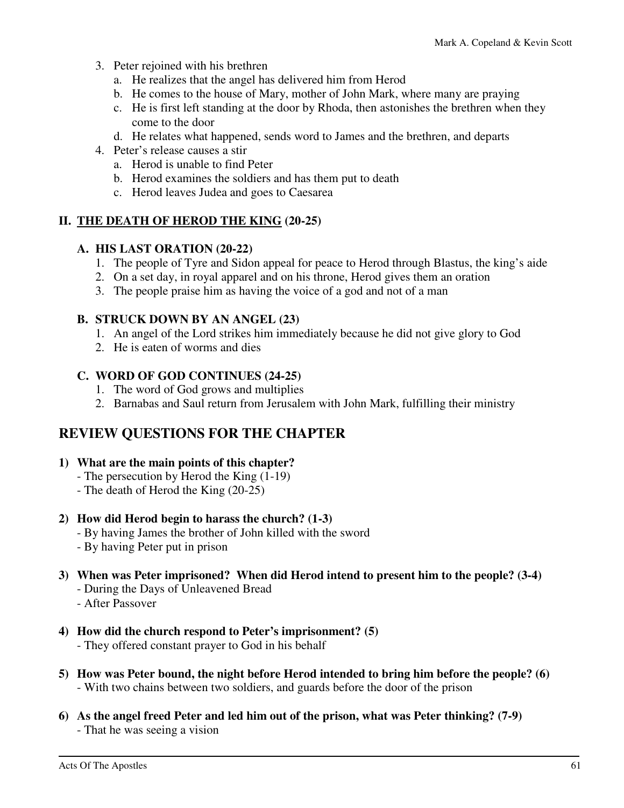- 3. Peter rejoined with his brethren
	- a. He realizes that the angel has delivered him from Herod
	- b. He comes to the house of Mary, mother of John Mark, where many are praying
	- c. He is first left standing at the door by Rhoda, then astonishes the brethren when they come to the door
	- d. He relates what happened, sends word to James and the brethren, and departs
- 4. Peter's release causes a stir
	- a. Herod is unable to find Peter
	- b. Herod examines the soldiers and has them put to death
	- c. Herod leaves Judea and goes to Caesarea

### **II. THE DEATH OF HEROD THE KING (20-25)**

### **A. HIS LAST ORATION (20-22)**

- 1. The people of Tyre and Sidon appeal for peace to Herod through Blastus, the king's aide
- 2. On a set day, in royal apparel and on his throne, Herod gives them an oration
- 3. The people praise him as having the voice of a god and not of a man

### **B. STRUCK DOWN BY AN ANGEL (23)**

- 1. An angel of the Lord strikes him immediately because he did not give glory to God
- 2. He is eaten of worms and dies

### **C. WORD OF GOD CONTINUES (24-25)**

- 1. The word of God grows and multiplies
- 2. Barnabas and Saul return from Jerusalem with John Mark, fulfilling their ministry

### **REVIEW QUESTIONS FOR THE CHAPTER**

### **1) What are the main points of this chapter?**

- The persecution by Herod the King (1-19)
- The death of Herod the King (20-25)

### **2) How did Herod begin to harass the church? (1-3)**

- By having James the brother of John killed with the sword
- By having Peter put in prison
- **3) When was Peter imprisoned? When did Herod intend to present him to the people? (3-4)** 
	- During the Days of Unleavened Bread
	- After Passover
- **4) How did the church respond to Peter's imprisonment? (5)** 
	- They offered constant prayer to God in his behalf
- **5) How was Peter bound, the night before Herod intended to bring him before the people? (6)**  - With two chains between two soldiers, and guards before the door of the prison
- **6) As the angel freed Peter and led him out of the prison, what was Peter thinking? (7-9)**  - That he was seeing a vision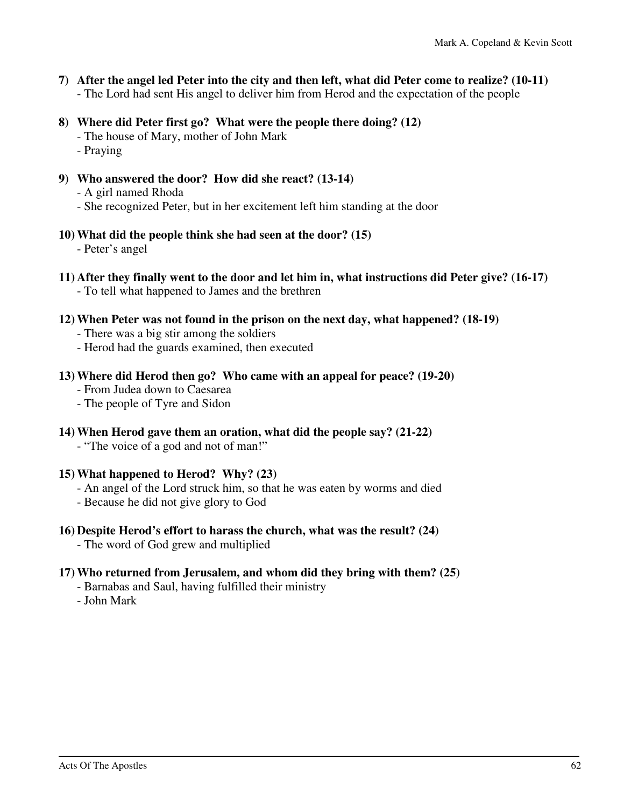- **7) After the angel led Peter into the city and then left, what did Peter come to realize? (10-11)**  - The Lord had sent His angel to deliver him from Herod and the expectation of the people
- **8) Where did Peter first go? What were the people there doing? (12)** 
	- The house of Mary, mother of John Mark
	- Praying
- **9) Who answered the door? How did she react? (13-14)** 
	- A girl named Rhoda
	- She recognized Peter, but in her excitement left him standing at the door
- **10) What did the people think she had seen at the door? (15)**

- Peter's angel

- **11) After they finally went to the door and let him in, what instructions did Peter give? (16-17)**  - To tell what happened to James and the brethren
- **12) When Peter was not found in the prison on the next day, what happened? (18-19)** 
	- There was a big stir among the soldiers
	- Herod had the guards examined, then executed

### **13) Where did Herod then go? Who came with an appeal for peace? (19-20)**

- From Judea down to Caesarea
- The people of Tyre and Sidon
- **14) When Herod gave them an oration, what did the people say? (21-22)** 
	- "The voice of a god and not of man!"

### **15) What happened to Herod? Why? (23)**

- An angel of the Lord struck him, so that he was eaten by worms and died
- Because he did not give glory to God
- **16) Despite Herod's effort to harass the church, what was the result? (24)** 
	- The word of God grew and multiplied

### **17) Who returned from Jerusalem, and whom did they bring with them? (25)**

- Barnabas and Saul, having fulfilled their ministry
- John Mark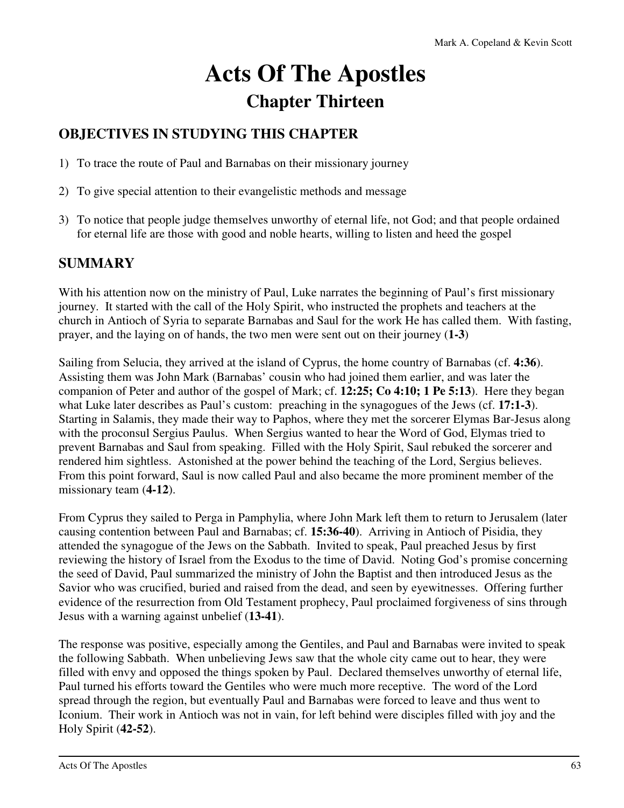# **Acts Of The Apostles Chapter Thirteen**

# **OBJECTIVES IN STUDYING THIS CHAPTER**

- 1) To trace the route of Paul and Barnabas on their missionary journey
- 2) To give special attention to their evangelistic methods and message
- 3) To notice that people judge themselves unworthy of eternal life, not God; and that people ordained for eternal life are those with good and noble hearts, willing to listen and heed the gospel

# **SUMMARY**

With his attention now on the ministry of Paul, Luke narrates the beginning of Paul's first missionary journey. It started with the call of the Holy Spirit, who instructed the prophets and teachers at the church in Antioch of Syria to separate Barnabas and Saul for the work He has called them. With fasting, prayer, and the laying on of hands, the two men were sent out on their journey (**1-3**)

Sailing from Selucia, they arrived at the island of Cyprus, the home country of Barnabas (cf. **4:36**). Assisting them was John Mark (Barnabas' cousin who had joined them earlier, and was later the companion of Peter and author of the gospel of Mark; cf. **12:25; Co 4:10; 1 Pe 5:13**). Here they began what Luke later describes as Paul's custom: preaching in the synagogues of the Jews (cf. **17:1-3**). Starting in Salamis, they made their way to Paphos, where they met the sorcerer Elymas Bar-Jesus along with the proconsul Sergius Paulus. When Sergius wanted to hear the Word of God, Elymas tried to prevent Barnabas and Saul from speaking. Filled with the Holy Spirit, Saul rebuked the sorcerer and rendered him sightless. Astonished at the power behind the teaching of the Lord, Sergius believes. From this point forward, Saul is now called Paul and also became the more prominent member of the missionary team (**4-12**).

From Cyprus they sailed to Perga in Pamphylia, where John Mark left them to return to Jerusalem (later causing contention between Paul and Barnabas; cf. **15:36-40**). Arriving in Antioch of Pisidia, they attended the synagogue of the Jews on the Sabbath. Invited to speak, Paul preached Jesus by first reviewing the history of Israel from the Exodus to the time of David. Noting God's promise concerning the seed of David, Paul summarized the ministry of John the Baptist and then introduced Jesus as the Savior who was crucified, buried and raised from the dead, and seen by eyewitnesses. Offering further evidence of the resurrection from Old Testament prophecy, Paul proclaimed forgiveness of sins through Jesus with a warning against unbelief (**13-41**).

The response was positive, especially among the Gentiles, and Paul and Barnabas were invited to speak the following Sabbath. When unbelieving Jews saw that the whole city came out to hear, they were filled with envy and opposed the things spoken by Paul. Declared themselves unworthy of eternal life, Paul turned his efforts toward the Gentiles who were much more receptive. The word of the Lord spread through the region, but eventually Paul and Barnabas were forced to leave and thus went to Iconium. Their work in Antioch was not in vain, for left behind were disciples filled with joy and the Holy Spirit (**42-52**).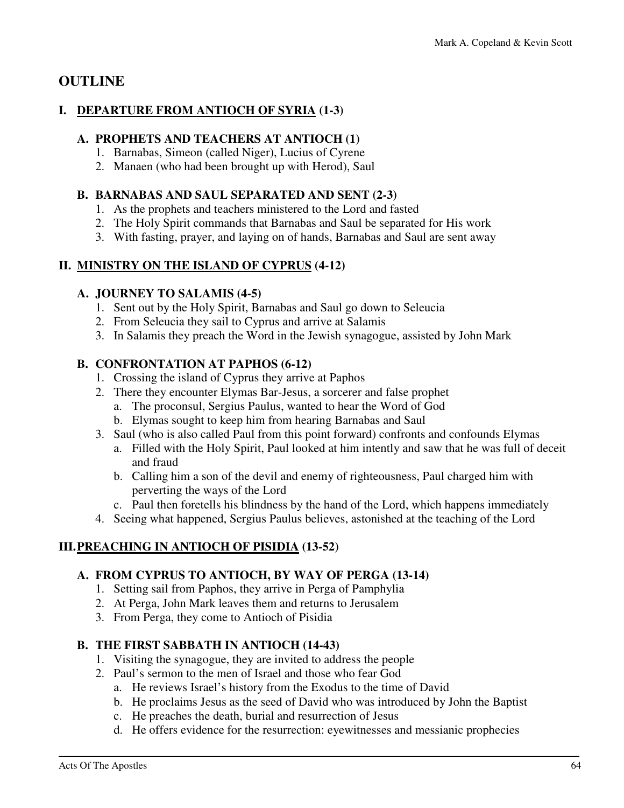### **OUTLINE**

### **I. DEPARTURE FROM ANTIOCH OF SYRIA (1-3)**

### **A. PROPHETS AND TEACHERS AT ANTIOCH (1)**

- 1. Barnabas, Simeon (called Niger), Lucius of Cyrene
- 2. Manaen (who had been brought up with Herod), Saul

### **B. BARNABAS AND SAUL SEPARATED AND SENT (2-3)**

- 1. As the prophets and teachers ministered to the Lord and fasted
- 2. The Holy Spirit commands that Barnabas and Saul be separated for His work
- 3. With fasting, prayer, and laying on of hands, Barnabas and Saul are sent away

### **II. MINISTRY ON THE ISLAND OF CYPRUS (4-12)**

### **A. JOURNEY TO SALAMIS (4-5)**

- 1. Sent out by the Holy Spirit, Barnabas and Saul go down to Seleucia
- 2. From Seleucia they sail to Cyprus and arrive at Salamis
- 3. In Salamis they preach the Word in the Jewish synagogue, assisted by John Mark

### **B. CONFRONTATION AT PAPHOS (6-12)**

- 1. Crossing the island of Cyprus they arrive at Paphos
- 2. There they encounter Elymas Bar-Jesus, a sorcerer and false prophet
	- a. The proconsul, Sergius Paulus, wanted to hear the Word of God
	- b. Elymas sought to keep him from hearing Barnabas and Saul
- 3. Saul (who is also called Paul from this point forward) confronts and confounds Elymas
	- a. Filled with the Holy Spirit, Paul looked at him intently and saw that he was full of deceit and fraud
	- b. Calling him a son of the devil and enemy of righteousness, Paul charged him with perverting the ways of the Lord
	- c. Paul then foretells his blindness by the hand of the Lord, which happens immediately
- 4. Seeing what happened, Sergius Paulus believes, astonished at the teaching of the Lord

### **III. PREACHING IN ANTIOCH OF PISIDIA (13-52)**

### **A. FROM CYPRUS TO ANTIOCH, BY WAY OF PERGA (13-14)**

- 1. Setting sail from Paphos, they arrive in Perga of Pamphylia
- 2. At Perga, John Mark leaves them and returns to Jerusalem
- 3. From Perga, they come to Antioch of Pisidia

### **B. THE FIRST SABBATH IN ANTIOCH (14-43)**

- 1. Visiting the synagogue, they are invited to address the people
- 2. Paul's sermon to the men of Israel and those who fear God
	- a. He reviews Israel's history from the Exodus to the time of David
	- b. He proclaims Jesus as the seed of David who was introduced by John the Baptist
	- c. He preaches the death, burial and resurrection of Jesus
	- d. He offers evidence for the resurrection: eyewitnesses and messianic prophecies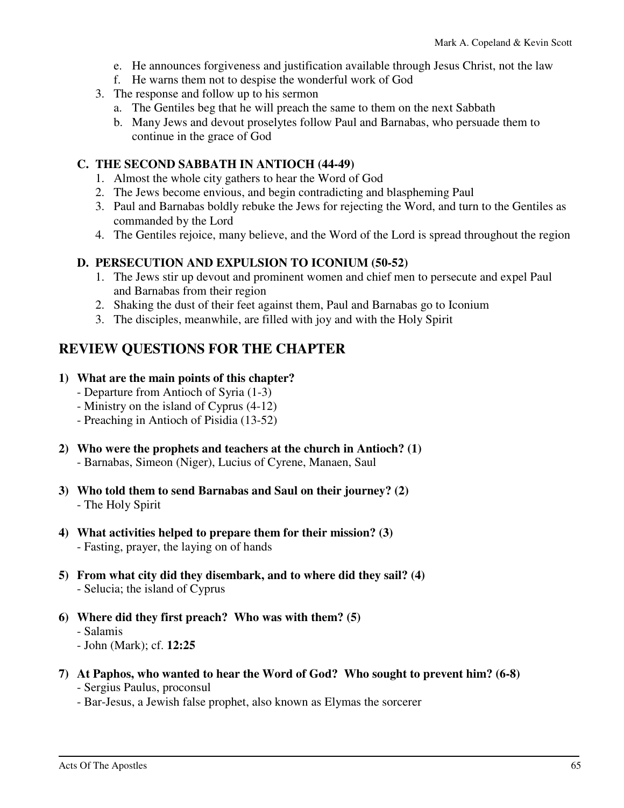- e. He announces forgiveness and justification available through Jesus Christ, not the law
- f. He warns them not to despise the wonderful work of God
- 3. The response and follow up to his sermon
	- a. The Gentiles beg that he will preach the same to them on the next Sabbath
	- b. Many Jews and devout proselytes follow Paul and Barnabas, who persuade them to continue in the grace of God

### **C. THE SECOND SABBATH IN ANTIOCH (44-49)**

- 1. Almost the whole city gathers to hear the Word of God
- 2. The Jews become envious, and begin contradicting and blaspheming Paul
- 3. Paul and Barnabas boldly rebuke the Jews for rejecting the Word, and turn to the Gentiles as commanded by the Lord
- 4. The Gentiles rejoice, many believe, and the Word of the Lord is spread throughout the region

### **D. PERSECUTION AND EXPULSION TO ICONIUM (50-52)**

- 1. The Jews stir up devout and prominent women and chief men to persecute and expel Paul and Barnabas from their region
- 2. Shaking the dust of their feet against them, Paul and Barnabas go to Iconium
- 3. The disciples, meanwhile, are filled with joy and with the Holy Spirit

### **REVIEW QUESTIONS FOR THE CHAPTER**

### **1) What are the main points of this chapter?**

- Departure from Antioch of Syria (1-3)
- Ministry on the island of Cyprus (4-12)
- Preaching in Antioch of Pisidia (13-52)
- **2) Who were the prophets and teachers at the church in Antioch? (1)** 
	- Barnabas, Simeon (Niger), Lucius of Cyrene, Manaen, Saul
- **3) Who told them to send Barnabas and Saul on their journey? (2)**  - The Holy Spirit
- **4) What activities helped to prepare them for their mission? (3)**  - Fasting, prayer, the laying on of hands
- **5) From what city did they disembark, and to where did they sail? (4)**  - Selucia; the island of Cyprus
- **6) Where did they first preach? Who was with them? (5)** 
	- Salamis
	- John (Mark); cf. **12:25**
- **7) At Paphos, who wanted to hear the Word of God? Who sought to prevent him? (6-8)**
	- Sergius Paulus, proconsul
	- Bar-Jesus, a Jewish false prophet, also known as Elymas the sorcerer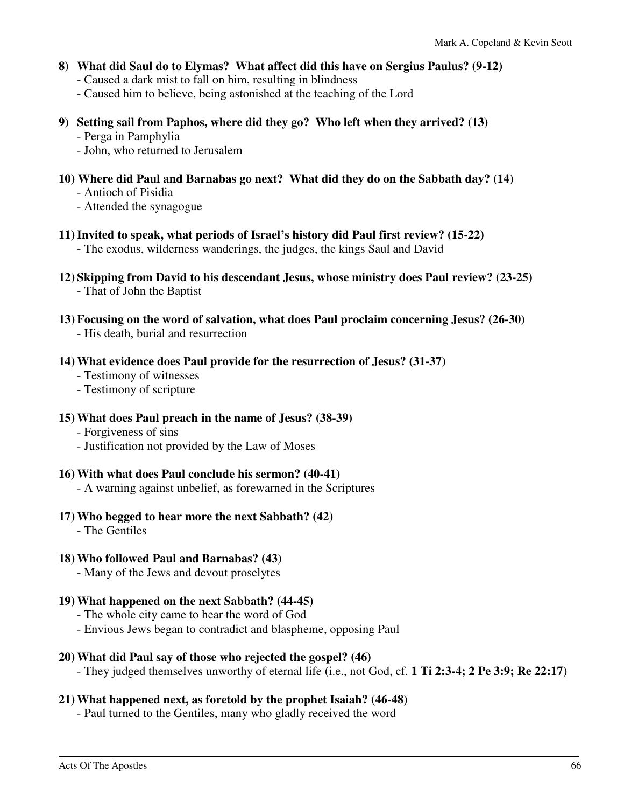- **8) What did Saul do to Elymas? What affect did this have on Sergius Paulus? (9-12)** 
	- Caused a dark mist to fall on him, resulting in blindness
	- Caused him to believe, being astonished at the teaching of the Lord
- **9) Setting sail from Paphos, where did they go? Who left when they arrived? (13)** 
	- Perga in Pamphylia
	- John, who returned to Jerusalem
- **10) Where did Paul and Barnabas go next? What did they do on the Sabbath day? (14)** 
	- Antioch of Pisidia
	- Attended the synagogue
- **11) Invited to speak, what periods of Israel's history did Paul first review? (15-22)** 
	- The exodus, wilderness wanderings, the judges, the kings Saul and David
- **12) Skipping from David to his descendant Jesus, whose ministry does Paul review? (23-25)**  - That of John the Baptist
- **13) Focusing on the word of salvation, what does Paul proclaim concerning Jesus? (26-30)**  - His death, burial and resurrection
- **14) What evidence does Paul provide for the resurrection of Jesus? (31-37)** 
	- Testimony of witnesses
	- Testimony of scripture
- **15) What does Paul preach in the name of Jesus? (38-39)** 
	- Forgiveness of sins
	- Justification not provided by the Law of Moses
- **16) With what does Paul conclude his sermon? (40-41)** 
	- A warning against unbelief, as forewarned in the Scriptures
- **17) Who begged to hear more the next Sabbath? (42)** 
	- The Gentiles

### **18) Who followed Paul and Barnabas? (43)**

- Many of the Jews and devout proselytes

### **19) What happened on the next Sabbath? (44-45)**

- The whole city came to hear the word of God
- Envious Jews began to contradict and blaspheme, opposing Paul

### **20) What did Paul say of those who rejected the gospel? (46)**

- They judged themselves unworthy of eternal life (i.e., not God, cf. **1 Ti 2:3-4; 2 Pe 3:9; Re 22:17**)

### **21) What happened next, as foretold by the prophet Isaiah? (46-48)**

- Paul turned to the Gentiles, many who gladly received the word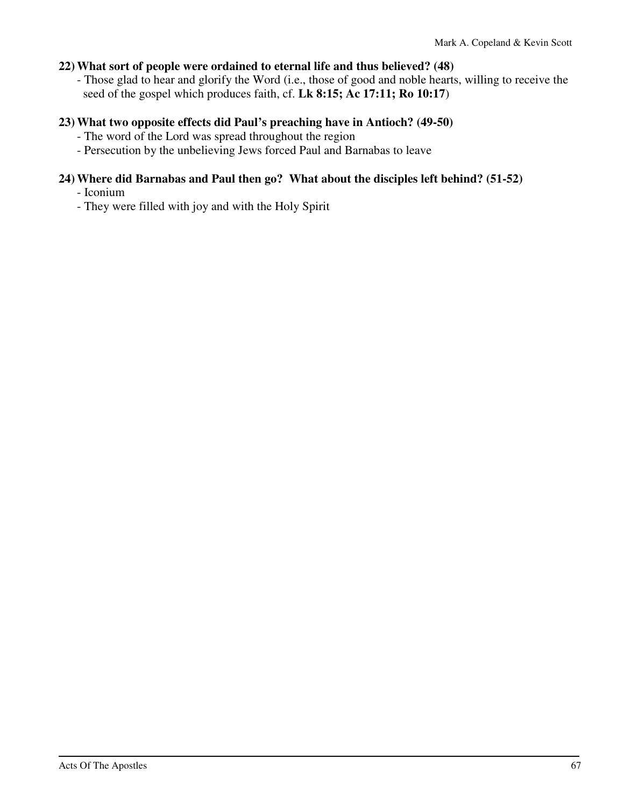### **22) What sort of people were ordained to eternal life and thus believed? (48)**

 - Those glad to hear and glorify the Word (i.e., those of good and noble hearts, willing to receive the seed of the gospel which produces faith, cf. **Lk 8:15; Ac 17:11; Ro 10:17**)

### **23) What two opposite effects did Paul's preaching have in Antioch? (49-50)**

- The word of the Lord was spread throughout the region
- Persecution by the unbelieving Jews forced Paul and Barnabas to leave

### **24) Where did Barnabas and Paul then go? What about the disciples left behind? (51-52)**

- Iconium

- They were filled with joy and with the Holy Spirit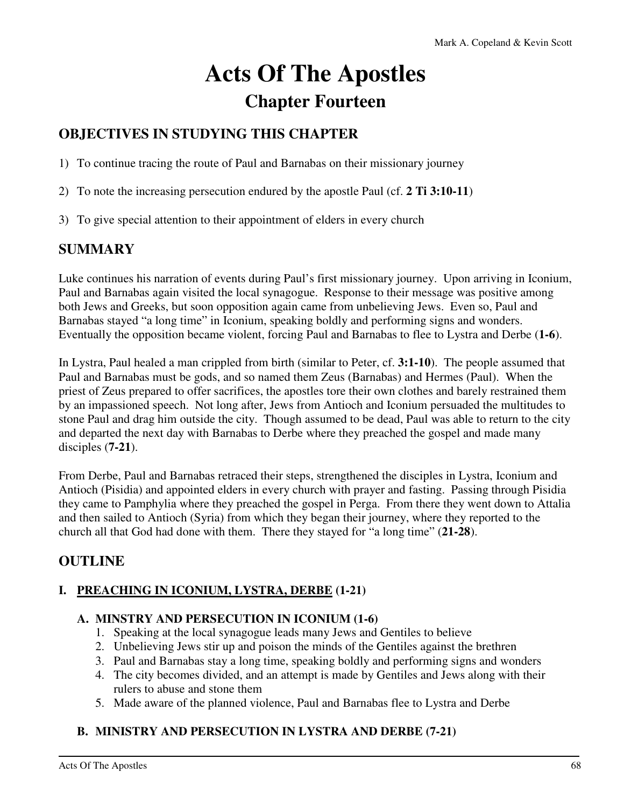# **Acts Of The Apostles Chapter Fourteen**

# **OBJECTIVES IN STUDYING THIS CHAPTER**

1) To continue tracing the route of Paul and Barnabas on their missionary journey

- 2) To note the increasing persecution endured by the apostle Paul (cf. **2 Ti 3:10-11**)
- 3) To give special attention to their appointment of elders in every church

### **SUMMARY**

Luke continues his narration of events during Paul's first missionary journey. Upon arriving in Iconium, Paul and Barnabas again visited the local synagogue. Response to their message was positive among both Jews and Greeks, but soon opposition again came from unbelieving Jews. Even so, Paul and Barnabas stayed "a long time" in Iconium, speaking boldly and performing signs and wonders. Eventually the opposition became violent, forcing Paul and Barnabas to flee to Lystra and Derbe (**1-6**).

In Lystra, Paul healed a man crippled from birth (similar to Peter, cf. **3:1-10**). The people assumed that Paul and Barnabas must be gods, and so named them Zeus (Barnabas) and Hermes (Paul). When the priest of Zeus prepared to offer sacrifices, the apostles tore their own clothes and barely restrained them by an impassioned speech. Not long after, Jews from Antioch and Iconium persuaded the multitudes to stone Paul and drag him outside the city. Though assumed to be dead, Paul was able to return to the city and departed the next day with Barnabas to Derbe where they preached the gospel and made many disciples (**7-21**).

From Derbe, Paul and Barnabas retraced their steps, strengthened the disciples in Lystra, Iconium and Antioch (Pisidia) and appointed elders in every church with prayer and fasting. Passing through Pisidia they came to Pamphylia where they preached the gospel in Perga. From there they went down to Attalia and then sailed to Antioch (Syria) from which they began their journey, where they reported to the church all that God had done with them. There they stayed for "a long time" (**21-28**).

### **OUTLINE**

### **I. PREACHING IN ICONIUM, LYSTRA, DERBE (1-21)**

### **A. MINSTRY AND PERSECUTION IN ICONIUM (1-6)**

- 1. Speaking at the local synagogue leads many Jews and Gentiles to believe
- 2. Unbelieving Jews stir up and poison the minds of the Gentiles against the brethren
- 3. Paul and Barnabas stay a long time, speaking boldly and performing signs and wonders
- 4. The city becomes divided, and an attempt is made by Gentiles and Jews along with their rulers to abuse and stone them
- 5. Made aware of the planned violence, Paul and Barnabas flee to Lystra and Derbe

### **B. MINISTRY AND PERSECUTION IN LYSTRA AND DERBE (7-21)**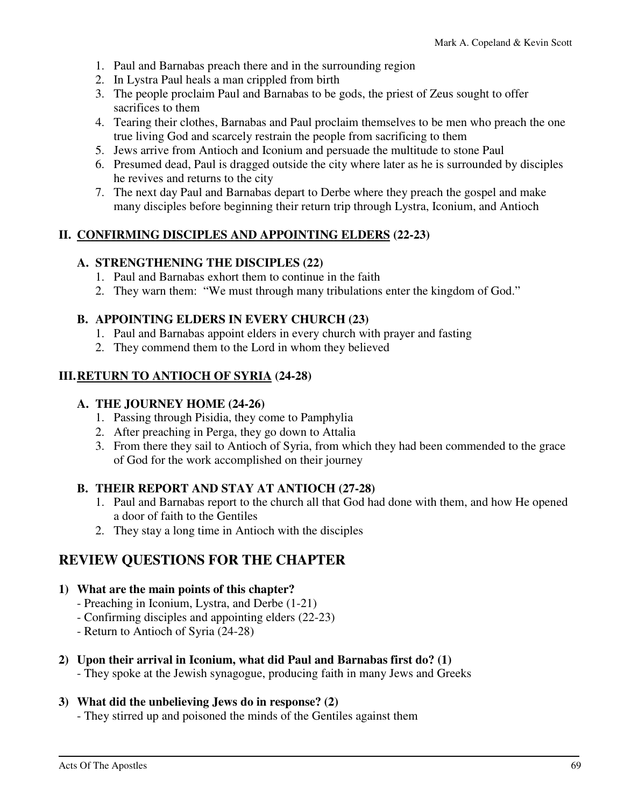- 1. Paul and Barnabas preach there and in the surrounding region
- 2. In Lystra Paul heals a man crippled from birth
- 3. The people proclaim Paul and Barnabas to be gods, the priest of Zeus sought to offer sacrifices to them
- 4. Tearing their clothes, Barnabas and Paul proclaim themselves to be men who preach the one true living God and scarcely restrain the people from sacrificing to them
- 5. Jews arrive from Antioch and Iconium and persuade the multitude to stone Paul
- 6. Presumed dead, Paul is dragged outside the city where later as he is surrounded by disciples he revives and returns to the city
- 7. The next day Paul and Barnabas depart to Derbe where they preach the gospel and make many disciples before beginning their return trip through Lystra, Iconium, and Antioch

### **II. CONFIRMING DISCIPLES AND APPOINTING ELDERS (22-23)**

### **A. STRENGTHENING THE DISCIPLES (22)**

- 1. Paul and Barnabas exhort them to continue in the faith
- 2. They warn them: "We must through many tribulations enter the kingdom of God."

### **B. APPOINTING ELDERS IN EVERY CHURCH (23)**

- 1. Paul and Barnabas appoint elders in every church with prayer and fasting
- 2. They commend them to the Lord in whom they believed

### **III. RETURN TO ANTIOCH OF SYRIA (24-28)**

### **A. THE JOURNEY HOME (24-26)**

- 1. Passing through Pisidia, they come to Pamphylia
- 2. After preaching in Perga, they go down to Attalia
- 3. From there they sail to Antioch of Syria, from which they had been commended to the grace of God for the work accomplished on their journey

### **B. THEIR REPORT AND STAY AT ANTIOCH (27-28)**

- 1. Paul and Barnabas report to the church all that God had done with them, and how He opened a door of faith to the Gentiles
- 2. They stay a long time in Antioch with the disciples

### **REVIEW QUESTIONS FOR THE CHAPTER**

#### **1) What are the main points of this chapter?**

- Preaching in Iconium, Lystra, and Derbe (1-21)
- Confirming disciples and appointing elders (22-23)
- Return to Antioch of Syria (24-28)

### **2) Upon their arrival in Iconium, what did Paul and Barnabas first do? (1)**

- They spoke at the Jewish synagogue, producing faith in many Jews and Greeks

### **3) What did the unbelieving Jews do in response? (2)**

- They stirred up and poisoned the minds of the Gentiles against them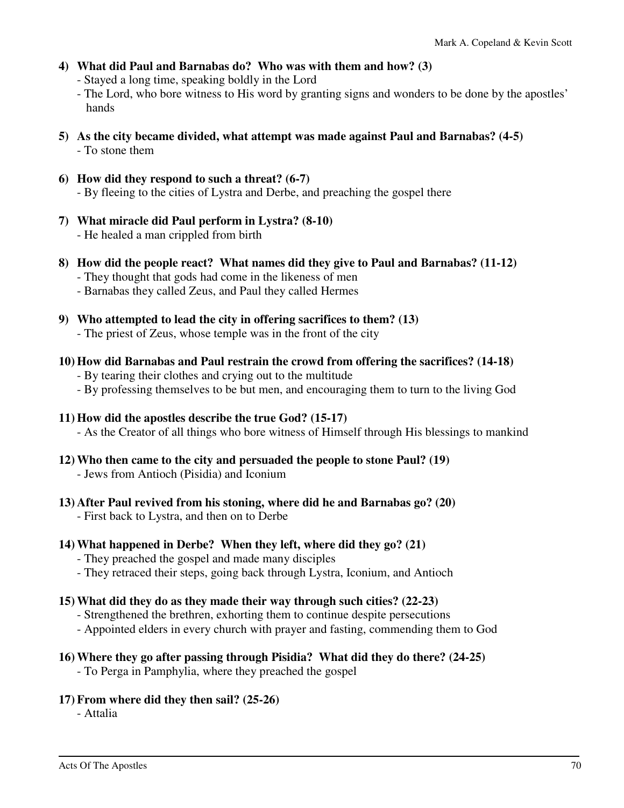**4) What did Paul and Barnabas do? Who was with them and how? (3)** 

- Stayed a long time, speaking boldly in the Lord

- The Lord, who bore witness to His word by granting signs and wonders to be done by the apostles' hands
- **5) As the city became divided, what attempt was made against Paul and Barnabas? (4-5)**  - To stone them
- **6) How did they respond to such a threat? (6-7)**  - By fleeing to the cities of Lystra and Derbe, and preaching the gospel there
- **7) What miracle did Paul perform in Lystra? (8-10)**  - He healed a man crippled from birth
- **8) How did the people react? What names did they give to Paul and Barnabas? (11-12)** 
	- They thought that gods had come in the likeness of men
	- Barnabas they called Zeus, and Paul they called Hermes
- **9) Who attempted to lead the city in offering sacrifices to them? (13)** 
	- The priest of Zeus, whose temple was in the front of the city
- **10) How did Barnabas and Paul restrain the crowd from offering the sacrifices? (14-18)** 
	- By tearing their clothes and crying out to the multitude
	- By professing themselves to be but men, and encouraging them to turn to the living God
- **11) How did the apostles describe the true God? (15-17)** 
	- As the Creator of all things who bore witness of Himself through His blessings to mankind
- **12) Who then came to the city and persuaded the people to stone Paul? (19)** 
	- Jews from Antioch (Pisidia) and Iconium
- **13) After Paul revived from his stoning, where did he and Barnabas go? (20)** 
	- First back to Lystra, and then on to Derbe

### **14) What happened in Derbe? When they left, where did they go? (21)**

- They preached the gospel and made many disciples
- They retraced their steps, going back through Lystra, Iconium, and Antioch

### **15) What did they do as they made their way through such cities? (22-23)**

- Strengthened the brethren, exhorting them to continue despite persecutions
- Appointed elders in every church with prayer and fasting, commending them to God

### **16) Where they go after passing through Pisidia? What did they do there? (24-25)**

- To Perga in Pamphylia, where they preached the gospel

**17) From where did they then sail? (25-26)** 

- Attalia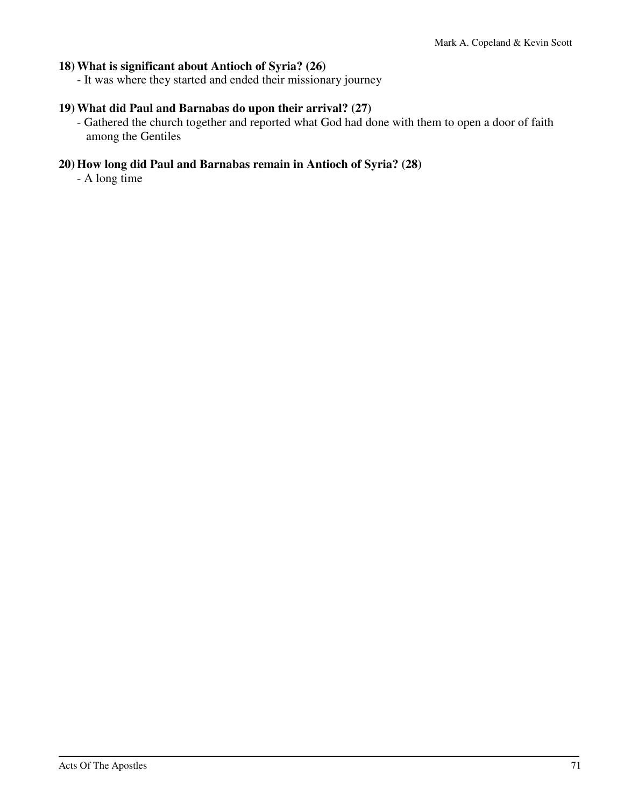### **18) What is significant about Antioch of Syria? (26)**

- It was where they started and ended their missionary journey

### **19) What did Paul and Barnabas do upon their arrival? (27)**

 - Gathered the church together and reported what God had done with them to open a door of faith among the Gentiles

### **20) How long did Paul and Barnabas remain in Antioch of Syria? (28)**

- A long time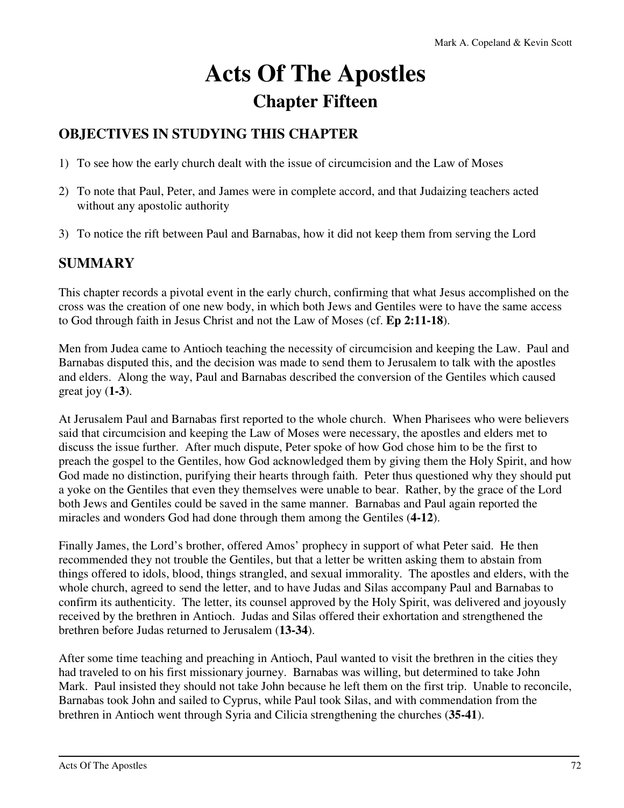# **Acts Of The Apostles Chapter Fifteen**

# **OBJECTIVES IN STUDYING THIS CHAPTER**

- 1) To see how the early church dealt with the issue of circumcision and the Law of Moses
- 2) To note that Paul, Peter, and James were in complete accord, and that Judaizing teachers acted without any apostolic authority
- 3) To notice the rift between Paul and Barnabas, how it did not keep them from serving the Lord

## **SUMMARY**

This chapter records a pivotal event in the early church, confirming that what Jesus accomplished on the cross was the creation of one new body, in which both Jews and Gentiles were to have the same access to God through faith in Jesus Christ and not the Law of Moses (cf. **Ep 2:11-18**).

Men from Judea came to Antioch teaching the necessity of circumcision and keeping the Law. Paul and Barnabas disputed this, and the decision was made to send them to Jerusalem to talk with the apostles and elders. Along the way, Paul and Barnabas described the conversion of the Gentiles which caused great joy (**1-3**).

At Jerusalem Paul and Barnabas first reported to the whole church. When Pharisees who were believers said that circumcision and keeping the Law of Moses were necessary, the apostles and elders met to discuss the issue further. After much dispute, Peter spoke of how God chose him to be the first to preach the gospel to the Gentiles, how God acknowledged them by giving them the Holy Spirit, and how God made no distinction, purifying their hearts through faith. Peter thus questioned why they should put a yoke on the Gentiles that even they themselves were unable to bear. Rather, by the grace of the Lord both Jews and Gentiles could be saved in the same manner. Barnabas and Paul again reported the miracles and wonders God had done through them among the Gentiles (**4-12**).

Finally James, the Lord's brother, offered Amos' prophecy in support of what Peter said. He then recommended they not trouble the Gentiles, but that a letter be written asking them to abstain from things offered to idols, blood, things strangled, and sexual immorality. The apostles and elders, with the whole church, agreed to send the letter, and to have Judas and Silas accompany Paul and Barnabas to confirm its authenticity. The letter, its counsel approved by the Holy Spirit, was delivered and joyously received by the brethren in Antioch. Judas and Silas offered their exhortation and strengthened the brethren before Judas returned to Jerusalem (**13-34**).

After some time teaching and preaching in Antioch, Paul wanted to visit the brethren in the cities they had traveled to on his first missionary journey. Barnabas was willing, but determined to take John Mark. Paul insisted they should not take John because he left them on the first trip. Unable to reconcile, Barnabas took John and sailed to Cyprus, while Paul took Silas, and with commendation from the brethren in Antioch went through Syria and Cilicia strengthening the churches (**35-41**).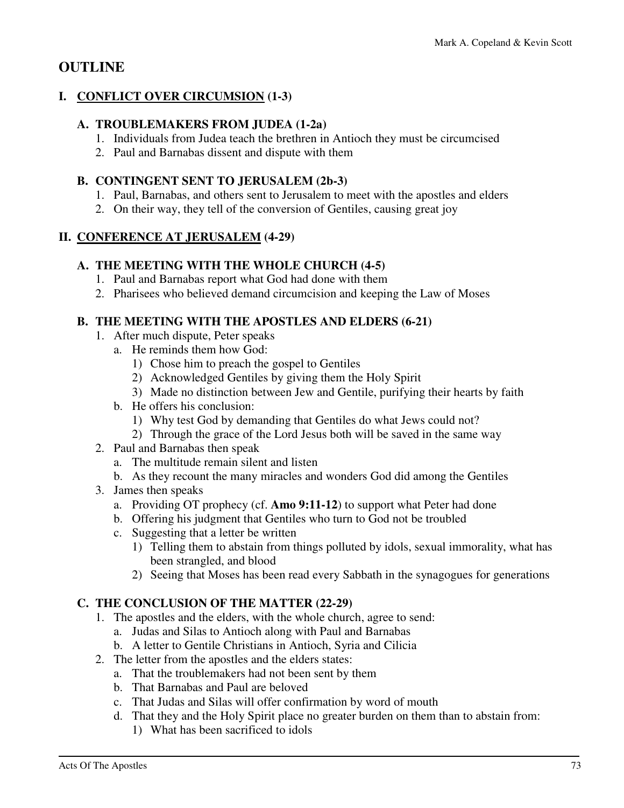## **OUTLINE**

#### **I. CONFLICT OVER CIRCUMSION (1-3)**

#### **A. TROUBLEMAKERS FROM JUDEA (1-2a)**

- 1. Individuals from Judea teach the brethren in Antioch they must be circumcised
- 2. Paul and Barnabas dissent and dispute with them

#### **B. CONTINGENT SENT TO JERUSALEM (2b-3)**

- 1. Paul, Barnabas, and others sent to Jerusalem to meet with the apostles and elders
- 2. On their way, they tell of the conversion of Gentiles, causing great joy

#### **II. CONFERENCE AT JERUSALEM (4-29)**

#### **A. THE MEETING WITH THE WHOLE CHURCH (4-5)**

- 1. Paul and Barnabas report what God had done with them
- 2. Pharisees who believed demand circumcision and keeping the Law of Moses

#### **B. THE MEETING WITH THE APOSTLES AND ELDERS (6-21)**

- 1. After much dispute, Peter speaks
	- a. He reminds them how God:
		- 1) Chose him to preach the gospel to Gentiles
		- 2) Acknowledged Gentiles by giving them the Holy Spirit
		- 3) Made no distinction between Jew and Gentile, purifying their hearts by faith
	- b. He offers his conclusion:
		- 1) Why test God by demanding that Gentiles do what Jews could not?
		- 2) Through the grace of the Lord Jesus both will be saved in the same way
- 2. Paul and Barnabas then speak
	- a. The multitude remain silent and listen
	- b. As they recount the many miracles and wonders God did among the Gentiles
- 3. James then speaks
	- a. Providing OT prophecy (cf. **Amo 9:11-12**) to support what Peter had done
	- b. Offering his judgment that Gentiles who turn to God not be troubled
	- c. Suggesting that a letter be written
		- 1) Telling them to abstain from things polluted by idols, sexual immorality, what has been strangled, and blood
		- 2) Seeing that Moses has been read every Sabbath in the synagogues for generations

#### **C. THE CONCLUSION OF THE MATTER (22-29)**

- 1. The apostles and the elders, with the whole church, agree to send:
	- a. Judas and Silas to Antioch along with Paul and Barnabas
	- b. A letter to Gentile Christians in Antioch, Syria and Cilicia
- 2. The letter from the apostles and the elders states:
	- a. That the troublemakers had not been sent by them
	- b. That Barnabas and Paul are beloved
	- c. That Judas and Silas will offer confirmation by word of mouth
	- d. That they and the Holy Spirit place no greater burden on them than to abstain from:
		- 1) What has been sacrificed to idols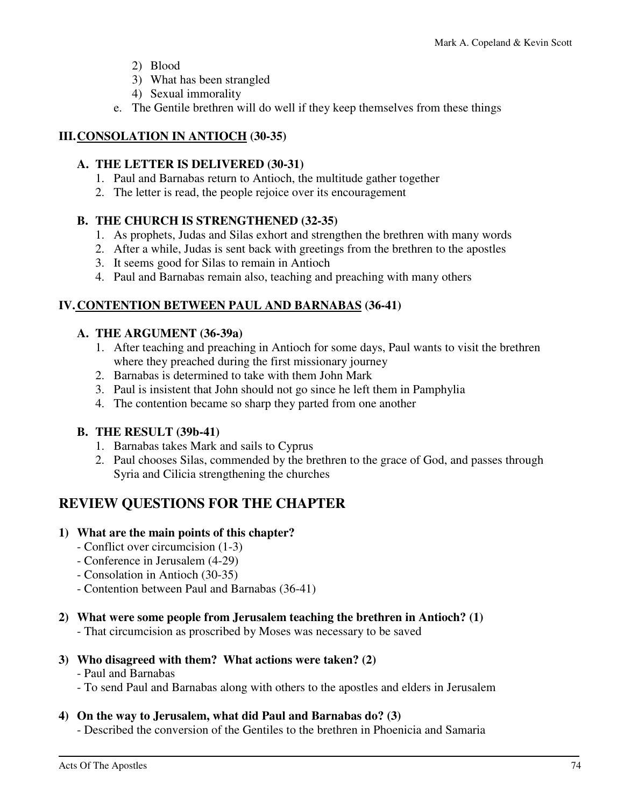- 2) Blood
- 3) What has been strangled
- 4) Sexual immorality
- e. The Gentile brethren will do well if they keep themselves from these things

#### **III. CONSOLATION IN ANTIOCH (30-35)**

#### **A. THE LETTER IS DELIVERED (30-31)**

- 1. Paul and Barnabas return to Antioch, the multitude gather together
- 2. The letter is read, the people rejoice over its encouragement

#### **B. THE CHURCH IS STRENGTHENED (32-35)**

- 1. As prophets, Judas and Silas exhort and strengthen the brethren with many words
- 2. After a while, Judas is sent back with greetings from the brethren to the apostles
- 3. It seems good for Silas to remain in Antioch
- 4. Paul and Barnabas remain also, teaching and preaching with many others

#### **IV. CONTENTION BETWEEN PAUL AND BARNABAS (36-41)**

#### **A. THE ARGUMENT (36-39a)**

- 1. After teaching and preaching in Antioch for some days, Paul wants to visit the brethren where they preached during the first missionary journey
- 2. Barnabas is determined to take with them John Mark
- 3. Paul is insistent that John should not go since he left them in Pamphylia
- 4. The contention became so sharp they parted from one another

#### **B. THE RESULT (39b-41)**

- 1. Barnabas takes Mark and sails to Cyprus
- 2. Paul chooses Silas, commended by the brethren to the grace of God, and passes through Syria and Cilicia strengthening the churches

# **REVIEW QUESTIONS FOR THE CHAPTER**

#### **1) What are the main points of this chapter?**

- Conflict over circumcision (1-3)
- Conference in Jerusalem (4-29)
- Consolation in Antioch (30-35)
- Contention between Paul and Barnabas (36-41)

#### **2) What were some people from Jerusalem teaching the brethren in Antioch? (1)**

- That circumcision as proscribed by Moses was necessary to be saved

#### **3) Who disagreed with them? What actions were taken? (2)**

- Paul and Barnabas
- To send Paul and Barnabas along with others to the apostles and elders in Jerusalem

#### **4) On the way to Jerusalem, what did Paul and Barnabas do? (3)**

- Described the conversion of the Gentiles to the brethren in Phoenicia and Samaria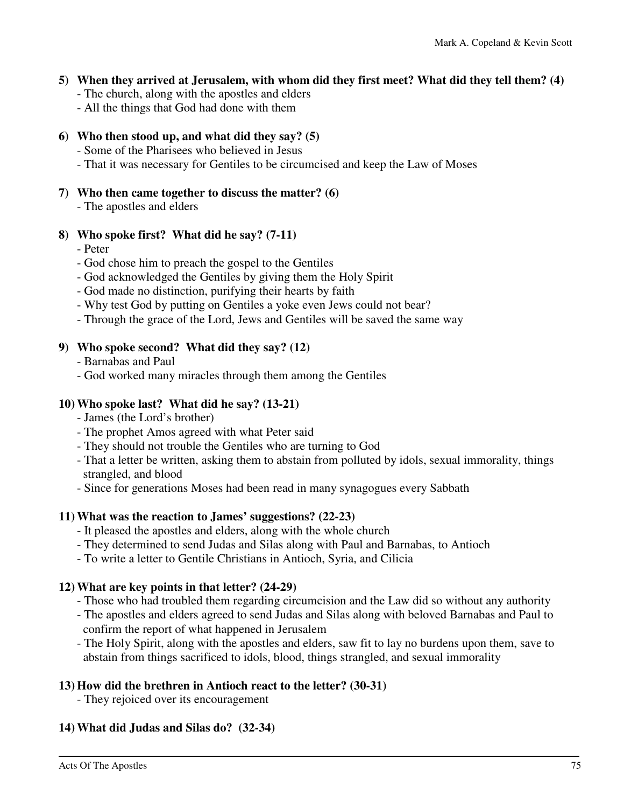#### **5) When they arrived at Jerusalem, with whom did they first meet? What did they tell them? (4)**

- The church, along with the apostles and elders
- All the things that God had done with them

#### **6) Who then stood up, and what did they say? (5)**

- Some of the Pharisees who believed in Jesus

- That it was necessary for Gentiles to be circumcised and keep the Law of Moses
- **7) Who then came together to discuss the matter? (6)** 
	- The apostles and elders

#### **8) Who spoke first? What did he say? (7-11)**

- Peter
- God chose him to preach the gospel to the Gentiles
- God acknowledged the Gentiles by giving them the Holy Spirit
- God made no distinction, purifying their hearts by faith
- Why test God by putting on Gentiles a yoke even Jews could not bear?
- Through the grace of the Lord, Jews and Gentiles will be saved the same way

#### **9) Who spoke second? What did they say? (12)**

- Barnabas and Paul
- God worked many miracles through them among the Gentiles

#### **10) Who spoke last? What did he say? (13-21)**

- James (the Lord's brother)
- The prophet Amos agreed with what Peter said
- They should not trouble the Gentiles who are turning to God
- That a letter be written, asking them to abstain from polluted by idols, sexual immorality, things strangled, and blood
- Since for generations Moses had been read in many synagogues every Sabbath

#### **11) What was the reaction to James' suggestions? (22-23)**

- It pleased the apostles and elders, along with the whole church
- They determined to send Judas and Silas along with Paul and Barnabas, to Antioch
- To write a letter to Gentile Christians in Antioch, Syria, and Cilicia

#### **12) What are key points in that letter? (24-29)**

- Those who had troubled them regarding circumcision and the Law did so without any authority
- The apostles and elders agreed to send Judas and Silas along with beloved Barnabas and Paul to confirm the report of what happened in Jerusalem
- The Holy Spirit, along with the apostles and elders, saw fit to lay no burdens upon them, save to abstain from things sacrificed to idols, blood, things strangled, and sexual immorality

#### **13) How did the brethren in Antioch react to the letter? (30-31)**

- They rejoiced over its encouragement

#### **14) What did Judas and Silas do? (32-34)**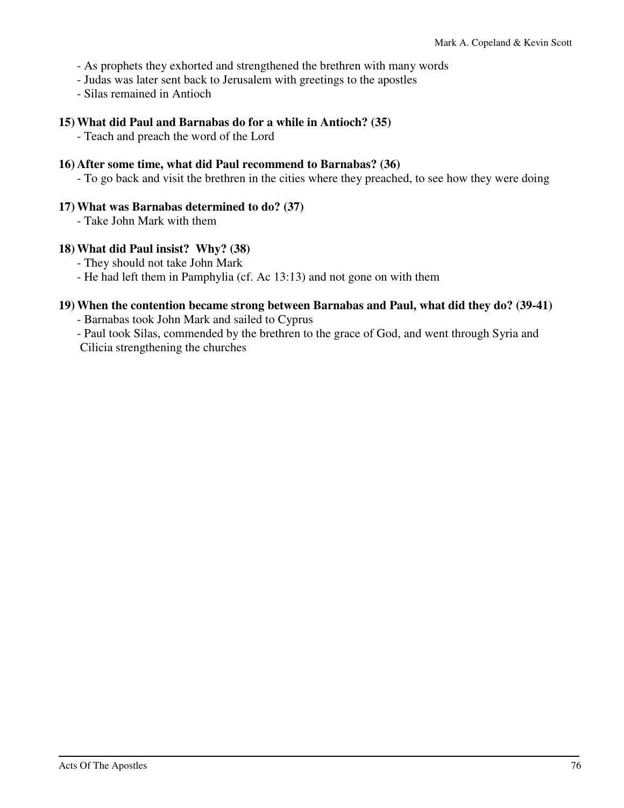- As prophets they exhorted and strengthened the brethren with many words
- Judas was later sent back to Jerusalem with greetings to the apostles
- Silas remained in Antioch

#### **15) What did Paul and Barnabas do for a while in Antioch? (35)**

- Teach and preach the word of the Lord

#### **16) After some time, what did Paul recommend to Barnabas? (36)**

- To go back and visit the brethren in the cities where they preached, to see how they were doing

#### **17) What was Barnabas determined to do? (37)**

- Take John Mark with them

#### **18) What did Paul insist? Why? (38)**

- They should not take John Mark

- He had left them in Pamphylia (cf. Ac 13:13) and not gone on with them

#### **19) When the contention became strong between Barnabas and Paul, what did they do? (39-41)**

- Barnabas took John Mark and sailed to Cyprus

 - Paul took Silas, commended by the brethren to the grace of God, and went through Syria and Cilicia strengthening the churches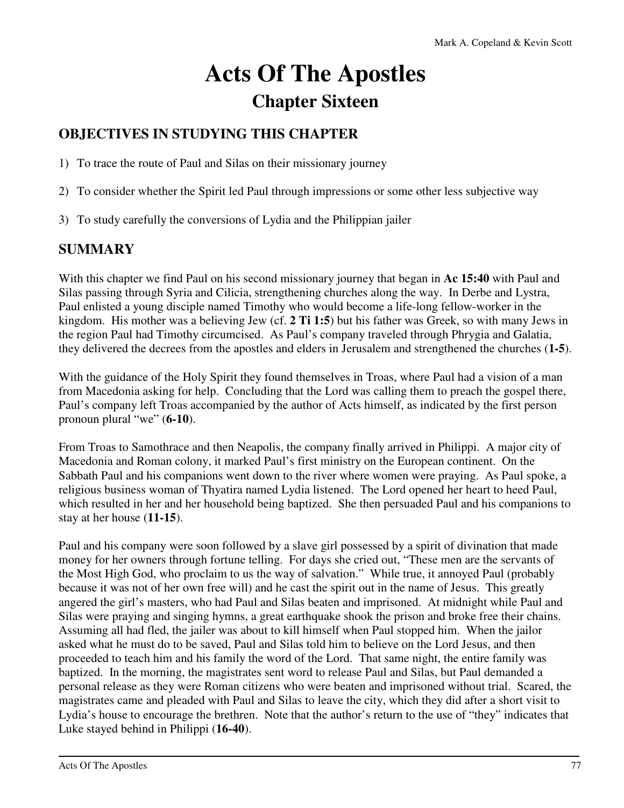# **Acts Of The Apostles Chapter Sixteen**

# **OBJECTIVES IN STUDYING THIS CHAPTER**

1) To trace the route of Paul and Silas on their missionary journey

- 2) To consider whether the Spirit led Paul through impressions or some other less subjective way
- 3) To study carefully the conversions of Lydia and the Philippian jailer

# **SUMMARY**

With this chapter we find Paul on his second missionary journey that began in **Ac 15:40** with Paul and Silas passing through Syria and Cilicia, strengthening churches along the way. In Derbe and Lystra, Paul enlisted a young disciple named Timothy who would become a life-long fellow-worker in the kingdom. His mother was a believing Jew (cf. **2 Ti 1:5**) but his father was Greek, so with many Jews in the region Paul had Timothy circumcised. As Paul's company traveled through Phrygia and Galatia, they delivered the decrees from the apostles and elders in Jerusalem and strengthened the churches (**1-5**).

With the guidance of the Holy Spirit they found themselves in Troas, where Paul had a vision of a man from Macedonia asking for help. Concluding that the Lord was calling them to preach the gospel there, Paul's company left Troas accompanied by the author of Acts himself, as indicated by the first person pronoun plural "we" (**6-10**).

From Troas to Samothrace and then Neapolis, the company finally arrived in Philippi. A major city of Macedonia and Roman colony, it marked Paul's first ministry on the European continent. On the Sabbath Paul and his companions went down to the river where women were praying. As Paul spoke, a religious business woman of Thyatira named Lydia listened. The Lord opened her heart to heed Paul, which resulted in her and her household being baptized. She then persuaded Paul and his companions to stay at her house (**11-15**).

Paul and his company were soon followed by a slave girl possessed by a spirit of divination that made money for her owners through fortune telling. For days she cried out, "These men are the servants of the Most High God, who proclaim to us the way of salvation." While true, it annoyed Paul (probably because it was not of her own free will) and he cast the spirit out in the name of Jesus. This greatly angered the girl's masters, who had Paul and Silas beaten and imprisoned. At midnight while Paul and Silas were praying and singing hymns, a great earthquake shook the prison and broke free their chains. Assuming all had fled, the jailer was about to kill himself when Paul stopped him. When the jailor asked what he must do to be saved, Paul and Silas told him to believe on the Lord Jesus, and then proceeded to teach him and his family the word of the Lord. That same night, the entire family was baptized. In the morning, the magistrates sent word to release Paul and Silas, but Paul demanded a personal release as they were Roman citizens who were beaten and imprisoned without trial. Scared, the magistrates came and pleaded with Paul and Silas to leave the city, which they did after a short visit to Lydia's house to encourage the brethren. Note that the author's return to the use of "they" indicates that Luke stayed behind in Philippi (**16-40**).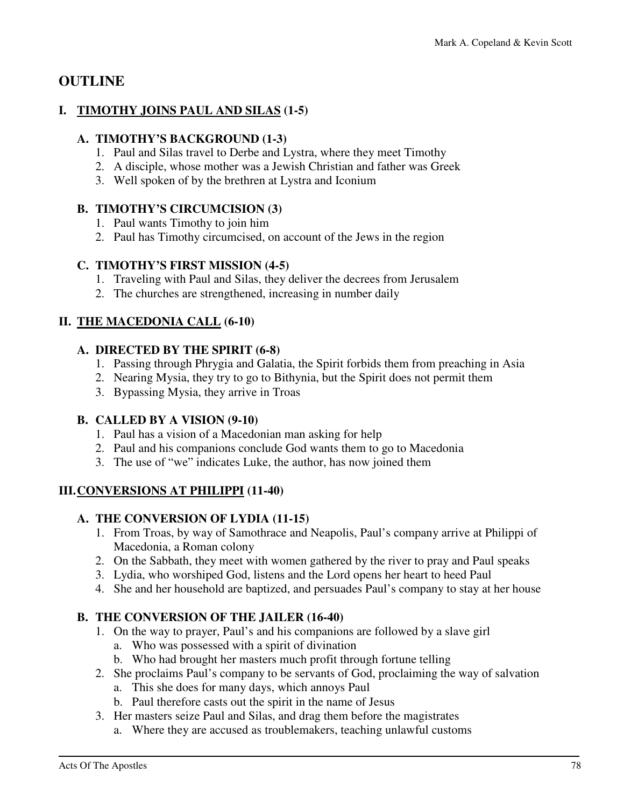## **OUTLINE**

#### **I. TIMOTHY JOINS PAUL AND SILAS (1-5)**

#### **A. TIMOTHY'S BACKGROUND (1-3)**

- 1. Paul and Silas travel to Derbe and Lystra, where they meet Timothy
- 2. A disciple, whose mother was a Jewish Christian and father was Greek
- 3. Well spoken of by the brethren at Lystra and Iconium

#### **B. TIMOTHY'S CIRCUMCISION (3)**

- 1. Paul wants Timothy to join him
- 2. Paul has Timothy circumcised, on account of the Jews in the region

#### **C. TIMOTHY'S FIRST MISSION (4-5)**

- 1. Traveling with Paul and Silas, they deliver the decrees from Jerusalem
- 2. The churches are strengthened, increasing in number daily

#### **II. THE MACEDONIA CALL (6-10)**

#### **A. DIRECTED BY THE SPIRIT (6-8)**

- 1. Passing through Phrygia and Galatia, the Spirit forbids them from preaching in Asia
- 2. Nearing Mysia, they try to go to Bithynia, but the Spirit does not permit them
- 3. Bypassing Mysia, they arrive in Troas

#### **B. CALLED BY A VISION (9-10)**

- 1. Paul has a vision of a Macedonian man asking for help
- 2. Paul and his companions conclude God wants them to go to Macedonia
- 3. The use of "we" indicates Luke, the author, has now joined them

#### **III. CONVERSIONS AT PHILIPPI (11-40)**

#### **A. THE CONVERSION OF LYDIA (11-15)**

- 1. From Troas, by way of Samothrace and Neapolis, Paul's company arrive at Philippi of Macedonia, a Roman colony
- 2. On the Sabbath, they meet with women gathered by the river to pray and Paul speaks
- 3. Lydia, who worshiped God, listens and the Lord opens her heart to heed Paul
- 4. She and her household are baptized, and persuades Paul's company to stay at her house

## **B. THE CONVERSION OF THE JAILER (16-40)**

- 1. On the way to prayer, Paul's and his companions are followed by a slave girl
	- a. Who was possessed with a spirit of divination
	- b. Who had brought her masters much profit through fortune telling
- 2. She proclaims Paul's company to be servants of God, proclaiming the way of salvation
	- a. This she does for many days, which annoys Paul
	- b. Paul therefore casts out the spirit in the name of Jesus
- 3. Her masters seize Paul and Silas, and drag them before the magistrates
	- a. Where they are accused as troublemakers, teaching unlawful customs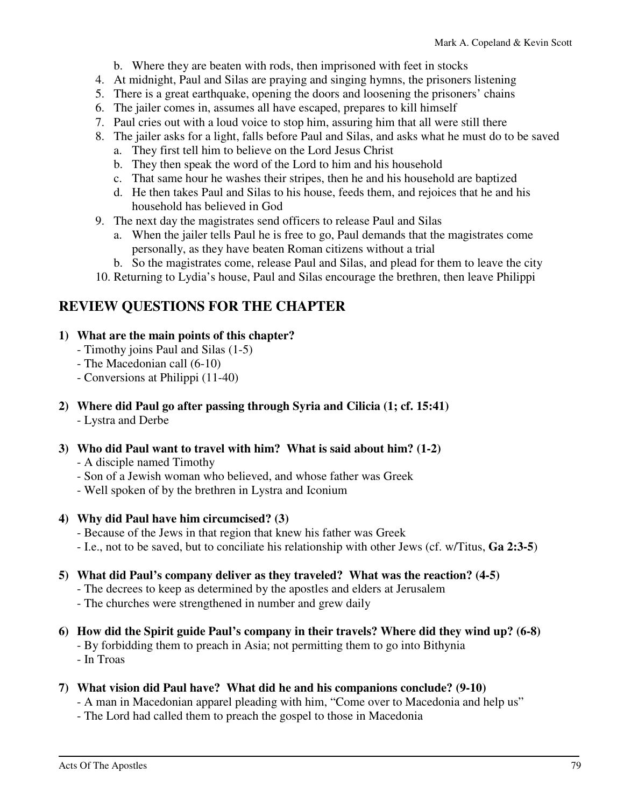- b. Where they are beaten with rods, then imprisoned with feet in stocks
- 4. At midnight, Paul and Silas are praying and singing hymns, the prisoners listening
- 5. There is a great earthquake, opening the doors and loosening the prisoners' chains
- 6. The jailer comes in, assumes all have escaped, prepares to kill himself
- 7. Paul cries out with a loud voice to stop him, assuring him that all were still there
- 8. The jailer asks for a light, falls before Paul and Silas, and asks what he must do to be saved
	- a. They first tell him to believe on the Lord Jesus Christ
	- b. They then speak the word of the Lord to him and his household
	- c. That same hour he washes their stripes, then he and his household are baptized
	- d. He then takes Paul and Silas to his house, feeds them, and rejoices that he and his household has believed in God
- 9. The next day the magistrates send officers to release Paul and Silas
	- a. When the jailer tells Paul he is free to go, Paul demands that the magistrates come personally, as they have beaten Roman citizens without a trial
	- b. So the magistrates come, release Paul and Silas, and plead for them to leave the city
- 10. Returning to Lydia's house, Paul and Silas encourage the brethren, then leave Philippi

## **REVIEW QUESTIONS FOR THE CHAPTER**

- **1) What are the main points of this chapter?** 
	- Timothy joins Paul and Silas (1-5)
	- The Macedonian call (6-10)
	- Conversions at Philippi (11-40)
- **2) Where did Paul go after passing through Syria and Cilicia (1; cf. 15:41)**  - Lystra and Derbe
- **3) Who did Paul want to travel with him? What is said about him? (1-2)** 
	- A disciple named Timothy
	- Son of a Jewish woman who believed, and whose father was Greek
	- Well spoken of by the brethren in Lystra and Iconium
- **4) Why did Paul have him circumcised? (3)** 
	- Because of the Jews in that region that knew his father was Greek
	- I.e., not to be saved, but to conciliate his relationship with other Jews (cf. w/Titus, **Ga 2:3-5**)
- **5) What did Paul's company deliver as they traveled? What was the reaction? (4-5)** 
	- The decrees to keep as determined by the apostles and elders at Jerusalem
	- The churches were strengthened in number and grew daily
- **6) How did the Spirit guide Paul's company in their travels? Where did they wind up? (6-8)** 
	- By forbidding them to preach in Asia; not permitting them to go into Bithynia
	- In Troas
- **7) What vision did Paul have? What did he and his companions conclude? (9-10)** 
	- A man in Macedonian apparel pleading with him, "Come over to Macedonia and help us"
	- The Lord had called them to preach the gospel to those in Macedonia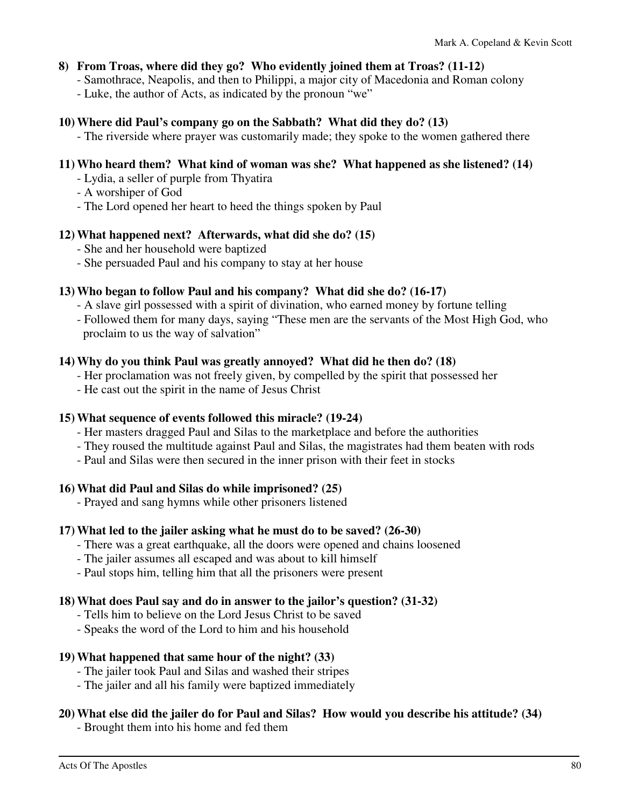#### **8) From Troas, where did they go? Who evidently joined them at Troas? (11-12)**

- Samothrace, Neapolis, and then to Philippi, a major city of Macedonia and Roman colony
- Luke, the author of Acts, as indicated by the pronoun "we"

#### **10) Where did Paul's company go on the Sabbath? What did they do? (13)**

- The riverside where prayer was customarily made; they spoke to the women gathered there

#### **11) Who heard them? What kind of woman was she? What happened as she listened? (14)**

- Lydia, a seller of purple from Thyatira
- A worshiper of God
- The Lord opened her heart to heed the things spoken by Paul

#### **12) What happened next? Afterwards, what did she do? (15)**

- She and her household were baptized
- She persuaded Paul and his company to stay at her house

#### **13) Who began to follow Paul and his company? What did she do? (16-17)**

- A slave girl possessed with a spirit of divination, who earned money by fortune telling
- Followed them for many days, saying "These men are the servants of the Most High God, who proclaim to us the way of salvation"

#### **14) Why do you think Paul was greatly annoyed? What did he then do? (18)**

- Her proclamation was not freely given, by compelled by the spirit that possessed her
- He cast out the spirit in the name of Jesus Christ

#### **15) What sequence of events followed this miracle? (19-24)**

- Her masters dragged Paul and Silas to the marketplace and before the authorities
- They roused the multitude against Paul and Silas, the magistrates had them beaten with rods
- Paul and Silas were then secured in the inner prison with their feet in stocks

#### **16) What did Paul and Silas do while imprisoned? (25)**

- Prayed and sang hymns while other prisoners listened

#### **17) What led to the jailer asking what he must do to be saved? (26-30)**

- There was a great earthquake, all the doors were opened and chains loosened
- The jailer assumes all escaped and was about to kill himself
- Paul stops him, telling him that all the prisoners were present

#### **18) What does Paul say and do in answer to the jailor's question? (31-32)**

- Tells him to believe on the Lord Jesus Christ to be saved
- Speaks the word of the Lord to him and his household

#### **19) What happened that same hour of the night? (33)**

- The jailer took Paul and Silas and washed their stripes
- The jailer and all his family were baptized immediately

#### **20) What else did the jailer do for Paul and Silas? How would you describe his attitude? (34)**

- Brought them into his home and fed them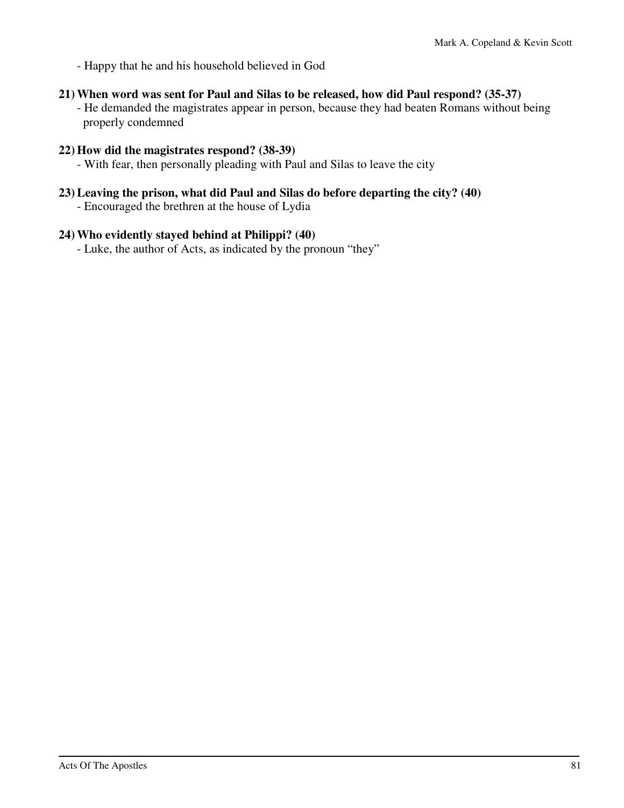- Happy that he and his household believed in God

#### **21) When word was sent for Paul and Silas to be released, how did Paul respond? (35-37)**

 - He demanded the magistrates appear in person, because they had beaten Romans without being properly condemned

#### **22) How did the magistrates respond? (38-39)**

- With fear, then personally pleading with Paul and Silas to leave the city

#### **23) Leaving the prison, what did Paul and Silas do before departing the city? (40)**

- Encouraged the brethren at the house of Lydia

#### **24) Who evidently stayed behind at Philippi? (40)**

- Luke, the author of Acts, as indicated by the pronoun "they"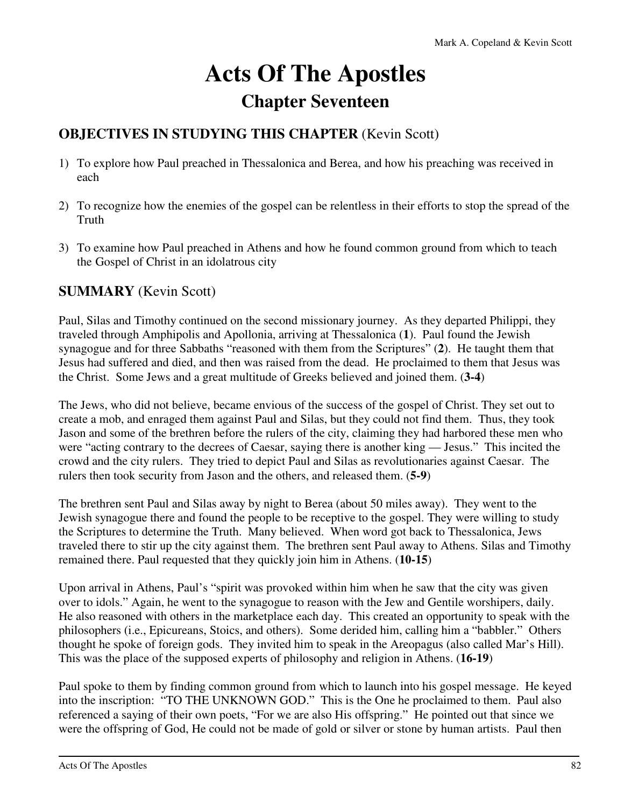# **Acts Of The Apostles Chapter Seventeen**

# **OBJECTIVES IN STUDYING THIS CHAPTER** (Kevin Scott)

- 1) To explore how Paul preached in Thessalonica and Berea, and how his preaching was received in each
- 2) To recognize how the enemies of the gospel can be relentless in their efforts to stop the spread of the Truth
- 3) To examine how Paul preached in Athens and how he found common ground from which to teach the Gospel of Christ in an idolatrous city

## **SUMMARY** (Kevin Scott)

Paul, Silas and Timothy continued on the second missionary journey. As they departed Philippi, they traveled through Amphipolis and Apollonia, arriving at Thessalonica (**1**). Paul found the Jewish synagogue and for three Sabbaths "reasoned with them from the Scriptures" (**2**). He taught them that Jesus had suffered and died, and then was raised from the dead. He proclaimed to them that Jesus was the Christ. Some Jews and a great multitude of Greeks believed and joined them. (**3-4**)

The Jews, who did not believe, became envious of the success of the gospel of Christ. They set out to create a mob, and enraged them against Paul and Silas, but they could not find them. Thus, they took Jason and some of the brethren before the rulers of the city, claiming they had harbored these men who were "acting contrary to the decrees of Caesar, saying there is another king — Jesus." This incited the crowd and the city rulers. They tried to depict Paul and Silas as revolutionaries against Caesar. The rulers then took security from Jason and the others, and released them. (**5-9**)

The brethren sent Paul and Silas away by night to Berea (about 50 miles away). They went to the Jewish synagogue there and found the people to be receptive to the gospel. They were willing to study the Scriptures to determine the Truth. Many believed. When word got back to Thessalonica, Jews traveled there to stir up the city against them. The brethren sent Paul away to Athens. Silas and Timothy remained there. Paul requested that they quickly join him in Athens. (**10-15**)

Upon arrival in Athens, Paul's "spirit was provoked within him when he saw that the city was given over to idols." Again, he went to the synagogue to reason with the Jew and Gentile worshipers, daily. He also reasoned with others in the marketplace each day. This created an opportunity to speak with the philosophers (i.e., Epicureans, Stoics, and others). Some derided him, calling him a "babbler." Others thought he spoke of foreign gods. They invited him to speak in the Areopagus (also called Mar's Hill). This was the place of the supposed experts of philosophy and religion in Athens. (**16-19**)

Paul spoke to them by finding common ground from which to launch into his gospel message. He keyed into the inscription: "TO THE UNKNOWN GOD." This is the One he proclaimed to them. Paul also referenced a saying of their own poets, "For we are also His offspring." He pointed out that since we were the offspring of God, He could not be made of gold or silver or stone by human artists. Paul then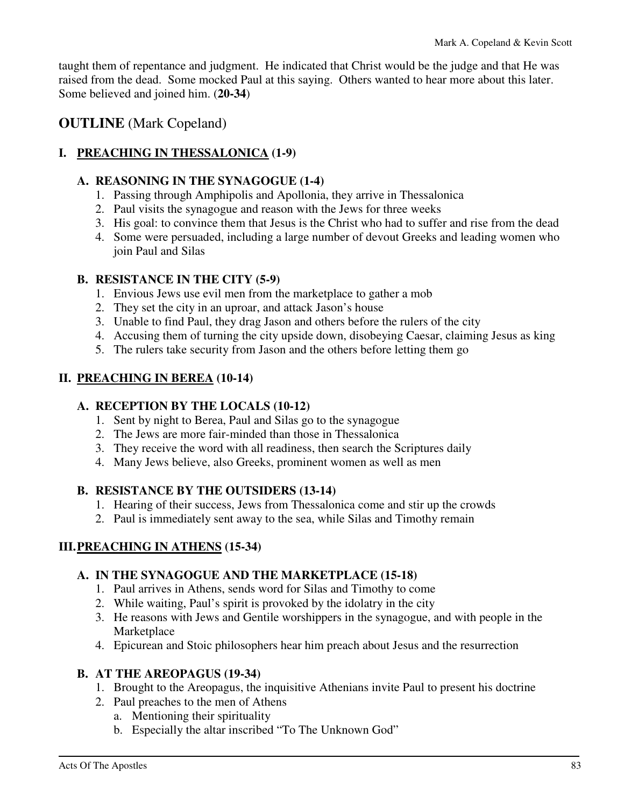taught them of repentance and judgment. He indicated that Christ would be the judge and that He was raised from the dead. Some mocked Paul at this saying. Others wanted to hear more about this later. Some believed and joined him. (**20-34**)

## **OUTLINE** (Mark Copeland)

#### **I. PREACHING IN THESSALONICA (1-9)**

#### **A. REASONING IN THE SYNAGOGUE (1-4)**

- 1. Passing through Amphipolis and Apollonia, they arrive in Thessalonica
- 2. Paul visits the synagogue and reason with the Jews for three weeks
- 3. His goal: to convince them that Jesus is the Christ who had to suffer and rise from the dead
- 4. Some were persuaded, including a large number of devout Greeks and leading women who join Paul and Silas

#### **B. RESISTANCE IN THE CITY (5-9)**

- 1. Envious Jews use evil men from the marketplace to gather a mob
- 2. They set the city in an uproar, and attack Jason's house
- 3. Unable to find Paul, they drag Jason and others before the rulers of the city
- 4. Accusing them of turning the city upside down, disobeying Caesar, claiming Jesus as king
- 5. The rulers take security from Jason and the others before letting them go

#### **II. PREACHING IN BEREA (10-14)**

#### **A. RECEPTION BY THE LOCALS (10-12)**

- 1. Sent by night to Berea, Paul and Silas go to the synagogue
- 2. The Jews are more fair-minded than those in Thessalonica
- 3. They receive the word with all readiness, then search the Scriptures daily
- 4. Many Jews believe, also Greeks, prominent women as well as men

#### **B. RESISTANCE BY THE OUTSIDERS (13-14)**

- 1. Hearing of their success, Jews from Thessalonica come and stir up the crowds
- 2. Paul is immediately sent away to the sea, while Silas and Timothy remain

#### **III. PREACHING IN ATHENS (15-34)**

#### **A. IN THE SYNAGOGUE AND THE MARKETPLACE (15-18)**

- 1. Paul arrives in Athens, sends word for Silas and Timothy to come
- 2. While waiting, Paul's spirit is provoked by the idolatry in the city
- 3. He reasons with Jews and Gentile worshippers in the synagogue, and with people in the Marketplace
- 4. Epicurean and Stoic philosophers hear him preach about Jesus and the resurrection

#### **B. AT THE AREOPAGUS (19-34)**

- 1. Brought to the Areopagus, the inquisitive Athenians invite Paul to present his doctrine
- 2. Paul preaches to the men of Athens
	- a. Mentioning their spirituality
	- b. Especially the altar inscribed "To The Unknown God"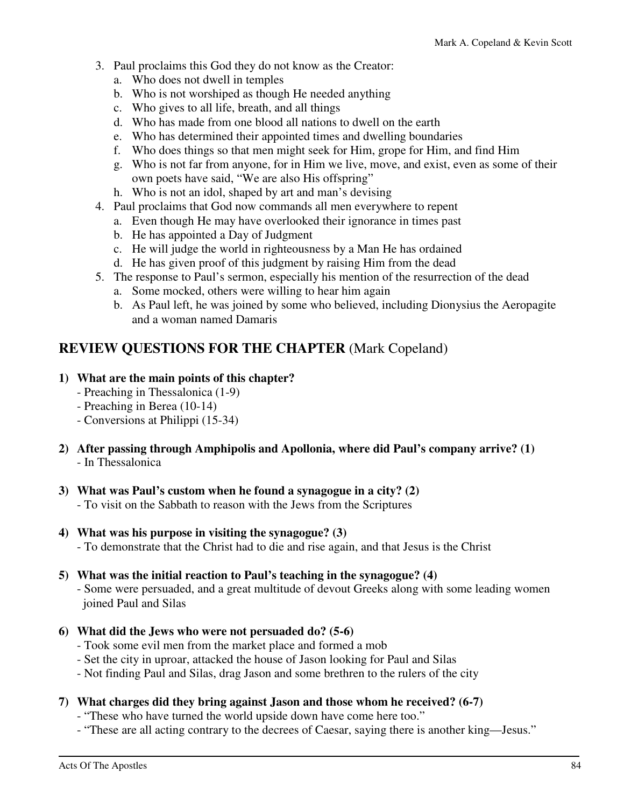- 3. Paul proclaims this God they do not know as the Creator:
	- a. Who does not dwell in temples
	- b. Who is not worshiped as though He needed anything
	- c. Who gives to all life, breath, and all things
	- d. Who has made from one blood all nations to dwell on the earth
	- e. Who has determined their appointed times and dwelling boundaries
	- f. Who does things so that men might seek for Him, grope for Him, and find Him
	- g. Who is not far from anyone, for in Him we live, move, and exist, even as some of their own poets have said, "We are also His offspring"
	- h. Who is not an idol, shaped by art and man's devising
- 4. Paul proclaims that God now commands all men everywhere to repent
	- a. Even though He may have overlooked their ignorance in times past
	- b. He has appointed a Day of Judgment
	- c. He will judge the world in righteousness by a Man He has ordained
	- d. He has given proof of this judgment by raising Him from the dead
- 5. The response to Paul's sermon, especially his mention of the resurrection of the dead
	- a. Some mocked, others were willing to hear him again
	- b. As Paul left, he was joined by some who believed, including Dionysius the Aeropagite and a woman named Damaris

## **REVIEW QUESTIONS FOR THE CHAPTER** (Mark Copeland)

#### **1) What are the main points of this chapter?**

- Preaching in Thessalonica (1-9)
- Preaching in Berea (10-14)
- Conversions at Philippi (15-34)
- **2) After passing through Amphipolis and Apollonia, where did Paul's company arrive? (1)**  - In Thessalonica
- **3) What was Paul's custom when he found a synagogue in a city? (2)** 
	- To visit on the Sabbath to reason with the Jews from the Scriptures
- **4) What was his purpose in visiting the synagogue? (3)** 
	- To demonstrate that the Christ had to die and rise again, and that Jesus is the Christ

#### **5) What was the initial reaction to Paul's teaching in the synagogue? (4)**

 - Some were persuaded, and a great multitude of devout Greeks along with some leading women joined Paul and Silas

- **6) What did the Jews who were not persuaded do? (5-6)** 
	- Took some evil men from the market place and formed a mob
	- Set the city in uproar, attacked the house of Jason looking for Paul and Silas
	- Not finding Paul and Silas, drag Jason and some brethren to the rulers of the city

#### **7) What charges did they bring against Jason and those whom he received? (6-7)**

- "These who have turned the world upside down have come here too."
- "These are all acting contrary to the decrees of Caesar, saying there is another king—Jesus."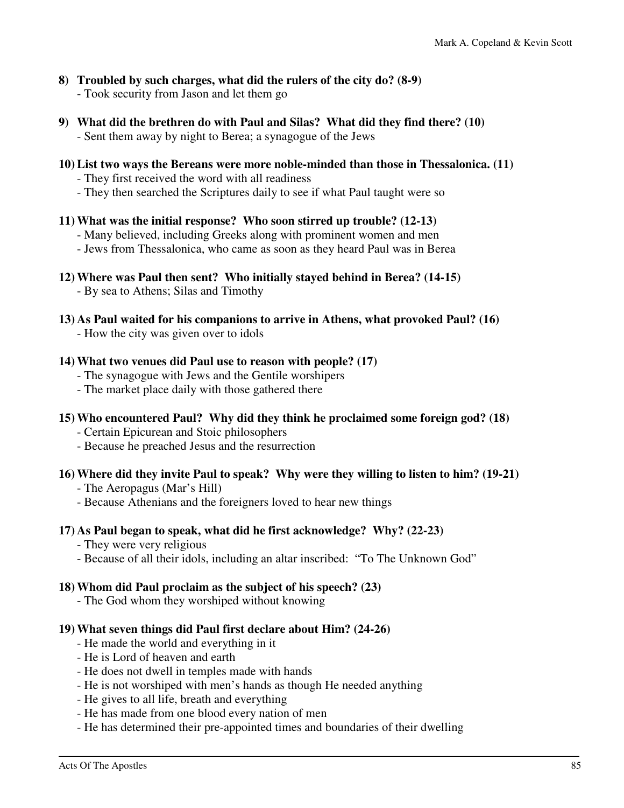- **8) Troubled by such charges, what did the rulers of the city do? (8-9)** 
	- Took security from Jason and let them go
- **9) What did the brethren do with Paul and Silas? What did they find there? (10)** 
	- Sent them away by night to Berea; a synagogue of the Jews

#### **10) List two ways the Bereans were more noble-minded than those in Thessalonica. (11)**

- They first received the word with all readiness
- They then searched the Scriptures daily to see if what Paul taught were so

#### **11) What was the initial response? Who soon stirred up trouble? (12-13)**

- Many believed, including Greeks along with prominent women and men
- Jews from Thessalonica, who came as soon as they heard Paul was in Berea
- **12) Where was Paul then sent? Who initially stayed behind in Berea? (14-15)** 
	- By sea to Athens; Silas and Timothy
- **13) As Paul waited for his companions to arrive in Athens, what provoked Paul? (16)** 
	- How the city was given over to idols

#### **14) What two venues did Paul use to reason with people? (17)**

- The synagogue with Jews and the Gentile worshipers
- The market place daily with those gathered there
- **15) Who encountered Paul? Why did they think he proclaimed some foreign god? (18)** 
	- Certain Epicurean and Stoic philosophers
	- Because he preached Jesus and the resurrection

#### **16) Where did they invite Paul to speak? Why were they willing to listen to him? (19-21)**

- The Aeropagus (Mar's Hill)
- Because Athenians and the foreigners loved to hear new things

#### **17) As Paul began to speak, what did he first acknowledge? Why? (22-23)**

- They were very religious
- Because of all their idols, including an altar inscribed: "To The Unknown God"

#### **18) Whom did Paul proclaim as the subject of his speech? (23)**

- The God whom they worshiped without knowing

#### **19) What seven things did Paul first declare about Him? (24-26)**

- He made the world and everything in it
- He is Lord of heaven and earth
- He does not dwell in temples made with hands
- He is not worshiped with men's hands as though He needed anything
- He gives to all life, breath and everything
- He has made from one blood every nation of men
- He has determined their pre-appointed times and boundaries of their dwelling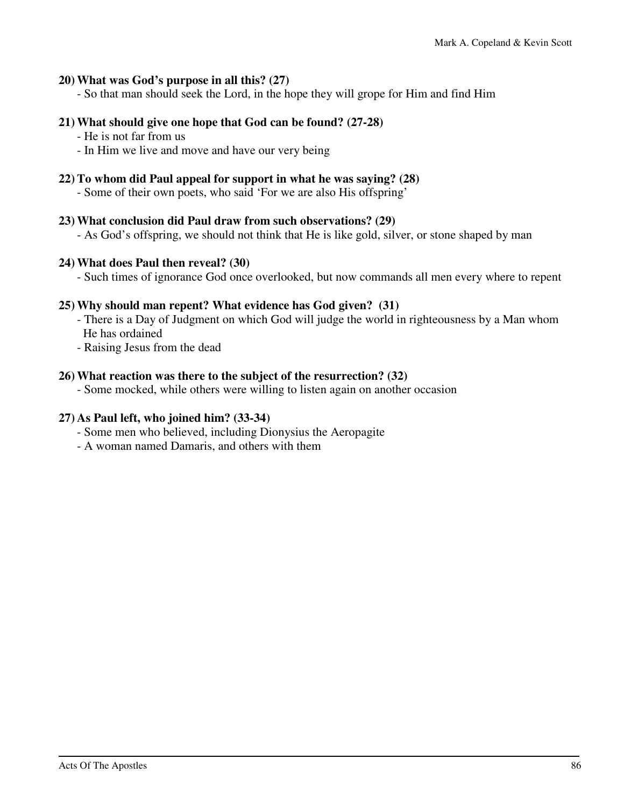#### **20) What was God's purpose in all this? (27)**

- So that man should seek the Lord, in the hope they will grope for Him and find Him

#### **21) What should give one hope that God can be found? (27-28)**

- He is not far from us
- In Him we live and move and have our very being

#### **22) To whom did Paul appeal for support in what he was saying? (28)**

- Some of their own poets, who said 'For we are also His offspring'

#### **23) What conclusion did Paul draw from such observations? (29)**

- As God's offspring, we should not think that He is like gold, silver, or stone shaped by man

#### **24) What does Paul then reveal? (30)**

- Such times of ignorance God once overlooked, but now commands all men every where to repent

#### **25) Why should man repent? What evidence has God given? (31)**

- There is a Day of Judgment on which God will judge the world in righteousness by a Man whom He has ordained
- Raising Jesus from the dead

#### **26) What reaction was there to the subject of the resurrection? (32)**

- Some mocked, while others were willing to listen again on another occasion

#### **27) As Paul left, who joined him? (33-34)**

- Some men who believed, including Dionysius the Aeropagite
- A woman named Damaris, and others with them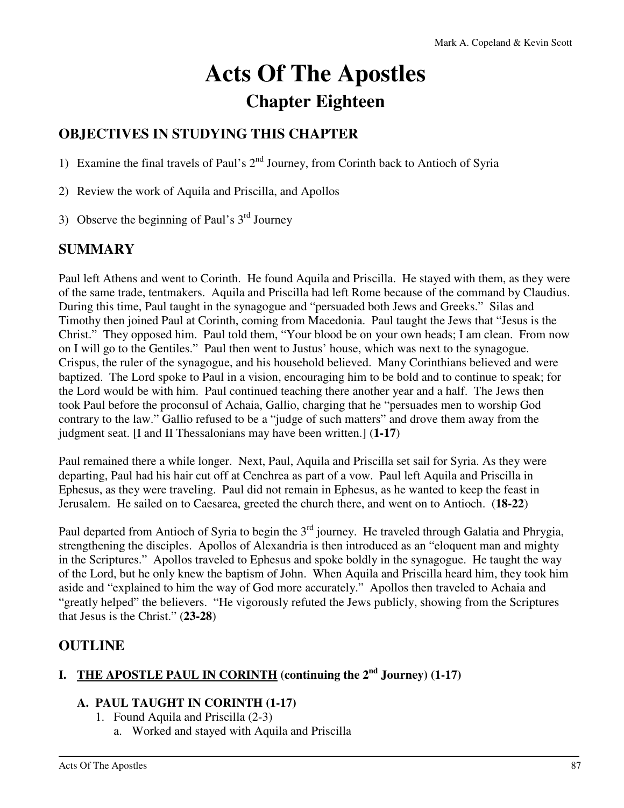# **Acts Of The Apostles Chapter Eighteen**

# **OBJECTIVES IN STUDYING THIS CHAPTER**

1) Examine the final travels of Paul's  $2<sup>nd</sup>$  Journey, from Corinth back to Antioch of Syria

2) Review the work of Aquila and Priscilla, and Apollos

3) Observe the beginning of Paul's  $3<sup>rd</sup>$  Journey

## **SUMMARY**

Paul left Athens and went to Corinth. He found Aquila and Priscilla. He stayed with them, as they were of the same trade, tentmakers. Aquila and Priscilla had left Rome because of the command by Claudius. During this time, Paul taught in the synagogue and "persuaded both Jews and Greeks." Silas and Timothy then joined Paul at Corinth, coming from Macedonia. Paul taught the Jews that "Jesus is the Christ." They opposed him. Paul told them, "Your blood be on your own heads; I am clean. From now on I will go to the Gentiles." Paul then went to Justus' house, which was next to the synagogue. Crispus, the ruler of the synagogue, and his household believed. Many Corinthians believed and were baptized. The Lord spoke to Paul in a vision, encouraging him to be bold and to continue to speak; for the Lord would be with him. Paul continued teaching there another year and a half. The Jews then took Paul before the proconsul of Achaia, Gallio, charging that he "persuades men to worship God contrary to the law." Gallio refused to be a "judge of such matters" and drove them away from the judgment seat. [I and II Thessalonians may have been written.] (**1-17**)

Paul remained there a while longer. Next, Paul, Aquila and Priscilla set sail for Syria. As they were departing, Paul had his hair cut off at Cenchrea as part of a vow. Paul left Aquila and Priscilla in Ephesus, as they were traveling. Paul did not remain in Ephesus, as he wanted to keep the feast in Jerusalem. He sailed on to Caesarea, greeted the church there, and went on to Antioch. (**18-22**)

Paul departed from Antioch of Syria to begin the 3<sup>rd</sup> journey. He traveled through Galatia and Phrygia, strengthening the disciples. Apollos of Alexandria is then introduced as an "eloquent man and mighty in the Scriptures." Apollos traveled to Ephesus and spoke boldly in the synagogue. He taught the way of the Lord, but he only knew the baptism of John. When Aquila and Priscilla heard him, they took him aside and "explained to him the way of God more accurately." Apollos then traveled to Achaia and "greatly helped" the believers. "He vigorously refuted the Jews publicly, showing from the Scriptures that Jesus is the Christ." (**23-28**)

## **OUTLINE**

# **I. THE APOSTLE PAUL IN CORINTH (continuing the 2nd Journey) (1-17)**

#### **A. PAUL TAUGHT IN CORINTH (1-17)**

- 1. Found Aquila and Priscilla (2-3)
	- a. Worked and stayed with Aquila and Priscilla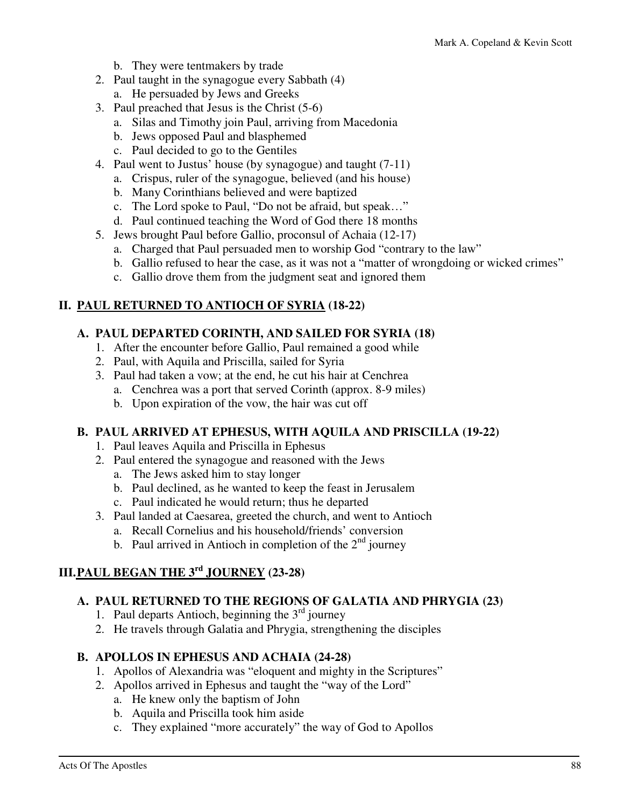- b. They were tentmakers by trade
- 2. Paul taught in the synagogue every Sabbath (4)
	- a. He persuaded by Jews and Greeks
- 3. Paul preached that Jesus is the Christ (5-6)
	- a. Silas and Timothy join Paul, arriving from Macedonia
	- b. Jews opposed Paul and blasphemed
	- c. Paul decided to go to the Gentiles
- 4. Paul went to Justus' house (by synagogue) and taught (7-11)
	- a. Crispus, ruler of the synagogue, believed (and his house)
	- b. Many Corinthians believed and were baptized
	- c. The Lord spoke to Paul, "Do not be afraid, but speak…"
	- d. Paul continued teaching the Word of God there 18 months
- 5. Jews brought Paul before Gallio, proconsul of Achaia (12-17)
	- a. Charged that Paul persuaded men to worship God "contrary to the law"
	- b. Gallio refused to hear the case, as it was not a "matter of wrongdoing or wicked crimes"
	- c. Gallio drove them from the judgment seat and ignored them

#### **II. PAUL RETURNED TO ANTIOCH OF SYRIA (18-22)**

#### **A. PAUL DEPARTED CORINTH, AND SAILED FOR SYRIA (18)**

- 1. After the encounter before Gallio, Paul remained a good while
- 2. Paul, with Aquila and Priscilla, sailed for Syria
- 3. Paul had taken a vow; at the end, he cut his hair at Cenchrea
	- a. Cenchrea was a port that served Corinth (approx. 8-9 miles)
	- b. Upon expiration of the vow, the hair was cut off

#### **B. PAUL ARRIVED AT EPHESUS, WITH AQUILA AND PRISCILLA (19-22)**

- 1. Paul leaves Aquila and Priscilla in Ephesus
- 2. Paul entered the synagogue and reasoned with the Jews
	- a. The Jews asked him to stay longer
	- b. Paul declined, as he wanted to keep the feast in Jerusalem
	- c. Paul indicated he would return; thus he departed
- 3. Paul landed at Caesarea, greeted the church, and went to Antioch
	- a. Recall Cornelius and his household/friends' conversion
	- b. Paul arrived in Antioch in completion of the  $2<sup>nd</sup>$  journey

### **III. PAUL BEGAN THE 3rd JOURNEY (23-28)**

#### **A. PAUL RETURNED TO THE REGIONS OF GALATIA AND PHRYGIA (23)**

- 1. Paul departs Antioch, beginning the  $3<sup>rd</sup>$  journey
- 2. He travels through Galatia and Phrygia, strengthening the disciples

#### **B. APOLLOS IN EPHESUS AND ACHAIA (24-28)**

- 1. Apollos of Alexandria was "eloquent and mighty in the Scriptures"
- 2. Apollos arrived in Ephesus and taught the "way of the Lord"
	- a. He knew only the baptism of John
	- b. Aquila and Priscilla took him aside
	- c. They explained "more accurately" the way of God to Apollos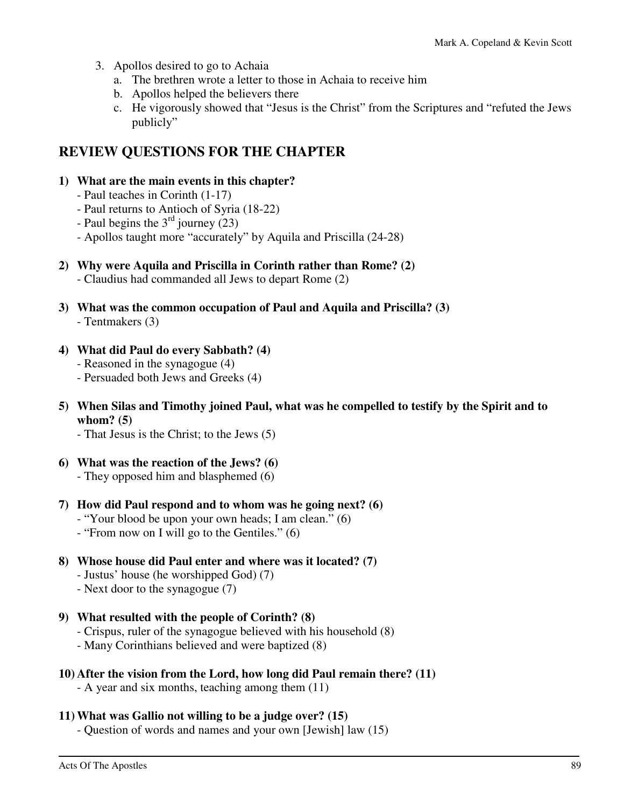- 3. Apollos desired to go to Achaia
	- a. The brethren wrote a letter to those in Achaia to receive him
	- b. Apollos helped the believers there
	- c. He vigorously showed that "Jesus is the Christ" from the Scriptures and "refuted the Jews publicly"

# **REVIEW QUESTIONS FOR THE CHAPTER**

#### **1) What are the main events in this chapter?**

- Paul teaches in Corinth (1-17)
- Paul returns to Antioch of Syria (18-22)
- Paul begins the  $3<sup>rd</sup>$  journey (23)
- Apollos taught more "accurately" by Aquila and Priscilla (24-28)

#### **2) Why were Aquila and Priscilla in Corinth rather than Rome? (2)**

- Claudius had commanded all Jews to depart Rome (2)
- **3) What was the common occupation of Paul and Aquila and Priscilla? (3)** 
	- Tentmakers (3)

#### **4) What did Paul do every Sabbath? (4)**

- Reasoned in the synagogue (4)
- Persuaded both Jews and Greeks (4)
- **5) When Silas and Timothy joined Paul, what was he compelled to testify by the Spirit and to whom? (5)** 
	- That Jesus is the Christ; to the Jews (5)
- **6) What was the reaction of the Jews? (6)**  - They opposed him and blasphemed (6)

## **7) How did Paul respond and to whom was he going next? (6)**

- "Your blood be upon your own heads; I am clean." (6)
- "From now on I will go to the Gentiles." (6)

#### **8) Whose house did Paul enter and where was it located? (7)**

- Justus' house (he worshipped God) (7)
- Next door to the synagogue (7)

#### **9) What resulted with the people of Corinth? (8)**

- Crispus, ruler of the synagogue believed with his household (8)
- Many Corinthians believed and were baptized (8)

#### **10) After the vision from the Lord, how long did Paul remain there? (11)**

- A year and six months, teaching among them (11)

#### **11) What was Gallio not willing to be a judge over? (15)**

- Question of words and names and your own [Jewish] law (15)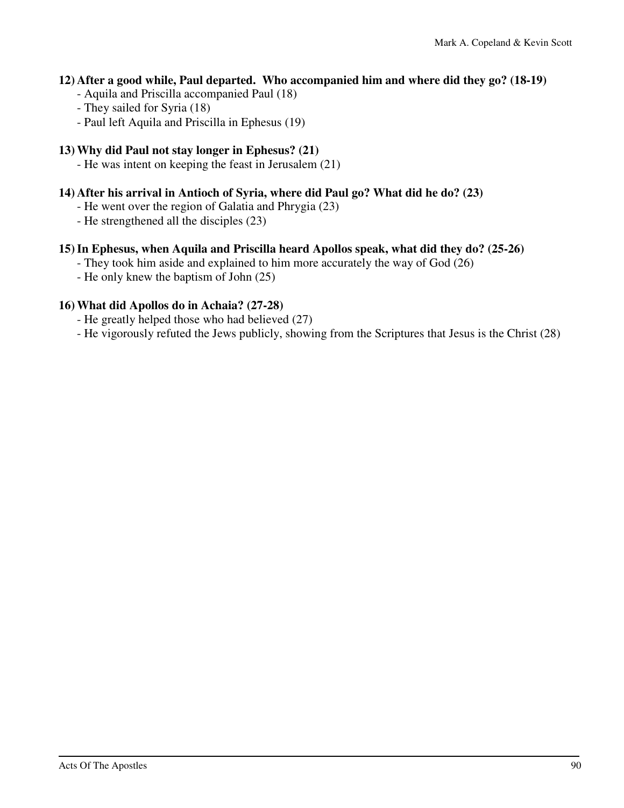#### **12) After a good while, Paul departed. Who accompanied him and where did they go? (18-19)**

- Aquila and Priscilla accompanied Paul (18)
- They sailed for Syria (18)
- Paul left Aquila and Priscilla in Ephesus (19)

#### **13) Why did Paul not stay longer in Ephesus? (21)**

- He was intent on keeping the feast in Jerusalem (21)

#### **14) After his arrival in Antioch of Syria, where did Paul go? What did he do? (23)**

- He went over the region of Galatia and Phrygia (23)
- He strengthened all the disciples (23)

#### **15) In Ephesus, when Aquila and Priscilla heard Apollos speak, what did they do? (25-26)**

- They took him aside and explained to him more accurately the way of God (26)
- He only knew the baptism of John (25)

#### **16) What did Apollos do in Achaia? (27-28)**

- He greatly helped those who had believed (27)
- He vigorously refuted the Jews publicly, showing from the Scriptures that Jesus is the Christ (28)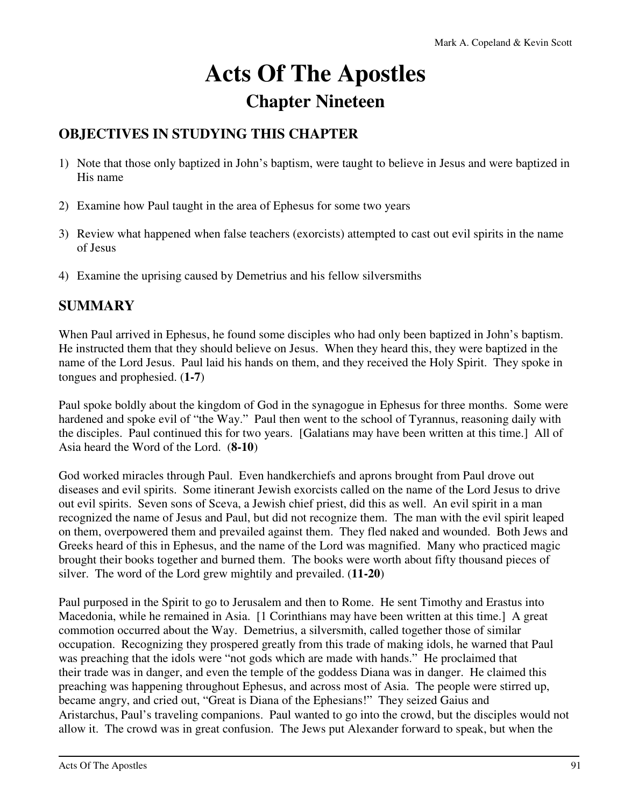# **Acts Of The Apostles Chapter Nineteen**

## **OBJECTIVES IN STUDYING THIS CHAPTER**

- 1) Note that those only baptized in John's baptism, were taught to believe in Jesus and were baptized in His name
- 2) Examine how Paul taught in the area of Ephesus for some two years
- 3) Review what happened when false teachers (exorcists) attempted to cast out evil spirits in the name of Jesus
- 4) Examine the uprising caused by Demetrius and his fellow silversmiths

## **SUMMARY**

When Paul arrived in Ephesus, he found some disciples who had only been baptized in John's baptism. He instructed them that they should believe on Jesus. When they heard this, they were baptized in the name of the Lord Jesus. Paul laid his hands on them, and they received the Holy Spirit. They spoke in tongues and prophesied. (**1-7**)

Paul spoke boldly about the kingdom of God in the synagogue in Ephesus for three months. Some were hardened and spoke evil of "the Way." Paul then went to the school of Tyrannus, reasoning daily with the disciples. Paul continued this for two years. [Galatians may have been written at this time.] All of Asia heard the Word of the Lord. (**8-10**)

God worked miracles through Paul. Even handkerchiefs and aprons brought from Paul drove out diseases and evil spirits. Some itinerant Jewish exorcists called on the name of the Lord Jesus to drive out evil spirits. Seven sons of Sceva, a Jewish chief priest, did this as well. An evil spirit in a man recognized the name of Jesus and Paul, but did not recognize them. The man with the evil spirit leaped on them, overpowered them and prevailed against them. They fled naked and wounded. Both Jews and Greeks heard of this in Ephesus, and the name of the Lord was magnified. Many who practiced magic brought their books together and burned them. The books were worth about fifty thousand pieces of silver. The word of the Lord grew mightily and prevailed. (**11-20**)

Paul purposed in the Spirit to go to Jerusalem and then to Rome. He sent Timothy and Erastus into Macedonia, while he remained in Asia. [1 Corinthians may have been written at this time.] A great commotion occurred about the Way. Demetrius, a silversmith, called together those of similar occupation. Recognizing they prospered greatly from this trade of making idols, he warned that Paul was preaching that the idols were "not gods which are made with hands." He proclaimed that their trade was in danger, and even the temple of the goddess Diana was in danger. He claimed this preaching was happening throughout Ephesus, and across most of Asia. The people were stirred up, became angry, and cried out, "Great is Diana of the Ephesians!" They seized Gaius and Aristarchus, Paul's traveling companions. Paul wanted to go into the crowd, but the disciples would not allow it. The crowd was in great confusion. The Jews put Alexander forward to speak, but when the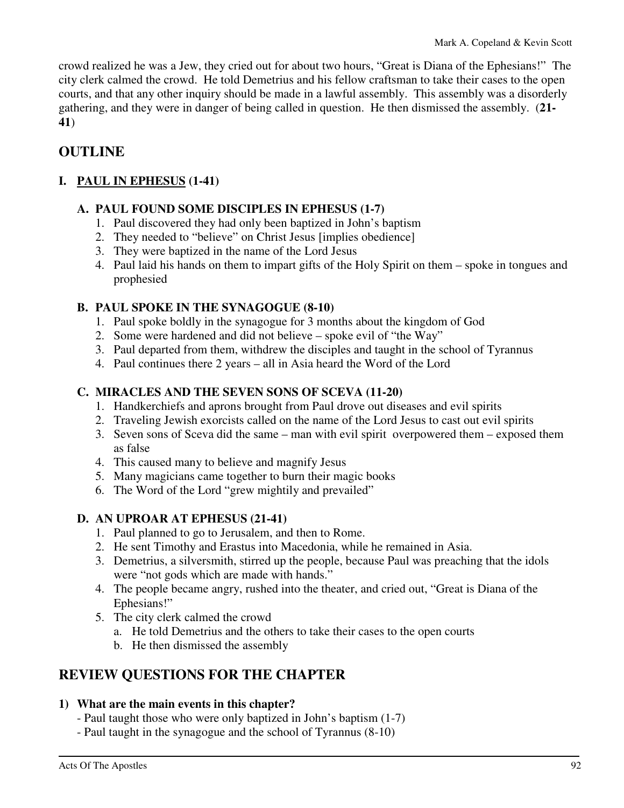crowd realized he was a Jew, they cried out for about two hours, "Great is Diana of the Ephesians!" The city clerk calmed the crowd. He told Demetrius and his fellow craftsman to take their cases to the open courts, and that any other inquiry should be made in a lawful assembly. This assembly was a disorderly gathering, and they were in danger of being called in question. He then dismissed the assembly. (**21- 41**)

# **OUTLINE**

### **I. PAUL IN EPHESUS (1-41)**

#### **A. PAUL FOUND SOME DISCIPLES IN EPHESUS (1-7)**

- 1. Paul discovered they had only been baptized in John's baptism
- 2. They needed to "believe" on Christ Jesus [implies obedience]
- 3. They were baptized in the name of the Lord Jesus
- 4. Paul laid his hands on them to impart gifts of the Holy Spirit on them spoke in tongues and prophesied

### **B. PAUL SPOKE IN THE SYNAGOGUE (8-10)**

- 1. Paul spoke boldly in the synagogue for 3 months about the kingdom of God
- 2. Some were hardened and did not believe spoke evil of "the Way"
- 3. Paul departed from them, withdrew the disciples and taught in the school of Tyrannus
- 4. Paul continues there 2 years all in Asia heard the Word of the Lord

#### **C. MIRACLES AND THE SEVEN SONS OF SCEVA (11-20)**

- 1. Handkerchiefs and aprons brought from Paul drove out diseases and evil spirits
- 2. Traveling Jewish exorcists called on the name of the Lord Jesus to cast out evil spirits
- 3. Seven sons of Sceva did the same man with evil spirit overpowered them exposed them as false
- 4. This caused many to believe and magnify Jesus
- 5. Many magicians came together to burn their magic books
- 6. The Word of the Lord "grew mightily and prevailed"

#### **D. AN UPROAR AT EPHESUS (21-41)**

- 1. Paul planned to go to Jerusalem, and then to Rome.
- 2. He sent Timothy and Erastus into Macedonia, while he remained in Asia.
- 3. Demetrius, a silversmith, stirred up the people, because Paul was preaching that the idols were "not gods which are made with hands."
- 4. The people became angry, rushed into the theater, and cried out, "Great is Diana of the Ephesians!"
- 5. The city clerk calmed the crowd
	- a. He told Demetrius and the others to take their cases to the open courts
	- b. He then dismissed the assembly

# **REVIEW QUESTIONS FOR THE CHAPTER**

#### **1) What are the main events in this chapter?**

- Paul taught those who were only baptized in John's baptism (1-7)
- Paul taught in the synagogue and the school of Tyrannus (8-10)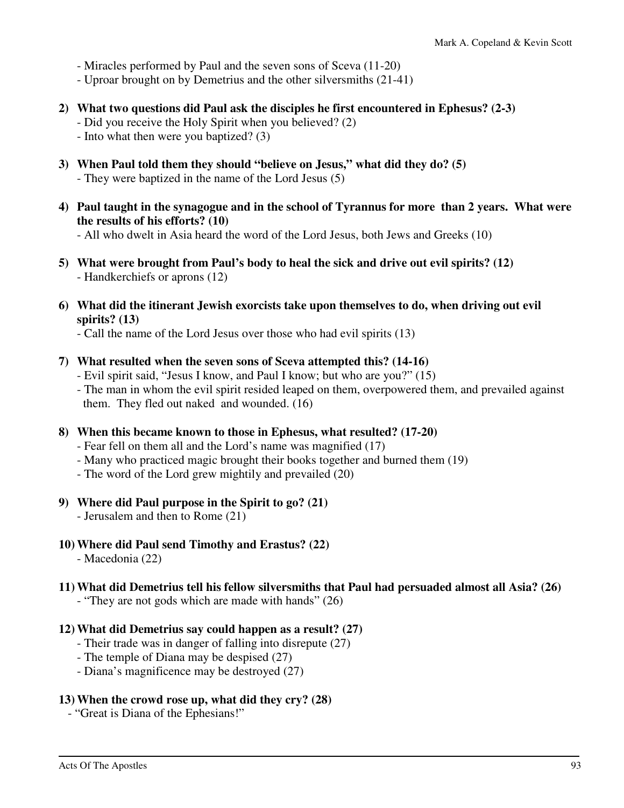- Miracles performed by Paul and the seven sons of Sceva (11-20)

- Uproar brought on by Demetrius and the other silversmiths (21-41)

- **2) What two questions did Paul ask the disciples he first encountered in Ephesus? (2-3)** 
	- Did you receive the Holy Spirit when you believed? (2)
	- Into what then were you baptized? (3)
- **3) When Paul told them they should "believe on Jesus," what did they do? (5)**  - They were baptized in the name of the Lord Jesus (5)
- **4) Paul taught in the synagogue and in the school of Tyrannus for more than 2 years. What were the results of his efforts? (10)**

- All who dwelt in Asia heard the word of the Lord Jesus, both Jews and Greeks (10)

- **5) What were brought from Paul's body to heal the sick and drive out evil spirits? (12)**  - Handkerchiefs or aprons (12)
- **6) What did the itinerant Jewish exorcists take upon themselves to do, when driving out evil spirits? (13)** 
	- Call the name of the Lord Jesus over those who had evil spirits (13)
- **7) What resulted when the seven sons of Sceva attempted this? (14-16)** 
	- Evil spirit said, "Jesus I know, and Paul I know; but who are you?" (15)
	- The man in whom the evil spirit resided leaped on them, overpowered them, and prevailed against them. They fled out naked and wounded. (16)
- **8) When this became known to those in Ephesus, what resulted? (17-20)** 
	- Fear fell on them all and the Lord's name was magnified (17)
	- Many who practiced magic brought their books together and burned them (19)
	- The word of the Lord grew mightily and prevailed (20)
- **9) Where did Paul purpose in the Spirit to go? (21)** 
	- Jerusalem and then to Rome (21)
- **10) Where did Paul send Timothy and Erastus? (22)** 
	- Macedonia (22)
- **11) What did Demetrius tell his fellow silversmiths that Paul had persuaded almost all Asia? (26)** 
	- "They are not gods which are made with hands" (26)
- **12) What did Demetrius say could happen as a result? (27)** 
	- Their trade was in danger of falling into disrepute (27)
	- The temple of Diana may be despised (27)
	- Diana's magnificence may be destroyed (27)

#### **13) When the crowd rose up, what did they cry? (28)**

- "Great is Diana of the Ephesians!"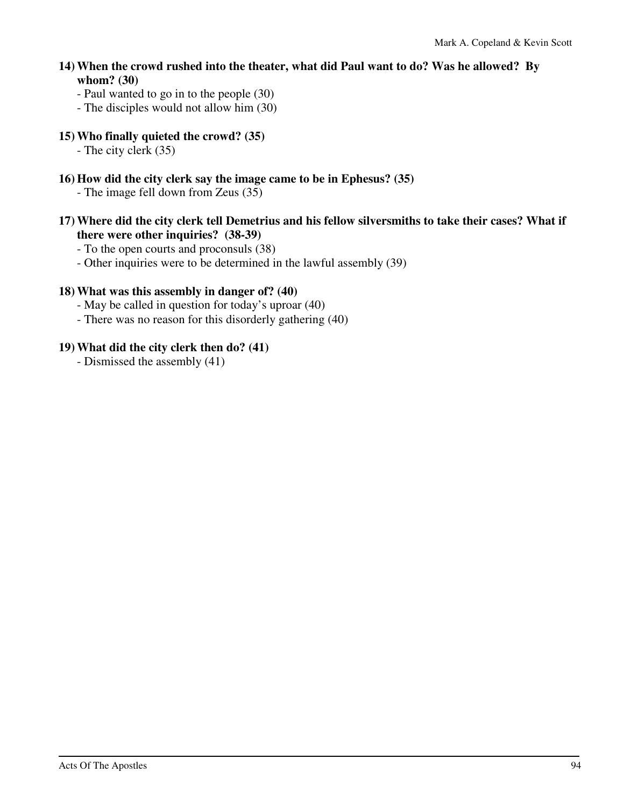- **14) When the crowd rushed into the theater, what did Paul want to do? Was he allowed? By whom? (30)** 
	- Paul wanted to go in to the people (30)
	- The disciples would not allow him (30)
- **15) Who finally quieted the crowd? (35)** 
	- The city clerk (35)
- **16) How did the city clerk say the image came to be in Ephesus? (35)** 
	- The image fell down from Zeus (35)
- **17) Where did the city clerk tell Demetrius and his fellow silversmiths to take their cases? What if there were other inquiries? (38-39)** 
	- To the open courts and proconsuls (38)
	- Other inquiries were to be determined in the lawful assembly (39)

#### **18) What was this assembly in danger of? (40)**

- May be called in question for today's uproar (40)
- There was no reason for this disorderly gathering (40)

#### **19) What did the city clerk then do? (41)**

- Dismissed the assembly (41)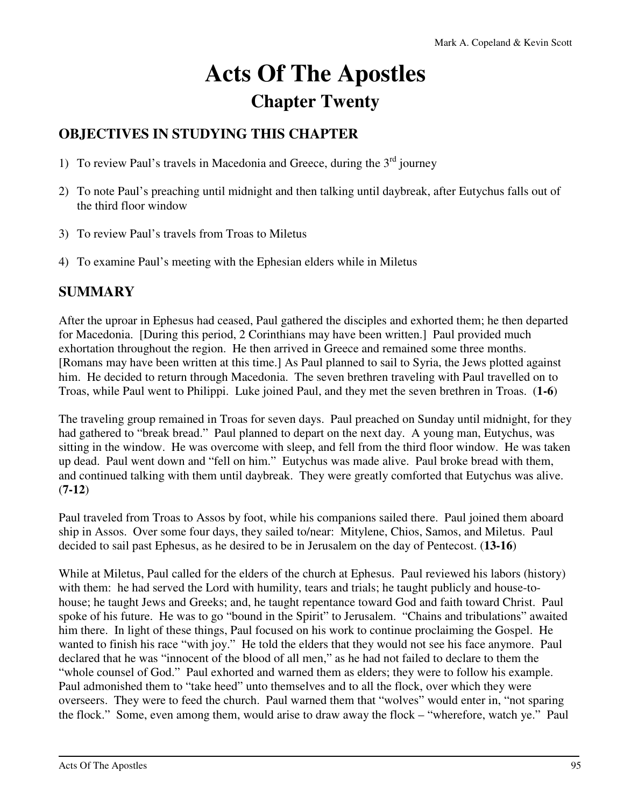# **Acts Of The Apostles Chapter Twenty**

# **OBJECTIVES IN STUDYING THIS CHAPTER**

- 1) To review Paul's travels in Macedonia and Greece, during the  $3<sup>rd</sup>$  journey
- 2) To note Paul's preaching until midnight and then talking until daybreak, after Eutychus falls out of the third floor window
- 3) To review Paul's travels from Troas to Miletus
- 4) To examine Paul's meeting with the Ephesian elders while in Miletus

## **SUMMARY**

After the uproar in Ephesus had ceased, Paul gathered the disciples and exhorted them; he then departed for Macedonia. [During this period, 2 Corinthians may have been written.] Paul provided much exhortation throughout the region. He then arrived in Greece and remained some three months. [Romans may have been written at this time.] As Paul planned to sail to Syria, the Jews plotted against him. He decided to return through Macedonia. The seven brethren traveling with Paul travelled on to Troas, while Paul went to Philippi. Luke joined Paul, and they met the seven brethren in Troas. (**1-6**)

The traveling group remained in Troas for seven days. Paul preached on Sunday until midnight, for they had gathered to "break bread." Paul planned to depart on the next day. A young man, Eutychus, was sitting in the window. He was overcome with sleep, and fell from the third floor window. He was taken up dead. Paul went down and "fell on him." Eutychus was made alive. Paul broke bread with them, and continued talking with them until daybreak. They were greatly comforted that Eutychus was alive. (**7-12**)

Paul traveled from Troas to Assos by foot, while his companions sailed there. Paul joined them aboard ship in Assos. Over some four days, they sailed to/near: Mitylene, Chios, Samos, and Miletus. Paul decided to sail past Ephesus, as he desired to be in Jerusalem on the day of Pentecost. (**13-16**)

While at Miletus, Paul called for the elders of the church at Ephesus. Paul reviewed his labors (history) with them: he had served the Lord with humility, tears and trials; he taught publicly and house-tohouse; he taught Jews and Greeks; and, he taught repentance toward God and faith toward Christ. Paul spoke of his future. He was to go "bound in the Spirit" to Jerusalem. "Chains and tribulations" awaited him there. In light of these things, Paul focused on his work to continue proclaiming the Gospel. He wanted to finish his race "with joy." He told the elders that they would not see his face anymore. Paul declared that he was "innocent of the blood of all men," as he had not failed to declare to them the "whole counsel of God." Paul exhorted and warned them as elders; they were to follow his example. Paul admonished them to "take heed" unto themselves and to all the flock, over which they were overseers. They were to feed the church. Paul warned them that "wolves" would enter in, "not sparing the flock." Some, even among them, would arise to draw away the flock – "wherefore, watch ye." Paul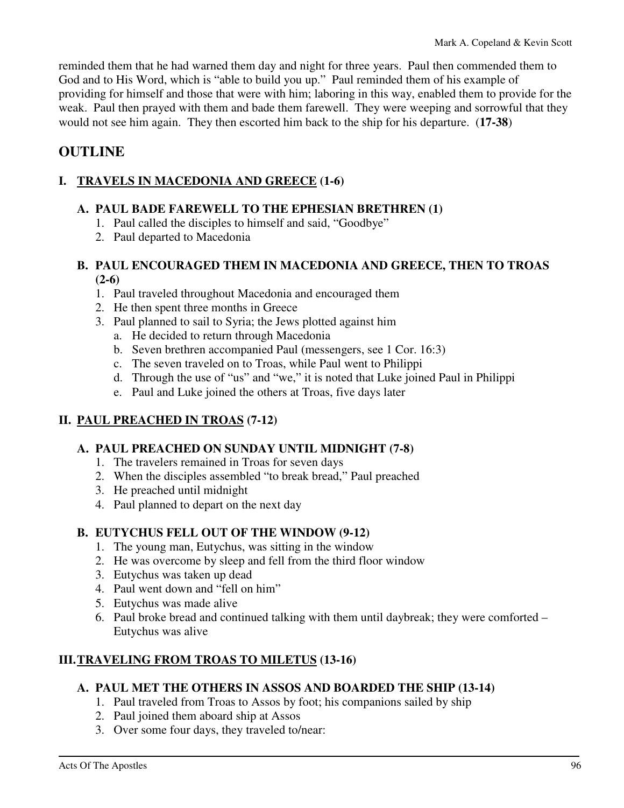reminded them that he had warned them day and night for three years. Paul then commended them to God and to His Word, which is "able to build you up." Paul reminded them of his example of providing for himself and those that were with him; laboring in this way, enabled them to provide for the weak. Paul then prayed with them and bade them farewell. They were weeping and sorrowful that they would not see him again. They then escorted him back to the ship for his departure. (**17-38**)

## **OUTLINE**

### **I. TRAVELS IN MACEDONIA AND GREECE (1-6)**

#### **A. PAUL BADE FAREWELL TO THE EPHESIAN BRETHREN (1)**

- 1. Paul called the disciples to himself and said, "Goodbye"
- 2. Paul departed to Macedonia

#### **B. PAUL ENCOURAGED THEM IN MACEDONIA AND GREECE, THEN TO TROAS (2-6)**

- 1. Paul traveled throughout Macedonia and encouraged them
- 2. He then spent three months in Greece
- 3. Paul planned to sail to Syria; the Jews plotted against him
	- a. He decided to return through Macedonia
	- b. Seven brethren accompanied Paul (messengers, see 1 Cor. 16:3)
	- c. The seven traveled on to Troas, while Paul went to Philippi
	- d. Through the use of "us" and "we," it is noted that Luke joined Paul in Philippi
	- e. Paul and Luke joined the others at Troas, five days later

#### **II. PAUL PREACHED IN TROAS (7-12)**

#### **A. PAUL PREACHED ON SUNDAY UNTIL MIDNIGHT (7-8)**

- 1. The travelers remained in Troas for seven days
- 2. When the disciples assembled "to break bread," Paul preached
- 3. He preached until midnight
- 4. Paul planned to depart on the next day

#### **B. EUTYCHUS FELL OUT OF THE WINDOW (9-12)**

- 1. The young man, Eutychus, was sitting in the window
- 2. He was overcome by sleep and fell from the third floor window
- 3. Eutychus was taken up dead
- 4. Paul went down and "fell on him"
- 5. Eutychus was made alive
- 6. Paul broke bread and continued talking with them until daybreak; they were comforted Eutychus was alive

## **III. TRAVELING FROM TROAS TO MILETUS (13-16)**

#### **A. PAUL MET THE OTHERS IN ASSOS AND BOARDED THE SHIP (13-14)**

- 1. Paul traveled from Troas to Assos by foot; his companions sailed by ship
- 2. Paul joined them aboard ship at Assos
- 3. Over some four days, they traveled to/near: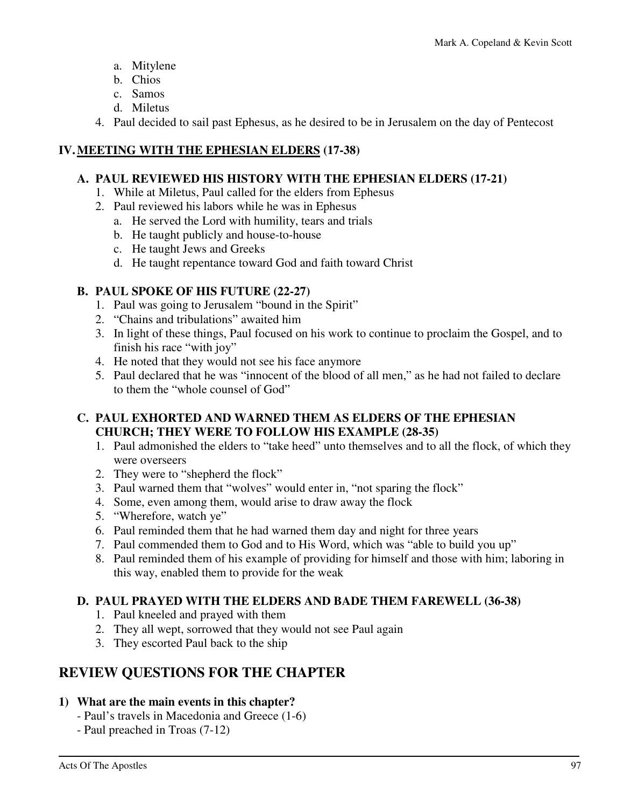- a. Mitylene
- b. Chios
- c. Samos
- d. Miletus
- 4. Paul decided to sail past Ephesus, as he desired to be in Jerusalem on the day of Pentecost

#### **IV. MEETING WITH THE EPHESIAN ELDERS (17-38)**

#### **A. PAUL REVIEWED HIS HISTORY WITH THE EPHESIAN ELDERS (17-21)**

- 1. While at Miletus, Paul called for the elders from Ephesus
- 2. Paul reviewed his labors while he was in Ephesus
	- a. He served the Lord with humility, tears and trials
	- b. He taught publicly and house-to-house
	- c. He taught Jews and Greeks
	- d. He taught repentance toward God and faith toward Christ

#### **B. PAUL SPOKE OF HIS FUTURE (22-27)**

- 1. Paul was going to Jerusalem "bound in the Spirit"
- 2. "Chains and tribulations" awaited him
- 3. In light of these things, Paul focused on his work to continue to proclaim the Gospel, and to finish his race "with joy"
- 4. He noted that they would not see his face anymore
- 5. Paul declared that he was "innocent of the blood of all men," as he had not failed to declare to them the "whole counsel of God"

#### **C. PAUL EXHORTED AND WARNED THEM AS ELDERS OF THE EPHESIAN CHURCH; THEY WERE TO FOLLOW HIS EXAMPLE (28-35)**

- 1. Paul admonished the elders to "take heed" unto themselves and to all the flock, of which they were overseers
- 2. They were to "shepherd the flock"
- 3. Paul warned them that "wolves" would enter in, "not sparing the flock"
- 4. Some, even among them, would arise to draw away the flock
- 5. "Wherefore, watch ye"
- 6. Paul reminded them that he had warned them day and night for three years
- 7. Paul commended them to God and to His Word, which was "able to build you up"
- 8. Paul reminded them of his example of providing for himself and those with him; laboring in this way, enabled them to provide for the weak

#### **D. PAUL PRAYED WITH THE ELDERS AND BADE THEM FAREWELL (36-38)**

- 1. Paul kneeled and prayed with them
- 2. They all wept, sorrowed that they would not see Paul again
- 3. They escorted Paul back to the ship

# **REVIEW QUESTIONS FOR THE CHAPTER**

#### **1) What are the main events in this chapter?**

- Paul's travels in Macedonia and Greece (1-6)
- Paul preached in Troas (7-12)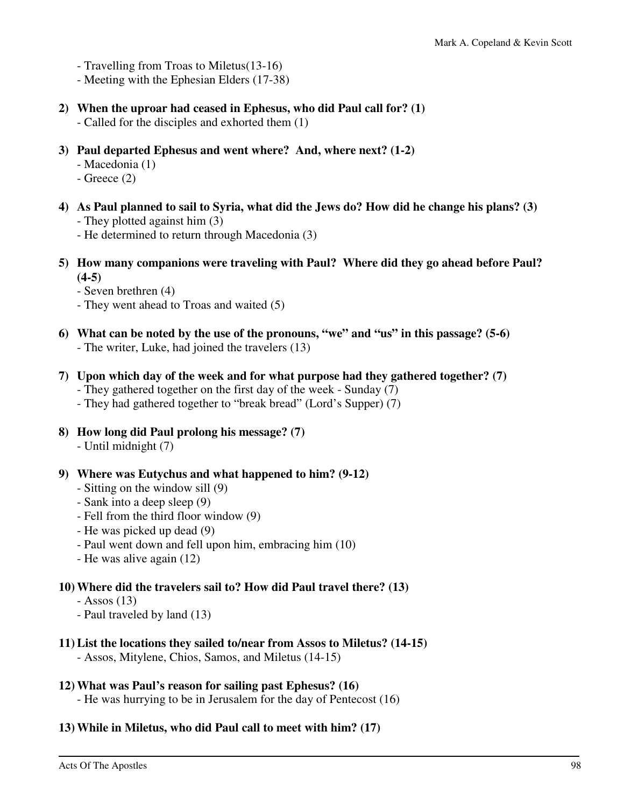- Travelling from Troas to Miletus(13-16)
- Meeting with the Ephesian Elders (17-38)
- **2) When the uproar had ceased in Ephesus, who did Paul call for? (1)** 
	- Called for the disciples and exhorted them (1)
- **3) Paul departed Ephesus and went where? And, where next? (1-2)** 
	- Macedonia (1)
	- Greece (2)
- **4) As Paul planned to sail to Syria, what did the Jews do? How did he change his plans? (3)**  - They plotted against him (3)
	- He determined to return through Macedonia (3)
- **5) How many companions were traveling with Paul? Where did they go ahead before Paul?**   $(4-5)$ 
	- Seven brethren (4)
	- They went ahead to Troas and waited (5)
- **6) What can be noted by the use of the pronouns, "we" and "us" in this passage? (5-6)**  - The writer, Luke, had joined the travelers (13)
- **7) Upon which day of the week and for what purpose had they gathered together? (7)** 
	- They gathered together on the first day of the week Sunday (7)
	- They had gathered together to "break bread" (Lord's Supper) (7)
- **8) How long did Paul prolong his message? (7)** 
	- Until midnight (7)
- **9) Where was Eutychus and what happened to him? (9-12)** 
	- Sitting on the window sill (9)
	- Sank into a deep sleep (9)
	- Fell from the third floor window (9)
	- He was picked up dead (9)
	- Paul went down and fell upon him, embracing him (10)
	- He was alive again (12)

#### **10) Where did the travelers sail to? How did Paul travel there? (13)**

- $-$  Assos (13)
- Paul traveled by land (13)

#### **11) List the locations they sailed to/near from Assos to Miletus? (14-15)**

- Assos, Mitylene, Chios, Samos, and Miletus (14-15)

#### **12) What was Paul's reason for sailing past Ephesus? (16)**

- He was hurrying to be in Jerusalem for the day of Pentecost (16)

#### **13) While in Miletus, who did Paul call to meet with him? (17)**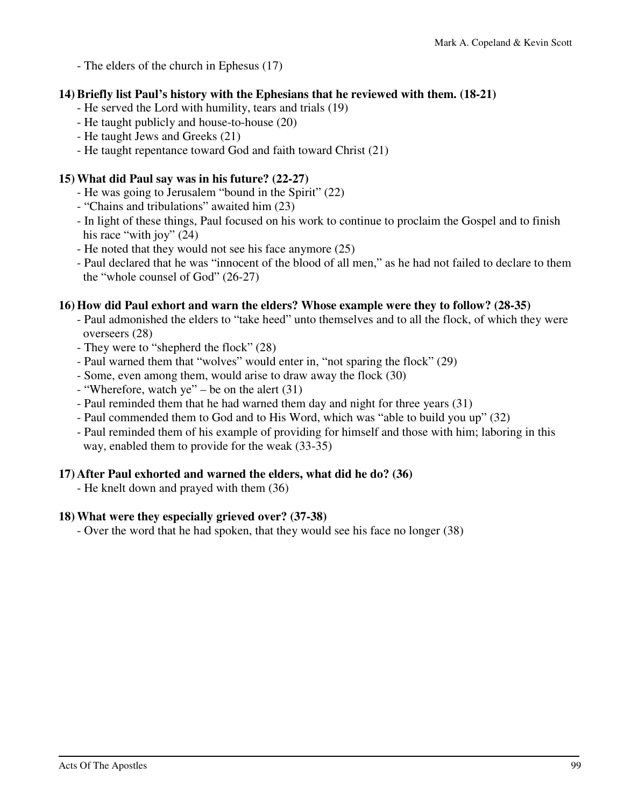- The elders of the church in Ephesus (17)

#### **14) Briefly list Paul's history with the Ephesians that he reviewed with them. (18-21)**

- He served the Lord with humility, tears and trials (19)
- He taught publicly and house-to-house (20)
- He taught Jews and Greeks (21)
- He taught repentance toward God and faith toward Christ (21)

#### **15) What did Paul say was in his future? (22-27)**

- He was going to Jerusalem "bound in the Spirit" (22)
- "Chains and tribulations" awaited him (23)
- In light of these things, Paul focused on his work to continue to proclaim the Gospel and to finish his race "with joy" (24)
- He noted that they would not see his face anymore (25)
- Paul declared that he was "innocent of the blood of all men," as he had not failed to declare to them the "whole counsel of God" (26-27)

#### **16) How did Paul exhort and warn the elders? Whose example were they to follow? (28-35)**

- Paul admonished the elders to "take heed" unto themselves and to all the flock, of which they were overseers (28)
- They were to "shepherd the flock" (28)
- Paul warned them that "wolves" would enter in, "not sparing the flock" (29)
- Some, even among them, would arise to draw away the flock (30)
- $-$  "Wherefore, watch ye" be on the alert (31)
- Paul reminded them that he had warned them day and night for three years (31)
- Paul commended them to God and to His Word, which was "able to build you up" (32)
- Paul reminded them of his example of providing for himself and those with him; laboring in this way, enabled them to provide for the weak (33-35)

#### **17) After Paul exhorted and warned the elders, what did he do? (36)**

- He knelt down and prayed with them (36)

#### **18) What were they especially grieved over? (37-38)**

- Over the word that he had spoken, that they would see his face no longer (38)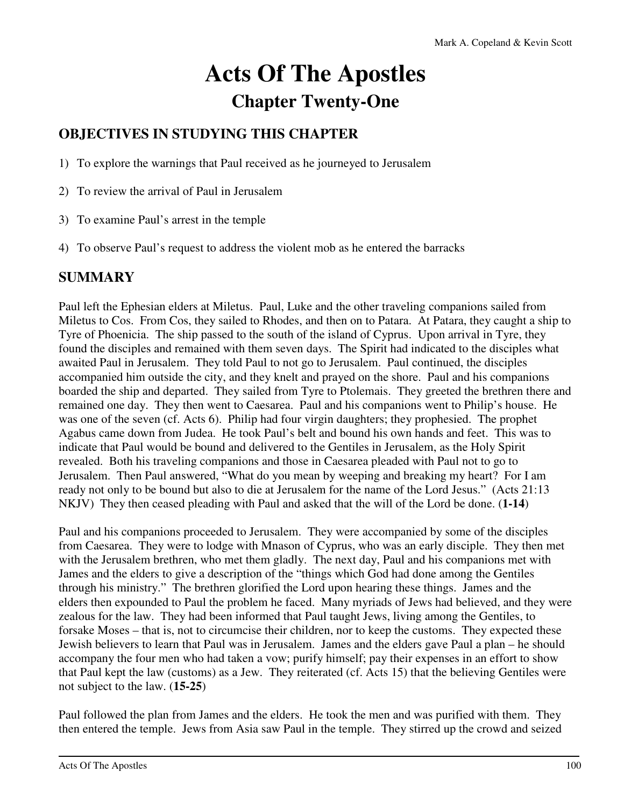# **Acts Of The Apostles Chapter Twenty-One**

# **OBJECTIVES IN STUDYING THIS CHAPTER**

- 1) To explore the warnings that Paul received as he journeyed to Jerusalem
- 2) To review the arrival of Paul in Jerusalem
- 3) To examine Paul's arrest in the temple
- 4) To observe Paul's request to address the violent mob as he entered the barracks

## **SUMMARY**

Paul left the Ephesian elders at Miletus. Paul, Luke and the other traveling companions sailed from Miletus to Cos. From Cos, they sailed to Rhodes, and then on to Patara. At Patara, they caught a ship to Tyre of Phoenicia. The ship passed to the south of the island of Cyprus. Upon arrival in Tyre, they found the disciples and remained with them seven days. The Spirit had indicated to the disciples what awaited Paul in Jerusalem. They told Paul to not go to Jerusalem. Paul continued, the disciples accompanied him outside the city, and they knelt and prayed on the shore. Paul and his companions boarded the ship and departed. They sailed from Tyre to Ptolemais. They greeted the brethren there and remained one day. They then went to Caesarea. Paul and his companions went to Philip's house. He was one of the seven (cf. Acts 6). Philip had four virgin daughters; they prophesied. The prophet Agabus came down from Judea. He took Paul's belt and bound his own hands and feet. This was to indicate that Paul would be bound and delivered to the Gentiles in Jerusalem, as the Holy Spirit revealed. Both his traveling companions and those in Caesarea pleaded with Paul not to go to Jerusalem. Then Paul answered, "What do you mean by weeping and breaking my heart? For I am ready not only to be bound but also to die at Jerusalem for the name of the Lord Jesus." (Acts 21:13 NKJV) They then ceased pleading with Paul and asked that the will of the Lord be done. (**1-14**)

Paul and his companions proceeded to Jerusalem. They were accompanied by some of the disciples from Caesarea. They were to lodge with Mnason of Cyprus, who was an early disciple. They then met with the Jerusalem brethren, who met them gladly. The next day, Paul and his companions met with James and the elders to give a description of the "things which God had done among the Gentiles through his ministry." The brethren glorified the Lord upon hearing these things. James and the elders then expounded to Paul the problem he faced. Many myriads of Jews had believed, and they were zealous for the law. They had been informed that Paul taught Jews, living among the Gentiles, to forsake Moses – that is, not to circumcise their children, nor to keep the customs. They expected these Jewish believers to learn that Paul was in Jerusalem. James and the elders gave Paul a plan – he should accompany the four men who had taken a vow; purify himself; pay their expenses in an effort to show that Paul kept the law (customs) as a Jew. They reiterated (cf. Acts 15) that the believing Gentiles were not subject to the law. (**15-25**)

Paul followed the plan from James and the elders. He took the men and was purified with them. They then entered the temple. Jews from Asia saw Paul in the temple. They stirred up the crowd and seized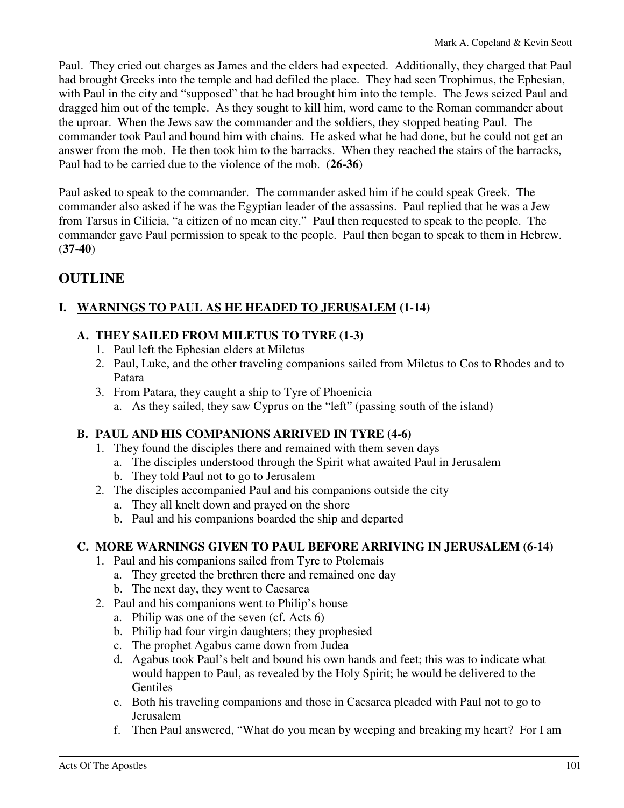Paul. They cried out charges as James and the elders had expected. Additionally, they charged that Paul had brought Greeks into the temple and had defiled the place. They had seen Trophimus, the Ephesian, with Paul in the city and "supposed" that he had brought him into the temple. The Jews seized Paul and dragged him out of the temple. As they sought to kill him, word came to the Roman commander about the uproar. When the Jews saw the commander and the soldiers, they stopped beating Paul. The commander took Paul and bound him with chains. He asked what he had done, but he could not get an answer from the mob. He then took him to the barracks. When they reached the stairs of the barracks, Paul had to be carried due to the violence of the mob. (**26-36**)

Paul asked to speak to the commander. The commander asked him if he could speak Greek. The commander also asked if he was the Egyptian leader of the assassins. Paul replied that he was a Jew from Tarsus in Cilicia, "a citizen of no mean city." Paul then requested to speak to the people. The commander gave Paul permission to speak to the people. Paul then began to speak to them in Hebrew. (**37-40**)

# **OUTLINE**

## **I. WARNINGS TO PAUL AS HE HEADED TO JERUSALEM (1-14)**

#### **A. THEY SAILED FROM MILETUS TO TYRE (1-3)**

- 1. Paul left the Ephesian elders at Miletus
- 2. Paul, Luke, and the other traveling companions sailed from Miletus to Cos to Rhodes and to Patara
- 3. From Patara, they caught a ship to Tyre of Phoenicia
	- a. As they sailed, they saw Cyprus on the "left" (passing south of the island)

#### **B. PAUL AND HIS COMPANIONS ARRIVED IN TYRE (4-6)**

- 1. They found the disciples there and remained with them seven days
	- a. The disciples understood through the Spirit what awaited Paul in Jerusalem
	- b. They told Paul not to go to Jerusalem
- 2. The disciples accompanied Paul and his companions outside the city
	- a. They all knelt down and prayed on the shore
	- b. Paul and his companions boarded the ship and departed

#### **C. MORE WARNINGS GIVEN TO PAUL BEFORE ARRIVING IN JERUSALEM (6-14)**

- 1. Paul and his companions sailed from Tyre to Ptolemais
	- a. They greeted the brethren there and remained one day
	- b. The next day, they went to Caesarea
- 2. Paul and his companions went to Philip's house
	- a. Philip was one of the seven (cf. Acts 6)
	- b. Philip had four virgin daughters; they prophesied
	- c. The prophet Agabus came down from Judea
	- d. Agabus took Paul's belt and bound his own hands and feet; this was to indicate what would happen to Paul, as revealed by the Holy Spirit; he would be delivered to the Gentiles
	- e. Both his traveling companions and those in Caesarea pleaded with Paul not to go to Jerusalem
	- f. Then Paul answered, "What do you mean by weeping and breaking my heart? For I am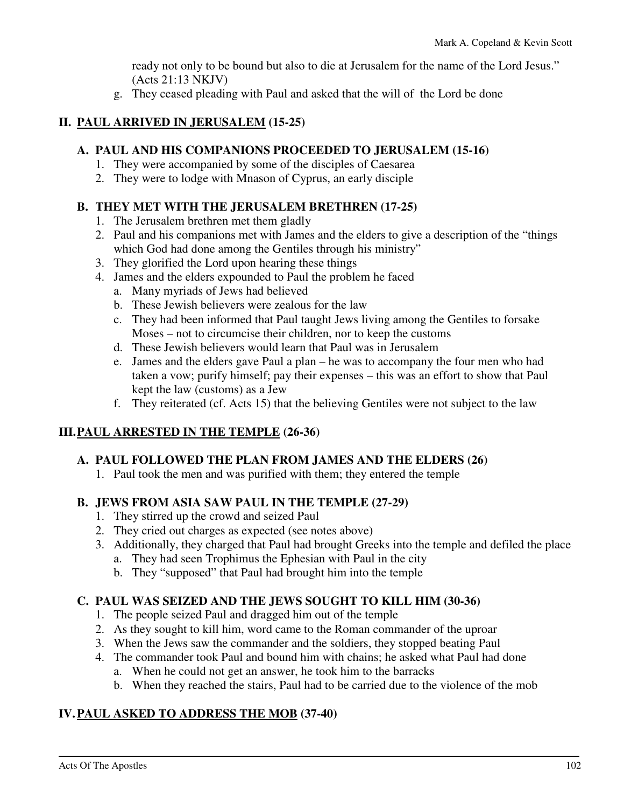ready not only to be bound but also to die at Jerusalem for the name of the Lord Jesus." (Acts 21:13 NKJV)

g. They ceased pleading with Paul and asked that the will of the Lord be done

### **II. PAUL ARRIVED IN JERUSALEM (15-25)**

#### **A. PAUL AND HIS COMPANIONS PROCEEDED TO JERUSALEM (15-16)**

- 1. They were accompanied by some of the disciples of Caesarea
- 2. They were to lodge with Mnason of Cyprus, an early disciple

### **B. THEY MET WITH THE JERUSALEM BRETHREN (17-25)**

- 1. The Jerusalem brethren met them gladly
- 2. Paul and his companions met with James and the elders to give a description of the "things which God had done among the Gentiles through his ministry"
- 3. They glorified the Lord upon hearing these things
- 4. James and the elders expounded to Paul the problem he faced
	- a. Many myriads of Jews had believed
	- b. These Jewish believers were zealous for the law
	- c. They had been informed that Paul taught Jews living among the Gentiles to forsake Moses – not to circumcise their children, nor to keep the customs
	- d. These Jewish believers would learn that Paul was in Jerusalem
	- e. James and the elders gave Paul a plan he was to accompany the four men who had taken a vow; purify himself; pay their expenses – this was an effort to show that Paul kept the law (customs) as a Jew
	- f. They reiterated (cf. Acts 15) that the believing Gentiles were not subject to the law

## **III. PAUL ARRESTED IN THE TEMPLE (26-36)**

#### **A. PAUL FOLLOWED THE PLAN FROM JAMES AND THE ELDERS (26)**

1. Paul took the men and was purified with them; they entered the temple

#### **B. JEWS FROM ASIA SAW PAUL IN THE TEMPLE (27-29)**

- 1. They stirred up the crowd and seized Paul
- 2. They cried out charges as expected (see notes above)
- 3. Additionally, they charged that Paul had brought Greeks into the temple and defiled the place a. They had seen Trophimus the Ephesian with Paul in the city
	- b. They "supposed" that Paul had brought him into the temple

## **C. PAUL WAS SEIZED AND THE JEWS SOUGHT TO KILL HIM (30-36)**

- 1. The people seized Paul and dragged him out of the temple
- 2. As they sought to kill him, word came to the Roman commander of the uproar
- 3. When the Jews saw the commander and the soldiers, they stopped beating Paul
- 4. The commander took Paul and bound him with chains; he asked what Paul had done a. When he could not get an answer, he took him to the barracks
	- b. When they reached the stairs, Paul had to be carried due to the violence of the mob

## **IV. PAUL ASKED TO ADDRESS THE MOB (37-40)**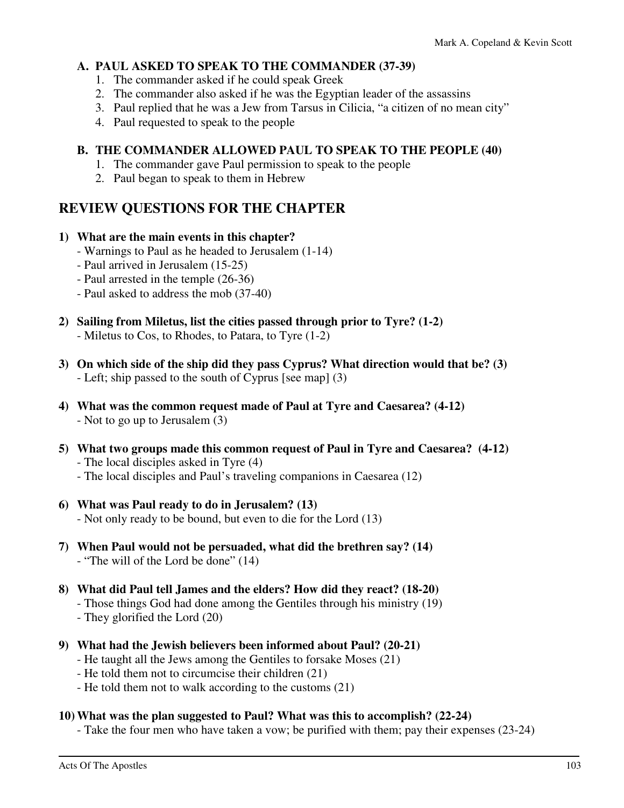#### **A. PAUL ASKED TO SPEAK TO THE COMMANDER (37-39)**

- 1. The commander asked if he could speak Greek
- 2. The commander also asked if he was the Egyptian leader of the assassins
- 3. Paul replied that he was a Jew from Tarsus in Cilicia, "a citizen of no mean city"
- 4. Paul requested to speak to the people

#### **B. THE COMMANDER ALLOWED PAUL TO SPEAK TO THE PEOPLE (40)**

- 1. The commander gave Paul permission to speak to the people
- 2. Paul began to speak to them in Hebrew

## **REVIEW QUESTIONS FOR THE CHAPTER**

#### **1) What are the main events in this chapter?**

- Warnings to Paul as he headed to Jerusalem (1-14)
- Paul arrived in Jerusalem (15-25)
- Paul arrested in the temple (26-36)
- Paul asked to address the mob (37-40)
- **2) Sailing from Miletus, list the cities passed through prior to Tyre? (1-2)**  - Miletus to Cos, to Rhodes, to Patara, to Tyre (1-2)
- **3) On which side of the ship did they pass Cyprus? What direction would that be? (3)**  - Left; ship passed to the south of Cyprus [see map] (3)
- **4) What was the common request made of Paul at Tyre and Caesarea? (4-12)**  - Not to go up to Jerusalem (3)
- **5) What two groups made this common request of Paul in Tyre and Caesarea? (4-12)**  - The local disciples asked in Tyre (4) - The local disciples and Paul's traveling companions in Caesarea (12)
- **6) What was Paul ready to do in Jerusalem? (13)**  - Not only ready to be bound, but even to die for the Lord (13)
- **7) When Paul would not be persuaded, what did the brethren say? (14)**  - "The will of the Lord be done" (14)
- **8) What did Paul tell James and the elders? How did they react? (18-20)**  - Those things God had done among the Gentiles through his ministry (19) - They glorified the Lord (20)
- **9) What had the Jewish believers been informed about Paul? (20-21)** 
	- He taught all the Jews among the Gentiles to forsake Moses (21)
	- He told them not to circumcise their children (21)
	- He told them not to walk according to the customs (21)

#### **10) What was the plan suggested to Paul? What was this to accomplish? (22-24)**

- Take the four men who have taken a vow; be purified with them; pay their expenses (23-24)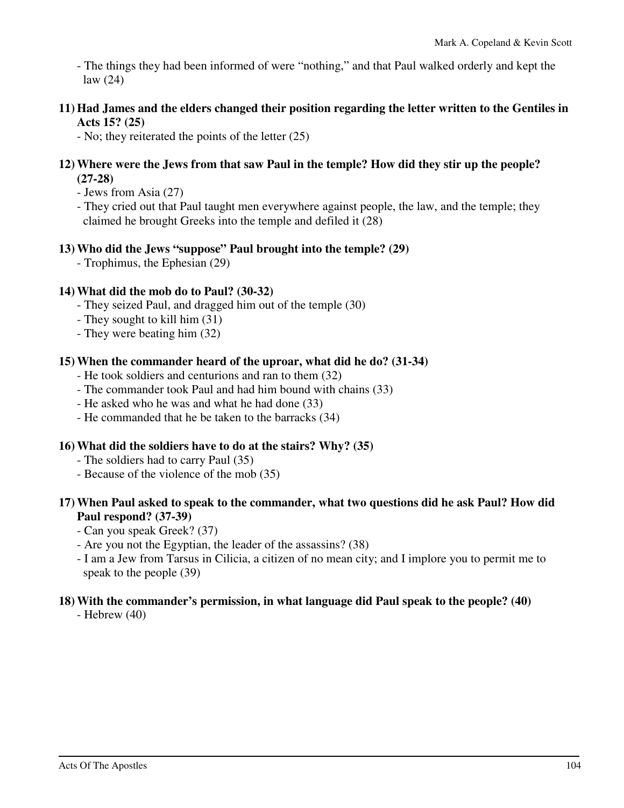- The things they had been informed of were "nothing," and that Paul walked orderly and kept the law (24)

**11) Had James and the elders changed their position regarding the letter written to the Gentiles in Acts 15? (25)** 

- No; they reiterated the points of the letter (25)

- **12) Where were the Jews from that saw Paul in the temple? How did they stir up the people? (27-28)** 
	- Jews from Asia (27)
	- They cried out that Paul taught men everywhere against people, the law, and the temple; they claimed he brought Greeks into the temple and defiled it (28)

#### **13) Who did the Jews "suppose" Paul brought into the temple? (29)**

- Trophimus, the Ephesian (29)

#### **14) What did the mob do to Paul? (30-32)**

- They seized Paul, and dragged him out of the temple (30)
- They sought to kill him (31)
- They were beating him (32)

#### **15) When the commander heard of the uproar, what did he do? (31-34)**

- He took soldiers and centurions and ran to them (32)
- The commander took Paul and had him bound with chains (33)
- He asked who he was and what he had done (33)
- He commanded that he be taken to the barracks (34)

#### **16) What did the soldiers have to do at the stairs? Why? (35)**

- The soldiers had to carry Paul (35)
- Because of the violence of the mob (35)

#### **17) When Paul asked to speak to the commander, what two questions did he ask Paul? How did Paul respond? (37-39)**

- Can you speak Greek? (37)
- Are you not the Egyptian, the leader of the assassins? (38)
- I am a Jew from Tarsus in Cilicia, a citizen of no mean city; and I implore you to permit me to speak to the people (39)

#### **18) With the commander's permission, in what language did Paul speak to the people? (40)**

- Hebrew (40)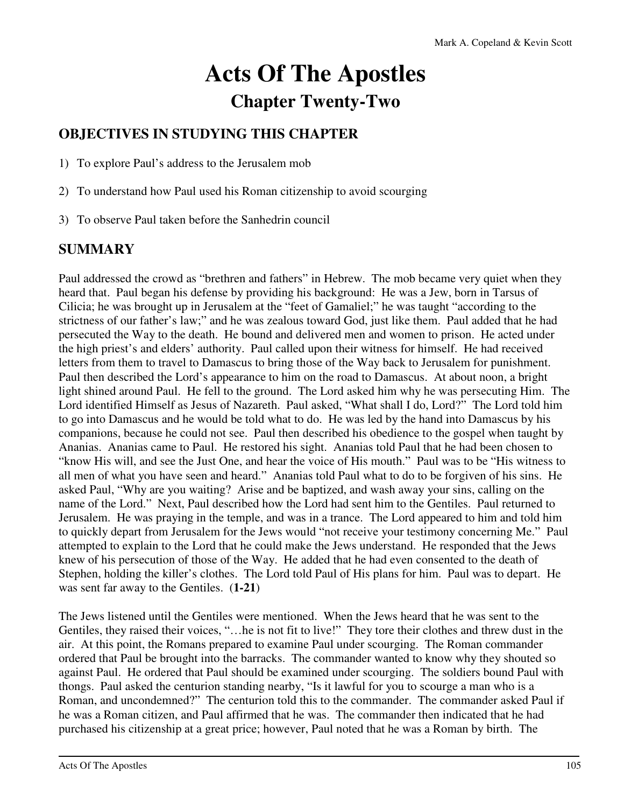# **Acts Of The Apostles Chapter Twenty-Two**

# **OBJECTIVES IN STUDYING THIS CHAPTER**

1) To explore Paul's address to the Jerusalem mob

- 2) To understand how Paul used his Roman citizenship to avoid scourging
- 3) To observe Paul taken before the Sanhedrin council

# **SUMMARY**

Paul addressed the crowd as "brethren and fathers" in Hebrew. The mob became very quiet when they heard that. Paul began his defense by providing his background: He was a Jew, born in Tarsus of Cilicia; he was brought up in Jerusalem at the "feet of Gamaliel;" he was taught "according to the strictness of our father's law;" and he was zealous toward God, just like them. Paul added that he had persecuted the Way to the death. He bound and delivered men and women to prison. He acted under the high priest's and elders' authority. Paul called upon their witness for himself. He had received letters from them to travel to Damascus to bring those of the Way back to Jerusalem for punishment. Paul then described the Lord's appearance to him on the road to Damascus. At about noon, a bright light shined around Paul. He fell to the ground. The Lord asked him why he was persecuting Him. The Lord identified Himself as Jesus of Nazareth. Paul asked, "What shall I do, Lord?" The Lord told him to go into Damascus and he would be told what to do. He was led by the hand into Damascus by his companions, because he could not see. Paul then described his obedience to the gospel when taught by Ananias. Ananias came to Paul. He restored his sight. Ananias told Paul that he had been chosen to "know His will, and see the Just One, and hear the voice of His mouth." Paul was to be "His witness to all men of what you have seen and heard." Ananias told Paul what to do to be forgiven of his sins. He asked Paul, "Why are you waiting? Arise and be baptized, and wash away your sins, calling on the name of the Lord." Next, Paul described how the Lord had sent him to the Gentiles. Paul returned to Jerusalem. He was praying in the temple, and was in a trance. The Lord appeared to him and told him to quickly depart from Jerusalem for the Jews would "not receive your testimony concerning Me." Paul attempted to explain to the Lord that he could make the Jews understand. He responded that the Jews knew of his persecution of those of the Way. He added that he had even consented to the death of Stephen, holding the killer's clothes. The Lord told Paul of His plans for him. Paul was to depart. He was sent far away to the Gentiles. (**1-21**)

The Jews listened until the Gentiles were mentioned. When the Jews heard that he was sent to the Gentiles, they raised their voices, "…he is not fit to live!" They tore their clothes and threw dust in the air. At this point, the Romans prepared to examine Paul under scourging. The Roman commander ordered that Paul be brought into the barracks. The commander wanted to know why they shouted so against Paul. He ordered that Paul should be examined under scourging. The soldiers bound Paul with thongs. Paul asked the centurion standing nearby, "Is it lawful for you to scourge a man who is a Roman, and uncondemned?" The centurion told this to the commander. The commander asked Paul if he was a Roman citizen, and Paul affirmed that he was. The commander then indicated that he had purchased his citizenship at a great price; however, Paul noted that he was a Roman by birth. The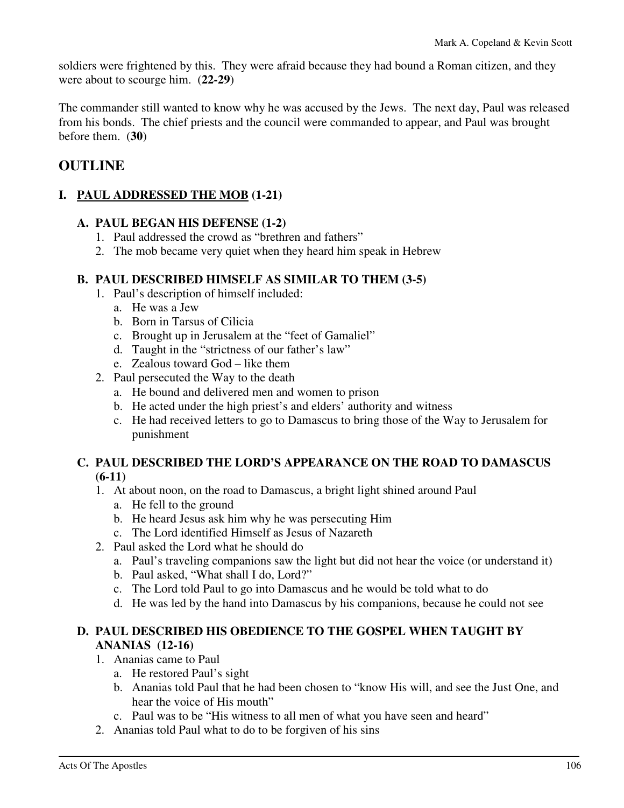soldiers were frightened by this. They were afraid because they had bound a Roman citizen, and they were about to scourge him. (**22-29**)

The commander still wanted to know why he was accused by the Jews. The next day, Paul was released from his bonds. The chief priests and the council were commanded to appear, and Paul was brought before them. (**30**)

## **OUTLINE**

#### **I. PAUL ADDRESSED THE MOB (1-21)**

#### **A. PAUL BEGAN HIS DEFENSE (1-2)**

- 1. Paul addressed the crowd as "brethren and fathers"
- 2. The mob became very quiet when they heard him speak in Hebrew

#### **B. PAUL DESCRIBED HIMSELF AS SIMILAR TO THEM (3-5)**

- 1. Paul's description of himself included:
	- a. He was a Jew
	- b. Born in Tarsus of Cilicia
	- c. Brought up in Jerusalem at the "feet of Gamaliel"
	- d. Taught in the "strictness of our father's law"
	- e. Zealous toward God like them
- 2. Paul persecuted the Way to the death
	- a. He bound and delivered men and women to prison
	- b. He acted under the high priest's and elders' authority and witness
	- c. He had received letters to go to Damascus to bring those of the Way to Jerusalem for punishment

#### **C. PAUL DESCRIBED THE LORD'S APPEARANCE ON THE ROAD TO DAMASCUS (6-11)**

- 1. At about noon, on the road to Damascus, a bright light shined around Paul
	- a. He fell to the ground
	- b. He heard Jesus ask him why he was persecuting Him
	- c. The Lord identified Himself as Jesus of Nazareth
- 2. Paul asked the Lord what he should do
	- a. Paul's traveling companions saw the light but did not hear the voice (or understand it)
	- b. Paul asked, "What shall I do, Lord?"
	- c. The Lord told Paul to go into Damascus and he would be told what to do
	- d. He was led by the hand into Damascus by his companions, because he could not see

#### **D. PAUL DESCRIBED HIS OBEDIENCE TO THE GOSPEL WHEN TAUGHT BY ANANIAS (12-16)**

- 1. Ananias came to Paul
	- a. He restored Paul's sight
	- b. Ananias told Paul that he had been chosen to "know His will, and see the Just One, and hear the voice of His mouth"
	- c. Paul was to be "His witness to all men of what you have seen and heard"
- 2. Ananias told Paul what to do to be forgiven of his sins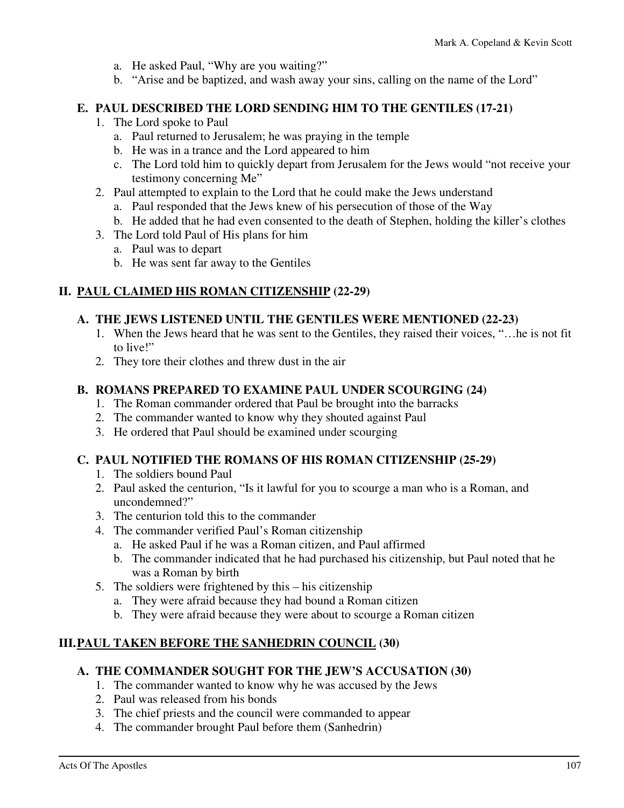- a. He asked Paul, "Why are you waiting?"
- b. "Arise and be baptized, and wash away your sins, calling on the name of the Lord"

#### **E. PAUL DESCRIBED THE LORD SENDING HIM TO THE GENTILES (17-21)**

- 1. The Lord spoke to Paul
	- a. Paul returned to Jerusalem; he was praying in the temple
	- b. He was in a trance and the Lord appeared to him
	- c. The Lord told him to quickly depart from Jerusalem for the Jews would "not receive your testimony concerning Me"
- 2. Paul attempted to explain to the Lord that he could make the Jews understand
	- a. Paul responded that the Jews knew of his persecution of those of the Way
	- b. He added that he had even consented to the death of Stephen, holding the killer's clothes
- 3. The Lord told Paul of His plans for him
	- a. Paul was to depart
	- b. He was sent far away to the Gentiles

#### **II. PAUL CLAIMED HIS ROMAN CITIZENSHIP (22-29)**

#### **A. THE JEWS LISTENED UNTIL THE GENTILES WERE MENTIONED (22-23)**

- 1. When the Jews heard that he was sent to the Gentiles, they raised their voices, "…he is not fit to live!"
- 2. They tore their clothes and threw dust in the air

#### **B. ROMANS PREPARED TO EXAMINE PAUL UNDER SCOURGING (24)**

- 1. The Roman commander ordered that Paul be brought into the barracks
- 2. The commander wanted to know why they shouted against Paul
- 3. He ordered that Paul should be examined under scourging

#### **C. PAUL NOTIFIED THE ROMANS OF HIS ROMAN CITIZENSHIP (25-29)**

- 1. The soldiers bound Paul
- 2. Paul asked the centurion, "Is it lawful for you to scourge a man who is a Roman, and uncondemned?"
- 3. The centurion told this to the commander
- 4. The commander verified Paul's Roman citizenship
	- a. He asked Paul if he was a Roman citizen, and Paul affirmed
	- b. The commander indicated that he had purchased his citizenship, but Paul noted that he was a Roman by birth
- 5. The soldiers were frightened by this his citizenship
	- a. They were afraid because they had bound a Roman citizen
	- b. They were afraid because they were about to scourge a Roman citizen

#### **III. PAUL TAKEN BEFORE THE SANHEDRIN COUNCIL (30)**

#### **A. THE COMMANDER SOUGHT FOR THE JEW'S ACCUSATION (30)**

- 1. The commander wanted to know why he was accused by the Jews
- 2. Paul was released from his bonds
- 3. The chief priests and the council were commanded to appear
- 4. The commander brought Paul before them (Sanhedrin)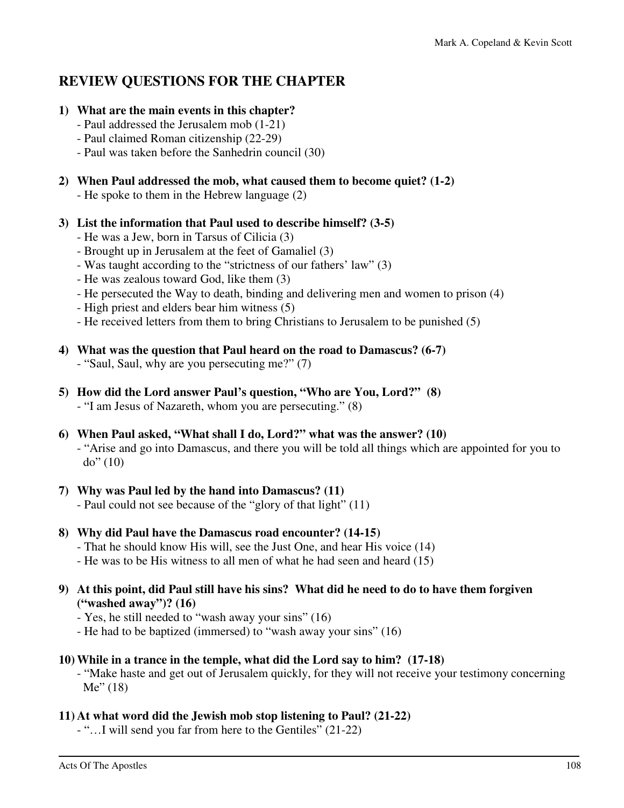## **REVIEW QUESTIONS FOR THE CHAPTER**

#### **1) What are the main events in this chapter?**

- Paul addressed the Jerusalem mob (1-21)
- Paul claimed Roman citizenship (22-29)
- Paul was taken before the Sanhedrin council (30)

#### **2) When Paul addressed the mob, what caused them to become quiet? (1-2)**

- He spoke to them in the Hebrew language (2)
- **3) List the information that Paul used to describe himself? (3-5)** 
	- He was a Jew, born in Tarsus of Cilicia (3)
	- Brought up in Jerusalem at the feet of Gamaliel (3)
	- Was taught according to the "strictness of our fathers' law" (3)
	- He was zealous toward God, like them (3)
	- He persecuted the Way to death, binding and delivering men and women to prison (4)
	- High priest and elders bear him witness (5)
	- He received letters from them to bring Christians to Jerusalem to be punished (5)

#### **4) What was the question that Paul heard on the road to Damascus? (6-7)**

- "Saul, Saul, why are you persecuting me?" (7)
- **5) How did the Lord answer Paul's question, "Who are You, Lord?" (8)**  - "I am Jesus of Nazareth, whom you are persecuting." (8)

### **6) When Paul asked, "What shall I do, Lord?" what was the answer? (10)**

 - "Arise and go into Damascus, and there you will be told all things which are appointed for you to  $do''(10)$ 

## **7) Why was Paul led by the hand into Damascus? (11)**

- Paul could not see because of the "glory of that light" (11)

#### **8) Why did Paul have the Damascus road encounter? (14-15)**

- That he should know His will, see the Just One, and hear His voice (14)
- He was to be His witness to all men of what he had seen and heard (15)

#### **9) At this point, did Paul still have his sins? What did he need to do to have them forgiven ("washed away")? (16)**

- Yes, he still needed to "wash away your sins" (16)
- He had to be baptized (immersed) to "wash away your sins" (16)

#### **10) While in a trance in the temple, what did the Lord say to him? (17-18)**

 - "Make haste and get out of Jerusalem quickly, for they will not receive your testimony concerning Me" (18)

#### **11) At what word did the Jewish mob stop listening to Paul? (21-22)**

- "…I will send you far from here to the Gentiles" (21-22)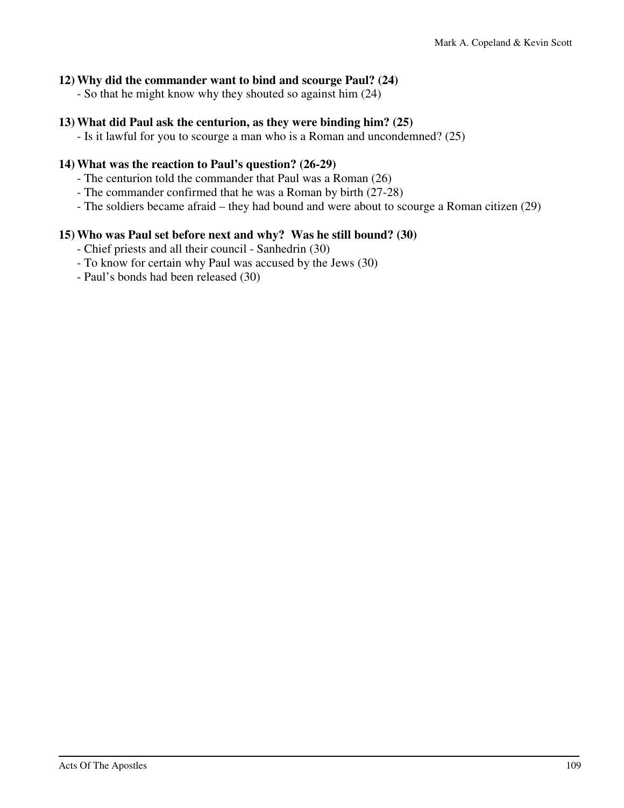#### **12) Why did the commander want to bind and scourge Paul? (24)**

- So that he might know why they shouted so against him (24)

#### **13) What did Paul ask the centurion, as they were binding him? (25)**

- Is it lawful for you to scourge a man who is a Roman and uncondemned? (25)

#### **14) What was the reaction to Paul's question? (26-29)**

- The centurion told the commander that Paul was a Roman (26)
- The commander confirmed that he was a Roman by birth (27-28)
- The soldiers became afraid they had bound and were about to scourge a Roman citizen (29)

#### **15) Who was Paul set before next and why? Was he still bound? (30)**

- Chief priests and all their council Sanhedrin (30)
- To know for certain why Paul was accused by the Jews (30)
- Paul's bonds had been released (30)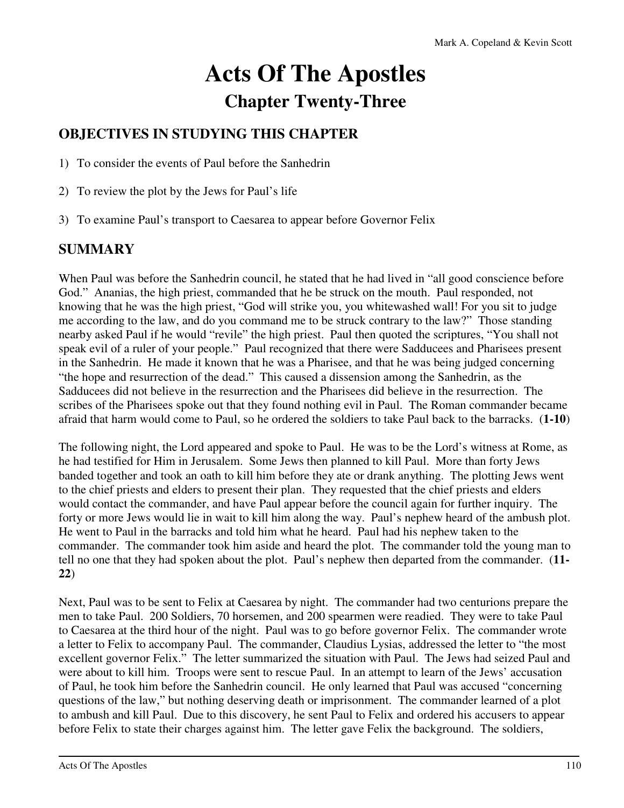# **Acts Of The Apostles Chapter Twenty-Three**

# **OBJECTIVES IN STUDYING THIS CHAPTER**

1) To consider the events of Paul before the Sanhedrin

- 2) To review the plot by the Jews for Paul's life
- 3) To examine Paul's transport to Caesarea to appear before Governor Felix

# **SUMMARY**

When Paul was before the Sanhedrin council, he stated that he had lived in "all good conscience before God." Ananias, the high priest, commanded that he be struck on the mouth. Paul responded, not knowing that he was the high priest, "God will strike you, you whitewashed wall! For you sit to judge me according to the law, and do you command me to be struck contrary to the law?" Those standing nearby asked Paul if he would "revile" the high priest. Paul then quoted the scriptures, "You shall not speak evil of a ruler of your people." Paul recognized that there were Sadducees and Pharisees present in the Sanhedrin. He made it known that he was a Pharisee, and that he was being judged concerning "the hope and resurrection of the dead." This caused a dissension among the Sanhedrin, as the Sadducees did not believe in the resurrection and the Pharisees did believe in the resurrection. The scribes of the Pharisees spoke out that they found nothing evil in Paul. The Roman commander became afraid that harm would come to Paul, so he ordered the soldiers to take Paul back to the barracks. (**1-10**)

The following night, the Lord appeared and spoke to Paul. He was to be the Lord's witness at Rome, as he had testified for Him in Jerusalem. Some Jews then planned to kill Paul. More than forty Jews banded together and took an oath to kill him before they ate or drank anything. The plotting Jews went to the chief priests and elders to present their plan. They requested that the chief priests and elders would contact the commander, and have Paul appear before the council again for further inquiry. The forty or more Jews would lie in wait to kill him along the way. Paul's nephew heard of the ambush plot. He went to Paul in the barracks and told him what he heard. Paul had his nephew taken to the commander. The commander took him aside and heard the plot. The commander told the young man to tell no one that they had spoken about the plot. Paul's nephew then departed from the commander. (**11- 22**)

Next, Paul was to be sent to Felix at Caesarea by night. The commander had two centurions prepare the men to take Paul. 200 Soldiers, 70 horsemen, and 200 spearmen were readied. They were to take Paul to Caesarea at the third hour of the night. Paul was to go before governor Felix. The commander wrote a letter to Felix to accompany Paul. The commander, Claudius Lysias, addressed the letter to "the most excellent governor Felix." The letter summarized the situation with Paul. The Jews had seized Paul and were about to kill him. Troops were sent to rescue Paul. In an attempt to learn of the Jews' accusation of Paul, he took him before the Sanhedrin council. He only learned that Paul was accused "concerning questions of the law," but nothing deserving death or imprisonment. The commander learned of a plot to ambush and kill Paul. Due to this discovery, he sent Paul to Felix and ordered his accusers to appear before Felix to state their charges against him. The letter gave Felix the background. The soldiers,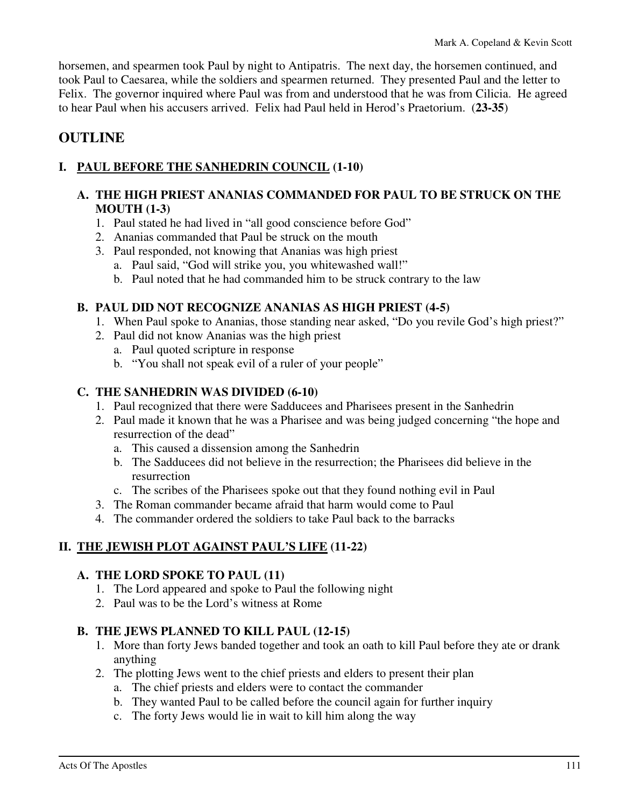horsemen, and spearmen took Paul by night to Antipatris. The next day, the horsemen continued, and took Paul to Caesarea, while the soldiers and spearmen returned. They presented Paul and the letter to Felix. The governor inquired where Paul was from and understood that he was from Cilicia. He agreed to hear Paul when his accusers arrived. Felix had Paul held in Herod's Praetorium. (**23-35**)

# **OUTLINE**

# **I. PAUL BEFORE THE SANHEDRIN COUNCIL (1-10)**

## **A. THE HIGH PRIEST ANANIAS COMMANDED FOR PAUL TO BE STRUCK ON THE MOUTH (1-3)**

- 1. Paul stated he had lived in "all good conscience before God"
- 2. Ananias commanded that Paul be struck on the mouth
- 3. Paul responded, not knowing that Ananias was high priest
	- a. Paul said, "God will strike you, you whitewashed wall!"
	- b. Paul noted that he had commanded him to be struck contrary to the law

#### **B. PAUL DID NOT RECOGNIZE ANANIAS AS HIGH PRIEST (4-5)**

- 1. When Paul spoke to Ananias, those standing near asked, "Do you revile God's high priest?"
- 2. Paul did not know Ananias was the high priest
	- a. Paul quoted scripture in response
	- b. "You shall not speak evil of a ruler of your people"

#### **C. THE SANHEDRIN WAS DIVIDED (6-10)**

- 1. Paul recognized that there were Sadducees and Pharisees present in the Sanhedrin
- 2. Paul made it known that he was a Pharisee and was being judged concerning "the hope and resurrection of the dead"
	- a. This caused a dissension among the Sanhedrin
	- b. The Sadducees did not believe in the resurrection; the Pharisees did believe in the resurrection
	- c. The scribes of the Pharisees spoke out that they found nothing evil in Paul
- 3. The Roman commander became afraid that harm would come to Paul
- 4. The commander ordered the soldiers to take Paul back to the barracks

#### **II. THE JEWISH PLOT AGAINST PAUL'S LIFE (11-22)**

#### **A. THE LORD SPOKE TO PAUL (11)**

- 1. The Lord appeared and spoke to Paul the following night
- 2. Paul was to be the Lord's witness at Rome

#### **B. THE JEWS PLANNED TO KILL PAUL (12-15)**

- 1. More than forty Jews banded together and took an oath to kill Paul before they ate or drank anything
- 2. The plotting Jews went to the chief priests and elders to present their plan
	- a. The chief priests and elders were to contact the commander
	- b. They wanted Paul to be called before the council again for further inquiry
	- c. The forty Jews would lie in wait to kill him along the way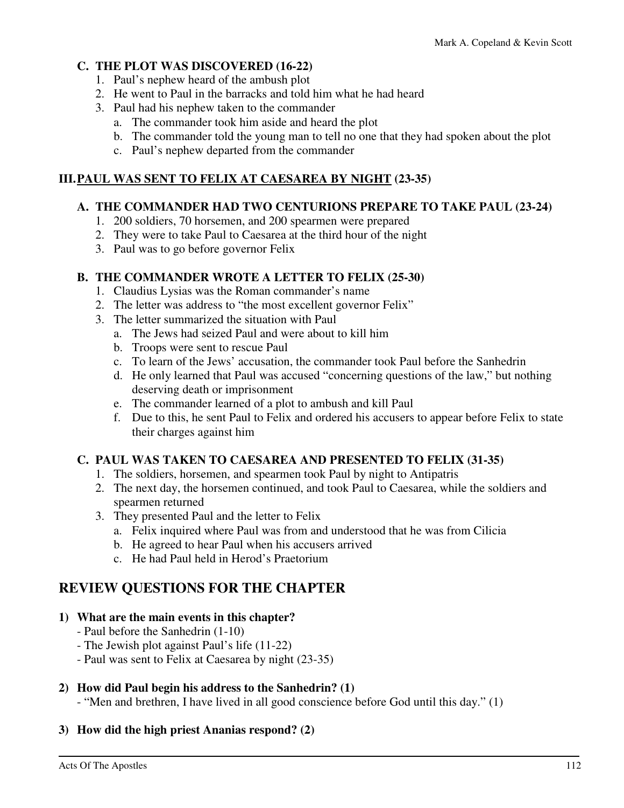## **C. THE PLOT WAS DISCOVERED (16-22)**

- 1. Paul's nephew heard of the ambush plot
- 2. He went to Paul in the barracks and told him what he had heard
- 3. Paul had his nephew taken to the commander
	- a. The commander took him aside and heard the plot
	- b. The commander told the young man to tell no one that they had spoken about the plot
	- c. Paul's nephew departed from the commander

# **III. PAUL WAS SENT TO FELIX AT CAESAREA BY NIGHT (23-35)**

## **A. THE COMMANDER HAD TWO CENTURIONS PREPARE TO TAKE PAUL (23-24)**

- 1. 200 soldiers, 70 horsemen, and 200 spearmen were prepared
- 2. They were to take Paul to Caesarea at the third hour of the night
- 3. Paul was to go before governor Felix

# **B. THE COMMANDER WROTE A LETTER TO FELIX (25-30)**

- 1. Claudius Lysias was the Roman commander's name
- 2. The letter was address to "the most excellent governor Felix"
- 3. The letter summarized the situation with Paul
	- a. The Jews had seized Paul and were about to kill him
	- b. Troops were sent to rescue Paul
	- c. To learn of the Jews' accusation, the commander took Paul before the Sanhedrin
	- d. He only learned that Paul was accused "concerning questions of the law," but nothing deserving death or imprisonment
	- e. The commander learned of a plot to ambush and kill Paul
	- f. Due to this, he sent Paul to Felix and ordered his accusers to appear before Felix to state their charges against him

# **C. PAUL WAS TAKEN TO CAESAREA AND PRESENTED TO FELIX (31-35)**

- 1. The soldiers, horsemen, and spearmen took Paul by night to Antipatris
- 2. The next day, the horsemen continued, and took Paul to Caesarea, while the soldiers and spearmen returned
- 3. They presented Paul and the letter to Felix
	- a. Felix inquired where Paul was from and understood that he was from Cilicia
	- b. He agreed to hear Paul when his accusers arrived
	- c. He had Paul held in Herod's Praetorium

# **REVIEW QUESTIONS FOR THE CHAPTER**

# **1) What are the main events in this chapter?**

- Paul before the Sanhedrin (1-10)
- The Jewish plot against Paul's life (11-22)
- Paul was sent to Felix at Caesarea by night (23-35)

# **2) How did Paul begin his address to the Sanhedrin? (1)**

- "Men and brethren, I have lived in all good conscience before God until this day." (1)

# **3) How did the high priest Ananias respond? (2)**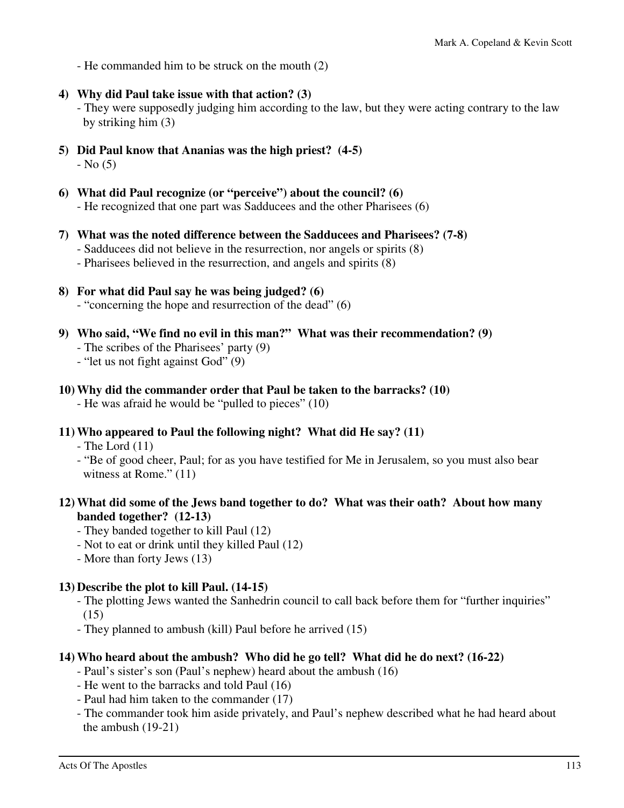- He commanded him to be struck on the mouth (2)

**4) Why did Paul take issue with that action? (3)** 

 - They were supposedly judging him according to the law, but they were acting contrary to the law by striking him (3)

- **5) Did Paul know that Ananias was the high priest? (4-5)**   $-$  No  $(5)$
- **6) What did Paul recognize (or "perceive") about the council? (6)**  - He recognized that one part was Sadducees and the other Pharisees (6)
- **7) What was the noted difference between the Sadducees and Pharisees? (7-8)** 
	- Sadducees did not believe in the resurrection, nor angels or spirits (8)
	- Pharisees believed in the resurrection, and angels and spirits (8)
- **8) For what did Paul say he was being judged? (6)** 
	- "concerning the hope and resurrection of the dead" (6)
- **9) Who said, "We find no evil in this man?" What was their recommendation? (9)** 
	- The scribes of the Pharisees' party (9)
	- "let us not fight against God" (9)
- **10) Why did the commander order that Paul be taken to the barracks? (10)** 
	- He was afraid he would be "pulled to pieces" (10)
- **11) Who appeared to Paul the following night? What did He say? (11)** 
	- $-$  The Lord  $(11)$
	- "Be of good cheer, Paul; for as you have testified for Me in Jerusalem, so you must also bear witness at Rome." (11)
- **12) What did some of the Jews band together to do? What was their oath? About how many banded together? (12-13)** 
	- They banded together to kill Paul (12)
	- Not to eat or drink until they killed Paul (12)
	- More than forty Jews (13)

#### **13) Describe the plot to kill Paul. (14-15)**

- The plotting Jews wanted the Sanhedrin council to call back before them for "further inquiries"  $(15)$
- They planned to ambush (kill) Paul before he arrived (15)

#### **14) Who heard about the ambush? Who did he go tell? What did he do next? (16-22)**

- Paul's sister's son (Paul's nephew) heard about the ambush (16)
- He went to the barracks and told Paul (16)
- Paul had him taken to the commander (17)
- The commander took him aside privately, and Paul's nephew described what he had heard about the ambush (19-21)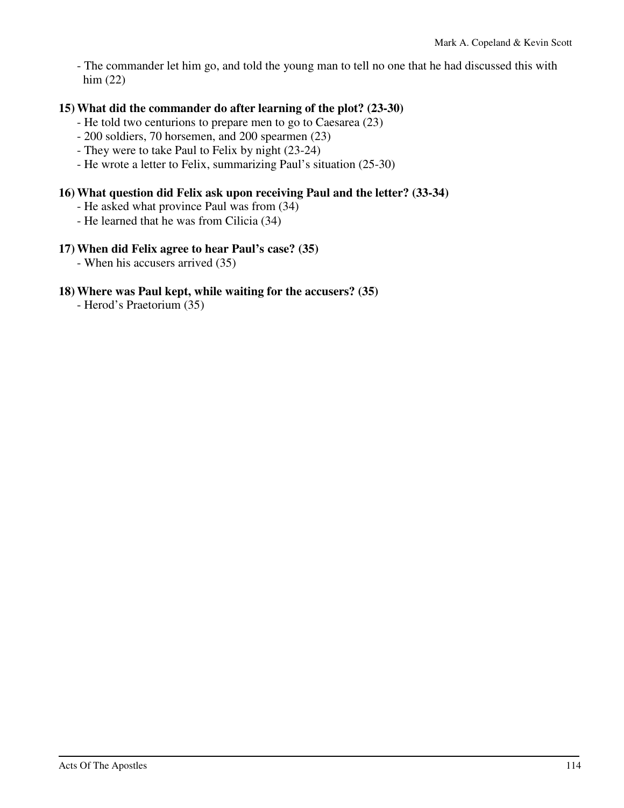- The commander let him go, and told the young man to tell no one that he had discussed this with him (22)

#### **15) What did the commander do after learning of the plot? (23-30)**

- He told two centurions to prepare men to go to Caesarea (23)
- 200 soldiers, 70 horsemen, and 200 spearmen (23)
- They were to take Paul to Felix by night (23-24)
- He wrote a letter to Felix, summarizing Paul's situation (25-30)

#### **16) What question did Felix ask upon receiving Paul and the letter? (33-34)**

- He asked what province Paul was from (34)
- He learned that he was from Cilicia (34)

#### **17) When did Felix agree to hear Paul's case? (35)**

- When his accusers arrived (35)

#### **18) Where was Paul kept, while waiting for the accusers? (35)**

- Herod's Praetorium (35)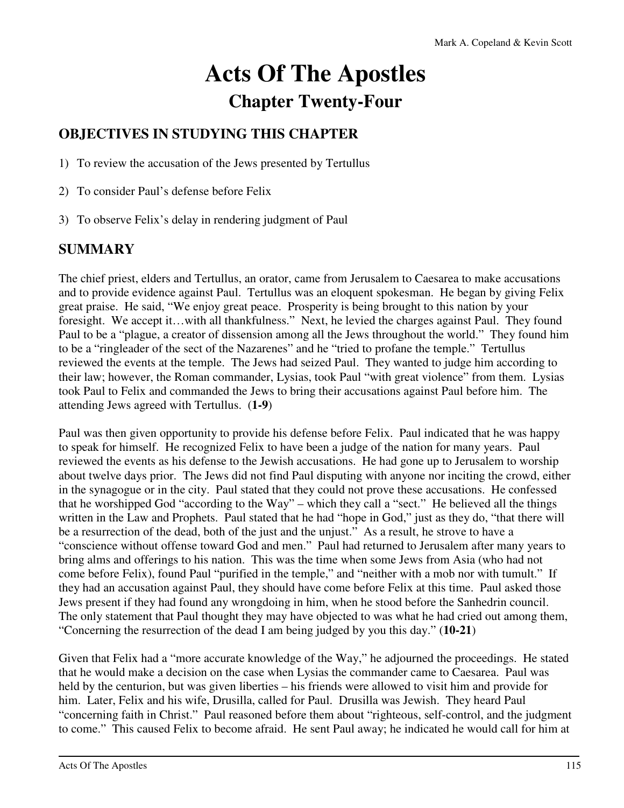# **Acts Of The Apostles Chapter Twenty-Four**

# **OBJECTIVES IN STUDYING THIS CHAPTER**

1) To review the accusation of the Jews presented by Tertullus

- 2) To consider Paul's defense before Felix
- 3) To observe Felix's delay in rendering judgment of Paul

# **SUMMARY**

The chief priest, elders and Tertullus, an orator, came from Jerusalem to Caesarea to make accusations and to provide evidence against Paul. Tertullus was an eloquent spokesman. He began by giving Felix great praise. He said, "We enjoy great peace. Prosperity is being brought to this nation by your foresight. We accept it…with all thankfulness." Next, he levied the charges against Paul. They found Paul to be a "plague, a creator of dissension among all the Jews throughout the world." They found him to be a "ringleader of the sect of the Nazarenes" and he "tried to profane the temple." Tertullus reviewed the events at the temple. The Jews had seized Paul. They wanted to judge him according to their law; however, the Roman commander, Lysias, took Paul "with great violence" from them. Lysias took Paul to Felix and commanded the Jews to bring their accusations against Paul before him. The attending Jews agreed with Tertullus. (**1-9**)

Paul was then given opportunity to provide his defense before Felix. Paul indicated that he was happy to speak for himself. He recognized Felix to have been a judge of the nation for many years. Paul reviewed the events as his defense to the Jewish accusations. He had gone up to Jerusalem to worship about twelve days prior. The Jews did not find Paul disputing with anyone nor inciting the crowd, either in the synagogue or in the city. Paul stated that they could not prove these accusations. He confessed that he worshipped God "according to the Way" – which they call a "sect." He believed all the things written in the Law and Prophets. Paul stated that he had "hope in God," just as they do, "that there will be a resurrection of the dead, both of the just and the unjust." As a result, he strove to have a "conscience without offense toward God and men." Paul had returned to Jerusalem after many years to bring alms and offerings to his nation. This was the time when some Jews from Asia (who had not come before Felix), found Paul "purified in the temple," and "neither with a mob nor with tumult." If they had an accusation against Paul, they should have come before Felix at this time. Paul asked those Jews present if they had found any wrongdoing in him, when he stood before the Sanhedrin council. The only statement that Paul thought they may have objected to was what he had cried out among them, "Concerning the resurrection of the dead I am being judged by you this day." (**10-21**)

Given that Felix had a "more accurate knowledge of the Way," he adjourned the proceedings. He stated that he would make a decision on the case when Lysias the commander came to Caesarea. Paul was held by the centurion, but was given liberties – his friends were allowed to visit him and provide for him. Later, Felix and his wife, Drusilla, called for Paul. Drusilla was Jewish. They heard Paul "concerning faith in Christ." Paul reasoned before them about "righteous, self-control, and the judgment to come." This caused Felix to become afraid. He sent Paul away; he indicated he would call for him at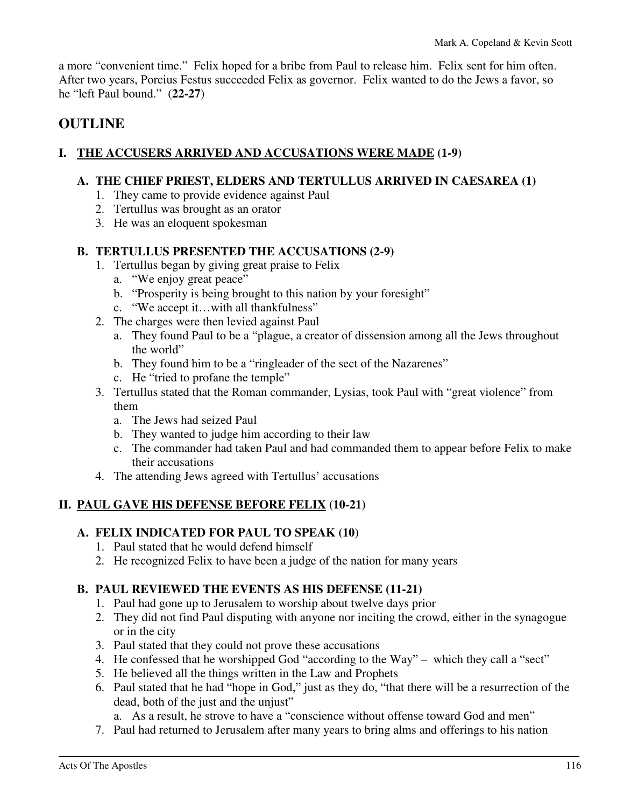a more "convenient time." Felix hoped for a bribe from Paul to release him. Felix sent for him often. After two years, Porcius Festus succeeded Felix as governor. Felix wanted to do the Jews a favor, so he "left Paul bound." (**22-27**)

# **OUTLINE**

# **I. THE ACCUSERS ARRIVED AND ACCUSATIONS WERE MADE (1-9)**

#### **A. THE CHIEF PRIEST, ELDERS AND TERTULLUS ARRIVED IN CAESAREA (1)**

- 1. They came to provide evidence against Paul
- 2. Tertullus was brought as an orator
- 3. He was an eloquent spokesman

# **B. TERTULLUS PRESENTED THE ACCUSATIONS (2-9)**

- 1. Tertullus began by giving great praise to Felix
	- a. "We enjoy great peace"
	- b. "Prosperity is being brought to this nation by your foresight"
	- c. "We accept it…with all thankfulness"
- 2. The charges were then levied against Paul
	- a. They found Paul to be a "plague, a creator of dissension among all the Jews throughout the world"
	- b. They found him to be a "ringleader of the sect of the Nazarenes"
	- c. He "tried to profane the temple"
- 3. Tertullus stated that the Roman commander, Lysias, took Paul with "great violence" from them
	- a. The Jews had seized Paul
	- b. They wanted to judge him according to their law
	- c. The commander had taken Paul and had commanded them to appear before Felix to make their accusations
- 4. The attending Jews agreed with Tertullus' accusations

# **II. PAUL GAVE HIS DEFENSE BEFORE FELIX (10-21)**

# **A. FELIX INDICATED FOR PAUL TO SPEAK (10)**

- 1. Paul stated that he would defend himself
- 2. He recognized Felix to have been a judge of the nation for many years

# **B. PAUL REVIEWED THE EVENTS AS HIS DEFENSE (11-21)**

- 1. Paul had gone up to Jerusalem to worship about twelve days prior
- 2. They did not find Paul disputing with anyone nor inciting the crowd, either in the synagogue or in the city
- 3. Paul stated that they could not prove these accusations
- 4. He confessed that he worshipped God "according to the Way" which they call a "sect"
- 5. He believed all the things written in the Law and Prophets
- 6. Paul stated that he had "hope in God," just as they do, "that there will be a resurrection of the dead, both of the just and the unjust"
	- a. As a result, he strove to have a "conscience without offense toward God and men"
- 7. Paul had returned to Jerusalem after many years to bring alms and offerings to his nation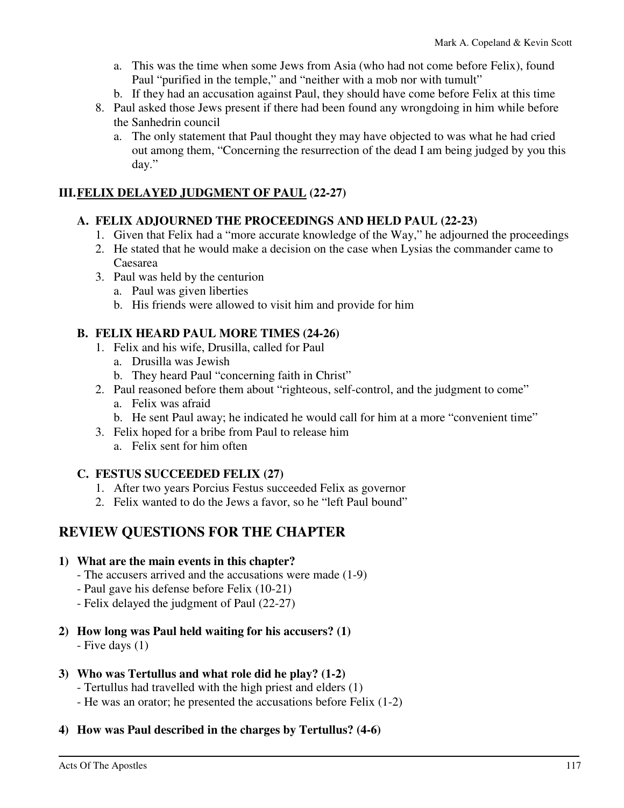- a. This was the time when some Jews from Asia (who had not come before Felix), found Paul "purified in the temple," and "neither with a mob nor with tumult"
- b. If they had an accusation against Paul, they should have come before Felix at this time
- 8. Paul asked those Jews present if there had been found any wrongdoing in him while before the Sanhedrin council
	- a. The only statement that Paul thought they may have objected to was what he had cried out among them, "Concerning the resurrection of the dead I am being judged by you this day."

# **III. FELIX DELAYED JUDGMENT OF PAUL (22-27)**

## **A. FELIX ADJOURNED THE PROCEEDINGS AND HELD PAUL (22-23)**

- 1. Given that Felix had a "more accurate knowledge of the Way," he adjourned the proceedings
- 2. He stated that he would make a decision on the case when Lysias the commander came to Caesarea
- 3. Paul was held by the centurion
	- a. Paul was given liberties
	- b. His friends were allowed to visit him and provide for him

# **B. FELIX HEARD PAUL MORE TIMES (24-26)**

- 1. Felix and his wife, Drusilla, called for Paul
	- a. Drusilla was Jewish
	- b. They heard Paul "concerning faith in Christ"
- 2. Paul reasoned before them about "righteous, self-control, and the judgment to come"
	- a. Felix was afraid
	- b. He sent Paul away; he indicated he would call for him at a more "convenient time"
- 3. Felix hoped for a bribe from Paul to release him
	- a. Felix sent for him often

# **C. FESTUS SUCCEEDED FELIX (27)**

- 1. After two years Porcius Festus succeeded Felix as governor
- 2. Felix wanted to do the Jews a favor, so he "left Paul bound"

# **REVIEW QUESTIONS FOR THE CHAPTER**

#### **1) What are the main events in this chapter?**

- The accusers arrived and the accusations were made (1-9)
- Paul gave his defense before Felix (10-21)
- Felix delayed the judgment of Paul (22-27)
- **2) How long was Paul held waiting for his accusers? (1)**

- Five days (1)

#### **3) Who was Tertullus and what role did he play? (1-2)**

- Tertullus had travelled with the high priest and elders (1)
- He was an orator; he presented the accusations before Felix (1-2)

# **4) How was Paul described in the charges by Tertullus? (4-6)**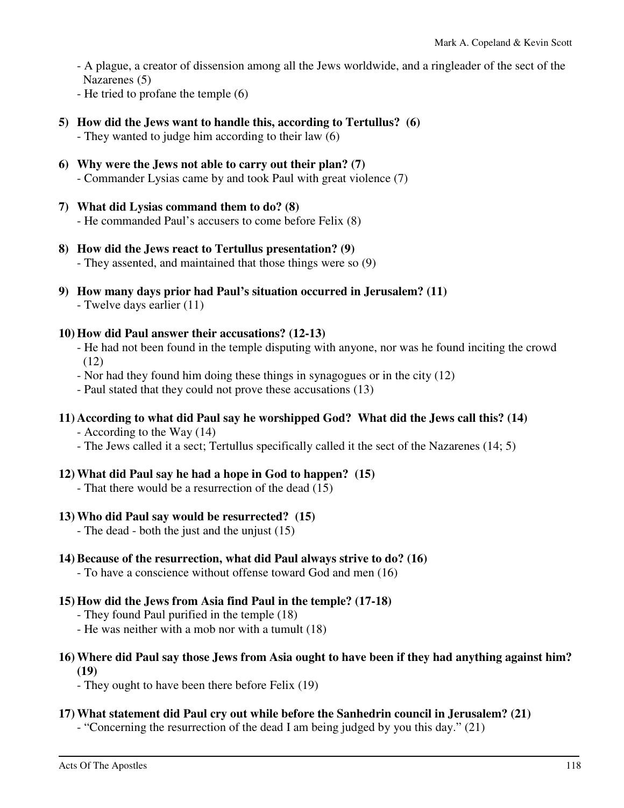- A plague, a creator of dissension among all the Jews worldwide, and a ringleader of the sect of the Nazarenes (5)

- He tried to profane the temple (6)

- **5) How did the Jews want to handle this, according to Tertullus? (6)** 
	- They wanted to judge him according to their law (6)
- **6) Why were the Jews not able to carry out their plan? (7)**  - Commander Lysias came by and took Paul with great violence (7)
- **7) What did Lysias command them to do? (8)**  - He commanded Paul's accusers to come before Felix (8)
- **8) How did the Jews react to Tertullus presentation? (9)**  - They assented, and maintained that those things were so (9)
- **9) How many days prior had Paul's situation occurred in Jerusalem? (11)**  - Twelve days earlier (11)

#### **10) How did Paul answer their accusations? (12-13)**

- He had not been found in the temple disputing with anyone, nor was he found inciting the crowd (12)
- Nor had they found him doing these things in synagogues or in the city (12)
- Paul stated that they could not prove these accusations (13)

# **11) According to what did Paul say he worshipped God? What did the Jews call this? (14)**

- According to the Way (14)

- The Jews called it a sect; Tertullus specifically called it the sect of the Nazarenes (14; 5)

# **12) What did Paul say he had a hope in God to happen? (15)**

- That there would be a resurrection of the dead (15)

#### **13) Who did Paul say would be resurrected? (15)**

- The dead - both the just and the unjust (15)

# **14) Because of the resurrection, what did Paul always strive to do? (16)**

- To have a conscience without offense toward God and men (16)

#### **15) How did the Jews from Asia find Paul in the temple? (17-18)**

- They found Paul purified in the temple (18)
- He was neither with a mob nor with a tumult (18)

#### **16) Where did Paul say those Jews from Asia ought to have been if they had anything against him? (19)**

- They ought to have been there before Felix (19)

#### **17) What statement did Paul cry out while before the Sanhedrin council in Jerusalem? (21)**

- "Concerning the resurrection of the dead I am being judged by you this day." (21)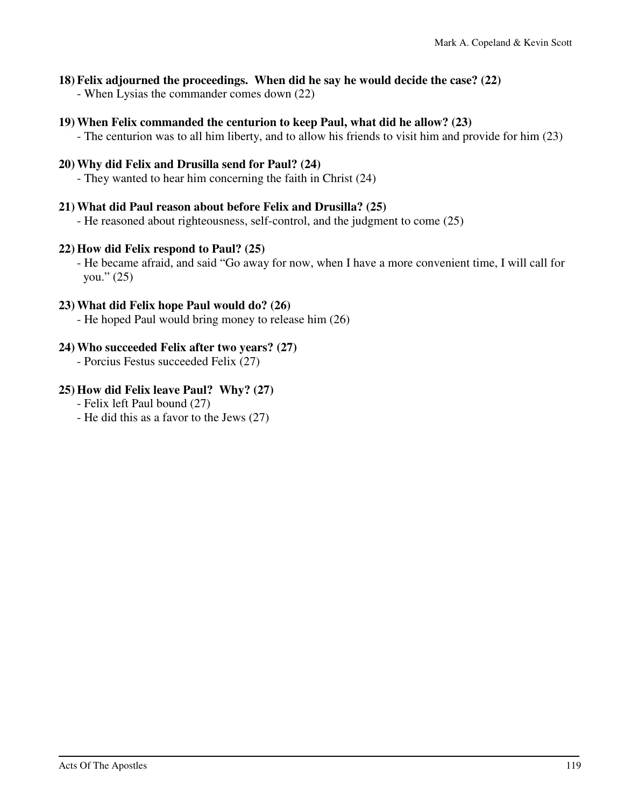#### **18) Felix adjourned the proceedings. When did he say he would decide the case? (22)**

- When Lysias the commander comes down (22)

#### **19) When Felix commanded the centurion to keep Paul, what did he allow? (23)**

- The centurion was to all him liberty, and to allow his friends to visit him and provide for him (23)

## **20) Why did Felix and Drusilla send for Paul? (24)**

- They wanted to hear him concerning the faith in Christ (24)

## **21) What did Paul reason about before Felix and Drusilla? (25)**

- He reasoned about righteousness, self-control, and the judgment to come (25)

## **22) How did Felix respond to Paul? (25)**

 - He became afraid, and said "Go away for now, when I have a more convenient time, I will call for you."  $(25)$ 

#### **23) What did Felix hope Paul would do? (26)**

- He hoped Paul would bring money to release him (26)

## **24) Who succeeded Felix after two years? (27)**

- Porcius Festus succeeded Felix (27)

# **25) How did Felix leave Paul? Why? (27)**

- Felix left Paul bound (27)

- He did this as a favor to the Jews (27)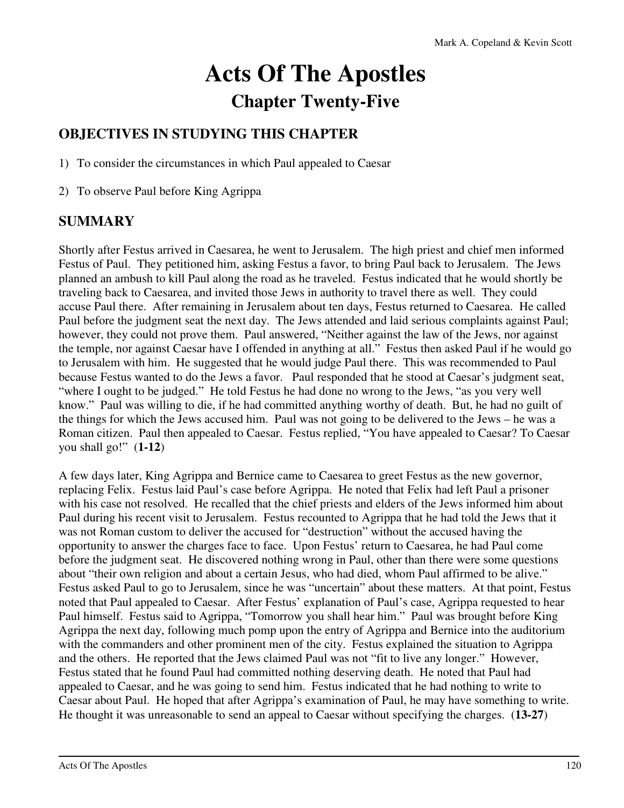# **Acts Of The Apostles Chapter Twenty-Five**

# **OBJECTIVES IN STUDYING THIS CHAPTER**

1) To consider the circumstances in which Paul appealed to Caesar

2) To observe Paul before King Agrippa

# **SUMMARY**

Shortly after Festus arrived in Caesarea, he went to Jerusalem. The high priest and chief men informed Festus of Paul. They petitioned him, asking Festus a favor, to bring Paul back to Jerusalem. The Jews planned an ambush to kill Paul along the road as he traveled. Festus indicated that he would shortly be traveling back to Caesarea, and invited those Jews in authority to travel there as well. They could accuse Paul there. After remaining in Jerusalem about ten days, Festus returned to Caesarea. He called Paul before the judgment seat the next day. The Jews attended and laid serious complaints against Paul; however, they could not prove them. Paul answered, "Neither against the law of the Jews, nor against the temple, nor against Caesar have I offended in anything at all." Festus then asked Paul if he would go to Jerusalem with him. He suggested that he would judge Paul there. This was recommended to Paul because Festus wanted to do the Jews a favor. Paul responded that he stood at Caesar's judgment seat, "where I ought to be judged." He told Festus he had done no wrong to the Jews, "as you very well know." Paul was willing to die, if he had committed anything worthy of death. But, he had no guilt of the things for which the Jews accused him. Paul was not going to be delivered to the Jews – he was a Roman citizen. Paul then appealed to Caesar. Festus replied, "You have appealed to Caesar? To Caesar you shall go!" (**1-12**)

A few days later, King Agrippa and Bernice came to Caesarea to greet Festus as the new governor, replacing Felix. Festus laid Paul's case before Agrippa. He noted that Felix had left Paul a prisoner with his case not resolved. He recalled that the chief priests and elders of the Jews informed him about Paul during his recent visit to Jerusalem. Festus recounted to Agrippa that he had told the Jews that it was not Roman custom to deliver the accused for "destruction" without the accused having the opportunity to answer the charges face to face. Upon Festus' return to Caesarea, he had Paul come before the judgment seat. He discovered nothing wrong in Paul, other than there were some questions about "their own religion and about a certain Jesus, who had died, whom Paul affirmed to be alive." Festus asked Paul to go to Jerusalem, since he was "uncertain" about these matters. At that point, Festus noted that Paul appealed to Caesar. After Festus' explanation of Paul's case, Agrippa requested to hear Paul himself. Festus said to Agrippa, "Tomorrow you shall hear him." Paul was brought before King Agrippa the next day, following much pomp upon the entry of Agrippa and Bernice into the auditorium with the commanders and other prominent men of the city. Festus explained the situation to Agrippa and the others. He reported that the Jews claimed Paul was not "fit to live any longer." However, Festus stated that he found Paul had committed nothing deserving death. He noted that Paul had appealed to Caesar, and he was going to send him. Festus indicated that he had nothing to write to Caesar about Paul. He hoped that after Agrippa's examination of Paul, he may have something to write. He thought it was unreasonable to send an appeal to Caesar without specifying the charges. (**13-27**)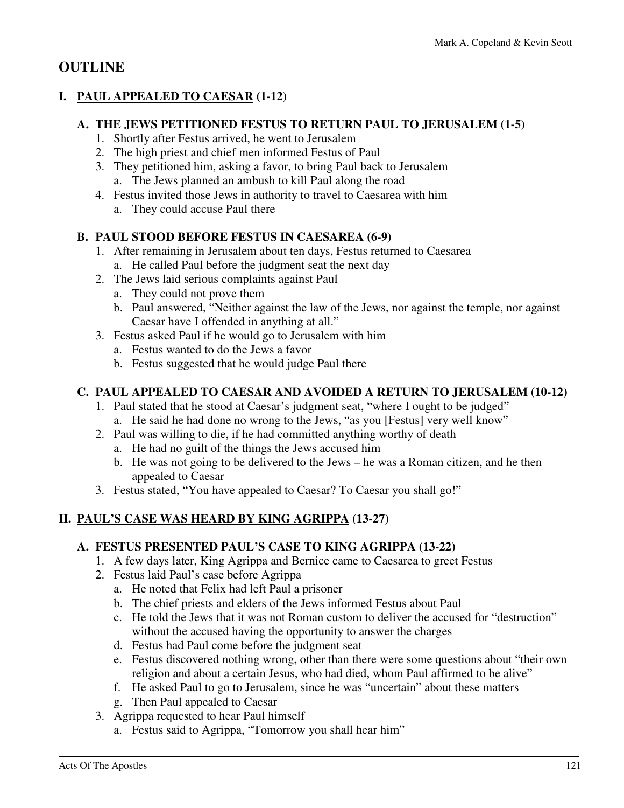# **OUTLINE**

# **I. PAUL APPEALED TO CAESAR (1-12)**

#### **A. THE JEWS PETITIONED FESTUS TO RETURN PAUL TO JERUSALEM (1-5)**

- 1. Shortly after Festus arrived, he went to Jerusalem
- 2. The high priest and chief men informed Festus of Paul
- 3. They petitioned him, asking a favor, to bring Paul back to Jerusalem a. The Jews planned an ambush to kill Paul along the road
- 4. Festus invited those Jews in authority to travel to Caesarea with him
	- a. They could accuse Paul there

# **B. PAUL STOOD BEFORE FESTUS IN CAESAREA (6-9)**

- 1. After remaining in Jerusalem about ten days, Festus returned to Caesarea a. He called Paul before the judgment seat the next day
- 2. The Jews laid serious complaints against Paul
	- a. They could not prove them
	- b. Paul answered, "Neither against the law of the Jews, nor against the temple, nor against Caesar have I offended in anything at all."
- 3. Festus asked Paul if he would go to Jerusalem with him
	- a. Festus wanted to do the Jews a favor
	- b. Festus suggested that he would judge Paul there

## **C. PAUL APPEALED TO CAESAR AND AVOIDED A RETURN TO JERUSALEM (10-12)**

- 1. Paul stated that he stood at Caesar's judgment seat, "where I ought to be judged" a. He said he had done no wrong to the Jews, "as you [Festus] very well know"
- 2. Paul was willing to die, if he had committed anything worthy of death
	- a. He had no guilt of the things the Jews accused him
	- b. He was not going to be delivered to the Jews he was a Roman citizen, and he then appealed to Caesar
- 3. Festus stated, "You have appealed to Caesar? To Caesar you shall go!"

# **II. PAUL'S CASE WAS HEARD BY KING AGRIPPA (13-27)**

# **A. FESTUS PRESENTED PAUL'S CASE TO KING AGRIPPA (13-22)**

- 1. A few days later, King Agrippa and Bernice came to Caesarea to greet Festus
- 2. Festus laid Paul's case before Agrippa
	- a. He noted that Felix had left Paul a prisoner
	- b. The chief priests and elders of the Jews informed Festus about Paul
	- c. He told the Jews that it was not Roman custom to deliver the accused for "destruction" without the accused having the opportunity to answer the charges
	- d. Festus had Paul come before the judgment seat
	- e. Festus discovered nothing wrong, other than there were some questions about "their own religion and about a certain Jesus, who had died, whom Paul affirmed to be alive"
	- f. He asked Paul to go to Jerusalem, since he was "uncertain" about these matters
	- g. Then Paul appealed to Caesar
- 3. Agrippa requested to hear Paul himself
	- a. Festus said to Agrippa, "Tomorrow you shall hear him"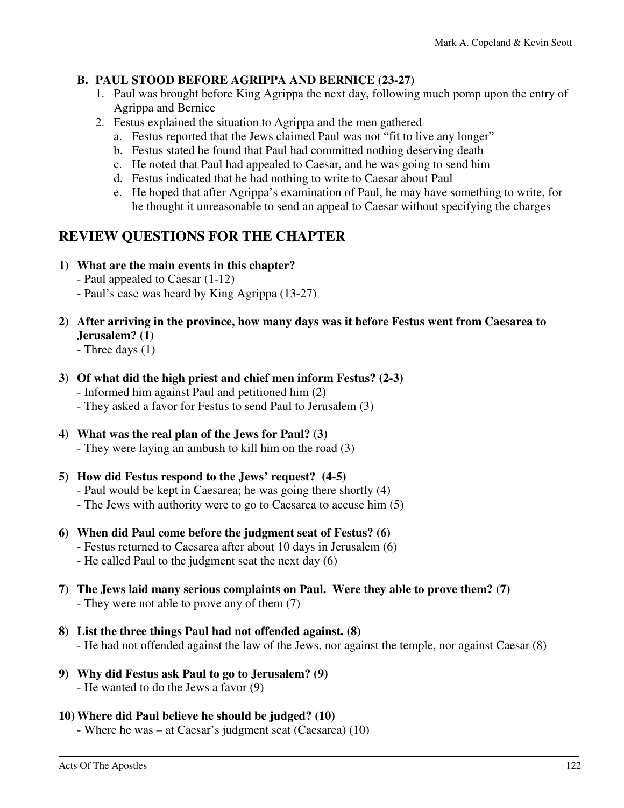## **B. PAUL STOOD BEFORE AGRIPPA AND BERNICE (23-27)**

- 1. Paul was brought before King Agrippa the next day, following much pomp upon the entry of Agrippa and Bernice
- 2. Festus explained the situation to Agrippa and the men gathered
	- a. Festus reported that the Jews claimed Paul was not "fit to live any longer"
	- b. Festus stated he found that Paul had committed nothing deserving death
	- c. He noted that Paul had appealed to Caesar, and he was going to send him
	- d. Festus indicated that he had nothing to write to Caesar about Paul
	- e. He hoped that after Agrippa's examination of Paul, he may have something to write, for he thought it unreasonable to send an appeal to Caesar without specifying the charges

# **REVIEW QUESTIONS FOR THE CHAPTER**

- **1) What are the main events in this chapter?** 
	- Paul appealed to Caesar (1-12)
	- Paul's case was heard by King Agrippa (13-27)

# **2) After arriving in the province, how many days was it before Festus went from Caesarea to Jerusalem? (1)**

- Three days (1)

- **3) Of what did the high priest and chief men inform Festus? (2-3)** 
	- Informed him against Paul and petitioned him (2)
	- They asked a favor for Festus to send Paul to Jerusalem (3)
- **4) What was the real plan of the Jews for Paul? (3)**  - They were laying an ambush to kill him on the road (3)
- **5) How did Festus respond to the Jews' request? (4-5)** 
	- Paul would be kept in Caesarea; he was going there shortly (4)
	- The Jews with authority were to go to Caesarea to accuse him (5)
- **6) When did Paul come before the judgment seat of Festus? (6)** 
	- Festus returned to Caesarea after about 10 days in Jerusalem (6)
	- He called Paul to the judgment seat the next day (6)
- **7) The Jews laid many serious complaints on Paul. Were they able to prove them? (7)**  - They were not able to prove any of them (7)
- **8) List the three things Paul had not offended against. (8)**  - He had not offended against the law of the Jews, nor against the temple, nor against Caesar (8)
- **9) Why did Festus ask Paul to go to Jerusalem? (9)** 
	- He wanted to do the Jews a favor (9)
- **10) Where did Paul believe he should be judged? (10)** 
	- Where he was at Caesar's judgment seat (Caesarea) (10)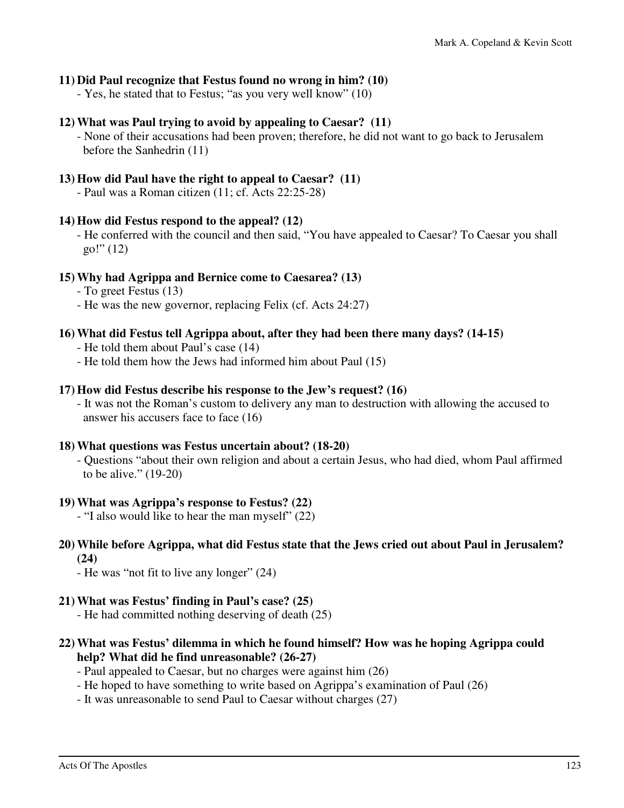#### **11) Did Paul recognize that Festus found no wrong in him? (10)**

- Yes, he stated that to Festus; "as you very well know" (10)

#### **12) What was Paul trying to avoid by appealing to Caesar? (11)**

 - None of their accusations had been proven; therefore, he did not want to go back to Jerusalem before the Sanhedrin (11)

#### **13) How did Paul have the right to appeal to Caesar? (11)**

- Paul was a Roman citizen (11; cf. Acts 22:25-28)

#### **14) How did Festus respond to the appeal? (12)**

 - He conferred with the council and then said, "You have appealed to Caesar? To Caesar you shall  $g_0$ !" (12)

#### **15) Why had Agrippa and Bernice come to Caesarea? (13)**

- To greet Festus (13)
- He was the new governor, replacing Felix (cf. Acts 24:27)

#### **16) What did Festus tell Agrippa about, after they had been there many days? (14-15)**

- He told them about Paul's case (14)
- He told them how the Jews had informed him about Paul (15)

#### **17) How did Festus describe his response to the Jew's request? (16)**

 - It was not the Roman's custom to delivery any man to destruction with allowing the accused to answer his accusers face to face (16)

#### **18) What questions was Festus uncertain about? (18-20)**

 - Questions "about their own religion and about a certain Jesus, who had died, whom Paul affirmed to be alive." (19-20)

#### **19) What was Agrippa's response to Festus? (22)**

- "I also would like to hear the man myself" (22)

# **20) While before Agrippa, what did Festus state that the Jews cried out about Paul in Jerusalem? (24)**

- He was "not fit to live any longer" (24)

#### **21) What was Festus' finding in Paul's case? (25)**

- He had committed nothing deserving of death (25)
- **22) What was Festus' dilemma in which he found himself? How was he hoping Agrippa could help? What did he find unreasonable? (26-27)** 
	- Paul appealed to Caesar, but no charges were against him (26)
	- He hoped to have something to write based on Agrippa's examination of Paul (26)
	- It was unreasonable to send Paul to Caesar without charges (27)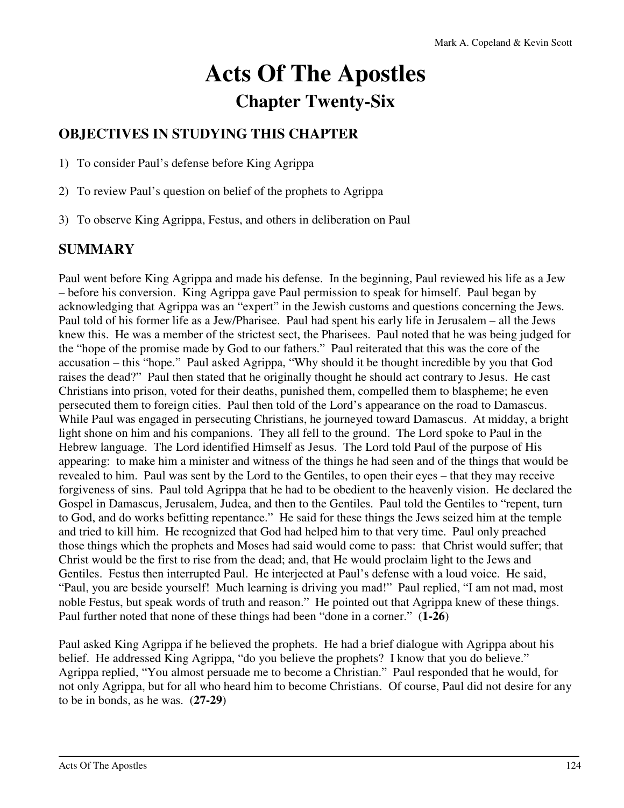# **Acts Of The Apostles Chapter Twenty-Six**

# **OBJECTIVES IN STUDYING THIS CHAPTER**

1) To consider Paul's defense before King Agrippa

- 2) To review Paul's question on belief of the prophets to Agrippa
- 3) To observe King Agrippa, Festus, and others in deliberation on Paul

# **SUMMARY**

Paul went before King Agrippa and made his defense. In the beginning, Paul reviewed his life as a Jew – before his conversion. King Agrippa gave Paul permission to speak for himself. Paul began by acknowledging that Agrippa was an "expert" in the Jewish customs and questions concerning the Jews. Paul told of his former life as a Jew/Pharisee. Paul had spent his early life in Jerusalem – all the Jews knew this. He was a member of the strictest sect, the Pharisees. Paul noted that he was being judged for the "hope of the promise made by God to our fathers." Paul reiterated that this was the core of the accusation – this "hope." Paul asked Agrippa, "Why should it be thought incredible by you that God raises the dead?" Paul then stated that he originally thought he should act contrary to Jesus. He cast Christians into prison, voted for their deaths, punished them, compelled them to blaspheme; he even persecuted them to foreign cities. Paul then told of the Lord's appearance on the road to Damascus. While Paul was engaged in persecuting Christians, he journeyed toward Damascus. At midday, a bright light shone on him and his companions. They all fell to the ground. The Lord spoke to Paul in the Hebrew language. The Lord identified Himself as Jesus. The Lord told Paul of the purpose of His appearing: to make him a minister and witness of the things he had seen and of the things that would be revealed to him. Paul was sent by the Lord to the Gentiles, to open their eyes – that they may receive forgiveness of sins. Paul told Agrippa that he had to be obedient to the heavenly vision. He declared the Gospel in Damascus, Jerusalem, Judea, and then to the Gentiles. Paul told the Gentiles to "repent, turn to God, and do works befitting repentance." He said for these things the Jews seized him at the temple and tried to kill him. He recognized that God had helped him to that very time. Paul only preached those things which the prophets and Moses had said would come to pass: that Christ would suffer; that Christ would be the first to rise from the dead; and, that He would proclaim light to the Jews and Gentiles. Festus then interrupted Paul. He interjected at Paul's defense with a loud voice. He said, "Paul, you are beside yourself! Much learning is driving you mad!" Paul replied, "I am not mad, most noble Festus, but speak words of truth and reason." He pointed out that Agrippa knew of these things. Paul further noted that none of these things had been "done in a corner." (**1-26**)

Paul asked King Agrippa if he believed the prophets. He had a brief dialogue with Agrippa about his belief. He addressed King Agrippa, "do you believe the prophets? I know that you do believe." Agrippa replied, "You almost persuade me to become a Christian." Paul responded that he would, for not only Agrippa, but for all who heard him to become Christians. Of course, Paul did not desire for any to be in bonds, as he was. (**27-29**)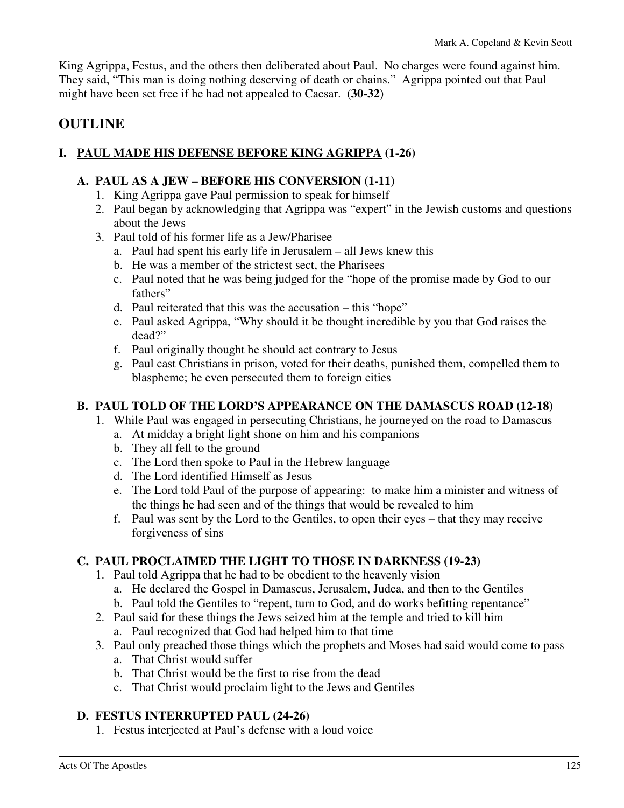King Agrippa, Festus, and the others then deliberated about Paul. No charges were found against him. They said, "This man is doing nothing deserving of death or chains." Agrippa pointed out that Paul might have been set free if he had not appealed to Caesar. (**30-32**)

# **OUTLINE**

# **I. PAUL MADE HIS DEFENSE BEFORE KING AGRIPPA (1-26)**

## **A. PAUL AS A JEW – BEFORE HIS CONVERSION (1-11)**

- 1. King Agrippa gave Paul permission to speak for himself
- 2. Paul began by acknowledging that Agrippa was "expert" in the Jewish customs and questions about the Jews
- 3. Paul told of his former life as a Jew/Pharisee
	- a. Paul had spent his early life in Jerusalem all Jews knew this
	- b. He was a member of the strictest sect, the Pharisees
	- c. Paul noted that he was being judged for the "hope of the promise made by God to our fathers"
	- d. Paul reiterated that this was the accusation this "hope"
	- e. Paul asked Agrippa, "Why should it be thought incredible by you that God raises the dead?"
	- f. Paul originally thought he should act contrary to Jesus
	- g. Paul cast Christians in prison, voted for their deaths, punished them, compelled them to blaspheme; he even persecuted them to foreign cities

# **B. PAUL TOLD OF THE LORD'S APPEARANCE ON THE DAMASCUS ROAD (12-18)**

- 1. While Paul was engaged in persecuting Christians, he journeyed on the road to Damascus
	- a. At midday a bright light shone on him and his companions
	- b. They all fell to the ground
	- c. The Lord then spoke to Paul in the Hebrew language
	- d. The Lord identified Himself as Jesus
	- e. The Lord told Paul of the purpose of appearing: to make him a minister and witness of the things he had seen and of the things that would be revealed to him
	- f. Paul was sent by the Lord to the Gentiles, to open their eyes that they may receive forgiveness of sins

# **C. PAUL PROCLAIMED THE LIGHT TO THOSE IN DARKNESS (19-23)**

- 1. Paul told Agrippa that he had to be obedient to the heavenly vision
	- a. He declared the Gospel in Damascus, Jerusalem, Judea, and then to the Gentiles
	- b. Paul told the Gentiles to "repent, turn to God, and do works befitting repentance"
- 2. Paul said for these things the Jews seized him at the temple and tried to kill him
	- a. Paul recognized that God had helped him to that time
- 3. Paul only preached those things which the prophets and Moses had said would come to pass
	- a. That Christ would suffer
	- b. That Christ would be the first to rise from the dead
	- c. That Christ would proclaim light to the Jews and Gentiles

# **D. FESTUS INTERRUPTED PAUL (24-26)**

1. Festus interjected at Paul's defense with a loud voice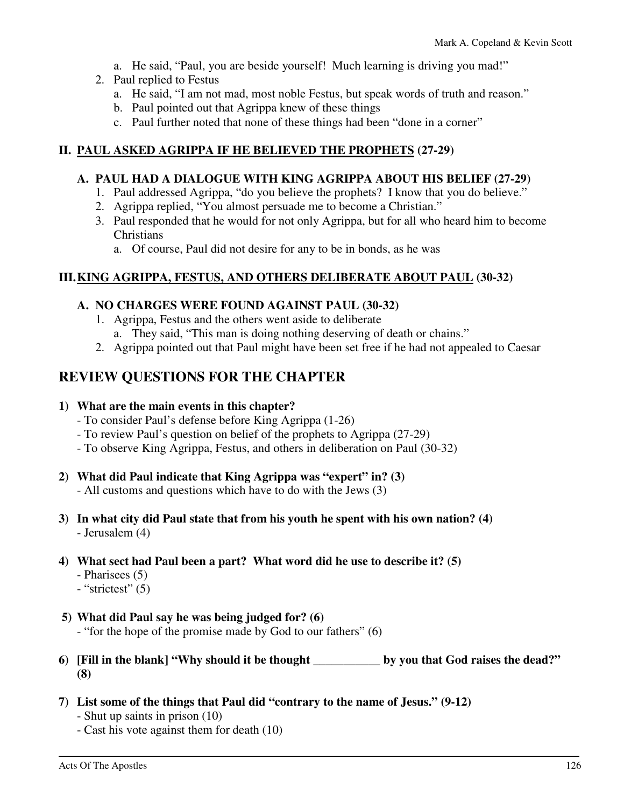- a. He said, "Paul, you are beside yourself! Much learning is driving you mad!"
- 2. Paul replied to Festus
	- a. He said, "I am not mad, most noble Festus, but speak words of truth and reason."
	- b. Paul pointed out that Agrippa knew of these things
	- c. Paul further noted that none of these things had been "done in a corner"

#### **II. PAUL ASKED AGRIPPA IF HE BELIEVED THE PROPHETS (27-29)**

#### **A. PAUL HAD A DIALOGUE WITH KING AGRIPPA ABOUT HIS BELIEF (27-29)**

- 1. Paul addressed Agrippa, "do you believe the prophets? I know that you do believe."
- 2. Agrippa replied, "You almost persuade me to become a Christian."
- 3. Paul responded that he would for not only Agrippa, but for all who heard him to become **Christians** 
	- a. Of course, Paul did not desire for any to be in bonds, as he was

## **III. KING AGRIPPA, FESTUS, AND OTHERS DELIBERATE ABOUT PAUL (30-32)**

#### **A. NO CHARGES WERE FOUND AGAINST PAUL (30-32)**

- 1. Agrippa, Festus and the others went aside to deliberate
	- a. They said, "This man is doing nothing deserving of death or chains."
- 2. Agrippa pointed out that Paul might have been set free if he had not appealed to Caesar

# **REVIEW QUESTIONS FOR THE CHAPTER**

#### **1) What are the main events in this chapter?**

- To consider Paul's defense before King Agrippa (1-26)
- To review Paul's question on belief of the prophets to Agrippa (27-29)
- To observe King Agrippa, Festus, and others in deliberation on Paul (30-32)

#### **2) What did Paul indicate that King Agrippa was "expert" in? (3)**

- All customs and questions which have to do with the Jews (3)
- **3) In what city did Paul state that from his youth he spent with his own nation? (4)**  - Jerusalem (4)
- **4) What sect had Paul been a part? What word did he use to describe it? (5)** 
	- Pharisees (5)
	- "strictest" (5)
- **5) What did Paul say he was being judged for? (6)** 
	- "for the hope of the promise made by God to our fathers" (6)
- **6) [Fill in the blank] "Why should it be thought \_\_\_\_\_\_\_\_\_\_\_ by you that God raises the dead?" (8)**
- **7) List some of the things that Paul did "contrary to the name of Jesus." (9-12)** 
	- Shut up saints in prison (10)
	- Cast his vote against them for death (10)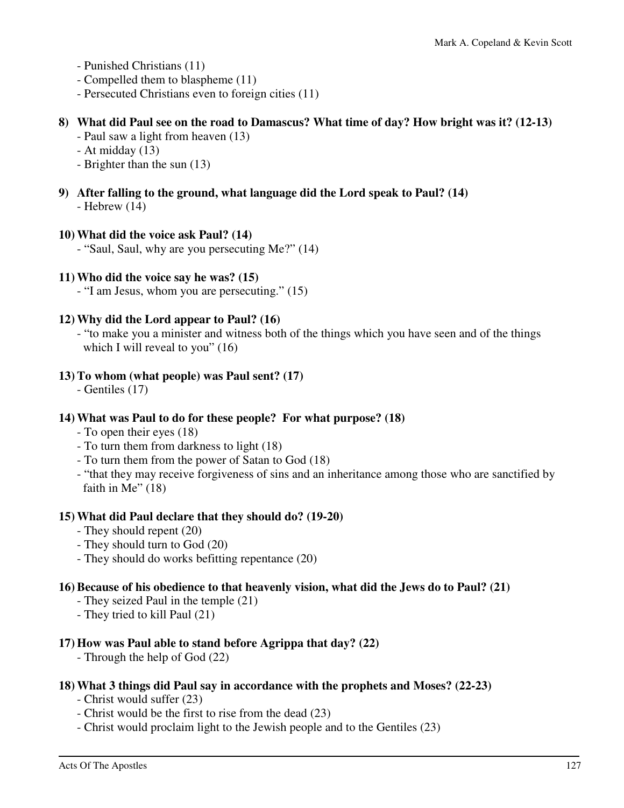- Punished Christians (11)
- Compelled them to blaspheme (11)
- Persecuted Christians even to foreign cities (11)

#### **8) What did Paul see on the road to Damascus? What time of day? How bright was it? (12-13)**

- Paul saw a light from heaven (13)
- At midday (13)
- Brighter than the sun (13)
- **9) After falling to the ground, what language did the Lord speak to Paul? (14)**  - Hebrew (14)

#### **10) What did the voice ask Paul? (14)**

- "Saul, Saul, why are you persecuting Me?" (14)

#### **11) Who did the voice say he was? (15)**

- "I am Jesus, whom you are persecuting." (15)

#### **12) Why did the Lord appear to Paul? (16)**

 - "to make you a minister and witness both of the things which you have seen and of the things which I will reveal to you" (16)

#### **13) To whom (what people) was Paul sent? (17)**

- Gentiles (17)

#### **14) What was Paul to do for these people? For what purpose? (18)**

- To open their eyes (18)
- To turn them from darkness to light (18)
- To turn them from the power of Satan to God (18)
- "that they may receive forgiveness of sins and an inheritance among those who are sanctified by faith in Me"  $(18)$

#### **15) What did Paul declare that they should do? (19-20)**

- They should repent (20)
- They should turn to God (20)
- They should do works befitting repentance (20)

#### **16) Because of his obedience to that heavenly vision, what did the Jews do to Paul? (21)**

- They seized Paul in the temple (21)
- They tried to kill Paul (21)

#### **17) How was Paul able to stand before Agrippa that day? (22)**

- Through the help of God (22)

#### **18) What 3 things did Paul say in accordance with the prophets and Moses? (22-23)**

- Christ would suffer (23)
- Christ would be the first to rise from the dead (23)
- Christ would proclaim light to the Jewish people and to the Gentiles (23)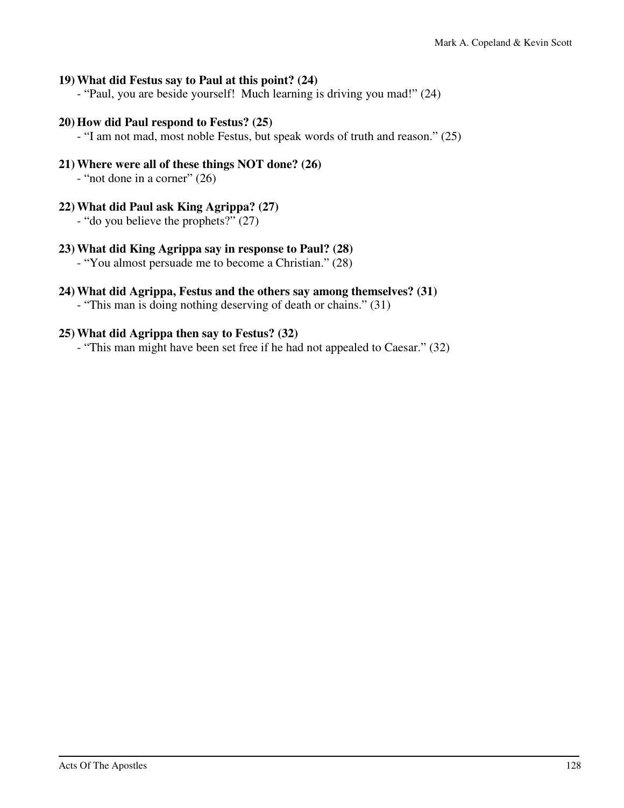#### **19) What did Festus say to Paul at this point? (24)**

- "Paul, you are beside yourself! Much learning is driving you mad!" (24)

#### **20) How did Paul respond to Festus? (25)**

- "I am not mad, most noble Festus, but speak words of truth and reason." (25)

#### **21) Where were all of these things NOT done? (26)**

- "not done in a corner" (26)

#### **22) What did Paul ask King Agrippa? (27)**

- "do you believe the prophets?" (27)

#### **23) What did King Agrippa say in response to Paul? (28)**

- "You almost persuade me to become a Christian." (28)

#### **24) What did Agrippa, Festus and the others say among themselves? (31)**

- "This man is doing nothing deserving of death or chains." (31)

#### **25) What did Agrippa then say to Festus? (32)**

- "This man might have been set free if he had not appealed to Caesar." (32)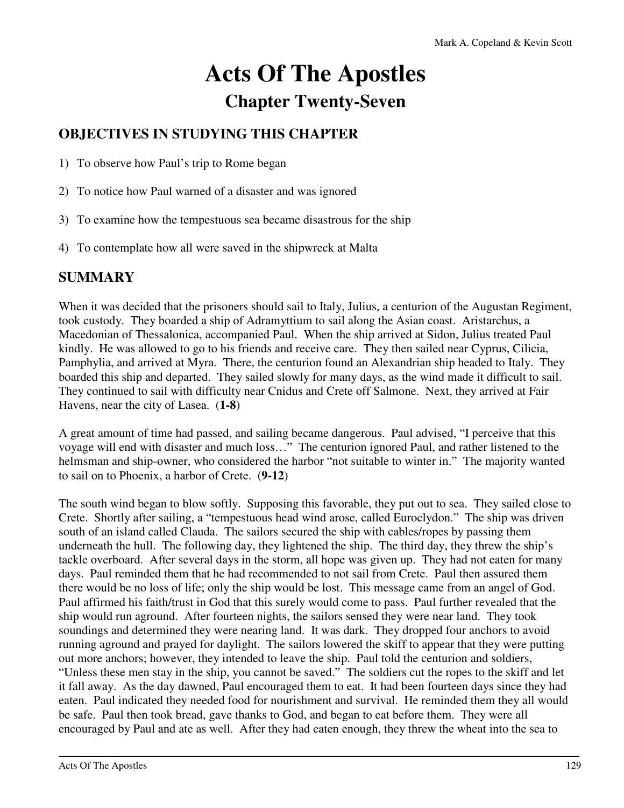# **Acts Of The Apostles Chapter Twenty-Seven**

# **OBJECTIVES IN STUDYING THIS CHAPTER**

1) To observe how Paul's trip to Rome began

- 2) To notice how Paul warned of a disaster and was ignored
- 3) To examine how the tempestuous sea became disastrous for the ship
- 4) To contemplate how all were saved in the shipwreck at Malta

# **SUMMARY**

When it was decided that the prisoners should sail to Italy, Julius, a centurion of the Augustan Regiment, took custody. They boarded a ship of Adramyttium to sail along the Asian coast. Aristarchus, a Macedonian of Thessalonica, accompanied Paul. When the ship arrived at Sidon, Julius treated Paul kindly. He was allowed to go to his friends and receive care. They then sailed near Cyprus, Cilicia, Pamphylia, and arrived at Myra. There, the centurion found an Alexandrian ship headed to Italy. They boarded this ship and departed. They sailed slowly for many days, as the wind made it difficult to sail. They continued to sail with difficulty near Cnidus and Crete off Salmone. Next, they arrived at Fair Havens, near the city of Lasea. (**1-8**)

A great amount of time had passed, and sailing became dangerous. Paul advised, "I perceive that this voyage will end with disaster and much loss…" The centurion ignored Paul, and rather listened to the helmsman and ship-owner, who considered the harbor "not suitable to winter in." The majority wanted to sail on to Phoenix, a harbor of Crete. (**9-12**)

The south wind began to blow softly. Supposing this favorable, they put out to sea. They sailed close to Crete. Shortly after sailing, a "tempestuous head wind arose, called Euroclydon." The ship was driven south of an island called Clauda. The sailors secured the ship with cables/ropes by passing them underneath the hull. The following day, they lightened the ship. The third day, they threw the ship's tackle overboard. After several days in the storm, all hope was given up. They had not eaten for many days. Paul reminded them that he had recommended to not sail from Crete. Paul then assured them there would be no loss of life; only the ship would be lost. This message came from an angel of God. Paul affirmed his faith/trust in God that this surely would come to pass. Paul further revealed that the ship would run aground. After fourteen nights, the sailors sensed they were near land. They took soundings and determined they were nearing land. It was dark. They dropped four anchors to avoid running aground and prayed for daylight. The sailors lowered the skiff to appear that they were putting out more anchors; however, they intended to leave the ship. Paul told the centurion and soldiers, "Unless these men stay in the ship, you cannot be saved." The soldiers cut the ropes to the skiff and let it fall away. As the day dawned, Paul encouraged them to eat. It had been fourteen days since they had eaten. Paul indicated they needed food for nourishment and survival. He reminded them they all would be safe. Paul then took bread, gave thanks to God, and began to eat before them. They were all encouraged by Paul and ate as well. After they had eaten enough, they threw the wheat into the sea to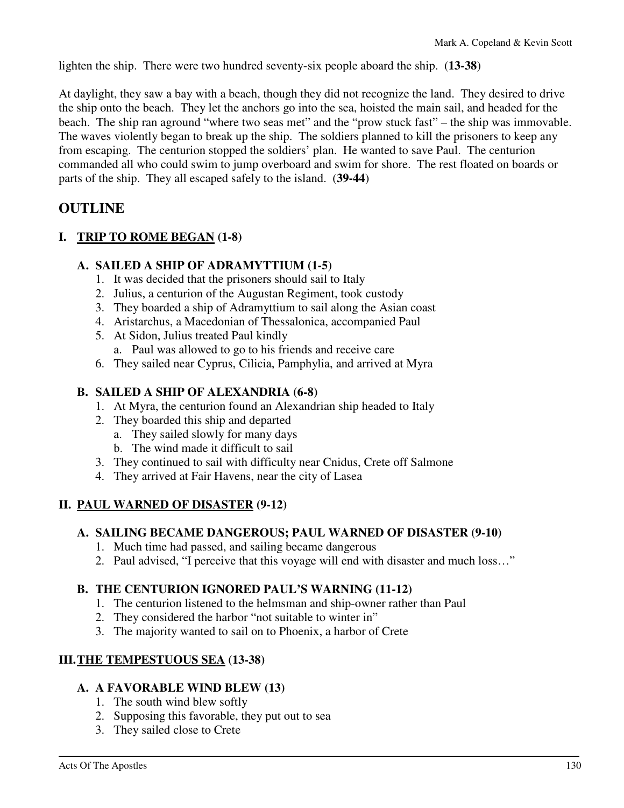lighten the ship. There were two hundred seventy-six people aboard the ship. (**13-38**)

At daylight, they saw a bay with a beach, though they did not recognize the land. They desired to drive the ship onto the beach. They let the anchors go into the sea, hoisted the main sail, and headed for the beach. The ship ran aground "where two seas met" and the "prow stuck fast" – the ship was immovable. The waves violently began to break up the ship. The soldiers planned to kill the prisoners to keep any from escaping. The centurion stopped the soldiers' plan. He wanted to save Paul. The centurion commanded all who could swim to jump overboard and swim for shore. The rest floated on boards or parts of the ship. They all escaped safely to the island. (**39-44**)

# **OUTLINE**

# **I. TRIP TO ROME BEGAN (1-8)**

# **A. SAILED A SHIP OF ADRAMYTTIUM (1-5)**

- 1. It was decided that the prisoners should sail to Italy
- 2. Julius, a centurion of the Augustan Regiment, took custody
- 3. They boarded a ship of Adramyttium to sail along the Asian coast
- 4. Aristarchus, a Macedonian of Thessalonica, accompanied Paul
- 5. At Sidon, Julius treated Paul kindly a. Paul was allowed to go to his friends and receive care
- 6. They sailed near Cyprus, Cilicia, Pamphylia, and arrived at Myra

# **B. SAILED A SHIP OF ALEXANDRIA (6-8)**

- 1. At Myra, the centurion found an Alexandrian ship headed to Italy
- 2. They boarded this ship and departed
	- a. They sailed slowly for many days
	- b. The wind made it difficult to sail
- 3. They continued to sail with difficulty near Cnidus, Crete off Salmone
- 4. They arrived at Fair Havens, near the city of Lasea

# **II. PAUL WARNED OF DISASTER (9-12)**

# **A. SAILING BECAME DANGEROUS; PAUL WARNED OF DISASTER (9-10)**

- 1. Much time had passed, and sailing became dangerous
- 2. Paul advised, "I perceive that this voyage will end with disaster and much loss…"

# **B. THE CENTURION IGNORED PAUL'S WARNING (11-12)**

- 1. The centurion listened to the helmsman and ship-owner rather than Paul
- 2. They considered the harbor "not suitable to winter in"
- 3. The majority wanted to sail on to Phoenix, a harbor of Crete

# **III. THE TEMPESTUOUS SEA (13-38)**

# **A. A FAVORABLE WIND BLEW (13)**

- 1. The south wind blew softly
- 2. Supposing this favorable, they put out to sea
- 3. They sailed close to Crete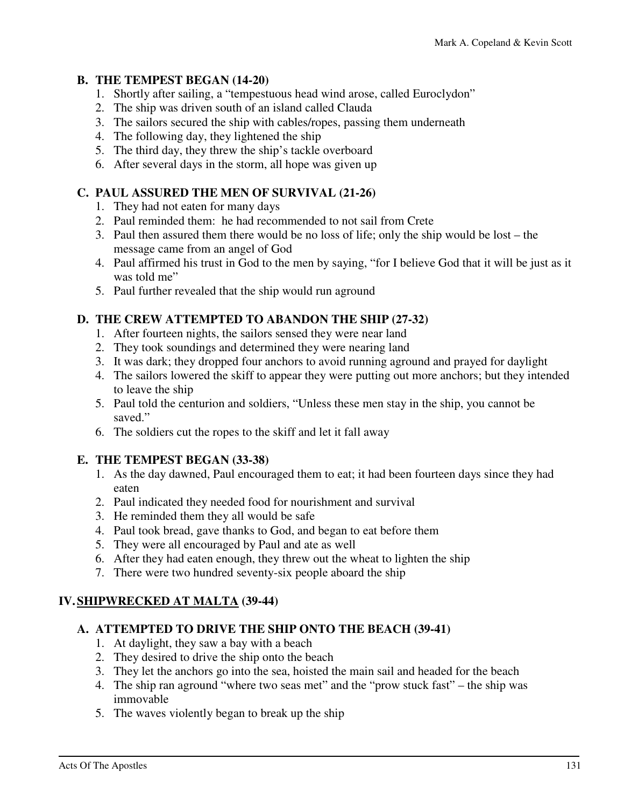#### **B. THE TEMPEST BEGAN (14-20)**

- 1. Shortly after sailing, a "tempestuous head wind arose, called Euroclydon"
- 2. The ship was driven south of an island called Clauda
- 3. The sailors secured the ship with cables/ropes, passing them underneath
- 4. The following day, they lightened the ship
- 5. The third day, they threw the ship's tackle overboard
- 6. After several days in the storm, all hope was given up

#### **C. PAUL ASSURED THE MEN OF SURVIVAL (21-26)**

- 1. They had not eaten for many days
- 2. Paul reminded them: he had recommended to not sail from Crete
- 3. Paul then assured them there would be no loss of life; only the ship would be lost the message came from an angel of God
- 4. Paul affirmed his trust in God to the men by saying, "for I believe God that it will be just as it was told me"
- 5. Paul further revealed that the ship would run aground

## **D. THE CREW ATTEMPTED TO ABANDON THE SHIP (27-32)**

- 1. After fourteen nights, the sailors sensed they were near land
- 2. They took soundings and determined they were nearing land
- 3. It was dark; they dropped four anchors to avoid running aground and prayed for daylight
- 4. The sailors lowered the skiff to appear they were putting out more anchors; but they intended to leave the ship
- 5. Paul told the centurion and soldiers, "Unless these men stay in the ship, you cannot be saved."
- 6. The soldiers cut the ropes to the skiff and let it fall away

#### **E. THE TEMPEST BEGAN (33-38)**

- 1. As the day dawned, Paul encouraged them to eat; it had been fourteen days since they had eaten
- 2. Paul indicated they needed food for nourishment and survival
- 3. He reminded them they all would be safe
- 4. Paul took bread, gave thanks to God, and began to eat before them
- 5. They were all encouraged by Paul and ate as well
- 6. After they had eaten enough, they threw out the wheat to lighten the ship
- 7. There were two hundred seventy-six people aboard the ship

#### **IV. SHIPWRECKED AT MALTA (39-44)**

#### **A. ATTEMPTED TO DRIVE THE SHIP ONTO THE BEACH (39-41)**

- 1. At daylight, they saw a bay with a beach
- 2. They desired to drive the ship onto the beach
- 3. They let the anchors go into the sea, hoisted the main sail and headed for the beach
- 4. The ship ran aground "where two seas met" and the "prow stuck fast" the ship was immovable
- 5. The waves violently began to break up the ship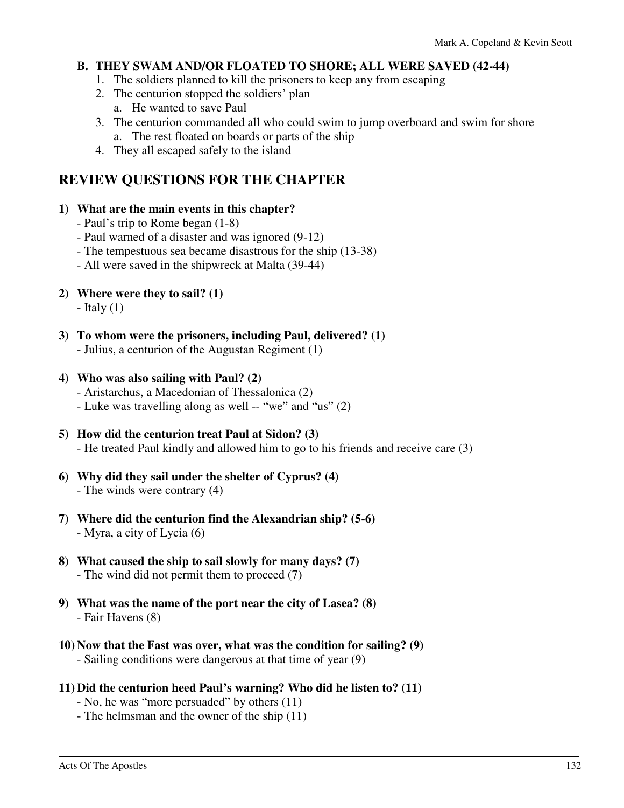#### **B. THEY SWAM AND/OR FLOATED TO SHORE; ALL WERE SAVED (42-44)**

- 1. The soldiers planned to kill the prisoners to keep any from escaping
- 2. The centurion stopped the soldiers' plan
	- a. He wanted to save Paul
- 3. The centurion commanded all who could swim to jump overboard and swim for shore a. The rest floated on boards or parts of the ship
- 4. They all escaped safely to the island

# **REVIEW QUESTIONS FOR THE CHAPTER**

#### **1) What are the main events in this chapter?**

- Paul's trip to Rome began (1-8)
- Paul warned of a disaster and was ignored (9-12)
- The tempestuous sea became disastrous for the ship (13-38)
- All were saved in the shipwreck at Malta (39-44)
- **2) Where were they to sail? (1)**

 $-$  Italy  $(1)$ 

**3) To whom were the prisoners, including Paul, delivered? (1)**  - Julius, a centurion of the Augustan Regiment (1)

#### **4) Who was also sailing with Paul? (2)**

- Aristarchus, a Macedonian of Thessalonica (2)
- Luke was travelling along as well -- "we" and "us" (2)
- **5) How did the centurion treat Paul at Sidon? (3)**  - He treated Paul kindly and allowed him to go to his friends and receive care (3)
- **6) Why did they sail under the shelter of Cyprus? (4)**  - The winds were contrary (4)
- **7) Where did the centurion find the Alexandrian ship? (5-6)**  - Myra, a city of Lycia (6)
- **8) What caused the ship to sail slowly for many days? (7)**  - The wind did not permit them to proceed (7)
- **9) What was the name of the port near the city of Lasea? (8)**  - Fair Havens (8)
- **10) Now that the Fast was over, what was the condition for sailing? (9)**  - Sailing conditions were dangerous at that time of year (9)
- **11) Did the centurion heed Paul's warning? Who did he listen to? (11)** 
	- No, he was "more persuaded" by others (11)
	- The helmsman and the owner of the ship (11)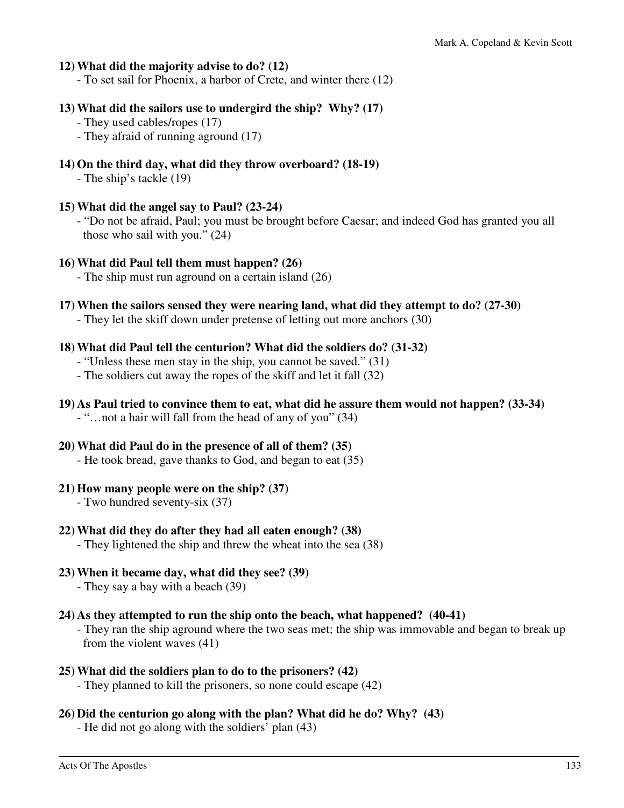#### **12) What did the majority advise to do? (12)**

- To set sail for Phoenix, a harbor of Crete, and winter there (12)

#### **13) What did the sailors use to undergird the ship? Why? (17)**

- They used cables/ropes (17)
- They afraid of running aground (17)

#### **14) On the third day, what did they throw overboard? (18-19)**

- The ship's tackle (19)

#### **15) What did the angel say to Paul? (23-24)**

 - "Do not be afraid, Paul; you must be brought before Caesar; and indeed God has granted you all those who sail with you." (24)

#### **16) What did Paul tell them must happen? (26)**

- The ship must run aground on a certain island (26)

#### **17) When the sailors sensed they were nearing land, what did they attempt to do? (27-30)**

- They let the skiff down under pretense of letting out more anchors (30)

#### **18) What did Paul tell the centurion? What did the soldiers do? (31-32)**

- "Unless these men stay in the ship, you cannot be saved." (31)
- The soldiers cut away the ropes of the skiff and let it fall (32)

#### **19) As Paul tried to convince them to eat, what did he assure them would not happen? (33-34)**

- "…not a hair will fall from the head of any of you" (34)

# **20) What did Paul do in the presence of all of them? (35)**

- He took bread, gave thanks to God, and began to eat (35)

#### **21) How many people were on the ship? (37)**

- Two hundred seventy-six (37)

#### **22) What did they do after they had all eaten enough? (38)**

- They lightened the ship and threw the wheat into the sea (38)

#### **23) When it became day, what did they see? (39)**

- They say a bay with a beach (39)

#### **24) As they attempted to run the ship onto the beach, what happened? (40-41)**

 - They ran the ship aground where the two seas met; the ship was immovable and began to break up from the violent waves (41)

#### **25) What did the soldiers plan to do to the prisoners? (42)**

- They planned to kill the prisoners, so none could escape (42)

#### **26) Did the centurion go along with the plan? What did he do? Why? (43)**

- He did not go along with the soldiers' plan (43)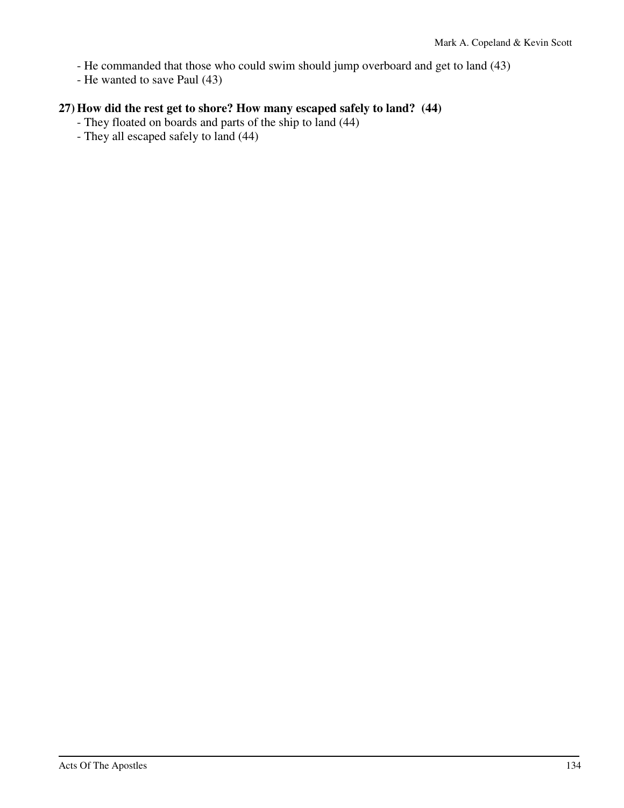- He commanded that those who could swim should jump overboard and get to land (43)

- He wanted to save Paul (43)

# **27) How did the rest get to shore? How many escaped safely to land? (44)**

- They floated on boards and parts of the ship to land (44)
- They all escaped safely to land (44)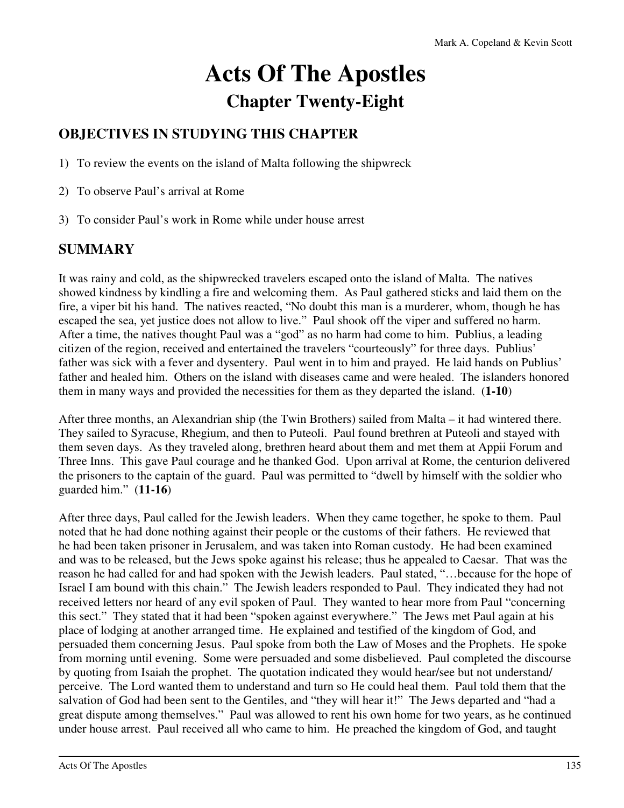# **Acts Of The Apostles Chapter Twenty-Eight**

# **OBJECTIVES IN STUDYING THIS CHAPTER**

- 1) To review the events on the island of Malta following the shipwreck
- 2) To observe Paul's arrival at Rome
- 3) To consider Paul's work in Rome while under house arrest

# **SUMMARY**

It was rainy and cold, as the shipwrecked travelers escaped onto the island of Malta. The natives showed kindness by kindling a fire and welcoming them. As Paul gathered sticks and laid them on the fire, a viper bit his hand. The natives reacted, "No doubt this man is a murderer, whom, though he has escaped the sea, yet justice does not allow to live." Paul shook off the viper and suffered no harm. After a time, the natives thought Paul was a "god" as no harm had come to him. Publius, a leading citizen of the region, received and entertained the travelers "courteously" for three days. Publius' father was sick with a fever and dysentery. Paul went in to him and prayed. He laid hands on Publius' father and healed him. Others on the island with diseases came and were healed. The islanders honored them in many ways and provided the necessities for them as they departed the island. (**1-10**)

After three months, an Alexandrian ship (the Twin Brothers) sailed from Malta – it had wintered there. They sailed to Syracuse, Rhegium, and then to Puteoli. Paul found brethren at Puteoli and stayed with them seven days. As they traveled along, brethren heard about them and met them at Appii Forum and Three Inns. This gave Paul courage and he thanked God. Upon arrival at Rome, the centurion delivered the prisoners to the captain of the guard. Paul was permitted to "dwell by himself with the soldier who guarded him." (**11-16**)

After three days, Paul called for the Jewish leaders. When they came together, he spoke to them. Paul noted that he had done nothing against their people or the customs of their fathers. He reviewed that he had been taken prisoner in Jerusalem, and was taken into Roman custody. He had been examined and was to be released, but the Jews spoke against his release; thus he appealed to Caesar. That was the reason he had called for and had spoken with the Jewish leaders. Paul stated, "…because for the hope of Israel I am bound with this chain." The Jewish leaders responded to Paul. They indicated they had not received letters nor heard of any evil spoken of Paul. They wanted to hear more from Paul "concerning this sect." They stated that it had been "spoken against everywhere." The Jews met Paul again at his place of lodging at another arranged time. He explained and testified of the kingdom of God, and persuaded them concerning Jesus. Paul spoke from both the Law of Moses and the Prophets. He spoke from morning until evening. Some were persuaded and some disbelieved. Paul completed the discourse by quoting from Isaiah the prophet. The quotation indicated they would hear/see but not understand/ perceive. The Lord wanted them to understand and turn so He could heal them. Paul told them that the salvation of God had been sent to the Gentiles, and "they will hear it!" The Jews departed and "had a great dispute among themselves." Paul was allowed to rent his own home for two years, as he continued under house arrest. Paul received all who came to him. He preached the kingdom of God, and taught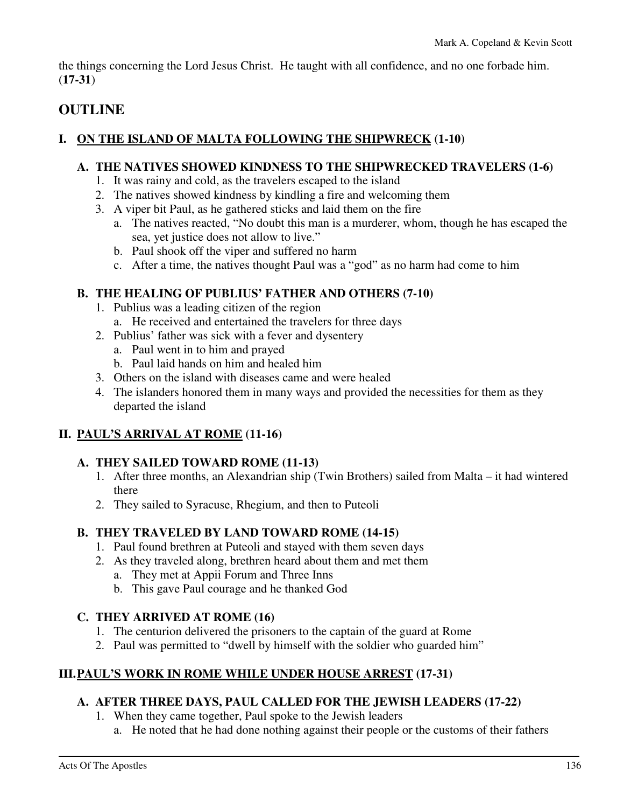the things concerning the Lord Jesus Christ. He taught with all confidence, and no one forbade him. (**17-31**)

# **OUTLINE**

# **I. ON THE ISLAND OF MALTA FOLLOWING THE SHIPWRECK (1-10)**

## **A. THE NATIVES SHOWED KINDNESS TO THE SHIPWRECKED TRAVELERS (1-6)**

- 1. It was rainy and cold, as the travelers escaped to the island
- 2. The natives showed kindness by kindling a fire and welcoming them
- 3. A viper bit Paul, as he gathered sticks and laid them on the fire
	- a. The natives reacted, "No doubt this man is a murderer, whom, though he has escaped the sea, yet justice does not allow to live."
	- b. Paul shook off the viper and suffered no harm
	- c. After a time, the natives thought Paul was a "god" as no harm had come to him

# **B. THE HEALING OF PUBLIUS' FATHER AND OTHERS (7-10)**

- 1. Publius was a leading citizen of the region
	- a. He received and entertained the travelers for three days
- 2. Publius' father was sick with a fever and dysentery
	- a. Paul went in to him and prayed
	- b. Paul laid hands on him and healed him
- 3. Others on the island with diseases came and were healed
- 4. The islanders honored them in many ways and provided the necessities for them as they departed the island

# **II. PAUL'S ARRIVAL AT ROME (11-16)**

# **A. THEY SAILED TOWARD ROME (11-13)**

- 1. After three months, an Alexandrian ship (Twin Brothers) sailed from Malta it had wintered there
- 2. They sailed to Syracuse, Rhegium, and then to Puteoli

# **B. THEY TRAVELED BY LAND TOWARD ROME (14-15)**

- 1. Paul found brethren at Puteoli and stayed with them seven days
- 2. As they traveled along, brethren heard about them and met them
	- a. They met at Appii Forum and Three Inns
	- b. This gave Paul courage and he thanked God

# **C. THEY ARRIVED AT ROME (16)**

- 1. The centurion delivered the prisoners to the captain of the guard at Rome
- 2. Paul was permitted to "dwell by himself with the soldier who guarded him"

# **III. PAUL'S WORK IN ROME WHILE UNDER HOUSE ARREST (17-31)**

# **A. AFTER THREE DAYS, PAUL CALLED FOR THE JEWISH LEADERS (17-22)**

- 1. When they came together, Paul spoke to the Jewish leaders
	- a. He noted that he had done nothing against their people or the customs of their fathers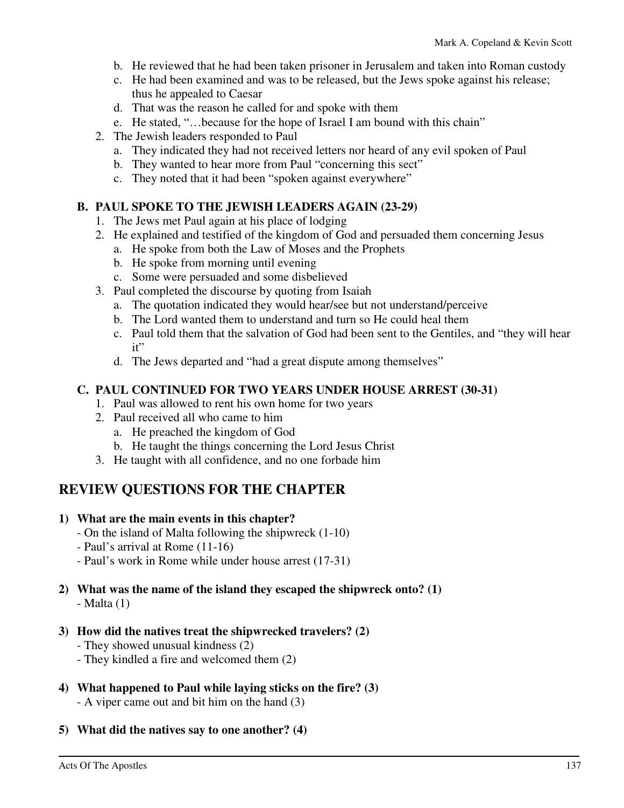- b. He reviewed that he had been taken prisoner in Jerusalem and taken into Roman custody
- c. He had been examined and was to be released, but the Jews spoke against his release; thus he appealed to Caesar
- d. That was the reason he called for and spoke with them
- e. He stated, "…because for the hope of Israel I am bound with this chain"
- 2. The Jewish leaders responded to Paul
	- a. They indicated they had not received letters nor heard of any evil spoken of Paul
	- b. They wanted to hear more from Paul "concerning this sect"
	- c. They noted that it had been "spoken against everywhere"

#### **B. PAUL SPOKE TO THE JEWISH LEADERS AGAIN (23-29)**

- 1. The Jews met Paul again at his place of lodging
- 2. He explained and testified of the kingdom of God and persuaded them concerning Jesus
	- a. He spoke from both the Law of Moses and the Prophets
	- b. He spoke from morning until evening
	- c. Some were persuaded and some disbelieved
- 3. Paul completed the discourse by quoting from Isaiah
	- a. The quotation indicated they would hear/see but not understand/perceive
	- b. The Lord wanted them to understand and turn so He could heal them
	- c. Paul told them that the salvation of God had been sent to the Gentiles, and "they will hear it"
	- d. The Jews departed and "had a great dispute among themselves"

#### **C. PAUL CONTINUED FOR TWO YEARS UNDER HOUSE ARREST (30-31)**

- 1. Paul was allowed to rent his own home for two years
- 2. Paul received all who came to him
	- a. He preached the kingdom of God
	- b. He taught the things concerning the Lord Jesus Christ
- 3. He taught with all confidence, and no one forbade him

# **REVIEW QUESTIONS FOR THE CHAPTER**

#### **1) What are the main events in this chapter?**

- On the island of Malta following the shipwreck (1-10)
- Paul's arrival at Rome (11-16)
- Paul's work in Rome while under house arrest (17-31)

#### **2) What was the name of the island they escaped the shipwreck onto? (1)**   $-Malta(1)$

#### **3) How did the natives treat the shipwrecked travelers? (2)**

- They showed unusual kindness (2)
- They kindled a fire and welcomed them (2)

# **4) What happened to Paul while laying sticks on the fire? (3)**

- A viper came out and bit him on the hand (3)
- **5) What did the natives say to one another? (4)**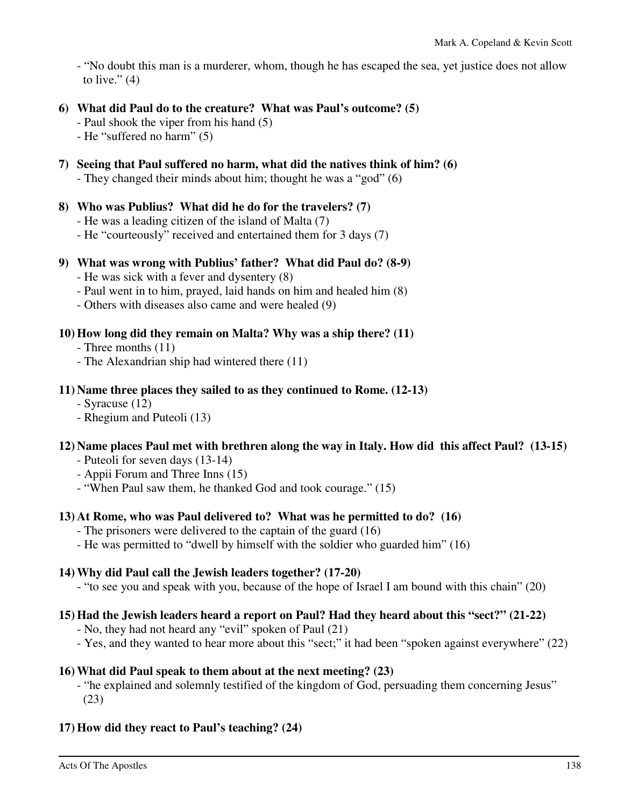- "No doubt this man is a murderer, whom, though he has escaped the sea, yet justice does not allow to live." $(4)$ 

## **6) What did Paul do to the creature? What was Paul's outcome? (5)**

- Paul shook the viper from his hand (5)

- He "suffered no harm" (5)
- **7) Seeing that Paul suffered no harm, what did the natives think of him? (6)**

- They changed their minds about him; thought he was a "god" (6)

#### **8) Who was Publius? What did he do for the travelers? (7)**

- He was a leading citizen of the island of Malta (7)

- He "courteously" received and entertained them for 3 days (7)

# **9) What was wrong with Publius' father? What did Paul do? (8-9)**

- He was sick with a fever and dysentery (8)
- Paul went in to him, prayed, laid hands on him and healed him (8)
- Others with diseases also came and were healed (9)

# **10) How long did they remain on Malta? Why was a ship there? (11)**

- Three months (11)
- The Alexandrian ship had wintered there (11)

## **11) Name three places they sailed to as they continued to Rome. (12-13)**

- Syracuse (12)
- Rhegium and Puteoli (13)

# **12) Name places Paul met with brethren along the way in Italy. How did this affect Paul? (13-15)**

- Puteoli for seven days (13-14)
- Appii Forum and Three Inns (15)
- "When Paul saw them, he thanked God and took courage." (15)

# **13) At Rome, who was Paul delivered to? What was he permitted to do? (16)**

- The prisoners were delivered to the captain of the guard (16)
- He was permitted to "dwell by himself with the soldier who guarded him" (16)

# **14) Why did Paul call the Jewish leaders together? (17-20)**

- "to see you and speak with you, because of the hope of Israel I am bound with this chain" (20)

# **15) Had the Jewish leaders heard a report on Paul? Had they heard about this "sect?" (21-22)**

- No, they had not heard any "evil" spoken of Paul (21)
- Yes, and they wanted to hear more about this "sect;" it had been "spoken against everywhere" (22)

# **16) What did Paul speak to them about at the next meeting? (23)**

 - "he explained and solemnly testified of the kingdom of God, persuading them concerning Jesus" (23)

# **17) How did they react to Paul's teaching? (24)**